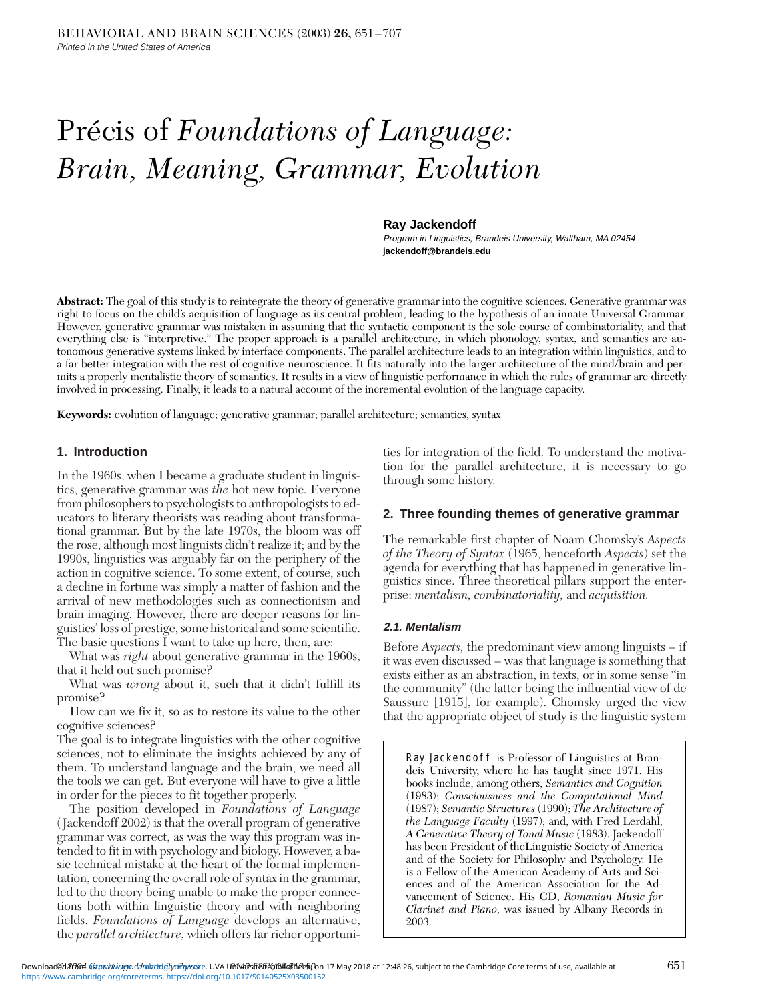# Précis of *Foundations of Language: Brain, Meaning, Grammar, Evolution*

#### **Ray Jackendoff**

Program in Linguistics, Brandeis University, Waltham, MA 02454 **jackendoff@brandeis.edu**

**Abstract:** The goal of this study is to reintegrate the theory of generative grammar into the cognitive sciences. Generative grammar was right to focus on the child's acquisition of language as its central problem, leading to the hypothesis of an innate Universal Grammar. However, generative grammar was mistaken in assuming that the syntactic component is the sole course of combinatoriality, and that everything else is "interpretive." The proper approach is a parallel architecture, in which phonology, syntax, and semantics are autonomous generative systems linked by interface components. The parallel architecture leads to an integration within linguistics, and to a far better integration with the rest of cognitive neuroscience. It fits naturally into the larger architecture of the mind/brain and permits a properly mentalistic theory of semantics. It results in a view of linguistic performance in which the rules of grammar are directly involved in processing. Finally, it leads to a natural account of the incremental evolution of the language capacity.

**Keywords:** evolution of language; generative grammar; parallel architecture; semantics, syntax

#### **1. Introduction**

In the 1960s, when I became a graduate student in linguistics, generative grammar was *the* hot new topic. Everyone from philosophers to psychologists to anthropologists to educators to literary theorists was reading about transformational grammar. But by the late 1970s, the bloom was off the rose, although most linguists didn't realize it; and by the 1990s, linguistics was arguably far on the periphery of the action in cognitive science. To some extent, of course, such a decline in fortune was simply a matter of fashion and the arrival of new methodologies such as connectionism and brain imaging. However, there are deeper reasons for linguistics' loss of prestige, some historical and some scientific. The basic questions I want to take up here, then, are:

What was *right* about generative grammar in the 1960s, that it held out such promise?

What was *wrong* about it, such that it didn't fulfill its promise?

How can we fix it, so as to restore its value to the other cognitive sciences?

The goal is to integrate linguistics with the other cognitive sciences, not to eliminate the insights achieved by any of them. To understand language and the brain, we need all the tools we can get. But everyone will have to give a little in order for the pieces to fit together properly.

The position developed in *Foundations of Language* (Jackendoff 2002) is that the overall program of generative grammar was correct, as was the way this program was intended to fit in with psychology and biology. However, a basic technical mistake at the heart of the formal implementation, concerning the overall role of syntax in the grammar, led to the theory being unable to make the proper connections both within linguistic theory and with neighboring fields. *Foundations of Language* develops an alternative, the *parallel architecture,* which offers far richer opportunities for integration of the field. To understand the motivation for the parallel architecture, it is necessary to go through some history.

## **2. Three founding themes of generative grammar**

The remarkable first chapter of Noam Chomsky's *Aspects of the Theory of Syntax* (1965, henceforth *Aspects*) set the agenda for everything that has happened in generative linguistics since. Three theoretical pillars support the enterprise: *mentalism, combinatoriality,* and *acquisition.*

#### **2.1. Mentalism**

Before *Aspects,* the predominant view among linguists – if it was even discussed – was that language is something that exists either as an abstraction, in texts, or in some sense "in the community" (the latter being the influential view of de Saussure [1915], for example). Chomsky urged the view that the appropriate object of study is the linguistic system

Ray Jackendoff is Professor of Linguistics at Brandeis University, where he has taught since 1971. His books include, among others, *Semantics and Cognition* (1983); *Consciousness and the Computational Mind* (1987); *Semantic Structures* (1990); *The Architecture of the Language Faculty* (1997); and, with Fred Lerdahl, *A Generative Theory of Tonal Music* (1983). Jackendoff has been President of theLinguistic Society of America and of the Society for Philosophy and Psychology. He is a Fellow of the American Academy of Arts and Sciences and of the American Association for the Advancement of Science. His CD, *Romanian Music for Clarinet and Piano,* was issued by Albany Records in 2003.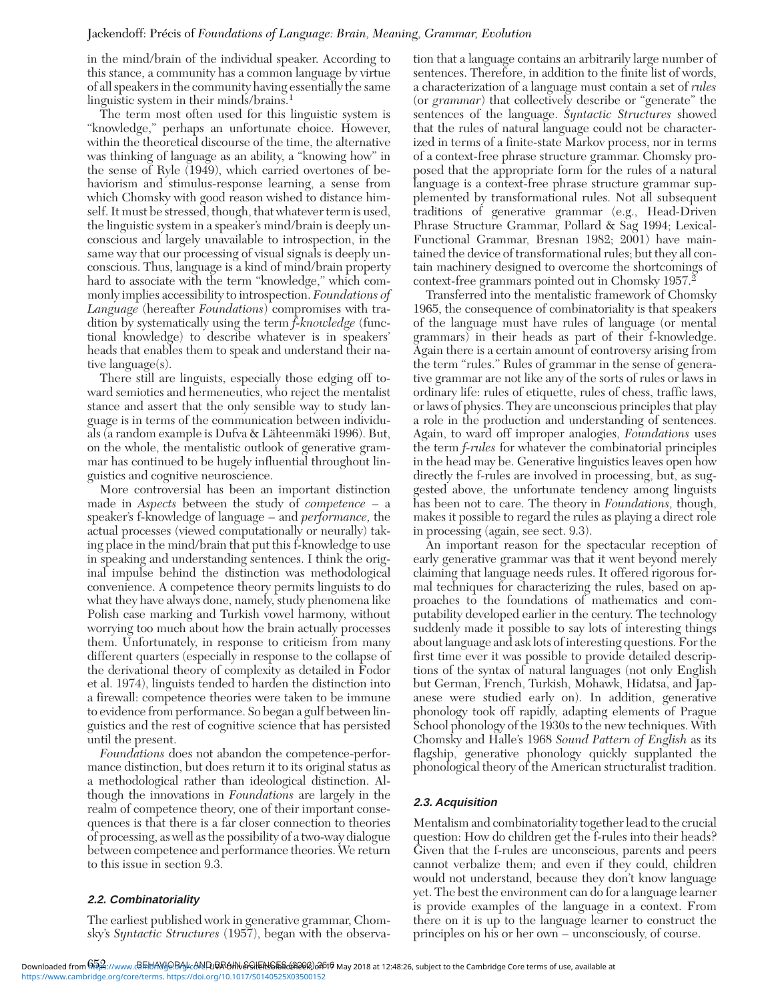in the mind/brain of the individual speaker. According to this stance, a community has a common language by virtue of all speakers in the community having essentially the same linguistic system in their minds/brains.1

The term most often used for this linguistic system is "knowledge," perhaps an unfortunate choice. However, within the theoretical discourse of the time, the alternative was thinking of language as an ability, a "knowing how" in the sense of Ryle (1949), which carried overtones of behaviorism and stimulus-response learning, a sense from which Chomsky with good reason wished to distance himself. It must be stressed, though, that whatever term is used, the linguistic system in a speaker's mind/brain is deeply unconscious and largely unavailable to introspection, in the same way that our processing of visual signals is deeply unconscious. Thus, language is a kind of mind/brain property hard to associate with the term "knowledge," which commonly implies accessibility to introspection. *Foundations of Language* (hereafter *Foundations*) compromises with tradition by systematically using the term *f-knowledge* (functional knowledge) to describe whatever is in speakers' heads that enables them to speak and understand their native language(s).

There still are linguists, especially those edging off toward semiotics and hermeneutics, who reject the mentalist stance and assert that the only sensible way to study language is in terms of the communication between individuals (a random example is Dufva & Lähteenmäki 1996). But, on the whole, the mentalistic outlook of generative grammar has continued to be hugely influential throughout linguistics and cognitive neuroscience.

More controversial has been an important distinction made in *Aspects* between the study of *competence* – a speaker's f-knowledge of language – and *performance,* the actual processes (viewed computationally or neurally) taking place in the mind/brain that put this f-knowledge to use in speaking and understanding sentences. I think the original impulse behind the distinction was methodological convenience. A competence theory permits linguists to do what they have always done, namely, study phenomena like Polish case marking and Turkish vowel harmony, without worrying too much about how the brain actually processes them. Unfortunately, in response to criticism from many different quarters (especially in response to the collapse of the derivational theory of complexity as detailed in Fodor et al. 1974), linguists tended to harden the distinction into a firewall: competence theories were taken to be immune to evidence from performance. So began a gulf between linguistics and the rest of cognitive science that has persisted until the present.

*Foundations* does not abandon the competence-performance distinction, but does return it to its original status as a methodological rather than ideological distinction. Although the innovations in *Foundations* are largely in the realm of competence theory, one of their important consequences is that there is a far closer connection to theories of processing, as well as the possibility of a two-way dialogue between competence and performance theories. We return to this issue in section 9.3.

#### **2.2. Combinatoriality**

The earliest published work in generative grammar, Chomsky's *Syntactic Structures* (1957), began with the observation that a language contains an arbitrarily large number of sentences. Therefore, in addition to the finite list of words, a characterization of a language must contain a set of *rules* (or *grammar*) that collectively describe or "generate" the sentences of the language. *Syntactic Structures* showed that the rules of natural language could not be characterized in terms of a finite-state Markov process, nor in terms of a context-free phrase structure grammar. Chomsky proposed that the appropriate form for the rules of a natural language is a context-free phrase structure grammar supplemented by transformational rules. Not all subsequent traditions of generative grammar (e.g., Head-Driven Phrase Structure Grammar, Pollard & Sag 1994; Lexical-Functional Grammar, Bresnan 1982; 2001) have maintained the device of transformational rules; but they all contain machinery designed to overcome the shortcomings of context-free grammars pointed out in Chomsky 1957.2

Transferred into the mentalistic framework of Chomsky 1965, the consequence of combinatoriality is that speakers of the language must have rules of language (or mental grammars) in their heads as part of their f-knowledge. Again there is a certain amount of controversy arising from the term "rules." Rules of grammar in the sense of generative grammar are not like any of the sorts of rules or laws in ordinary life: rules of etiquette, rules of chess, traffic laws, or laws of physics. They are unconscious principles that play a role in the production and understanding of sentences. Again, to ward off improper analogies, *Foundations* uses the term *f-rules* for whatever the combinatorial principles in the head may be. Generative linguistics leaves open how directly the f-rules are involved in processing, but, as suggested above, the unfortunate tendency among linguists has been not to care. The theory in *Foundations,* though, makes it possible to regard the rules as playing a direct role in processing (again, see sect. 9.3).

An important reason for the spectacular reception of early generative grammar was that it went beyond merely claiming that language needs rules. It offered rigorous formal techniques for characterizing the rules, based on approaches to the foundations of mathematics and computability developed earlier in the century. The technology suddenly made it possible to say lots of interesting things about language and ask lots of interesting questions. For the first time ever it was possible to provide detailed descriptions of the syntax of natural languages (not only English but German, French, Turkish, Mohawk, Hidatsa, and Japanese were studied early on). In addition, generative phonology took off rapidly, adapting elements of Prague School phonology of the 1930s to the new techniques. With Chomsky and Halle's 1968 *Sound Pattern of English* as its flagship, generative phonology quickly supplanted the phonological theory of the American structuralist tradition.

#### **2.3. Acquisition**

Mentalism and combinatoriality together lead to the crucial question: How do children get the f-rules into their heads? Given that the f-rules are unconscious, parents and peers cannot verbalize them; and even if they could, children would not understand, because they don't know language yet. The best the environment can do for a language learner is provide examples of the language in a context. From there on it is up to the language learner to construct the principles on his or her own – unconsciously, of course.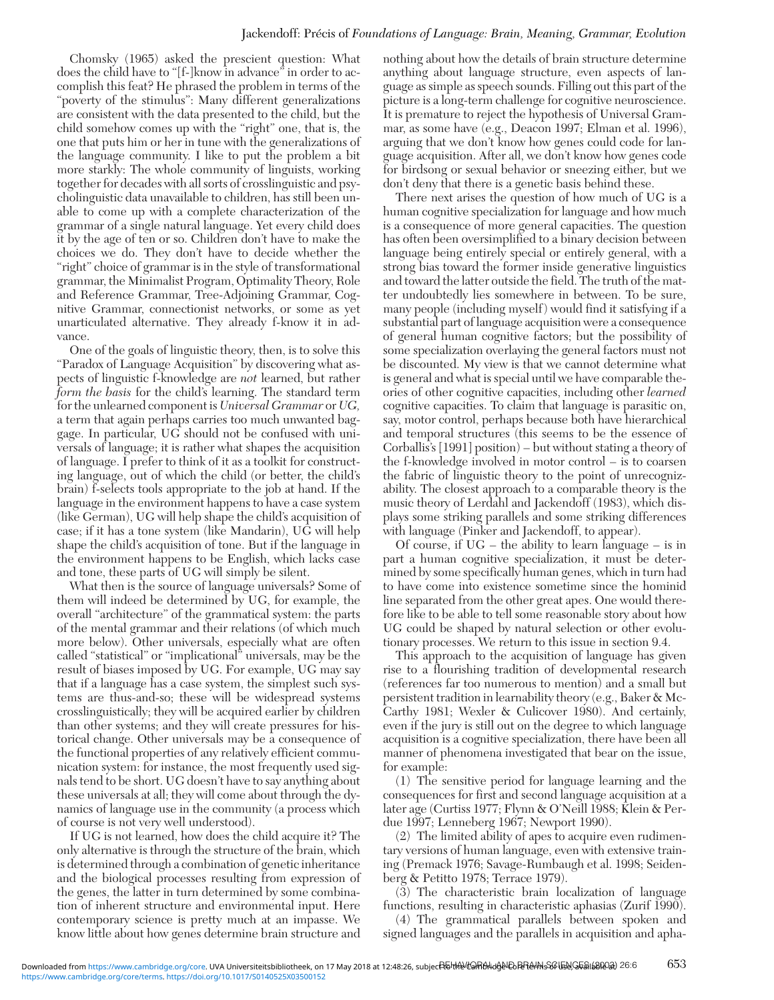Chomsky (1965) asked the prescient question: What does the child have to "[f-]know in advance" in order to accomplish this feat? He phrased the problem in terms of the "poverty of the stimulus": Many different generalizations are consistent with the data presented to the child, but the child somehow comes up with the "right" one, that is, the one that puts him or her in tune with the generalizations of the language community. I like to put the problem a bit more starkly: The whole community of linguists, working together for decades with all sorts of crosslinguistic and psycholinguistic data unavailable to children, has still been unable to come up with a complete characterization of the grammar of a single natural language. Yet every child does it by the age of ten or so. Children don't have to make the choices we do. They don't have to decide whether the "right" choice of grammar is in the style of transformational grammar, the Minimalist Program, Optimality Theory, Role and Reference Grammar, Tree-Adjoining Grammar, Cognitive Grammar, connectionist networks, or some as yet unarticulated alternative. They already f-know it in advance.

One of the goals of linguistic theory, then, is to solve this "Paradox of Language Acquisition" by discovering what aspects of linguistic f-knowledge are *not* learned, but rather *form the basis* for the child's learning. The standard term for the unlearned component is *Universal Grammar* or *UG,* a term that again perhaps carries too much unwanted baggage. In particular, UG should not be confused with universals of language; it is rather what shapes the acquisition of language. I prefer to think of it as a toolkit for constructing language, out of which the child (or better, the child's brain) f-selects tools appropriate to the job at hand. If the language in the environment happens to have a case system (like German), UG will help shape the child's acquisition of case; if it has a tone system (like Mandarin), UG will help shape the child's acquisition of tone. But if the language in the environment happens to be English, which lacks case and tone, these parts of UG will simply be silent.

What then is the source of language universals? Some of them will indeed be determined by UG, for example, the overall "architecture" of the grammatical system: the parts of the mental grammar and their relations (of which much more below). Other universals, especially what are often called "statistical" or "implicational" universals, may be the result of biases imposed by UG. For example, UG may say that if a language has a case system, the simplest such systems are thus-and-so; these will be widespread systems crosslinguistically; they will be acquired earlier by children than other systems; and they will create pressures for historical change. Other universals may be a consequence of the functional properties of any relatively efficient communication system: for instance, the most frequently used signals tend to be short. UG doesn't have to say anything about these universals at all; they will come about through the dynamics of language use in the community (a process which of course is not very well understood).

If UG is not learned, how does the child acquire it? The only alternative is through the structure of the brain, which is determined through a combination of genetic inheritance and the biological processes resulting from expression of the genes, the latter in turn determined by some combination of inherent structure and environmental input. Here contemporary science is pretty much at an impasse. We know little about how genes determine brain structure and

nothing about how the details of brain structure determine anything about language structure, even aspects of language as simple as speech sounds. Filling out this part of the picture is a long-term challenge for cognitive neuroscience. It is premature to reject the hypothesis of Universal Grammar, as some have (e.g., Deacon 1997; Elman et al. 1996), arguing that we don't know how genes could code for language acquisition. After all, we don't know how genes code for birdsong or sexual behavior or sneezing either, but we don't deny that there is a genetic basis behind these.

There next arises the question of how much of UG is a human cognitive specialization for language and how much is a consequence of more general capacities. The question has often been oversimplified to a binary decision between language being entirely special or entirely general, with a strong bias toward the former inside generative linguistics and toward the latter outside the field. The truth of the matter undoubtedly lies somewhere in between. To be sure, many people (including myself) would find it satisfying if a substantial part of language acquisition were a consequence of general human cognitive factors; but the possibility of some specialization overlaying the general factors must not be discounted. My view is that we cannot determine what is general and what is special until we have comparable theories of other cognitive capacities, including other *learned* cognitive capacities. To claim that language is parasitic on, say, motor control, perhaps because both have hierarchical and temporal structures (this seems to be the essence of Corballis's [1991] position) – but without stating a theory of the f-knowledge involved in motor control – is to coarsen the fabric of linguistic theory to the point of unrecognizability. The closest approach to a comparable theory is the music theory of Lerdahl and Jackendoff (1983), which displays some striking parallels and some striking differences with language (Pinker and Jackendoff, to appear).

Of course, if  $UG$  – the ability to learn language – is in part a human cognitive specialization, it must be determined by some specifically human genes, which in turn had to have come into existence sometime since the hominid line separated from the other great apes. One would therefore like to be able to tell some reasonable story about how UG could be shaped by natural selection or other evolutionary processes. We return to this issue in section 9.4.

This approach to the acquisition of language has given rise to a flourishing tradition of developmental research (references far too numerous to mention) and a small but persistent tradition in learnability theory (e.g., Baker & Mc-Carthy 1981; Wexler & Culicover 1980). And certainly, even if the jury is still out on the degree to which language acquisition is a cognitive specialization, there have been all manner of phenomena investigated that bear on the issue, for example:

(1) The sensitive period for language learning and the consequences for first and second language acquisition at a later age (Curtiss 1977; Flynn & O'Neill 1988; Klein & Perdue 1997; Lenneberg 1967; Newport 1990).

(2) The limited ability of apes to acquire even rudimentary versions of human language, even with extensive training (Premack 1976; Savage-Rumbaugh et al. 1998; Seidenberg & Petitto 1978; Terrace 1979).

(3) The characteristic brain localization of language functions, resulting in characteristic aphasias (Zurif 1990).

(4) The grammatical parallels between spoken and signed languages and the parallels in acquisition and apha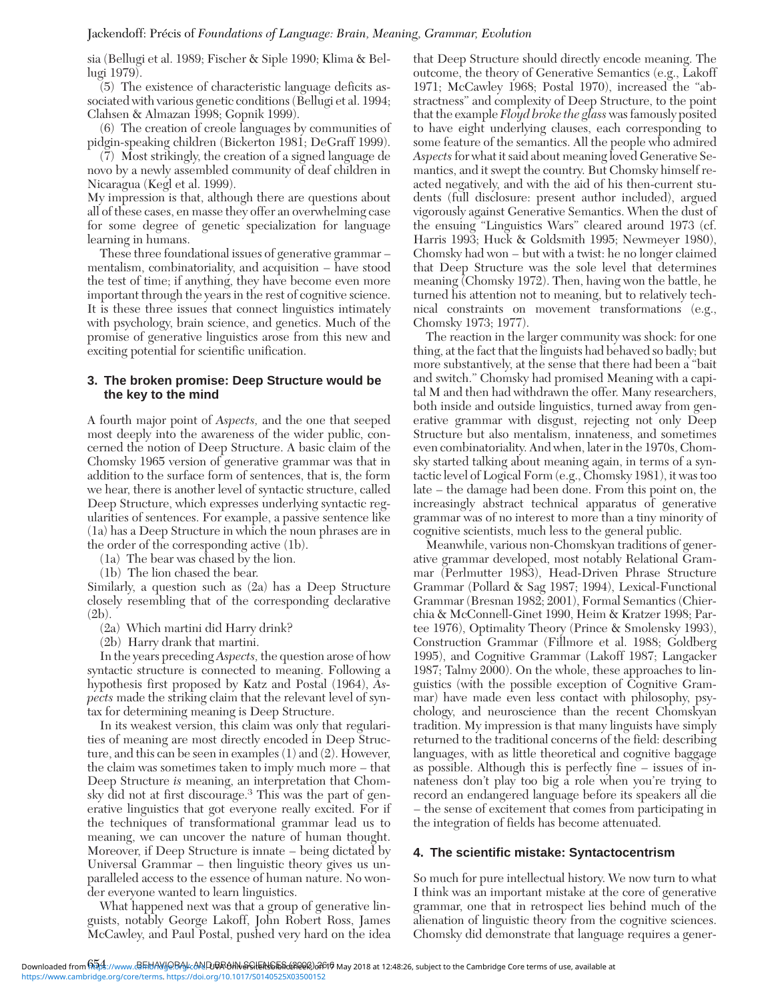sia (Bellugi et al. 1989; Fischer & Siple 1990; Klima & Bellugi 1979).

(5) The existence of characteristic language deficits associated with various genetic conditions (Bellugi et al. 1994; Clahsen & Almazan 1998; Gopnik 1999).

(6) The creation of creole languages by communities of pidgin-speaking children (Bickerton 1981; DeGraff 1999).

(7) Most strikingly, the creation of a signed language de novo by a newly assembled community of deaf children in Nicaragua (Kegl et al. 1999).

My impression is that, although there are questions about all of these cases, en masse they offer an overwhelming case for some degree of genetic specialization for language learning in humans.

These three foundational issues of generative grammar – mentalism, combinatoriality, and acquisition – have stood the test of time; if anything, they have become even more important through the years in the rest of cognitive science. It is these three issues that connect linguistics intimately with psychology, brain science, and genetics. Much of the promise of generative linguistics arose from this new and exciting potential for scientific unification.

## **3. The broken promise: Deep Structure would be the key to the mind**

A fourth major point of *Aspects,* and the one that seeped most deeply into the awareness of the wider public, concerned the notion of Deep Structure. A basic claim of the Chomsky 1965 version of generative grammar was that in addition to the surface form of sentences, that is, the form we hear, there is another level of syntactic structure, called Deep Structure, which expresses underlying syntactic regularities of sentences. For example, a passive sentence like (1a) has a Deep Structure in which the noun phrases are in the order of the corresponding active (1b).

(1a) The bear was chased by the lion.

(1b) The lion chased the bear.

Similarly, a question such as (2a) has a Deep Structure closely resembling that of the corresponding declarative (2b).

(2a) Which martini did Harry drink?

(2b) Harry drank that martini.

In the years preceding *Aspects,* the question arose of how syntactic structure is connected to meaning. Following a hypothesis first proposed by Katz and Postal (1964), *Aspects* made the striking claim that the relevant level of syntax for determining meaning is Deep Structure.

In its weakest version, this claim was only that regularities of meaning are most directly encoded in Deep Structure, and this can be seen in examples (1) and (2). However, the claim was sometimes taken to imply much more – that Deep Structure *is* meaning, an interpretation that Chomsky did not at first discourage.3 This was the part of generative linguistics that got everyone really excited. For if the techniques of transformational grammar lead us to meaning, we can uncover the nature of human thought. Moreover, if Deep Structure is innate – being dictated by Universal Grammar – then linguistic theory gives us unparalleled access to the essence of human nature. No wonder everyone wanted to learn linguistics.

What happened next was that a group of generative linguists, notably George Lakoff, John Robert Ross, James McCawley, and Paul Postal, pushed very hard on the idea that Deep Structure should directly encode meaning. The outcome, the theory of Generative Semantics (e.g., Lakoff 1971; McCawley 1968; Postal 1970), increased the "abstractness" and complexity of Deep Structure, to the point that the example *Floyd broke the glass*was famously posited to have eight underlying clauses, each corresponding to some feature of the semantics. All the people who admired *Aspects*for what it said about meaning loved Generative Semantics, and it swept the country. But Chomsky himself reacted negatively, and with the aid of his then-current students (full disclosure: present author included), argued vigorously against Generative Semantics. When the dust of the ensuing "Linguistics Wars" cleared around 1973 (cf. Harris 1993; Huck & Goldsmith 1995; Newmeyer 1980), Chomsky had won – but with a twist: he no longer claimed that Deep Structure was the sole level that determines meaning (Chomsky 1972). Then, having won the battle, he turned his attention not to meaning, but to relatively technical constraints on movement transformations (e.g., Chomsky 1973; 1977).

The reaction in the larger community was shock: for one thing, at the fact that the linguists had behaved so badly; but more substantively, at the sense that there had been a "bait and switch." Chomsky had promised Meaning with a capital M and then had withdrawn the offer. Many researchers, both inside and outside linguistics, turned away from generative grammar with disgust, rejecting not only Deep Structure but also mentalism, innateness, and sometimes even combinatoriality. And when, later in the 1970s, Chomsky started talking about meaning again, in terms of a syntactic level of Logical Form (e.g., Chomsky 1981), it was too late – the damage had been done. From this point on, the increasingly abstract technical apparatus of generative grammar was of no interest to more than a tiny minority of cognitive scientists, much less to the general public.

Meanwhile, various non-Chomskyan traditions of generative grammar developed, most notably Relational Grammar (Perlmutter 1983), Head-Driven Phrase Structure Grammar (Pollard & Sag 1987; 1994), Lexical-Functional Grammar (Bresnan 1982; 2001), Formal Semantics (Chierchia & McConnell-Ginet 1990, Heim & Kratzer 1998; Partee 1976), Optimality Theory (Prince & Smolensky 1993), Construction Grammar (Fillmore et al. 1988; Goldberg 1995), and Cognitive Grammar (Lakoff 1987; Langacker 1987; Talmy 2000). On the whole, these approaches to linguistics (with the possible exception of Cognitive Grammar) have made even less contact with philosophy, psychology, and neuroscience than the recent Chomskyan tradition. My impression is that many linguists have simply returned to the traditional concerns of the field: describing languages, with as little theoretical and cognitive baggage as possible. Although this is perfectly fine – issues of innateness don't play too big a role when you're trying to record an endangered language before its speakers all die – the sense of excitement that comes from participating in the integration of fields has become attenuated.

#### **4. The scientific mistake: Syntactocentrism**

So much for pure intellectual history. We now turn to what I think was an important mistake at the core of generative grammar, one that in retrospect lies behind much of the alienation of linguistic theory from the cognitive sciences. Chomsky did demonstrate that language requires a gener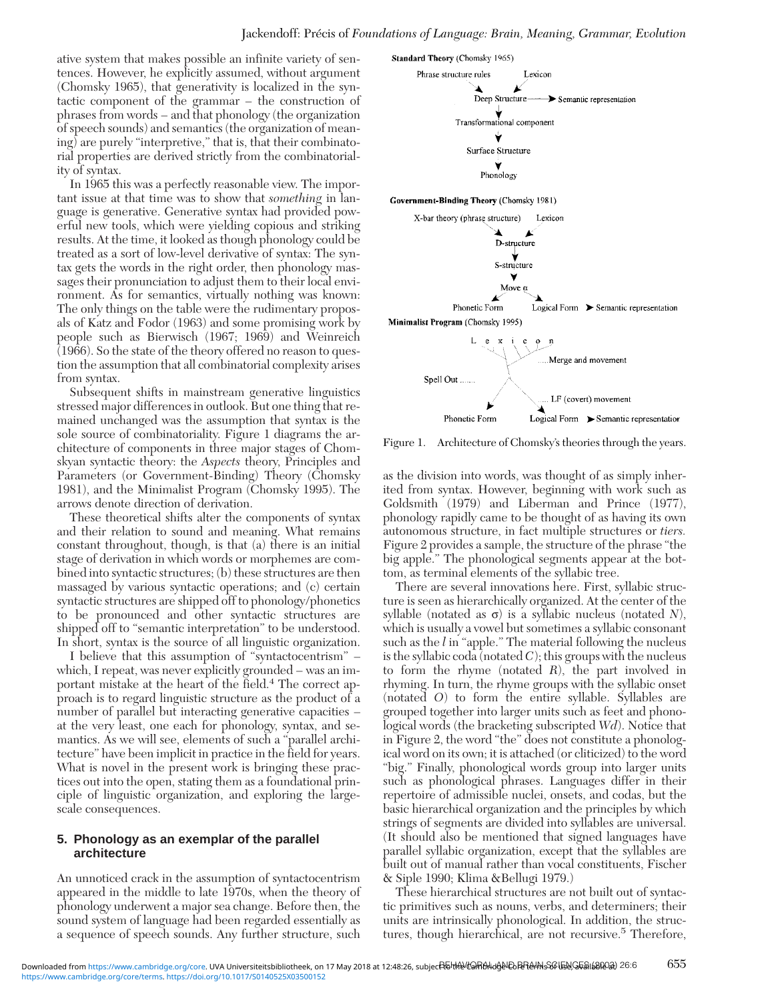ative system that makes possible an infinite variety of sentences. However, he explicitly assumed, without argument (Chomsky 1965), that generativity is localized in the syntactic component of the grammar – the construction of phrases from words – and that phonology (the organization of speech sounds) and semantics (the organization of meaning) are purely "interpretive," that is, that their combinatorial properties are derived strictly from the combinatoriality of syntax.

In 1965 this was a perfectly reasonable view. The important issue at that time was to show that *something* in language is generative. Generative syntax had provided powerful new tools, which were yielding copious and striking results. At the time, it looked as though phonology could be treated as a sort of low-level derivative of syntax: The syntax gets the words in the right order, then phonology massages their pronunciation to adjust them to their local environment. As for semantics, virtually nothing was known: The only things on the table were the rudimentary proposals of Katz and Fodor (1963) and some promising work by people such as Bierwisch (1967; 1969) and Weinreich (1966). So the state of the theory offered no reason to question the assumption that all combinatorial complexity arises from syntax.

Subsequent shifts in mainstream generative linguistics stressed major differences in outlook. But one thing that remained unchanged was the assumption that syntax is the sole source of combinatoriality. Figure 1 diagrams the architecture of components in three major stages of Chomskyan syntactic theory: the *Aspects* theory, Principles and Parameters (or Government-Binding) Theory (Chomsky 1981), and the Minimalist Program (Chomsky 1995). The arrows denote direction of derivation.

These theoretical shifts alter the components of syntax and their relation to sound and meaning. What remains constant throughout, though, is that (a) there is an initial stage of derivation in which words or morphemes are combined into syntactic structures; (b) these structures are then massaged by various syntactic operations; and (c) certain syntactic structures are shipped off to phonology/phonetics to be pronounced and other syntactic structures are shipped off to "semantic interpretation" to be understood. In short, syntax is the source of all linguistic organization.

I believe that this assumption of "syntactocentrism" – which, I repeat, was never explicitly grounded – was an important mistake at the heart of the field.4 The correct approach is to regard linguistic structure as the product of a number of parallel but interacting generative capacities – at the very least, one each for phonology, syntax, and semantics. As we will see, elements of such a "parallel architecture" have been implicit in practice in the field for years. What is novel in the present work is bringing these practices out into the open, stating them as a foundational principle of linguistic organization, and exploring the largescale consequences.

#### **5. Phonology as an exemplar of the parallel architecture**

An unnoticed crack in the assumption of syntactocentrism appeared in the middle to late 1970s, when the theory of phonology underwent a major sea change. Before then, the sound system of language had been regarded essentially as a sequence of speech sounds. Any further structure, such



Figure 1. Architecture of Chomsky's theories through the years.

as the division into words, was thought of as simply inherited from syntax. However, beginning with work such as Goldsmith (1979) and Liberman and Prince (1977), phonology rapidly came to be thought of as having its own autonomous structure, in fact multiple structures or *tiers.* Figure 2 provides a sample, the structure of the phrase "the big apple." The phonological segments appear at the bottom, as terminal elements of the syllabic tree.

There are several innovations here. First, syllabic structure is seen as hierarchically organized. At the center of the syllable (notated as  $\sigma$ ) is a syllabic nucleus (notated *N*), which is usually a vowel but sometimes a syllabic consonant such as the *l* in "apple." The material following the nucleus is the syllabic coda (notated *C*); this groups with the nucleus to form the rhyme (notated *R*), the part involved in rhyming. In turn, the rhyme groups with the syllabic onset (notated *O*) to form the entire syllable. Syllables are grouped together into larger units such as feet and phonological words (the bracketing subscripted *Wd*). Notice that in Figure 2, the word "the" does not constitute a phonological word on its own; it is attached (or cliticized) to the word "big." Finally, phonological words group into larger units such as phonological phrases. Languages differ in their repertoire of admissible nuclei, onsets, and codas, but the basic hierarchical organization and the principles by which strings of segments are divided into syllables are universal. (It should also be mentioned that signed languages have parallel syllabic organization, except that the syllables are built out of manual rather than vocal constituents, Fischer & Siple 1990; Klima &Bellugi 1979.)

These hierarchical structures are not built out of syntactic primitives such as nouns, verbs, and determiners; their units are intrinsically phonological. In addition, the structures, though hierarchical, are not recursive.<sup>5</sup> Therefore,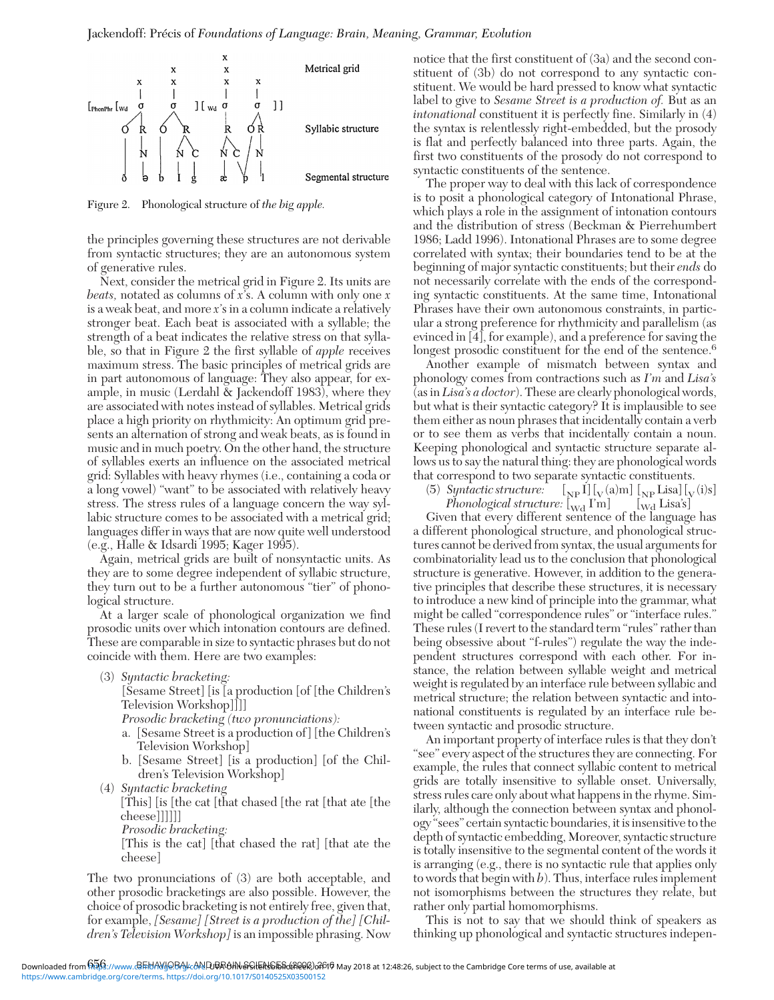

Figure 2. Phonological structure of *the big apple.*

the principles governing these structures are not derivable from syntactic structures; they are an autonomous system of generative rules.

Next, consider the metrical grid in Figure 2. Its units are *beats,* notated as columns of *x'*s. A column with only one *x* is a weak beat, and more *x'*s in a column indicate a relatively stronger beat. Each beat is associated with a syllable; the strength of a beat indicates the relative stress on that syllable, so that in Figure 2 the first syllable of *apple* receives maximum stress. The basic principles of metrical grids are in part autonomous of language: They also appear, for example, in music (Lerdahl & Jackendoff 1983), where they are associated with notes instead of syllables. Metrical grids place a high priority on rhythmicity: An optimum grid presents an alternation of strong and weak beats, as is found in music and in much poetry. On the other hand, the structure of syllables exerts an influence on the associated metrical grid: Syllables with heavy rhymes (i.e., containing a coda or a long vowel) "want" to be associated with relatively heavy stress. The stress rules of a language concern the way syllabic structure comes to be associated with a metrical grid; languages differ in ways that are now quite well understood (e.g., Halle & Idsardi 1995; Kager 1995).

Again, metrical grids are built of nonsyntactic units. As they are to some degree independent of syllabic structure, they turn out to be a further autonomous "tier" of phonological structure.

At a larger scale of phonological organization we find prosodic units over which intonation contours are defined. These are comparable in size to syntactic phrases but do not coincide with them. Here are two examples:

(3) *Syntactic bracketing:*

[Sesame Street] [is [a production [of [the Children's Television Workshop]]]]

*Prosodic bracketing (two pronunciations):*

- a. [Sesame Street is a production of] [the Children's Television Workshop]
- b. [Sesame Street] [is a production] [of the Children's Television Workshop]
- (4) *Syntactic bracketing*

[This] [is [the cat [that chased [the rat [that ate [the cheese]]]]]]

*Prosodic bracketing:*

[This is the cat] [that chased the rat] [that ate the cheese]

The two pronunciations of (3) are both acceptable, and other prosodic bracketings are also possible. However, the choice of prosodic bracketing is not entirely free, given that, for example, *[Sesame] [Street is a production of the] [Children's Television Workshop]*is an impossible phrasing. Now notice that the first constituent of (3a) and the second constituent of (3b) do not correspond to any syntactic constituent. We would be hard pressed to know what syntactic label to give to *Sesame Street is a production of.* But as an *intonational* constituent it is perfectly fine. Similarly in (4) the syntax is relentlessly right-embedded, but the prosody is flat and perfectly balanced into three parts. Again, the first two constituents of the prosody do not correspond to syntactic constituents of the sentence.

The proper way to deal with this lack of correspondence is to posit a phonological category of Intonational Phrase, which plays a role in the assignment of intonation contours and the distribution of stress (Beckman & Pierrehumbert 1986; Ladd 1996). Intonational Phrases are to some degree correlated with syntax; their boundaries tend to be at the beginning of major syntactic constituents; but their *ends* do not necessarily correlate with the ends of the corresponding syntactic constituents. At the same time, Intonational Phrases have their own autonomous constraints, in particular a strong preference for rhythmicity and parallelism (as evinced in [4], for example), and a preference for saving the longest prosodic constituent for the end of the sentence.<sup>6</sup>

Another example of mismatch between syntax and phonology comes from contractions such as *I'm* and *Lisa's* (as in *Lisa's a doctor*). These are clearly phonological words, but what is their syntactic category? It is implausible to see them either as noun phrases that incidentally contain a verb or to see them as verbs that incidentally contain a noun. Keeping phonological and syntactic structure separate allows us to say the natural thing: they are phonological words that correspond to two separate syntactic constituents.

(5) *Syntactic structure:*  $[\psi_{\text{NP}} I][\psi_{\text{AP}}(a) m] [\psi_{\text{NP}}[A \text{Li} s]$ 

*Phonological structure:* [<sub>Wd</sub> I'm] [W<sub>d</sub> Lisa's] Given that every different sentence of the language has a different phonological structure, and phonological structures cannot be derived from syntax, the usual arguments for combinatoriality lead us to the conclusion that phonological structure is generative. However, in addition to the generative principles that describe these structures, it is necessary to introduce a new kind of principle into the grammar, what might be called "correspondence rules" or "interface rules." These rules (I revert to the standard term "rules" rather than being obsessive about "f-rules") regulate the way the independent structures correspond with each other. For instance, the relation between syllable weight and metrical weight is regulated by an interface rule between syllabic and metrical structure; the relation between syntactic and intonational constituents is regulated by an interface rule between syntactic and prosodic structure.

An important property of interface rules is that they don't "see" every aspect of the structures they are connecting. For example, the rules that connect syllabic content to metrical grids are totally insensitive to syllable onset. Universally, stress rules care only about what happens in the rhyme. Similarly, although the connection between syntax and phonology "sees" certain syntactic boundaries, it is insensitive to the depth of syntactic embedding, Moreover, syntactic structure is totally insensitive to the segmental content of the words it is arranging (e.g., there is no syntactic rule that applies only to words that begin with *b*). Thus, interface rules implement not isomorphisms between the structures they relate, but rather only partial homomorphisms.

This is not to say that we should think of speakers as thinking up phonological and syntactic structures indepen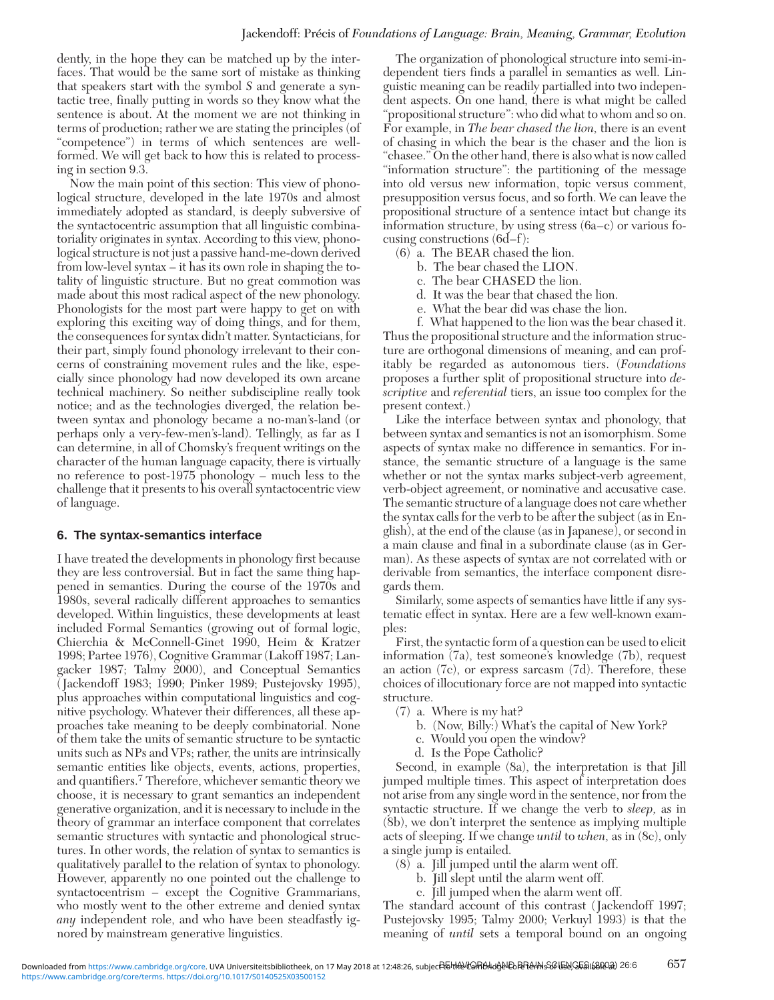dently, in the hope they can be matched up by the interfaces. That would be the same sort of mistake as thinking that speakers start with the symbol *S* and generate a syntactic tree, finally putting in words so they know what the sentence is about. At the moment we are not thinking in terms of production; rather we are stating the principles (of "competence") in terms of which sentences are wellformed. We will get back to how this is related to processing in section 9.3.

Now the main point of this section: This view of phonological structure, developed in the late 1970s and almost immediately adopted as standard, is deeply subversive of the syntactocentric assumption that all linguistic combinatoriality originates in syntax. According to this view, phonological structure is not just a passive hand-me-down derived from low-level syntax – it has its own role in shaping the totality of linguistic structure. But no great commotion was made about this most radical aspect of the new phonology. Phonologists for the most part were happy to get on with exploring this exciting way of doing things, and for them, the consequences for syntax didn't matter. Syntacticians, for their part, simply found phonology irrelevant to their concerns of constraining movement rules and the like, especially since phonology had now developed its own arcane technical machinery. So neither subdiscipline really took notice; and as the technologies diverged, the relation between syntax and phonology became a no-man's-land (or perhaps only a very-few-men's-land). Tellingly, as far as I can determine, in all of Chomsky's frequent writings on the character of the human language capacity, there is virtually no reference to post-1975 phonology – much less to the challenge that it presents to his overall syntactocentric view of language.

#### **6. The syntax-semantics interface**

I have treated the developments in phonology first because they are less controversial. But in fact the same thing happened in semantics. During the course of the 1970s and 1980s, several radically different approaches to semantics developed. Within linguistics, these developments at least included Formal Semantics (growing out of formal logic, Chierchia & McConnell-Ginet 1990, Heim & Kratzer 1998; Partee 1976), Cognitive Grammar (Lakoff 1987; Langacker 1987; Talmy 2000), and Conceptual Semantics (Jackendoff 1983; 1990; Pinker 1989; Pustejovsky 1995), plus approaches within computational linguistics and cognitive psychology. Whatever their differences, all these approaches take meaning to be deeply combinatorial. None of them take the units of semantic structure to be syntactic units such as NPs and VPs; rather, the units are intrinsically semantic entities like objects, events, actions, properties, and quantifiers.<sup>7</sup> Therefore, whichever semantic theory we choose, it is necessary to grant semantics an independent generative organization, and it is necessary to include in the theory of grammar an interface component that correlates semantic structures with syntactic and phonological structures. In other words, the relation of syntax to semantics is qualitatively parallel to the relation of syntax to phonology. However, apparently no one pointed out the challenge to syntactocentrism – except the Cognitive Grammarians, who mostly went to the other extreme and denied syntax *any* independent role, and who have been steadfastly ignored by mainstream generative linguistics.

The organization of phonological structure into semi-independent tiers finds a parallel in semantics as well. Linguistic meaning can be readily partialled into two independent aspects. On one hand, there is what might be called "propositional structure": who did what to whom and so on. For example, in *The bear chased the lion,* there is an event of chasing in which the bear is the chaser and the lion is "chasee." On the other hand, there is also what is now called "information structure": the partitioning of the message into old versus new information, topic versus comment, presupposition versus focus, and so forth. We can leave the propositional structure of a sentence intact but change its information structure, by using stress (6a–c) or various focusing constructions (6d–f):

- (6) a. The BEAR chased the lion.
	- b. The bear chased the LION.
	- c. The bear CHASED the lion.
	- d. It was the bear that chased the lion.
	- e. What the bear did was chase the lion.

f. What happened to the lion was the bear chased it. Thus the propositional structure and the information structure are orthogonal dimensions of meaning, and can profitably be regarded as autonomous tiers. (*Foundations* proposes a further split of propositional structure into *descriptive* and *referential* tiers, an issue too complex for the present context.)

Like the interface between syntax and phonology, that between syntax and semantics is not an isomorphism. Some aspects of syntax make no difference in semantics. For instance, the semantic structure of a language is the same whether or not the syntax marks subject-verb agreement, verb-object agreement, or nominative and accusative case. The semantic structure of a language does not care whether the syntax calls for the verb to be after the subject (as in English), at the end of the clause (as in Japanese), or second in a main clause and final in a subordinate clause (as in German). As these aspects of syntax are not correlated with or derivable from semantics, the interface component disregards them.

Similarly, some aspects of semantics have little if any systematic effect in syntax. Here are a few well-known examples:

First, the syntactic form of a question can be used to elicit information (7a), test someone's knowledge (7b), request an action (7c), or express sarcasm (7d). Therefore, these choices of illocutionary force are not mapped into syntactic structure.

- (7) a. Where is my hat?
	- b. (Now, Billy:) What's the capital of New York?
	- c. Would you open the window?
	- d. Is the Pope Catholic?

Second, in example (8a), the interpretation is that Jill jumped multiple times. This aspect of interpretation does not arise from any single word in the sentence, nor from the syntactic structure. If we change the verb to *sleep,* as in (8b), we don't interpret the sentence as implying multiple acts of sleeping. If we change *until* to *when,* as in (8c), only a single jump is entailed.

- (8) a. Jill jumped until the alarm went off.
	- b. Jill slept until the alarm went off.
	- c. Jill jumped when the alarm went off.

The standard account of this contrast (Jackendoff 1997; Pustejovsky 1995; Talmy 2000; Verkuyl 1993) is that the meaning of *until* sets a temporal bound on an ongoing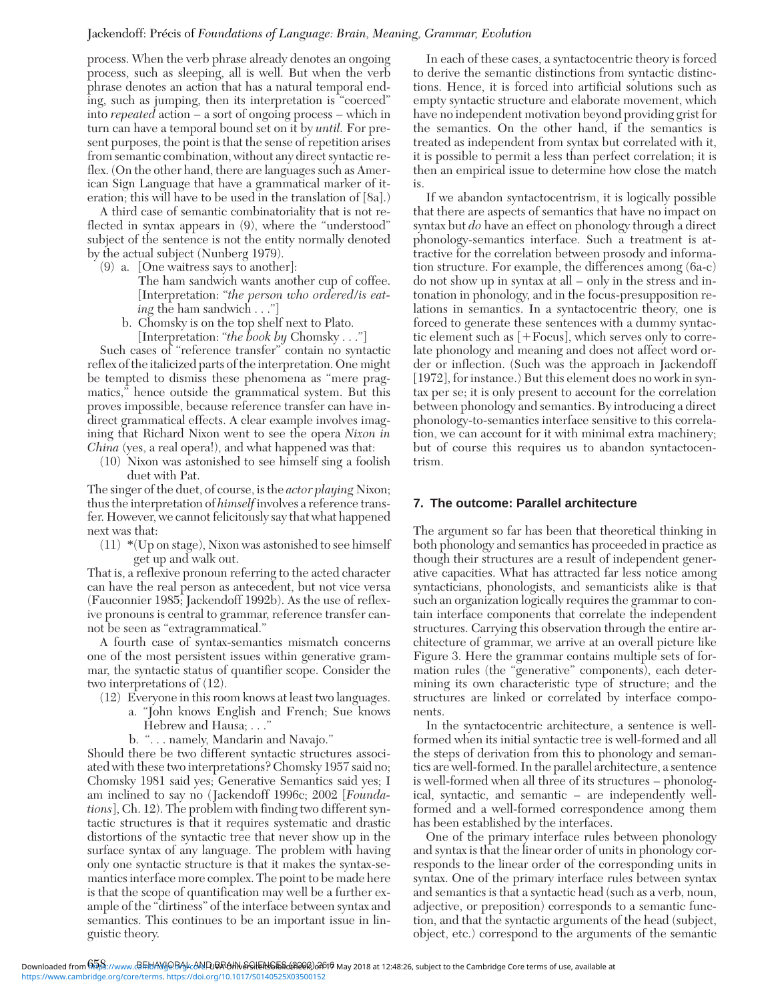process. When the verb phrase already denotes an ongoing process, such as sleeping, all is well. But when the verb phrase denotes an action that has a natural temporal ending, such as jumping, then its interpretation is "coerced" into *repeated* action – a sort of ongoing process – which in turn can have a temporal bound set on it by *until.* For present purposes, the point is that the sense of repetition arises from semantic combination, without any direct syntactic reflex. (On the other hand, there are languages such as American Sign Language that have a grammatical marker of iteration; this will have to be used in the translation of [8a].)

A third case of semantic combinatoriality that is not reflected in syntax appears in (9), where the "understood" subject of the sentence is not the entity normally denoted by the actual subject (Nunberg 1979).

- (9) a. [One waitress says to another]:
	- The ham sandwich wants another cup of coffee. [Interpretation: "*the person who ordered/is eating* the ham sandwich . . ."
	- b. Chomsky is on the top shelf next to Plato. [Interpretation: "*the book by* Chomsky . . ."]

Such cases of "reference transfer" contain no syntactic reflex of the italicized parts of the interpretation. One might be tempted to dismiss these phenomena as "mere pragmatics," hence outside the grammatical system. But this proves impossible, because reference transfer can have indirect grammatical effects. A clear example involves imagining that Richard Nixon went to see the opera *Nixon in China* (yes, a real opera!), and what happened was that:

(10) Nixon was astonished to see himself sing a foolish duet with Pat.

The singer of the duet, of course, is the *actor playing* Nixon; thus the interpretation of *himself* involves a reference transfer. However, we cannot felicitously say that what happened next was that:

 $(11)$  \*(Up on stage), Nixon was astonished to see himself get up and walk out.

That is, a reflexive pronoun referring to the acted character can have the real person as antecedent, but not vice versa (Fauconnier 1985; Jackendoff 1992b). As the use of reflexive pronouns is central to grammar, reference transfer cannot be seen as "extragrammatical."

A fourth case of syntax-semantics mismatch concerns one of the most persistent issues within generative grammar, the syntactic status of quantifier scope. Consider the two interpretations of (12).

- (12) Everyone in this room knows at least two languages.
	- a. "John knows English and French; Sue knows Hebrew and Hausa; . . ."
	- b. ". . . namely, Mandarin and Navajo."

Should there be two different syntactic structures associated with these two interpretations? Chomsky 1957 said no; Chomsky 1981 said yes; Generative Semantics said yes; I am inclined to say no (Jackendoff 1996c; 2002 [*Foundations*], Ch. 12). The problem with finding two different syntactic structures is that it requires systematic and drastic distortions of the syntactic tree that never show up in the surface syntax of any language. The problem with having only one syntactic structure is that it makes the syntax-semantics interface more complex. The point to be made here is that the scope of quantification may well be a further example of the "dirtiness" of the interface between syntax and semantics. This continues to be an important issue in linguistic theory.

In each of these cases, a syntactocentric theory is forced to derive the semantic distinctions from syntactic distinctions. Hence, it is forced into artificial solutions such as empty syntactic structure and elaborate movement, which have no independent motivation beyond providing grist for the semantics. On the other hand, if the semantics is treated as independent from syntax but correlated with it, it is possible to permit a less than perfect correlation; it is then an empirical issue to determine how close the match is.

If we abandon syntactocentrism, it is logically possible that there are aspects of semantics that have no impact on syntax but *do* have an effect on phonology through a direct phonology-semantics interface. Such a treatment is attractive for the correlation between prosody and information structure. For example, the differences among (6a-c) do not show up in syntax at all – only in the stress and intonation in phonology, and in the focus-presupposition relations in semantics. In a syntactocentric theory, one is forced to generate these sentences with a dummy syntactic element such as  $[+Focus]$ , which serves only to correlate phonology and meaning and does not affect word order or inflection. (Such was the approach in Jackendoff [1972], for instance.) But this element does no work in syntax per se; it is only present to account for the correlation between phonology and semantics. By introducing a direct phonology-to-semantics interface sensitive to this correlation, we can account for it with minimal extra machinery; but of course this requires us to abandon syntactocentrism.

## **7. The outcome: Parallel architecture**

The argument so far has been that theoretical thinking in both phonology and semantics has proceeded in practice as though their structures are a result of independent generative capacities. What has attracted far less notice among syntacticians, phonologists, and semanticists alike is that such an organization logically requires the grammar to contain interface components that correlate the independent structures. Carrying this observation through the entire architecture of grammar, we arrive at an overall picture like Figure 3. Here the grammar contains multiple sets of formation rules (the "generative" components), each determining its own characteristic type of structure; and the structures are linked or correlated by interface components.

In the syntactocentric architecture, a sentence is wellformed when its initial syntactic tree is well-formed and all the steps of derivation from this to phonology and semantics are well-formed. In the parallel architecture, a sentence is well-formed when all three of its structures – phonological, syntactic, and semantic – are independently wellformed and a well-formed correspondence among them has been established by the interfaces.

One of the primary interface rules between phonology and syntax is that the linear order of units in phonology corresponds to the linear order of the corresponding units in syntax. One of the primary interface rules between syntax and semantics is that a syntactic head (such as a verb, noun, adjective, or preposition) corresponds to a semantic function, and that the syntactic arguments of the head (subject, object, etc.) correspond to the arguments of the semantic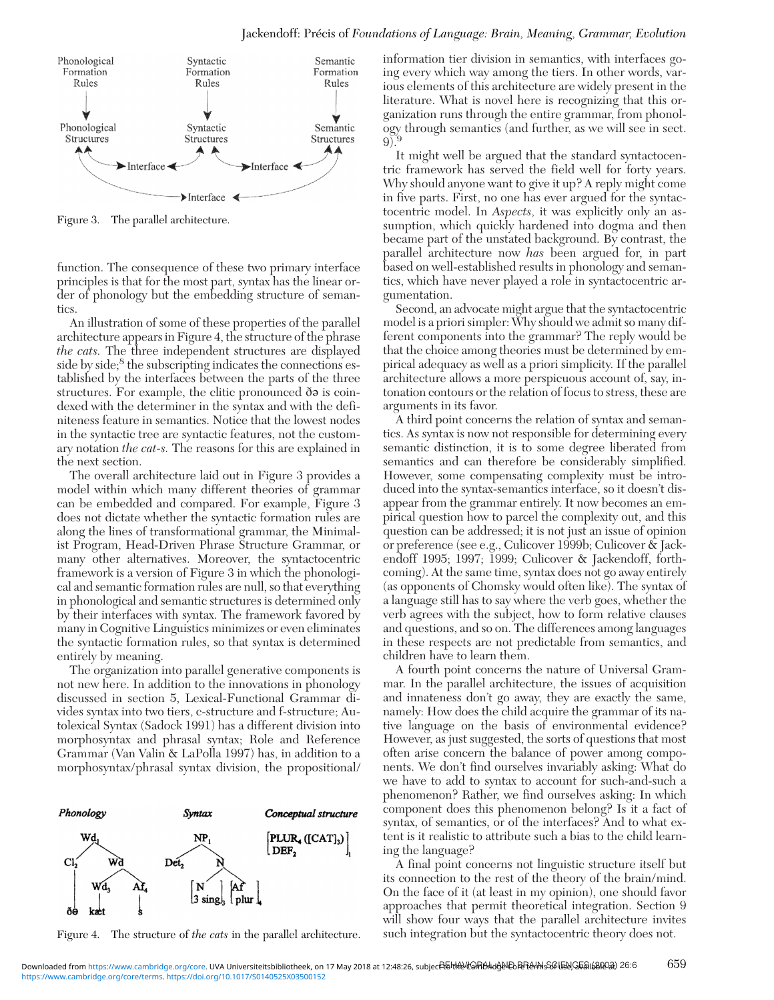

Figure 3. The parallel architecture.

function. The consequence of these two primary interface principles is that for the most part, syntax has the linear order of phonology but the embedding structure of semantics.

An illustration of some of these properties of the parallel architecture appears in Figure 4, the structure of the phrase *the cats.* The three independent structures are displayed side by side;<sup>8</sup> the subscripting indicates the connections established by the interfaces between the parts of the three structures. For example, the clitic pronounced  $\delta \mathfrak{g}$  is coindexed with the determiner in the syntax and with the definiteness feature in semantics. Notice that the lowest nodes in the syntactic tree are syntactic features, not the customary notation *the cat-s.* The reasons for this are explained in the next section.

The overall architecture laid out in Figure 3 provides a model within which many different theories of grammar can be embedded and compared. For example, Figure 3 does not dictate whether the syntactic formation rules are along the lines of transformational grammar, the Minimalist Program, Head-Driven Phrase Structure Grammar, or many other alternatives. Moreover, the syntactocentric framework is a version of Figure 3 in which the phonological and semantic formation rules are null, so that everything in phonological and semantic structures is determined only by their interfaces with syntax. The framework favored by many in Cognitive Linguistics minimizes or even eliminates the syntactic formation rules, so that syntax is determined entirely by meaning.

The organization into parallel generative components is not new here. In addition to the innovations in phonology discussed in section 5, Lexical-Functional Grammar divides syntax into two tiers, c-structure and f-structure; Autolexical Syntax (Sadock 1991) has a different division into morphosyntax and phrasal syntax; Role and Reference Grammar (Van Valin & LaPolla 1997) has, in addition to a morphosyntax/phrasal syntax division, the propositional/



Figure 4. The structure of *the cats* in the parallel architecture.

information tier division in semantics, with interfaces going every which way among the tiers. In other words, various elements of this architecture are widely present in the literature. What is novel here is recognizing that this organization runs through the entire grammar, from phonology through semantics (and further, as we will see in sect.  $9)$ .<sup>9</sup>

It might well be argued that the standard syntactocentric framework has served the field well for forty years. Why should anyone want to give it up? A reply might come in five parts. First, no one has ever argued for the syntactocentric model. In *Aspects,* it was explicitly only an assumption, which quickly hardened into dogma and then became part of the unstated background. By contrast, the parallel architecture now *has* been argued for, in part based on well-established results in phonology and semantics, which have never played a role in syntactocentric argumentation.

Second, an advocate might argue that the syntactocentric model is a priori simpler: Why should we admit so many different components into the grammar? The reply would be that the choice among theories must be determined by empirical adequacy as well as a priori simplicity. If the parallel architecture allows a more perspicuous account of, say, intonation contours or the relation of focus to stress, these are arguments in its favor.

A third point concerns the relation of syntax and semantics. As syntax is now not responsible for determining every semantic distinction, it is to some degree liberated from semantics and can therefore be considerably simplified. However, some compensating complexity must be introduced into the syntax-semantics interface, so it doesn't disappear from the grammar entirely. It now becomes an empirical question how to parcel the complexity out, and this question can be addressed; it is not just an issue of opinion or preference (see e.g., Culicover 1999b; Culicover & Jackendoff 1995; 1997; 1999; Culicover & Jackendoff, forthcoming). At the same time, syntax does not go away entirely (as opponents of Chomsky would often like). The syntax of a language still has to say where the verb goes, whether the verb agrees with the subject, how to form relative clauses and questions, and so on. The differences among languages in these respects are not predictable from semantics, and children have to learn them.

A fourth point concerns the nature of Universal Grammar. In the parallel architecture, the issues of acquisition and innateness don't go away, they are exactly the same, namely: How does the child acquire the grammar of its native language on the basis of environmental evidence? However, as just suggested, the sorts of questions that most often arise concern the balance of power among components. We don't find ourselves invariably asking: What do we have to add to syntax to account for such-and-such a phenomenon? Rather, we find ourselves asking: In which component does this phenomenon belong? Is it a fact of syntax, of semantics, or of the interfaces? And to what extent is it realistic to attribute such a bias to the child learning the language?

A final point concerns not linguistic structure itself but its connection to the rest of the theory of the brain/mind. On the face of it (at least in my opinion), one should favor approaches that permit theoretical integration. Section 9 will show four ways that the parallel architecture invites such integration but the syntactocentric theory does not.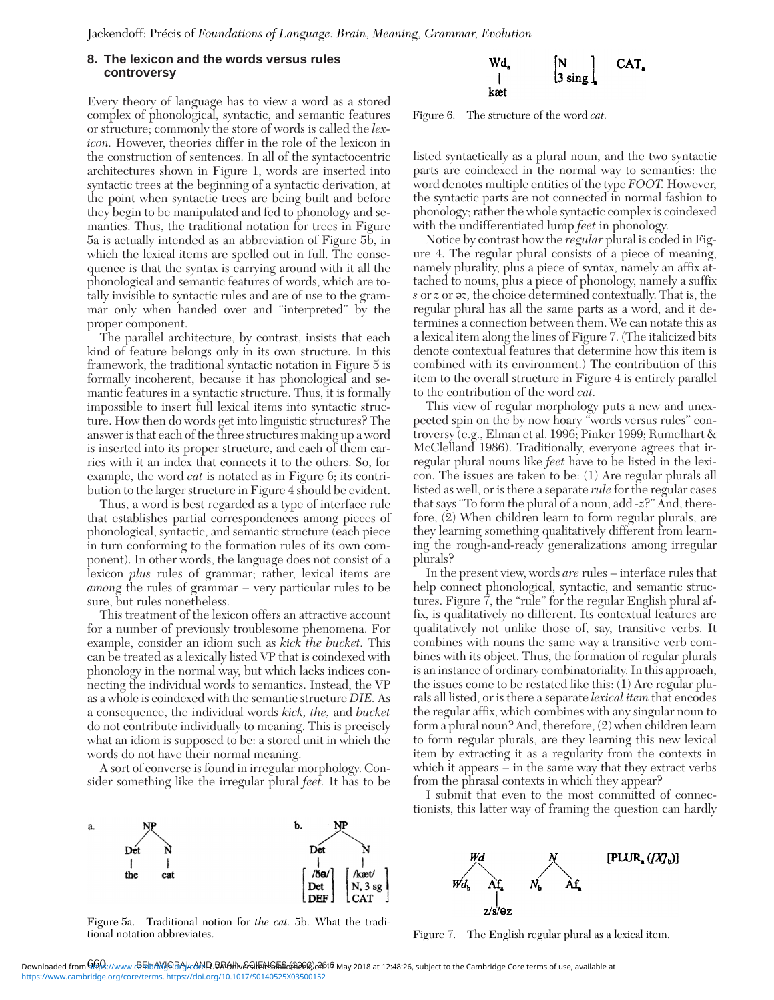## **8. The lexicon and the words versus rules controversy**

Every theory of language has to view a word as a stored complex of phonological, syntactic, and semantic features or structure; commonly the store of words is called the *lexicon.* However, theories differ in the role of the lexicon in the construction of sentences. In all of the syntactocentric architectures shown in Figure 1, words are inserted into syntactic trees at the beginning of a syntactic derivation, at the point when syntactic trees are being built and before they begin to be manipulated and fed to phonology and semantics. Thus, the traditional notation for trees in Figure 5a is actually intended as an abbreviation of Figure 5b, in which the lexical items are spelled out in full. The consequence is that the syntax is carrying around with it all the phonological and semantic features of words, which are totally invisible to syntactic rules and are of use to the grammar only when handed over and "interpreted" by the proper component.

The parallel architecture, by contrast, insists that each kind of feature belongs only in its own structure. In this framework, the traditional syntactic notation in Figure 5 is formally incoherent, because it has phonological and semantic features in a syntactic structure. Thus, it is formally impossible to insert full lexical items into syntactic structure. How then do words get into linguistic structures? The answer is that each of the three structures making up a word is inserted into its proper structure, and each of them carries with it an index that connects it to the others. So, for example, the word *cat* is notated as in Figure 6; its contribution to the larger structure in Figure 4 should be evident.

Thus, a word is best regarded as a type of interface rule that establishes partial correspondences among pieces of phonological, syntactic, and semantic structure (each piece in turn conforming to the formation rules of its own component). In other words, the language does not consist of a lexicon *plus* rules of grammar; rather, lexical items are *among* the rules of grammar – very particular rules to be sure, but rules nonetheless.

This treatment of the lexicon offers an attractive account for a number of previously troublesome phenomena. For example, consider an idiom such as *kick the bucket.* This can be treated as a lexically listed VP that is coindexed with phonology in the normal way, but which lacks indices connecting the individual words to semantics. Instead, the VP as a whole is coindexed with the semantic structure *DIE.* As a consequence, the individual words *kick, the,* and *bucket* do not contribute individually to meaning. This is precisely what an idiom is supposed to be: a stored unit in which the words do not have their normal meaning.

A sort of converse is found in irregular morphology. Consider something like the irregular plural *feet.* It has to be





$$
\begin{array}{ccc}\n\text{Wd}_{\mathbf{a}} & \text{[N]} & \text{CAT}_{\mathbf{a}} \\
\mid & 3 \text{ sing}\n\end{array}
$$

Figure 6. The structure of the word *cat.*

listed syntactically as a plural noun, and the two syntactic parts are coindexed in the normal way to semantics: the word denotes multiple entities of the type *FOOT.* However, the syntactic parts are not connected in normal fashion to phonology; rather the whole syntactic complex is coindexed with the undifferentiated lump *feet* in phonology.

Notice by contrast how the *regular* plural is coded in Figure 4. The regular plural consists of a piece of meaning, namely plurality, plus a piece of syntax, namely an affix attached to nouns, plus a piece of phonology, namely a suffix *s* or *z* or  $\infty$ , the choice determined contextually. That is, the regular plural has all the same parts as a word, and it determines a connection between them. We can notate this as a lexical item along the lines of Figure 7. (The italicized bits denote contextual features that determine how this item is combined with its environment.) The contribution of this item to the overall structure in Figure 4 is entirely parallel to the contribution of the word *cat.*

This view of regular morphology puts a new and unexpected spin on the by now hoary "words versus rules" controversy (e.g., Elman et al. 1996; Pinker 1999; Rumelhart & McClelland 1986). Traditionally, everyone agrees that irregular plural nouns like *feet* have to be listed in the lexicon. The issues are taken to be: (1) Are regular plurals all listed as well, or is there a separate *rule* for the regular cases that says "To form the plural of a noun, add *-z*?" And, therefore, (2) When children learn to form regular plurals, are they learning something qualitatively different from learning the rough-and-ready generalizations among irregular plurals?

In the present view, words *are* rules – interface rules that help connect phonological, syntactic, and semantic structures. Figure 7, the "rule" for the regular English plural affix, is qualitatively no different. Its contextual features are qualitatively not unlike those of, say, transitive verbs. It combines with nouns the same way a transitive verb combines with its object. Thus, the formation of regular plurals is an instance of ordinary combinatoriality. In this approach, the issues come to be restated like this: (1) Are regular plurals all listed, or is there a separate *lexical item* that encodes the regular affix, which combines with any singular noun to form a plural noun? And, therefore, (2) when children learn to form regular plurals, are they learning this new lexical item by extracting it as a regularity from the contexts in which it appears – in the same way that they extract verbs from the phrasal contexts in which they appear?

I submit that even to the most committed of connectionists, this latter way of framing the question can hardly



Figure 7. The English regular plural as a lexical item.

Downloaded from ନିର୍<mark>ଭିୟ://www.ca</mark>튜버AVJତBAJ-cAND**।ଦିନ୍ଦୋଧାନଙ୍କାରାମ୍ବୋ**ଇଡ଼ାଉନ୍ମିତ May 2018 at 12:48:26, subject to the Cambridge Core terms of use, available at [https://www.cambridge.org/core/terms.](https://www.cambridge.org/core/terms) <https://doi.org/10.1017/S0140525X03500152>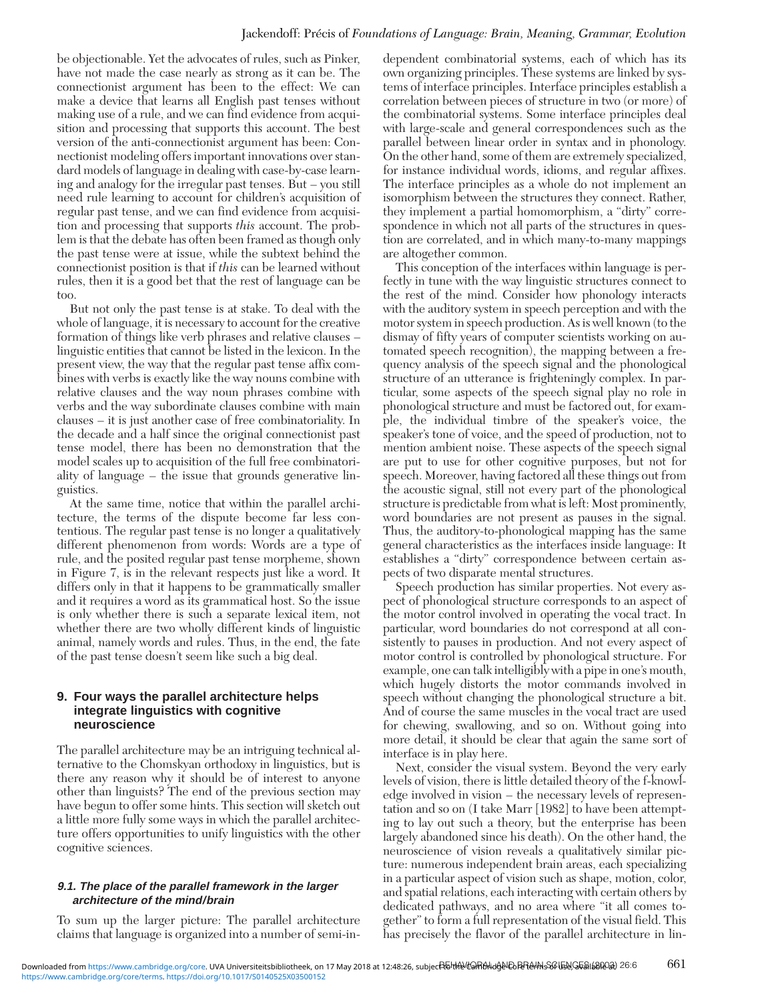be objectionable. Yet the advocates of rules, such as Pinker, have not made the case nearly as strong as it can be. The connectionist argument has been to the effect: We can make a device that learns all English past tenses without making use of a rule, and we can find evidence from acquisition and processing that supports this account. The best version of the anti-connectionist argument has been: Connectionist modeling offers important innovations over standard models of language in dealing with case-by-case learning and analogy for the irregular past tenses. But – you still need rule learning to account for children's acquisition of regular past tense, and we can find evidence from acquisition and processing that supports *this* account. The problem is that the debate has often been framed as though only the past tense were at issue, while the subtext behind the connectionist position is that if *this* can be learned without rules, then it is a good bet that the rest of language can be too.

But not only the past tense is at stake. To deal with the whole of language, it is necessary to account for the creative formation of things like verb phrases and relative clauses – linguistic entities that cannot be listed in the lexicon. In the present view, the way that the regular past tense affix combines with verbs is exactly like the way nouns combine with relative clauses and the way noun phrases combine with verbs and the way subordinate clauses combine with main clauses – it is just another case of free combinatoriality. In the decade and a half since the original connectionist past tense model, there has been no demonstration that the model scales up to acquisition of the full free combinatoriality of language – the issue that grounds generative linguistics.

At the same time, notice that within the parallel architecture, the terms of the dispute become far less contentious. The regular past tense is no longer a qualitatively different phenomenon from words: Words are a type of rule, and the posited regular past tense morpheme, shown in Figure 7, is in the relevant respects just like a word. It differs only in that it happens to be grammatically smaller and it requires a word as its grammatical host. So the issue is only whether there is such a separate lexical item, not whether there are two wholly different kinds of linguistic animal, namely words and rules. Thus, in the end, the fate of the past tense doesn't seem like such a big deal.

## **9. Four ways the parallel architecture helps integrate linguistics with cognitive neuroscience**

The parallel architecture may be an intriguing technical alternative to the Chomskyan orthodoxy in linguistics, but is there any reason why it should be of interest to anyone other than linguists? The end of the previous section may have begun to offer some hints. This section will sketch out a little more fully some ways in which the parallel architecture offers opportunities to unify linguistics with the other cognitive sciences.

## **9.1. The place of the parallel framework in the larger architecture of the mind/brain**

To sum up the larger picture: The parallel architecture claims that language is organized into a number of semi-in-

dependent combinatorial systems, each of which has its own organizing principles. These systems are linked by systems of interface principles. Interface principles establish a correlation between pieces of structure in two (or more) of the combinatorial systems. Some interface principles deal with large-scale and general correspondences such as the parallel between linear order in syntax and in phonology. On the other hand, some of them are extremely specialized, for instance individual words, idioms, and regular affixes. The interface principles as a whole do not implement an isomorphism between the structures they connect. Rather, they implement a partial homomorphism, a "dirty" correspondence in which not all parts of the structures in question are correlated, and in which many-to-many mappings are altogether common.

This conception of the interfaces within language is perfectly in tune with the way linguistic structures connect to the rest of the mind. Consider how phonology interacts with the auditory system in speech perception and with the motor system in speech production. As is well known (to the dismay of fifty years of computer scientists working on automated speech recognition), the mapping between a frequency analysis of the speech signal and the phonological structure of an utterance is frighteningly complex. In particular, some aspects of the speech signal play no role in phonological structure and must be factored out, for example, the individual timbre of the speaker's voice, the speaker's tone of voice, and the speed of production, not to mention ambient noise. These aspects of the speech signal are put to use for other cognitive purposes, but not for speech. Moreover, having factored all these things out from the acoustic signal, still not every part of the phonological structure is predictable from what is left: Most prominently, word boundaries are not present as pauses in the signal. Thus, the auditory-to-phonological mapping has the same general characteristics as the interfaces inside language: It establishes a "dirty" correspondence between certain aspects of two disparate mental structures.

Speech production has similar properties. Not every aspect of phonological structure corresponds to an aspect of the motor control involved in operating the vocal tract. In particular, word boundaries do not correspond at all consistently to pauses in production. And not every aspect of motor control is controlled by phonological structure. For example, one can talk intelligibly with a pipe in one's mouth, which hugely distorts the motor commands involved in speech without changing the phonological structure a bit. And of course the same muscles in the vocal tract are used for chewing, swallowing, and so on. Without going into more detail, it should be clear that again the same sort of interface is in play here.

Next, consider the visual system. Beyond the very early levels of vision, there is little detailed theory of the f-knowledge involved in vision – the necessary levels of representation and so on (I take Marr [1982] to have been attempting to lay out such a theory, but the enterprise has been largely abandoned since his death). On the other hand, the neuroscience of vision reveals a qualitatively similar picture: numerous independent brain areas, each specializing in a particular aspect of vision such as shape, motion, color, and spatial relations, each interacting with certain others by dedicated pathways, and no area where "it all comes together" to form a full representation of the visual field. This has precisely the flavor of the parallel architecture in lin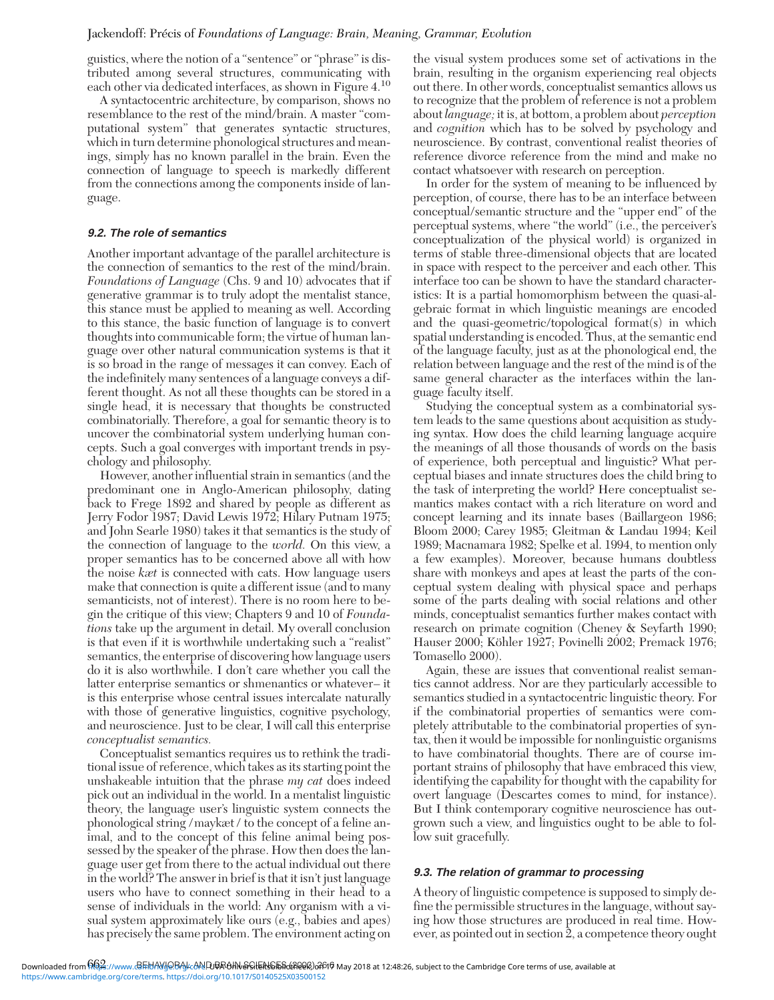guistics, where the notion of a "sentence" or "phrase" is distributed among several structures, communicating with each other via dedicated interfaces, as shown in Figure 4.10

A syntactocentric architecture, by comparison, shows no resemblance to the rest of the mind/brain. A master "computational system" that generates syntactic structures, which in turn determine phonological structures and meanings, simply has no known parallel in the brain. Even the connection of language to speech is markedly different from the connections among the components inside of language.

#### **9.2. The role of semantics**

Another important advantage of the parallel architecture is the connection of semantics to the rest of the mind/brain. *Foundations of Language* (Chs. 9 and 10) advocates that if generative grammar is to truly adopt the mentalist stance, this stance must be applied to meaning as well. According to this stance, the basic function of language is to convert thoughts into communicable form; the virtue of human language over other natural communication systems is that it is so broad in the range of messages it can convey. Each of the indefinitely many sentences of a language conveys a different thought. As not all these thoughts can be stored in a single head, it is necessary that thoughts be constructed combinatorially. Therefore, a goal for semantic theory is to uncover the combinatorial system underlying human concepts. Such a goal converges with important trends in psychology and philosophy.

However, another influential strain in semantics (and the predominant one in Anglo-American philosophy, dating back to Frege 1892 and shared by people as different as Jerry Fodor 1987; David Lewis 1972; Hilary Putnam 1975; and John Searle 1980) takes it that semantics is the study of the connection of language to the *world.* On this view, a proper semantics has to be concerned above all with how the noise *kæt* is connected with cats. How language users make that connection is quite a different issue (and to many semanticists, not of interest). There is no room here to begin the critique of this view; Chapters 9 and 10 of *Foundations* take up the argument in detail. My overall conclusion is that even if it is worthwhile undertaking such a "realist" semantics, the enterprise of discovering how language users do it is also worthwhile. I don't care whether you call the latter enterprise semantics or shmenantics or whatever– it is this enterprise whose central issues intercalate naturally with those of generative linguistics, cognitive psychology, and neuroscience. Just to be clear, I will call this enterprise *conceptualist semantics.*

Conceptualist semantics requires us to rethink the traditional issue of reference, which takes as its starting point the unshakeable intuition that the phrase *my cat* does indeed pick out an individual in the world. In a mentalist linguistic theory, the language user's linguistic system connects the phonological string /maykæt / to the concept of a feline animal, and to the concept of this feline animal being possessed by the speaker of the phrase. How then does the language user get from there to the actual individual out there in the world? The answer in brief is that it isn't just language users who have to connect something in their head to a sense of individuals in the world: Any organism with a visual system approximately like ours (e.g., babies and apes) has precisely the same problem. The environment acting on

the visual system produces some set of activations in the brain, resulting in the organism experiencing real objects out there. In other words, conceptualist semantics allows us to recognize that the problem of reference is not a problem about *language;* it is, at bottom, a problem about *perception* and *cognition* which has to be solved by psychology and neuroscience. By contrast, conventional realist theories of reference divorce reference from the mind and make no contact whatsoever with research on perception.

In order for the system of meaning to be influenced by perception, of course, there has to be an interface between conceptual/semantic structure and the "upper end" of the perceptual systems, where "the world" (i.e., the perceiver's conceptualization of the physical world) is organized in terms of stable three-dimensional objects that are located in space with respect to the perceiver and each other. This interface too can be shown to have the standard characteristics: It is a partial homomorphism between the quasi-algebraic format in which linguistic meanings are encoded and the quasi-geometric/topological format(s) in which spatial understanding is encoded. Thus, at the semantic end of the language faculty, just as at the phonological end, the relation between language and the rest of the mind is of the same general character as the interfaces within the language faculty itself.

Studying the conceptual system as a combinatorial system leads to the same questions about acquisition as studying syntax. How does the child learning language acquire the meanings of all those thousands of words on the basis of experience, both perceptual and linguistic? What perceptual biases and innate structures does the child bring to the task of interpreting the world? Here conceptualist semantics makes contact with a rich literature on word and concept learning and its innate bases (Baillargeon 1986; Bloom 2000; Carey 1985; Gleitman & Landau 1994; Keil 1989; Macnamara 1982; Spelke et al. 1994, to mention only a few examples). Moreover, because humans doubtless share with monkeys and apes at least the parts of the conceptual system dealing with physical space and perhaps some of the parts dealing with social relations and other minds, conceptualist semantics further makes contact with research on primate cognition (Cheney & Seyfarth 1990; Hauser 2000; Köhler 1927; Povinelli 2002; Premack 1976; Tomasello 2000).

Again, these are issues that conventional realist semantics cannot address. Nor are they particularly accessible to semantics studied in a syntactocentric linguistic theory. For if the combinatorial properties of semantics were completely attributable to the combinatorial properties of syntax, then it would be impossible for nonlinguistic organisms to have combinatorial thoughts. There are of course important strains of philosophy that have embraced this view, identifying the capability for thought with the capability for overt language (Descartes comes to mind, for instance). But I think contemporary cognitive neuroscience has outgrown such a view, and linguistics ought to be able to follow suit gracefully.

#### **9.3. The relation of grammar to processing**

A theory of linguistic competence is supposed to simply define the permissible structures in the language, without saying how those structures are produced in real time. However, as pointed out in section 2, a competence theory ought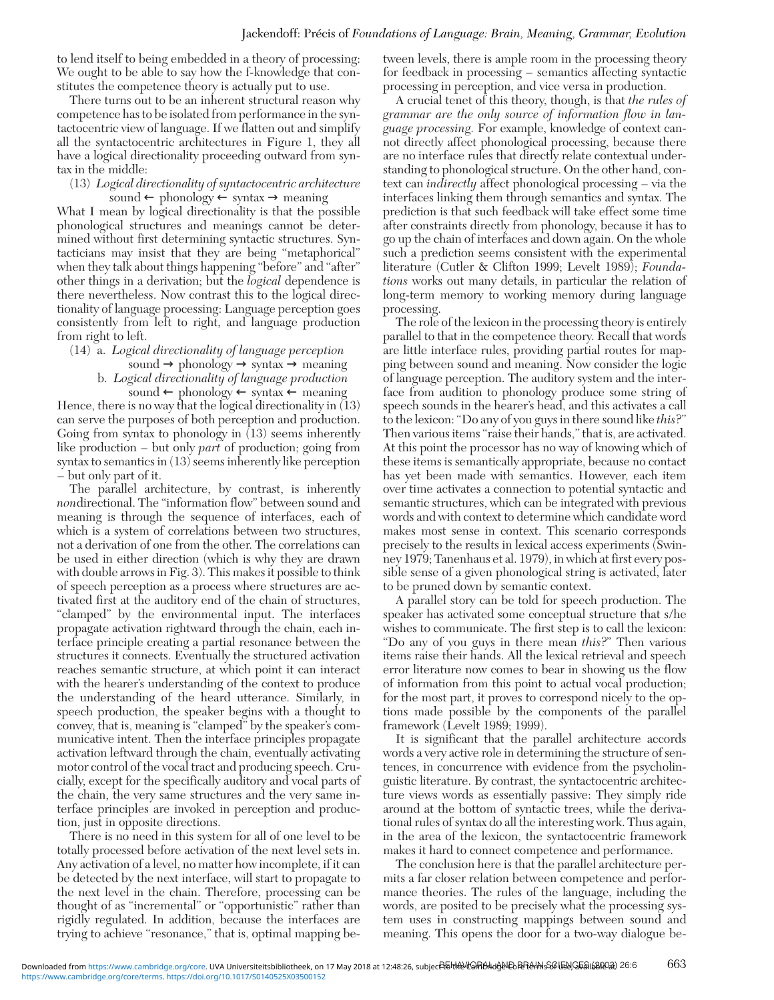to lend itself to being embedded in a theory of processing: We ought to be able to say how the f-knowledge that constitutes the competence theory is actually put to use.

There turns out to be an inherent structural reason why competence has to be isolated from performance in the syntactocentric view of language. If we flatten out and simplify all the syntactocentric architectures in Figure 1, they all have a logical directionality proceeding outward from syntax in the middle:

## (13) *Logical directionality of syntactocentric architecture* sound ← phonology ← syntax → meaning

What I mean by logical directionality is that the possible phonological structures and meanings cannot be determined without first determining syntactic structures. Syntacticians may insist that they are being "metaphorical" when they talk about things happening "before" and "after" other things in a derivation; but the *logical* dependence is there nevertheless. Now contrast this to the logical directionality of language processing: Language perception goes consistently from left to right, and language production from right to left.

(14) a. *Logical directionality of language perception* sound  $\rightarrow$  phonology  $\rightarrow$  syntax  $\rightarrow$  meaning b. *Logical directionality of language production* sound ← phonology ← syntax ← meaning

Hence, there is no way that the logical directionality in (13) can serve the purposes of both perception and production. Going from syntax to phonology in  $(13)$  seems inherently like production – but only *part* of production; going from syntax to semantics in (13) seems inherently like perception – but only part of it.

The parallel architecture, by contrast, is inherently *non*directional. The "information flow" between sound and meaning is through the sequence of interfaces, each of which is a system of correlations between two structures, not a derivation of one from the other. The correlations can be used in either direction (which is why they are drawn with double arrows in Fig. 3). This makes it possible to think of speech perception as a process where structures are activated first at the auditory end of the chain of structures, "clamped" by the environmental input. The interfaces propagate activation rightward through the chain, each interface principle creating a partial resonance between the structures it connects. Eventually the structured activation reaches semantic structure, at which point it can interact with the hearer's understanding of the context to produce the understanding of the heard utterance. Similarly, in speech production, the speaker begins with a thought to convey, that is, meaning is "clamped" by the speaker's communicative intent. Then the interface principles propagate activation leftward through the chain, eventually activating motor control of the vocal tract and producing speech. Crucially, except for the specifically auditory and vocal parts of the chain, the very same structures and the very same interface principles are invoked in perception and production, just in opposite directions.

There is no need in this system for all of one level to be totally processed before activation of the next level sets in. Any activation of a level, no matter how incomplete, if it can be detected by the next interface, will start to propagate to the next level in the chain. Therefore, processing can be thought of as "incremental" or "opportunistic" rather than rigidly regulated. In addition, because the interfaces are trying to achieve "resonance," that is, optimal mapping be-

tween levels, there is ample room in the processing theory for feedback in processing – semantics affecting syntactic processing in perception, and vice versa in production.

A crucial tenet of this theory, though, is that *the rules of grammar are the only source of information flow in language processing.* For example, knowledge of context cannot directly affect phonological processing, because there are no interface rules that directly relate contextual understanding to phonological structure. On the other hand, context can *indirectly* affect phonological processing – via the interfaces linking them through semantics and syntax. The prediction is that such feedback will take effect some time after constraints directly from phonology, because it has to go up the chain of interfaces and down again. On the whole such a prediction seems consistent with the experimental literature (Cutler & Clifton 1999; Levelt 1989); *Foundations* works out many details, in particular the relation of long-term memory to working memory during language processing.

The role of the lexicon in the processing theory is entirely parallel to that in the competence theory. Recall that words are little interface rules, providing partial routes for mapping between sound and meaning. Now consider the logic of language perception. The auditory system and the interface from audition to phonology produce some string of speech sounds in the hearer's head, and this activates a call to the lexicon: "Do any of you guys in there sound like *this*?" Then various items "raise their hands," that is, are activated. At this point the processor has no way of knowing which of these items is semantically appropriate, because no contact has yet been made with semantics. However, each item over time activates a connection to potential syntactic and semantic structures, which can be integrated with previous words and with context to determine which candidate word makes most sense in context. This scenario corresponds precisely to the results in lexical access experiments (Swinney 1979; Tanenhaus et al. 1979), in which at first every possible sense of a given phonological string is activated, later to be pruned down by semantic context.

A parallel story can be told for speech production. The speaker has activated some conceptual structure that s/he wishes to communicate. The first step is to call the lexicon: "Do any of you guys in there mean *this*?" Then various items raise their hands. All the lexical retrieval and speech error literature now comes to bear in showing us the flow of information from this point to actual vocal production; for the most part, it proves to correspond nicely to the options made possible by the components of the parallel framework (Levelt 1989; 1999).

It is significant that the parallel architecture accords words a very active role in determining the structure of sentences, in concurrence with evidence from the psycholinguistic literature. By contrast, the syntactocentric architecture views words as essentially passive: They simply ride around at the bottom of syntactic trees, while the derivational rules of syntax do all the interesting work. Thus again, in the area of the lexicon, the syntactocentric framework makes it hard to connect competence and performance.

The conclusion here is that the parallel architecture permits a far closer relation between competence and performance theories. The rules of the language, including the words, are posited to be precisely what the processing system uses in constructing mappings between sound and meaning. This opens the door for a two-way dialogue be-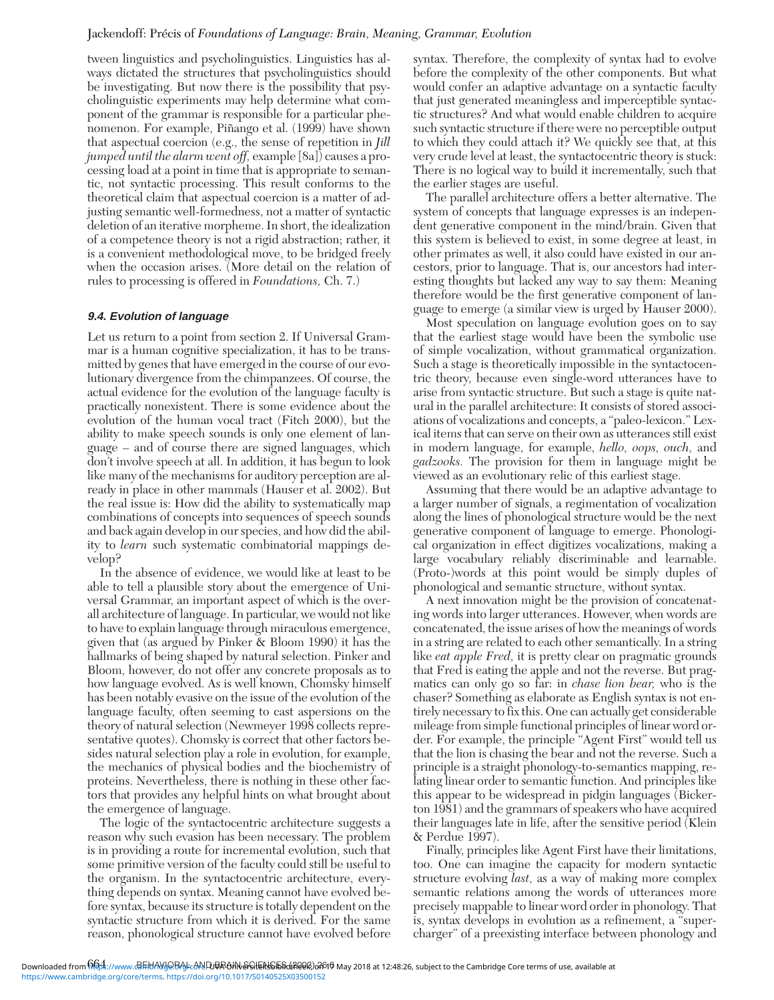tween linguistics and psycholinguistics. Linguistics has always dictated the structures that psycholinguistics should be investigating. But now there is the possibility that psycholinguistic experiments may help determine what component of the grammar is responsible for a particular phenomenon. For example, Piñango et al. (1999) have shown that aspectual coercion (e.g., the sense of repetition in *Jill jumped until the alarm went off,* example [8a]) causes a processing load at a point in time that is appropriate to semantic, not syntactic processing. This result conforms to the theoretical claim that aspectual coercion is a matter of adjusting semantic well-formedness, not a matter of syntactic deletion of an iterative morpheme. In short, the idealization of a competence theory is not a rigid abstraction; rather, it is a convenient methodological move, to be bridged freely when the occasion arises. (More detail on the relation of rules to processing is offered in *Foundations,* Ch. 7.)

## **9.4. Evolution of language**

Let us return to a point from section 2. If Universal Grammar is a human cognitive specialization, it has to be transmitted by genes that have emerged in the course of our evolutionary divergence from the chimpanzees. Of course, the actual evidence for the evolution of the language faculty is practically nonexistent. There is some evidence about the evolution of the human vocal tract (Fitch 2000), but the ability to make speech sounds is only one element of language – and of course there are signed languages, which don't involve speech at all. In addition, it has begun to look like many of the mechanisms for auditory perception are already in place in other mammals (Hauser et al. 2002). But the real issue is: How did the ability to systematically map combinations of concepts into sequences of speech sounds and back again develop in our species, and how did the ability to *learn* such systematic combinatorial mappings develop?

In the absence of evidence, we would like at least to be able to tell a plausible story about the emergence of Universal Grammar, an important aspect of which is the overall architecture of language. In particular, we would not like to have to explain language through miraculous emergence, given that (as argued by Pinker & Bloom 1990) it has the hallmarks of being shaped by natural selection. Pinker and Bloom, however, do not offer any concrete proposals as to how language evolved. As is well known, Chomsky himself has been notably evasive on the issue of the evolution of the language faculty, often seeming to cast aspersions on the theory of natural selection (Newmeyer 1998 collects representative quotes). Chomsky is correct that other factors besides natural selection play a role in evolution, for example, the mechanics of physical bodies and the biochemistry of proteins. Nevertheless, there is nothing in these other factors that provides any helpful hints on what brought about the emergence of language.

The logic of the syntactocentric architecture suggests a reason why such evasion has been necessary. The problem is in providing a route for incremental evolution, such that some primitive version of the faculty could still be useful to the organism. In the syntactocentric architecture, everything depends on syntax. Meaning cannot have evolved before syntax, because its structure is totally dependent on the syntactic structure from which it is derived. For the same reason, phonological structure cannot have evolved before

syntax. Therefore, the complexity of syntax had to evolve before the complexity of the other components. But what would confer an adaptive advantage on a syntactic faculty that just generated meaningless and imperceptible syntactic structures? And what would enable children to acquire such syntactic structure if there were no perceptible output to which they could attach it? We quickly see that, at this very crude level at least, the syntactocentric theory is stuck: There is no logical way to build it incrementally, such that the earlier stages are useful.

The parallel architecture offers a better alternative. The system of concepts that language expresses is an independent generative component in the mind/brain. Given that this system is believed to exist, in some degree at least, in other primates as well, it also could have existed in our ancestors, prior to language. That is, our ancestors had interesting thoughts but lacked any way to say them: Meaning therefore would be the first generative component of language to emerge (a similar view is urged by Hauser 2000).

Most speculation on language evolution goes on to say that the earliest stage would have been the symbolic use of simple vocalization, without grammatical organization. Such a stage is theoretically impossible in the syntactocentric theory, because even single-word utterances have to arise from syntactic structure. But such a stage is quite natural in the parallel architecture: It consists of stored associations of vocalizations and concepts, a "paleo-lexicon." Lexical items that can serve on their own as utterances still exist in modern language, for example, *hello, oops, ouch,* and *gadzooks.* The provision for them in language might be viewed as an evolutionary relic of this earliest stage.

Assuming that there would be an adaptive advantage to a larger number of signals, a regimentation of vocalization along the lines of phonological structure would be the next generative component of language to emerge. Phonological organization in effect digitizes vocalizations, making a large vocabulary reliably discriminable and learnable. (Proto-)words at this point would be simply duples of phonological and semantic structure, without syntax.

A next innovation might be the provision of concatenating words into larger utterances. However, when words are concatenated, the issue arises of how the meanings of words in a string are related to each other semantically. In a string like *eat apple Fred,* it is pretty clear on pragmatic grounds that Fred is eating the apple and not the reverse. But pragmatics can only go so far: in *chase lion bear,* who is the chaser? Something as elaborate as English syntax is not entirely necessary to fix this. One can actually get considerable mileage from simple functional principles of linear word order. For example, the principle "Agent First" would tell us that the lion is chasing the bear and not the reverse. Such a principle is a straight phonology-to-semantics mapping, relating linear order to semantic function. And principles like this appear to be widespread in pidgin languages (Bickerton 1981) and the grammars of speakers who have acquired their languages late in life, after the sensitive period (Klein & Perdue 1997).

Finally, principles like Agent First have their limitations, too. One can imagine the capacity for modern syntactic structure evolving *last,* as a way of making more complex semantic relations among the words of utterances more precisely mappable to linear word order in phonology. That is, syntax develops in evolution as a refinement, a "supercharger" of a preexisting interface between phonology and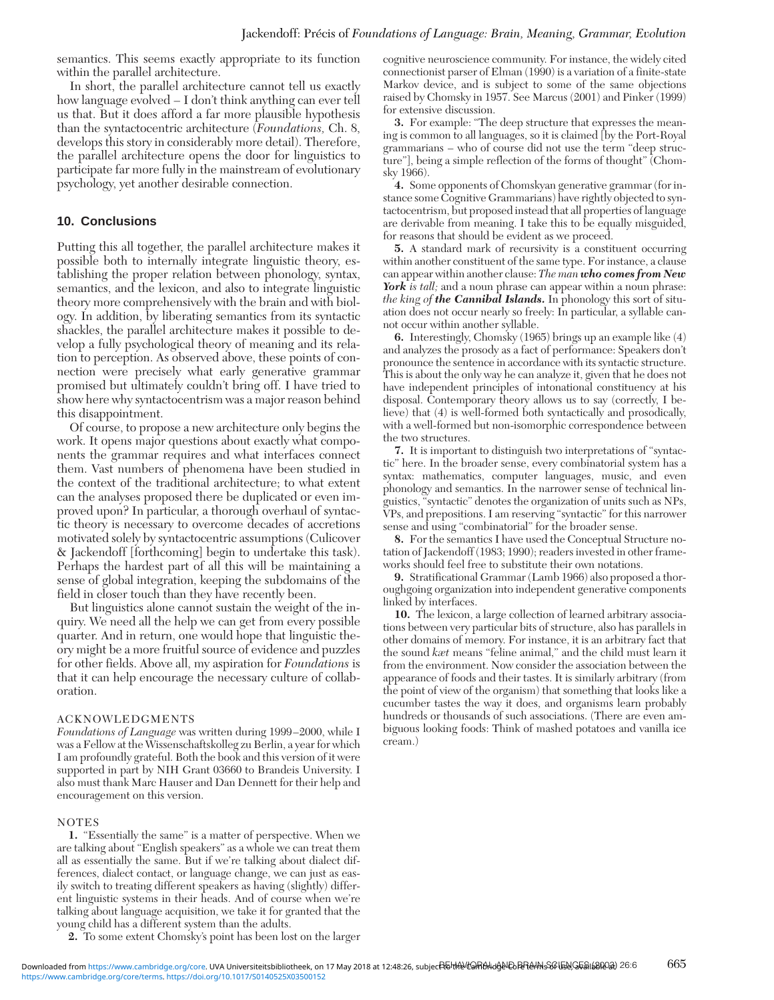semantics. This seems exactly appropriate to its function within the parallel architecture.

In short, the parallel architecture cannot tell us exactly how language evolved – I don't think anything can ever tell us that. But it does afford a far more plausible hypothesis than the syntactocentric architecture (*Foundations,* Ch. 8, develops this story in considerably more detail). Therefore, the parallel architecture opens the door for linguistics to participate far more fully in the mainstream of evolutionary psychology, yet another desirable connection.

## **10. Conclusions**

Putting this all together, the parallel architecture makes it possible both to internally integrate linguistic theory, establishing the proper relation between phonology, syntax, semantics, and the lexicon, and also to integrate linguistic theory more comprehensively with the brain and with biology. In addition, by liberating semantics from its syntactic shackles, the parallel architecture makes it possible to develop a fully psychological theory of meaning and its relation to perception. As observed above, these points of connection were precisely what early generative grammar promised but ultimately couldn't bring off. I have tried to show here why syntactocentrism was a major reason behind this disappointment.

Of course, to propose a new architecture only begins the work. It opens major questions about exactly what components the grammar requires and what interfaces connect them. Vast numbers of phenomena have been studied in the context of the traditional architecture; to what extent can the analyses proposed there be duplicated or even improved upon? In particular, a thorough overhaul of syntactic theory is necessary to overcome decades of accretions motivated solely by syntactocentric assumptions (Culicover & Jackendoff [forthcoming] begin to undertake this task). Perhaps the hardest part of all this will be maintaining a sense of global integration, keeping the subdomains of the field in closer touch than they have recently been.

But linguistics alone cannot sustain the weight of the inquiry. We need all the help we can get from every possible quarter. And in return, one would hope that linguistic theory might be a more fruitful source of evidence and puzzles for other fields. Above all, my aspiration for *Foundations* is that it can help encourage the necessary culture of collaboration.

#### ACKNOWLEDGMENTS

*Foundations of Language* was written during 1999–2000, while I was a Fellow at the Wissenschaftskolleg zu Berlin, a year for which I am profoundly grateful. Both the book and this version of it were supported in part by NIH Grant 03660 to Brandeis University. I also must thank Marc Hauser and Dan Dennett for their help and encouragement on this version.

#### NOTES

**1.** "Essentially the same" is a matter of perspective. When we are talking about "English speakers" as a whole we can treat them all as essentially the same. But if we're talking about dialect differences, dialect contact, or language change, we can just as easily switch to treating different speakers as having (slightly) different linguistic systems in their heads. And of course when we're talking about language acquisition, we take it for granted that the young child has a different system than the adults.

**2.** To some extent Chomsky's point has been lost on the larger

cognitive neuroscience community. For instance, the widely cited connectionist parser of Elman (1990) is a variation of a finite-state Markov device, and is subject to some of the same objections raised by Chomsky in 1957. See Marcus (2001) and Pinker (1999) for extensive discussion.

**3.** For example: "The deep structure that expresses the meaning is common to all languages, so it is claimed [by the Port-Royal grammarians – who of course did not use the term "deep structure"], being a simple reflection of the forms of thought" (Chomsky 1966).

**4.** Some opponents of Chomskyan generative grammar (for instance some Cognitive Grammarians) have rightly objected to syntactocentrism, but proposed instead that all properties of language are derivable from meaning. I take this to be equally misguided, for reasons that should be evident as we proceed.

**5.** A standard mark of recursivity is a constituent occurring within another constituent of the same type. For instance, a clause can appear within another clause: *The man who comes from New* York *is tall*; and a noun phrase can appear within a noun phrase: *the king of the Cannibal Islands.* In phonology this sort of situation does not occur nearly so freely: In particular, a syllable cannot occur within another syllable.

**6.** Interestingly, Chomsky (1965) brings up an example like (4) and analyzes the prosody as a fact of performance: Speakers don't pronounce the sentence in accordance with its syntactic structure. This is about the only way he can analyze it, given that he does not have independent principles of intonational constituency at his disposal. Contemporary theory allows us to say (correctly, I believe) that (4) is well-formed both syntactically and prosodically, with a well-formed but non-isomorphic correspondence between the two structures.

**7.** It is important to distinguish two interpretations of "syntactic" here. In the broader sense, every combinatorial system has a syntax: mathematics, computer languages, music, and even phonology and semantics. In the narrower sense of technical linguistics, "syntactic" denotes the organization of units such as NPs, VPs, and prepositions. I am reserving "syntactic" for this narrower sense and using "combinatorial" for the broader sense.

**8.** For the semantics I have used the Conceptual Structure notation of Jackendoff (1983; 1990); readers invested in other frameworks should feel free to substitute their own notations.

**9.** Stratificational Grammar (Lamb 1966) also proposed a thoroughgoing organization into independent generative components linked by interfaces.

**10.** The lexicon, a large collection of learned arbitrary associations between very particular bits of structure, also has parallels in other domains of memory. For instance, it is an arbitrary fact that the sound *kæt* means "feline animal," and the child must learn it from the environment. Now consider the association between the appearance of foods and their tastes. It is similarly arbitrary (from the point of view of the organism) that something that looks like a cucumber tastes the way it does, and organisms learn probably hundreds or thousands of such associations. (There are even ambiguous looking foods: Think of mashed potatoes and vanilla ice cream.)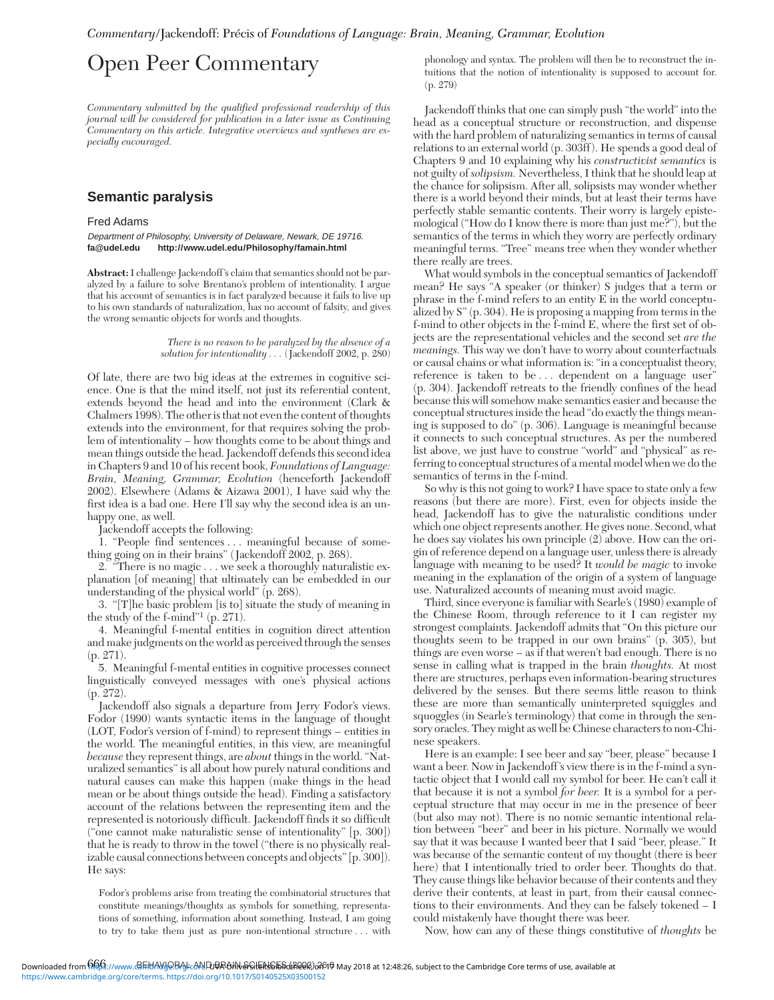## Open Peer Commentary

*Commentary submitted by the qualified professional readership of this journal will be considered for publication in a later issue as Continuing Commentary on this article. Integrative overviews and syntheses are especially encouraged.*

## **Semantic paralysis**

#### Fred Adams

Department of Philosophy, University of Delaware, Newark, DE 19716. **fa@udel.edu http://www.udel.edu/Philosophy/famain.html**

**Abstract:**I challenge Jackendoff's claim that semantics should not be paralyzed by a failure to solve Brentano's problem of intentionality. I argue that his account of semantics is in fact paralyzed because it fails to live up to his own standards of naturalization, has no account of falsity, and gives the wrong semantic objects for words and thoughts.

> *There is no reason to be paralyzed by the absence of a solution for intentionality...* (Jackendoff 2002, p. 280)

Of late, there are two big ideas at the extremes in cognitive science. One is that the mind itself, not just its referential content, extends beyond the head and into the environment (Clark & Chalmers 1998). The other is that not even the content of thoughts extends into the environment, for that requires solving the problem of intentionality – how thoughts come to be about things and mean things outside the head. Jackendoff defends this second idea in Chapters 9 and 10 of his recent book, *Foundations of Language: Brain, Meaning, Grammar, Evolution* (henceforth Jackendoff 2002). Elsewhere (Adams & Aizawa 2001), I have said why the first idea is a bad one. Here I'll say why the second idea is an unhappy one, as well.

Jackendoff accepts the following:

1. "People find sentences . . . meaningful because of something going on in their brains" (Jackendoff 2002, p. 268).

2. "There is no magic . . . we seek a thoroughly naturalistic explanation [of meaning] that ultimately can be embedded in our understanding of the physical world" (p. 268).

3. "[T]he basic problem [is to] situate the study of meaning in the study of the f-mind"1 (p. 271).

4. Meaningful f-mental entities in cognition direct attention and make judgments on the world as perceived through the senses (p. 271).

5. Meaningful f-mental entities in cognitive processes connect linguistically conveyed messages with one's physical actions (p. 272).

Jackendoff also signals a departure from Jerry Fodor's views. Fodor (1990) wants syntactic items in the language of thought (LOT, Fodor's version of f-mind) to represent things – entities in the world. The meaningful entities, in this view, are meaningful *because* they represent things, are *about* things in the world. "Naturalized semantics" is all about how purely natural conditions and natural causes can make this happen (make things in the head mean or be about things outside the head). Finding a satisfactory account of the relations between the representing item and the represented is notoriously difficult. Jackendoff finds it so difficult ("one cannot make naturalistic sense of intentionality" [p. 300]) that he is ready to throw in the towel ("there is no physically realizable causal connections between concepts and objects" [p. 300]). He says:

Fodor's problems arise from treating the combinatorial structures that constitute meanings/thoughts as symbols for something, representations of something, information about something. Instead, I am going to try to take them just as pure non-intentional structure . . . with phonology and syntax. The problem will then be to reconstruct the intuitions that the notion of intentionality is supposed to account for. (p. 279)

Jackendoff thinks that one can simply push "the world" into the head as a conceptual structure or reconstruction, and dispense with the hard problem of naturalizing semantics in terms of causal relations to an external world (p. 303ff). He spends a good deal of Chapters 9 and 10 explaining why his *constructivist semantics* is not guilty of *solipsism.* Nevertheless, I think that he should leap at the chance for solipsism. After all, solipsists may wonder whether there is a world beyond their minds, but at least their terms have perfectly stable semantic contents. Their worry is largely epistemological ("How do I know there is more than just me?"), but the semantics of the terms in which they worry are perfectly ordinary meaningful terms. "Tree" means tree when they wonder whether there really are trees.

What would symbols in the conceptual semantics of Jackendoff mean? He says "A speaker (or thinker) S judges that a term or phrase in the f-mind refers to an entity E in the world conceptualized by S" (p. 304). He is proposing a mapping from terms in the f-mind to other objects in the f-mind E, where the first set of objects are the representational vehicles and the second set *are the meanings.* This way we don't have to worry about counterfactuals or causal chains or what information is: "in a conceptualist theory, reference is taken to be . . . dependent on a language user" (p. 304). Jackendoff retreats to the friendly confines of the head because this will somehow make semantics easier and because the conceptual structures inside the head "do exactly the things meaning is supposed to do" (p. 306). Language is meaningful because it connects to such conceptual structures. As per the numbered list above, we just have to construe "world" and "physical" as referring to conceptual structures of a mental model when we do the semantics of terms in the f-mind.

So why is this not going to work? I have space to state only a few reasons (but there are more). First, even for objects inside the head, Jackendoff has to give the naturalistic conditions under which one object represents another. He gives none. Second, what he does say violates his own principle (2) above. How can the origin of reference depend on a language user, unless there is already language with meaning to be used? It *would be magic* to invoke meaning in the explanation of the origin of a system of language use. Naturalized accounts of meaning must avoid magic.

Third, since everyone is familiar with Searle's (1980) example of the Chinese Room, through reference to it I can register my strongest complaints. Jackendoff admits that "On this picture our thoughts seem to be trapped in our own brains" (p. 305), but things are even worse – as if that weren't bad enough. There is no sense in calling what is trapped in the brain *thoughts.* At most there are structures, perhaps even information-bearing structures delivered by the senses. But there seems little reason to think these are more than semantically uninterpreted squiggles and squoggles (in Searle's terminology) that come in through the sensory oracles. They might as well be Chinese characters to non-Chinese speakers.

Here is an example: I see beer and say "beer, please" because I want a beer. Now in Jackendoff's view there is in the f-mind a syntactic object that I would call my symbol for beer. He can't call it that because it is not a symbol *for beer.* It is a symbol for a perceptual structure that may occur in me in the presence of beer (but also may not). There is no nomic semantic intentional relation between "beer" and beer in his picture. Normally we would say that it was because I wanted beer that I said "beer, please." It was because of the semantic content of my thought (there is beer here) that I intentionally tried to order beer. Thoughts do that. They cause things like behavior because of their contents and they derive their contents, at least in part, from their causal connections to their environments. And they can be falsely tokened – I could mistakenly have thought there was beer.

Now, how can any of these things constitutive of *thoughts* be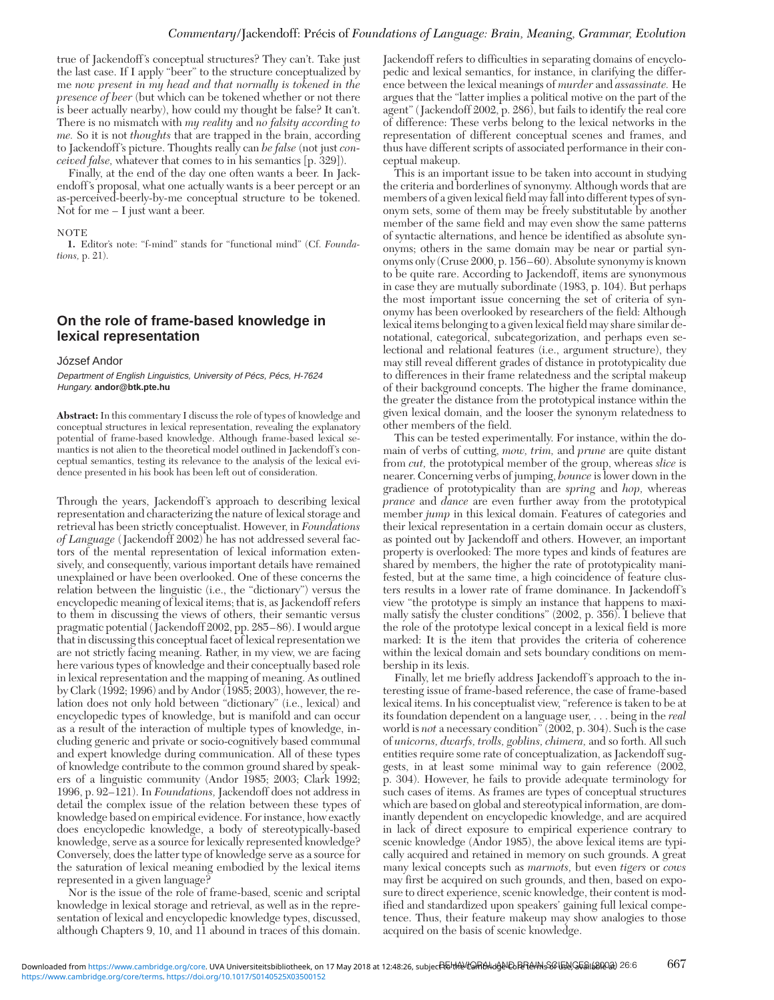true of Jackendoff's conceptual structures? They can't. Take just the last case. If I apply "beer" to the structure conceptualized by me *now present in my head and that normally is tokened in the presence of beer* (but which can be tokened whether or not there is beer actually nearby), how could my thought be false? It can't. There is no mismatch with *my reality* and *no falsity according to me.* So it is not *thoughts* that are trapped in the brain, according to Jackendoff's picture. Thoughts really can *be false* (not just *conceived false,* whatever that comes to in his semantics [p. 329]).

Finally, at the end of the day one often wants a beer. In Jackendoff's proposal, what one actually wants is a beer percept or an as-perceived-beerly-by-me conceptual structure to be tokened. Not for me – I just want a beer.

#### NOTE

**1.** Editor's note: "f-mind" stands for "functional mind" (Cf. *Foundations,* p. 21).

## **On the role of frame-based knowledge in lexical representation**

József Andor

Department of English Linguistics, University of Pécs, Pécs, H-7624 Hungary. **andor@btk.pte.hu**

**Abstract:** In this commentary I discuss the role of types of knowledge and conceptual structures in lexical representation, revealing the explanatory potential of frame-based knowledge. Although frame-based lexical semantics is not alien to the theoretical model outlined in Jackendoff's conceptual semantics, testing its relevance to the analysis of the lexical evidence presented in his book has been left out of consideration.

Through the years, Jackendoff's approach to describing lexical representation and characterizing the nature of lexical storage and retrieval has been strictly conceptualist. However, in *Foundations of Language* (Jackendoff 2002) he has not addressed several factors of the mental representation of lexical information extensively, and consequently, various important details have remained unexplained or have been overlooked. One of these concerns the relation between the linguistic (i.e., the "dictionary") versus the encyclopedic meaning of lexical items; that is, as Jackendoff refers to them in discussing the views of others, their semantic versus pragmatic potential (Jackendoff 2002, pp. 285–86). I would argue that in discussing this conceptual facet of lexical representation we are not strictly facing meaning. Rather, in my view, we are facing here various types of knowledge and their conceptually based role in lexical representation and the mapping of meaning. As outlined by Clark (1992; 1996) and by Andor (1985; 2003), however, the relation does not only hold between "dictionary" (i.e., lexical) and encyclopedic types of knowledge, but is manifold and can occur as a result of the interaction of multiple types of knowledge, including generic and private or socio-cognitively based communal and expert knowledge during communication. All of these types of knowledge contribute to the common ground shared by speakers of a linguistic community (Andor 1985; 2003; Clark 1992; 1996, p. 92–121). In *Foundations,* Jackendoff does not address in detail the complex issue of the relation between these types of knowledge based on empirical evidence. For instance, how exactly does encyclopedic knowledge, a body of stereotypically-based knowledge, serve as a source for lexically represented knowledge? Conversely, does the latter type of knowledge serve as a source for the saturation of lexical meaning embodied by the lexical items represented in a given language?

Nor is the issue of the role of frame-based, scenic and scriptal knowledge in lexical storage and retrieval, as well as in the representation of lexical and encyclopedic knowledge types, discussed, although Chapters 9, 10, and 11 abound in traces of this domain.

Jackendoff refers to difficulties in separating domains of encyclopedic and lexical semantics, for instance, in clarifying the difference between the lexical meanings of *murder* and *assassinate.* He argues that the "latter implies a political motive on the part of the agent" (Jackendoff 2002, p. 286), but fails to identify the real core of difference: These verbs belong to the lexical networks in the representation of different conceptual scenes and frames, and thus have different scripts of associated performance in their conceptual makeup.

This is an important issue to be taken into account in studying the criteria and borderlines of synonymy. Although words that are members of a given lexical field may fall into different types of synonym sets, some of them may be freely substitutable by another member of the same field and may even show the same patterns of syntactic alternations, and hence be identified as absolute synonyms; others in the same domain may be near or partial synonyms only (Cruse 2000, p. 156–60). Absolute synonymy is known to be quite rare. According to Jackendoff, items are synonymous in case they are mutually subordinate (1983, p. 104). But perhaps the most important issue concerning the set of criteria of synonymy has been overlooked by researchers of the field: Although lexical items belonging to a given lexical field may share similar denotational, categorical, subcategorization, and perhaps even selectional and relational features (i.e., argument structure), they may still reveal different grades of distance in prototypicality due to differences in their frame relatedness and the scriptal makeup of their background concepts. The higher the frame dominance, the greater the distance from the prototypical instance within the given lexical domain, and the looser the synonym relatedness to other members of the field.

This can be tested experimentally. For instance, within the domain of verbs of cutting, *mow, trim,* and *prune* are quite distant from *cut,* the prototypical member of the group, whereas *slice* is nearer. Concerning verbs of jumping, *bounce* is lower down in the gradience of prototypicality than are *spring* and *hop,* whereas *prance* and *dance* are even further away from the prototypical member *jump* in this lexical domain. Features of categories and their lexical representation in a certain domain occur as clusters, as pointed out by Jackendoff and others. However, an important property is overlooked: The more types and kinds of features are shared by members, the higher the rate of prototypicality manifested, but at the same time, a high coincidence of feature clusters results in a lower rate of frame dominance. In Jackendoff's view "the prototype is simply an instance that happens to maximally satisfy the cluster conditions" (2002, p. 356). I believe that the role of the prototype lexical concept in a lexical field is more marked: It is the item that provides the criteria of coherence within the lexical domain and sets boundary conditions on membership in its lexis.

Finally, let me briefly address Jackendoff's approach to the interesting issue of frame-based reference, the case of frame-based lexical items. In his conceptualist view, "reference is taken to be at its foundation dependent on a language user, . . . being in the *real* world is *not* a necessary condition" (2002, p. 304). Such is the case of *unicorns, dwarfs, trolls, goblins, chimera,* and so forth. All such entities require some rate of conceptualization, as Jackendoff suggests, in at least some minimal way to gain reference (2002, p. 304). However, he fails to provide adequate terminology for such cases of items. As frames are types of conceptual structures which are based on global and stereotypical information, are dominantly dependent on encyclopedic knowledge, and are acquired in lack of direct exposure to empirical experience contrary to scenic knowledge (Andor 1985), the above lexical items are typically acquired and retained in memory on such grounds. A great many lexical concepts such as *marmots,* but even *tigers* or *cows* may first be acquired on such grounds, and then, based on exposure to direct experience, scenic knowledge, their content is modified and standardized upon speakers' gaining full lexical competence. Thus, their feature makeup may show analogies to those acquired on the basis of scenic knowledge.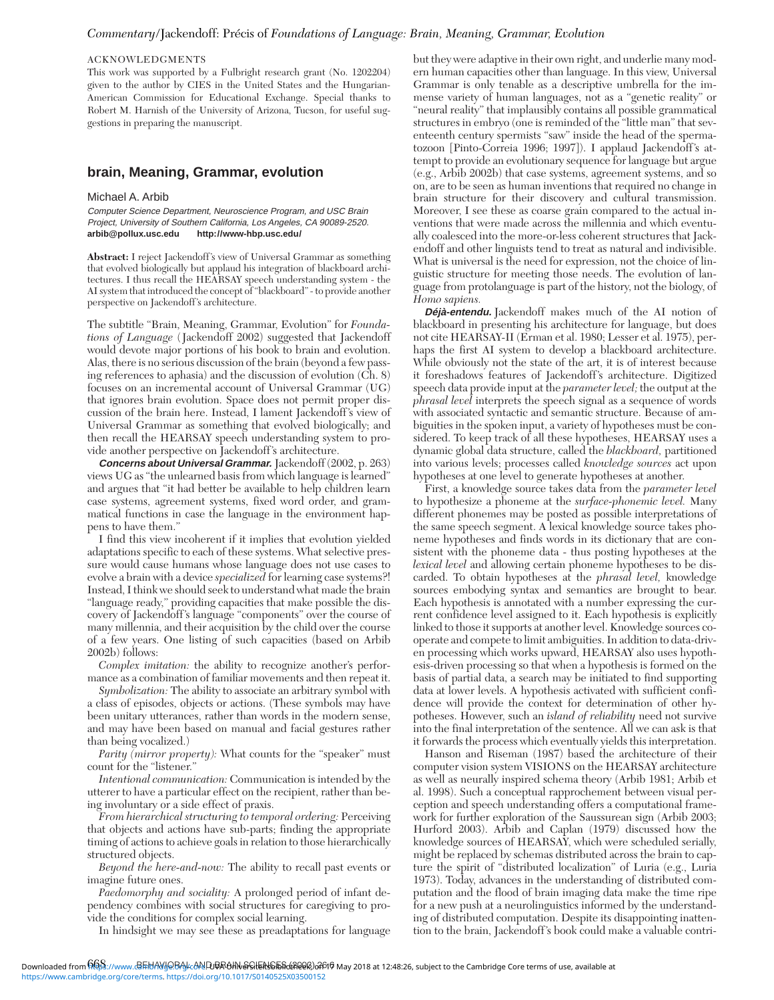#### ACKNOWLEDGMENTS

This work was supported by a Fulbright research grant (No. 1202204) given to the author by CIES in the United States and the Hungarian-American Commission for Educational Exchange. Special thanks to Robert M. Harnish of the University of Arizona, Tucson, for useful suggestions in preparing the manuscript.

## **brain, Meaning, Grammar, evolution**

#### Michael A. Arbib

Computer Science Department, Neuroscience Program, and USC Brain Project, University of Southern California, Los Angeles, CA 90089-2520. **arbib@pollux.usc.edu http://www-hbp.usc.edu/**

**Abstract:** I reject Jackendoff's view of Universal Grammar as something that evolved biologically but applaud his integration of blackboard architectures. I thus recall the HEARSAY speech understanding system - the AI system that introduced the concept of "blackboard" - to provide another perspective on Jackendoff's architecture.

The subtitle "Brain, Meaning, Grammar, Evolution" for *Foundations of Language* (Jackendoff 2002) suggested that Jackendoff would devote major portions of his book to brain and evolution. Alas, there is no serious discussion of the brain (beyond a few passing references to aphasia) and the discussion of evolution (Ch. 8) focuses on an incremental account of Universal Grammar (UG) that ignores brain evolution. Space does not permit proper discussion of the brain here. Instead, I lament Jackendoff's view of Universal Grammar as something that evolved biologically; and then recall the HEARSAY speech understanding system to provide another perspective on Jackendoff's architecture.

**Concerns about Universal Grammar.** Jackendoff (2002, p. 263) views UG as "the unlearned basis from which language is learned" and argues that "it had better be available to help children learn case systems, agreement systems, fixed word order, and grammatical functions in case the language in the environment happens to have them."

I find this view incoherent if it implies that evolution yielded adaptations specific to each of these systems. What selective pressure would cause humans whose language does not use cases to evolve a brain with a device *specialized* for learning case systems?! Instead, I think we should seek to understand what made the brain "language ready," providing capacities that make possible the discovery of Jackendoff's language "components" over the course of many millennia, and their acquisition by the child over the course of a few years. One listing of such capacities (based on Arbib 2002b) follows:

*Complex imitation:* the ability to recognize another's performance as a combination of familiar movements and then repeat it.

*Symbolization:* The ability to associate an arbitrary symbol with a class of episodes, objects or actions. (These symbols may have been unitary utterances, rather than words in the modern sense, and may have been based on manual and facial gestures rather than being vocalized.)

*Parity (mirror property):* What counts for the "speaker" must count for the "listener."

*Intentional communication:* Communication is intended by the utterer to have a particular effect on the recipient, rather than being involuntary or a side effect of praxis.

*From hierarchical structuring to temporal ordering:* Perceiving that objects and actions have sub-parts; finding the appropriate timing of actions to achieve goals in relation to those hierarchically structured objects.

*Beyond the here-and-now:* The ability to recall past events or imagine future ones.

*Paedomorphy and sociality:* A prolonged period of infant dependency combines with social structures for caregiving to provide the conditions for complex social learning.

In hindsight we may see these as preadaptations for language

but they were adaptive in their own right, and underlie many modern human capacities other than language. In this view, Universal Grammar is only tenable as a descriptive umbrella for the immense variety of human languages, not as a "genetic reality" or "neural reality" that implausibly contains all possible grammatical structures in embryo (one is reminded of the "little man" that seventeenth century spermists "saw" inside the head of the spermatozoon [Pinto-Correia 1996; 1997]). I applaud Jackendoff's attempt to provide an evolutionary sequence for language but argue (e.g., Arbib 2002b) that case systems, agreement systems, and so on, are to be seen as human inventions that required no change in brain structure for their discovery and cultural transmission. Moreover, I see these as coarse grain compared to the actual inventions that were made across the millennia and which eventually coalesced into the more-or-less coherent structures that Jackendoff and other linguists tend to treat as natural and indivisible. What is universal is the need for expression, not the choice of linguistic structure for meeting those needs. The evolution of language from protolanguage is part of the history, not the biology, of *Homo sapiens.*

**Déjà-entendu.** Jackendoff makes much of the AI notion of blackboard in presenting his architecture for language, but does not cite HEARSAY-II (Erman et al. 1980; Lesser et al. 1975), perhaps the first AI system to develop a blackboard architecture. While obviously not the state of the art, it is of interest because it foreshadows features of Jackendoff's architecture. Digitized speech data provide input at the *parameter level;* the output at the *phrasal level* interprets the speech signal as a sequence of words with associated syntactic and semantic structure. Because of ambiguities in the spoken input, a variety of hypotheses must be considered. To keep track of all these hypotheses, HEARSAY uses a dynamic global data structure, called the *blackboard,* partitioned into various levels; processes called *knowledge sources* act upon hypotheses at one level to generate hypotheses at another.

First, a knowledge source takes data from the *parameter level* to hypothesize a phoneme at the *surface-phonemic level.* Many different phonemes may be posted as possible interpretations of the same speech segment. A lexical knowledge source takes phoneme hypotheses and finds words in its dictionary that are consistent with the phoneme data - thus posting hypotheses at the *lexical level* and allowing certain phoneme hypotheses to be discarded. To obtain hypotheses at the *phrasal level,* knowledge sources embodying syntax and semantics are brought to bear. Each hypothesis is annotated with a number expressing the current confidence level assigned to it. Each hypothesis is explicitly linked to those it supports at another level. Knowledge sources cooperate and compete to limit ambiguities. In addition to data-driven processing which works upward, HEARSAY also uses hypothesis-driven processing so that when a hypothesis is formed on the basis of partial data, a search may be initiated to find supporting data at lower levels. A hypothesis activated with sufficient confidence will provide the context for determination of other hypotheses. However, such an *island of reliability* need not survive into the final interpretation of the sentence. All we can ask is that it forwards the process which eventually yields this interpretation.

Hanson and Riseman (1987) based the architecture of their computer vision system VISIONS on the HEARSAY architecture as well as neurally inspired schema theory (Arbib 1981; Arbib et al. 1998). Such a conceptual rapprochement between visual perception and speech understanding offers a computational framework for further exploration of the Saussurean sign (Arbib 2003; Hurford 2003). Arbib and Caplan (1979) discussed how the knowledge sources of HEARSAY, which were scheduled serially, might be replaced by schemas distributed across the brain to capture the spirit of "distributed localization" of Luria (e.g., Luria 1973). Today, advances in the understanding of distributed computation and the flood of brain imaging data make the time ripe for a new push at a neurolinguistics informed by the understanding of distributed computation. Despite its disappointing inattention to the brain, Jackendoff's book could make a valuable contri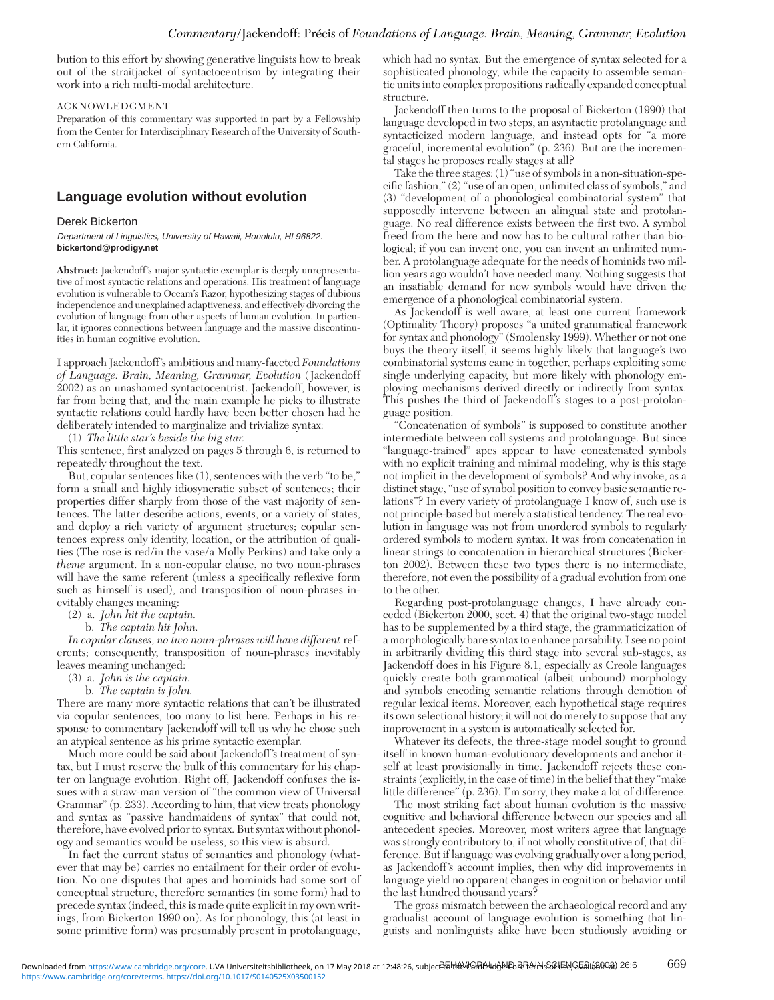bution to this effort by showing generative linguists how to break out of the straitjacket of syntactocentrism by integrating their work into a rich multi-modal architecture.

#### ACKNOWLEDGMENT

Preparation of this commentary was supported in part by a Fellowship from the Center for Interdisciplinary Research of the University of Southern California.

## **Language evolution without evolution**

#### Derek Bickerton

Department of Linguistics, University of Hawaii, Honolulu, HI 96822. **bickertond@prodigy.net**

**Abstract:** Jackendoff's major syntactic exemplar is deeply unrepresentative of most syntactic relations and operations. His treatment of language evolution is vulnerable to Occam's Razor, hypothesizing stages of dubious independence and unexplained adaptiveness, and effectively divorcing the evolution of language from other aspects of human evolution. In particular, it ignores connections between language and the massive discontinuities in human cognitive evolution.

I approach Jackendoff's ambitious and many-faceted *Foundations of Language: Brain, Meaning, Grammar, Evolution* (Jackendoff 2002) as an unashamed syntactocentrist. Jackendoff, however, is far from being that, and the main example he picks to illustrate syntactic relations could hardly have been better chosen had he deliberately intended to marginalize and trivialize syntax:

(1) *The little star's beside the big star.*

This sentence, first analyzed on pages 5 through 6, is returned to repeatedly throughout the text.

But, copular sentences like (1), sentences with the verb "to be," form a small and highly idiosyncratic subset of sentences; their properties differ sharply from those of the vast majority of sentences. The latter describe actions, events, or a variety of states, and deploy a rich variety of argument structures; copular sentences express only identity, location, or the attribution of qualities (The rose is red/in the vase/a Molly Perkins) and take only a *theme* argument. In a non-copular clause, no two noun-phrases will have the same referent (unless a specifically reflexive form such as himself is used), and transposition of noun-phrases inevitably changes meaning:

(2) a. *John hit the captain.*

b. *The captain hit John.*

*In copular clauses, no two noun-phrases will have different* referents; consequently, transposition of noun-phrases inevitably leaves meaning unchanged:

(3) a. *John is the captain.*

b. *The captain is John.*

There are many more syntactic relations that can't be illustrated via copular sentences, too many to list here. Perhaps in his response to commentary Jackendoff will tell us why he chose such an atypical sentence as his prime syntactic exemplar.

Much more could be said about Jackendoff's treatment of syntax, but I must reserve the bulk of this commentary for his chapter on language evolution. Right off, Jackendoff confuses the issues with a straw-man version of "the common view of Universal Grammar" (p. 233). According to him, that view treats phonology and syntax as "passive handmaidens of syntax" that could not, therefore, have evolved prior to syntax. But syntax without phonology and semantics would be useless, so this view is absurd.

In fact the current status of semantics and phonology (whatever that may be) carries no entailment for their order of evolution. No one disputes that apes and hominids had some sort of conceptual structure, therefore semantics (in some form) had to precede syntax (indeed, this is made quite explicit in my own writings, from Bickerton 1990 on). As for phonology, this (at least in some primitive form) was presumably present in protolanguage,

which had no syntax. But the emergence of syntax selected for a sophisticated phonology, while the capacity to assemble semantic units into complex propositions radically expanded conceptual structure.

Jackendoff then turns to the proposal of Bickerton (1990) that language developed in two steps, an asyntactic protolanguage and syntacticized modern language, and instead opts for "a more graceful, incremental evolution" (p. 236). But are the incremental stages he proposes really stages at all?

Take the three stages: (1) "use of symbols in a non-situation-specific fashion," (2) "use of an open, unlimited class of symbols," and (3) "development of a phonological combinatorial system" that supposedly intervene between an alingual state and protolanguage. No real difference exists between the first two. A symbol freed from the here and now has to be cultural rather than biological; if you can invent one, you can invent an unlimited number. A protolanguage adequate for the needs of hominids two million years ago wouldn't have needed many. Nothing suggests that an insatiable demand for new symbols would have driven the emergence of a phonological combinatorial system.

As Jackendoff is well aware, at least one current framework (Optimality Theory) proposes "a united grammatical framework for syntax and phonology" (Smolensky 1999). Whether or not one buys the theory itself, it seems highly likely that language's two combinatorial systems came in together, perhaps exploiting some single underlying capacity, but more likely with phonology employing mechanisms derived directly or indirectly from syntax. This pushes the third of Jackendoff's stages to a post-protolanguage position.

"Concatenation of symbols" is supposed to constitute another intermediate between call systems and protolanguage. But since "language-trained" apes appear to have concatenated symbols with no explicit training and minimal modeling, why is this stage not implicit in the development of symbols? And why invoke, as a distinct stage, "use of symbol position to convey basic semantic relations"? In every variety of protolanguage I know of, such use is not principle-based but merely a statistical tendency. The real evolution in language was not from unordered symbols to regularly ordered symbols to modern syntax. It was from concatenation in linear strings to concatenation in hierarchical structures (Bickerton 2002). Between these two types there is no intermediate, therefore, not even the possibility of a gradual evolution from one to the other.

Regarding post-protolanguage changes, I have already conceded (Bickerton 2000, sect. 4) that the original two-stage model has to be supplemented by a third stage, the grammaticization of a morphologically bare syntax to enhance parsability. I see no point in arbitrarily dividing this third stage into several sub-stages, as Jackendoff does in his Figure 8.1, especially as Creole languages quickly create both grammatical (albeit unbound) morphology and symbols encoding semantic relations through demotion of regular lexical items. Moreover, each hypothetical stage requires its own selectional history; it will not do merely to suppose that any improvement in a system is automatically selected for.

Whatever its defects, the three-stage model sought to ground itself in known human-evolutionary developments and anchor itself at least provisionally in time. Jackendoff rejects these constraints (explicitly, in the case of time) in the belief that they "make little difference" (p. 236). I'm sorry, they make a lot of difference.

The most striking fact about human evolution is the massive cognitive and behavioral difference between our species and all antecedent species. Moreover, most writers agree that language was strongly contributory to, if not wholly constitutive of, that difference. But if language was evolving gradually over a long period, as Jackendoff's account implies, then why did improvements in language yield no apparent changes in cognition or behavior until the last hundred thousand years?

The gross mismatch between the archaeological record and any gradualist account of language evolution is something that linguists and nonlinguists alike have been studiously avoiding or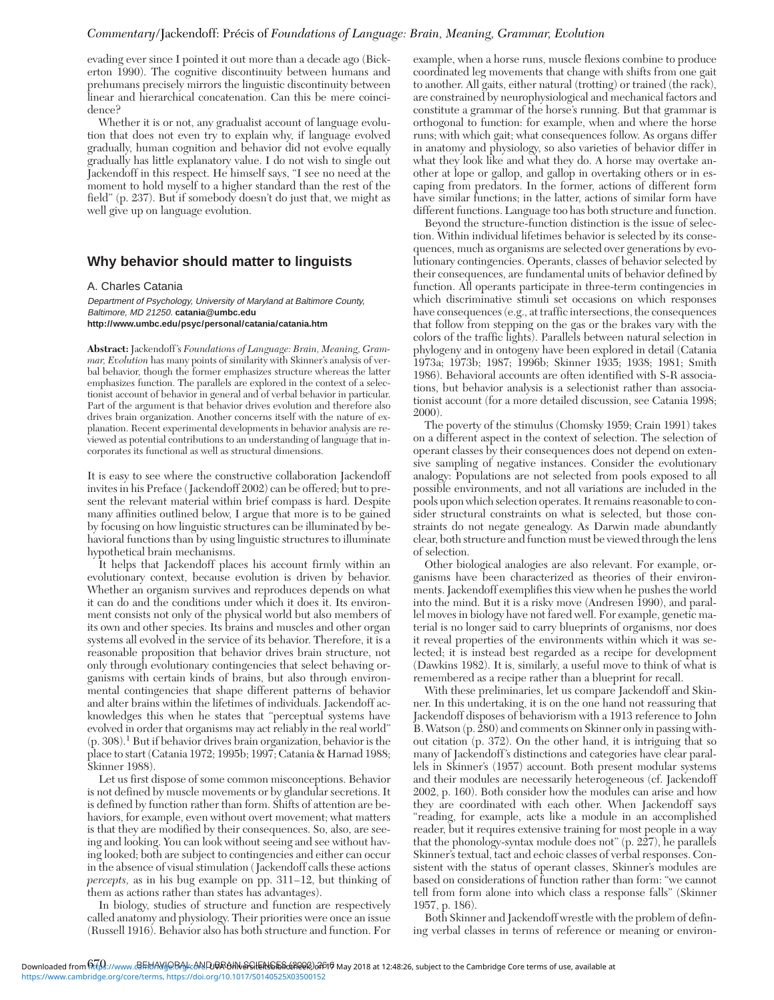evading ever since I pointed it out more than a decade ago (Bickerton 1990). The cognitive discontinuity between humans and prehumans precisely mirrors the linguistic discontinuity between linear and hierarchical concatenation. Can this be mere coincidence?

Whether it is or not, any gradualist account of language evolution that does not even try to explain why, if language evolved gradually, human cognition and behavior did not evolve equally gradually has little explanatory value. I do not wish to single out Jackendoff in this respect. He himself says, "I see no need at the moment to hold myself to a higher standard than the rest of the field" (p. 237). But if somebody doesn't do just that, we might as well give up on language evolution.

## **Why behavior should matter to linguists**

#### A. Charles Catania

Department of Psychology, University of Maryland at Baltimore County, Baltimore, MD 21250. **catania@umbc.edu http://www.umbc.edu/psyc/personal/catania/catania.htm**

**Abstract:** Jackendoff's *Foundations of Language: Brain, Meaning, Grammar, Evolution* has many points of similarity with Skinner's analysis of verbal behavior, though the former emphasizes structure whereas the latter emphasizes function. The parallels are explored in the context of a selectionist account of behavior in general and of verbal behavior in particular. Part of the argument is that behavior drives evolution and therefore also drives brain organization. Another concerns itself with the nature of explanation. Recent experimental developments in behavior analysis are reviewed as potential contributions to an understanding of language that incorporates its functional as well as structural dimensions.

It is easy to see where the constructive collaboration Jackendoff invites in his Preface (Jackendoff 2002) can be offered; but to present the relevant material within brief compass is hard. Despite many affinities outlined below, I argue that more is to be gained by focusing on how linguistic structures can be illuminated by behavioral functions than by using linguistic structures to illuminate hypothetical brain mechanisms.

It helps that Jackendoff places his account firmly within an evolutionary context, because evolution is driven by behavior. Whether an organism survives and reproduces depends on what it can do and the conditions under which it does it. Its environment consists not only of the physical world but also members of its own and other species. Its brains and muscles and other organ systems all evolved in the service of its behavior. Therefore, it is a reasonable proposition that behavior drives brain structure, not only through evolutionary contingencies that select behaving organisms with certain kinds of brains, but also through environmental contingencies that shape different patterns of behavior and alter brains within the lifetimes of individuals. Jackendoff acknowledges this when he states that "perceptual systems have evolved in order that organisms may act reliably in the real world"  $(p. 308).$ <sup>1</sup> But if behavior drives brain organization, behavior is the place to start (Catania 1972; 1995b; 1997; Catania & Harnad 1988; Skinner 1988).

Let us first dispose of some common misconceptions. Behavior is not defined by muscle movements or by glandular secretions. It is defined by function rather than form. Shifts of attention are behaviors, for example, even without overt movement; what matters is that they are modified by their consequences. So, also, are seeing and looking. You can look without seeing and see without having looked; both are subject to contingencies and either can occur in the absence of visual stimulation (Jackendoff calls these actions *percepts,* as in his bug example on pp. 311–12, but thinking of them as actions rather than states has advantages).

In biology, studies of structure and function are respectively called anatomy and physiology. Their priorities were once an issue (Russell 1916). Behavior also has both structure and function. For example, when a horse runs, muscle flexions combine to produce coordinated leg movements that change with shifts from one gait to another. All gaits, either natural (trotting) or trained (the rack), are constrained by neurophysiological and mechanical factors and constitute a grammar of the horse's running. But that grammar is orthogonal to function: for example, when and where the horse runs; with which gait; what consequences follow. As organs differ in anatomy and physiology, so also varieties of behavior differ in what they look like and what they do. A horse may overtake another at lope or gallop, and gallop in overtaking others or in escaping from predators. In the former, actions of different form have similar functions; in the latter, actions of similar form have different functions. Language too has both structure and function.

Beyond the structure-function distinction is the issue of selection. Within individual lifetimes behavior is selected by its consequences, much as organisms are selected over generations by evolutionary contingencies. Operants, classes of behavior selected by their consequences, are fundamental units of behavior defined by function. All operants participate in three-term contingencies in which discriminative stimuli set occasions on which responses have consequences (e.g., at traffic intersections, the consequences that follow from stepping on the gas or the brakes vary with the colors of the traffic lights). Parallels between natural selection in phylogeny and in ontogeny have been explored in detail (Catania 1973a; 1973b; 1987; 1996b; Skinner 1935; 1938; 1981; Smith 1986). Behavioral accounts are often identified with S-R associations, but behavior analysis is a selectionist rather than associationist account (for a more detailed discussion, see Catania 1998; 2000).

The poverty of the stimulus (Chomsky 1959; Crain 1991) takes on a different aspect in the context of selection. The selection of operant classes by their consequences does not depend on extensive sampling of negative instances. Consider the evolutionary analogy: Populations are not selected from pools exposed to all possible environments, and not all variations are included in the pools upon which selection operates. It remains reasonable to consider structural constraints on what is selected, but those constraints do not negate genealogy. As Darwin made abundantly clear, both structure and function must be viewed through the lens of selection.

Other biological analogies are also relevant. For example, organisms have been characterized as theories of their environments. Jackendoff exemplifies this view when he pushes the world into the mind. But it is a risky move (Andresen 1990), and parallel moves in biology have not fared well. For example, genetic material is no longer said to carry blueprints of organisms, nor does it reveal properties of the environments within which it was selected; it is instead best regarded as a recipe for development (Dawkins 1982). It is, similarly, a useful move to think of what is remembered as a recipe rather than a blueprint for recall.

With these preliminaries, let us compare Jackendoff and Skinner. In this undertaking, it is on the one hand not reassuring that Jackendoff disposes of behaviorism with a 1913 reference to John B. Watson (p. 280) and comments on Skinner only in passing without citation (p. 372). On the other hand, it is intriguing that so many of Jackendoff's distinctions and categories have clear parallels in Skinner's (1957) account. Both present modular systems and their modules are necessarily heterogeneous (cf. Jackendoff 2002, p. 160). Both consider how the modules can arise and how they are coordinated with each other. When Jackendoff says "reading, for example, acts like a module in an accomplished reader, but it requires extensive training for most people in a way that the phonology-syntax module does not" (p. 227), he parallels Skinner's textual, tact and echoic classes of verbal responses. Consistent with the status of operant classes, Skinner's modules are based on considerations of function rather than form: "we cannot tell from form alone into which class a response falls" (Skinner 1957, p. 186).

Both Skinner and Jackendoff wrestle with the problem of defining verbal classes in terms of reference or meaning or environ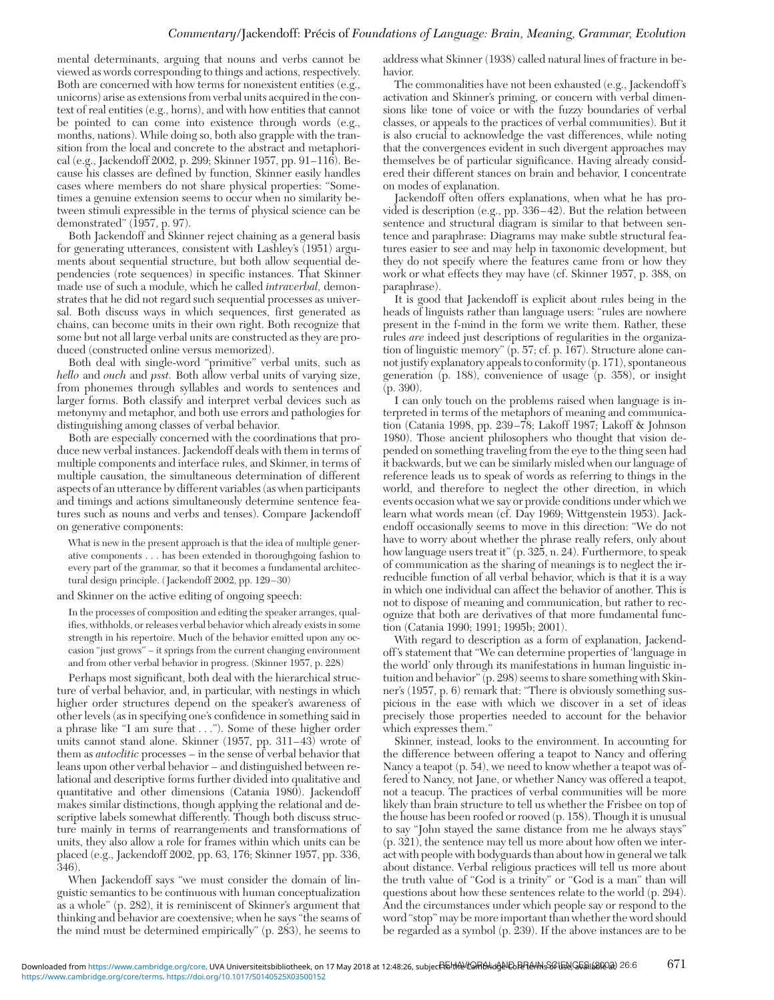mental determinants, arguing that nouns and verbs cannot be viewed as words corresponding to things and actions, respectively. Both are concerned with how terms for nonexistent entities (e.g., unicorns) arise as extensions from verbal units acquired in the context of real entities (e.g., horns), and with how entities that cannot be pointed to can come into existence through words (e.g., months, nations). While doing so, both also grapple with the transition from the local and concrete to the abstract and metaphorical (e.g., Jackendoff 2002, p. 299; Skinner 1957, pp. 91–116). Because his classes are defined by function, Skinner easily handles cases where members do not share physical properties: "Sometimes a genuine extension seems to occur when no similarity between stimuli expressible in the terms of physical science can be demonstrated" (1957, p. 97).

Both Jackendoff and Skinner reject chaining as a general basis for generating utterances, consistent with Lashley's (1951) arguments about sequential structure, but both allow sequential dependencies (rote sequences) in specific instances. That Skinner made use of such a module, which he called *intraverbal,* demonstrates that he did not regard such sequential processes as universal. Both discuss ways in which sequences, first generated as chains, can become units in their own right. Both recognize that some but not all large verbal units are constructed as they are produced (constructed online versus memorized).

Both deal with single-word "primitive" verbal units, such as *hello* and *ouch* and *psst.* Both allow verbal units of varying size, from phonemes through syllables and words to sentences and larger forms. Both classify and interpret verbal devices such as metonymy and metaphor, and both use errors and pathologies for distinguishing among classes of verbal behavior.

Both are especially concerned with the coordinations that produce new verbal instances. Jackendoff deals with them in terms of multiple components and interface rules, and Skinner, in terms of multiple causation, the simultaneous determination of different aspects of an utterance by different variables (as when participants and timings and actions simultaneously determine sentence features such as nouns and verbs and tenses). Compare Jackendoff on generative components:

What is new in the present approach is that the idea of multiple generative components . . . has been extended in thoroughgoing fashion to every part of the grammar, so that it becomes a fundamental architectural design principle. (Jackendoff 2002, pp. 129–30)

and Skinner on the active editing of ongoing speech:

In the processes of composition and editing the speaker arranges, qualifies, withholds, or releases verbal behavior which already exists in some strength in his repertoire. Much of the behavior emitted upon any occasion "just grows" – it springs from the current changing environment and from other verbal behavior in progress. (Skinner 1957, p. 228)

Perhaps most significant, both deal with the hierarchical structure of verbal behavior, and, in particular, with nestings in which higher order structures depend on the speaker's awareness of other levels (as in specifying one's confidence in something said in a phrase like "I am sure that . . ."). Some of these higher order units cannot stand alone. Skinner (1957, pp. 311–43) wrote of them as *autoclitic* processes – in the sense of verbal behavior that leans upon other verbal behavior – and distinguished between relational and descriptive forms further divided into qualitative and quantitative and other dimensions (Catania 1980). Jackendoff makes similar distinctions, though applying the relational and descriptive labels somewhat differently. Though both discuss structure mainly in terms of rearrangements and transformations of units, they also allow a role for frames within which units can be placed (e.g., Jackendoff 2002, pp. 63, 176; Skinner 1957, pp. 336, 346).

When Jackendoff says "we must consider the domain of linguistic semantics to be continuous with human conceptualization as a whole" (p. 282), it is reminiscent of Skinner's argument that thinking and behavior are coextensive; when he says "the seams of the mind must be determined empirically" (p. 283), he seems to

address what Skinner (1938) called natural lines of fracture in behavior.

The commonalities have not been exhausted (e.g., Jackendoff's activation and Skinner's priming, or concern with verbal dimensions like tone of voice or with the fuzzy boundaries of verbal classes, or appeals to the practices of verbal communities). But it is also crucial to acknowledge the vast differences, while noting that the convergences evident in such divergent approaches may themselves be of particular significance. Having already considered their different stances on brain and behavior, I concentrate on modes of explanation.

Jackendoff often offers explanations, when what he has provided is description (e.g., pp. 336–42). But the relation between sentence and structural diagram is similar to that between sentence and paraphrase: Diagrams may make subtle structural features easier to see and may help in taxonomic development, but they do not specify where the features came from or how they work or what effects they may have (cf. Skinner 1957, p. 388, on paraphrase).

It is good that Jackendoff is explicit about rules being in the heads of linguists rather than language users: "rules are nowhere present in the f-mind in the form we write them. Rather, these rules *are* indeed just descriptions of regularities in the organization of linguistic memory" (p. 57; cf. p. 167). Structure alone cannot justify explanatory appeals to conformity (p. 171), spontaneous generation (p. 188), convenience of usage (p. 358), or insight (p. 390).

I can only touch on the problems raised when language is interpreted in terms of the metaphors of meaning and communication (Catania 1998, pp. 239–78; Lakoff 1987; Lakoff & Johnson 1980). Those ancient philosophers who thought that vision depended on something traveling from the eye to the thing seen had it backwards, but we can be similarly misled when our language of reference leads us to speak of words as referring to things in the world, and therefore to neglect the other direction, in which events occasion what we say or provide conditions under which we learn what words mean (cf. Day 1969; Wittgenstein 1953). Jackendoff occasionally seems to move in this direction: "We do not have to worry about whether the phrase really refers, only about how language users treat it" (p. 325, n. 24). Furthermore, to speak of communication as the sharing of meanings is to neglect the irreducible function of all verbal behavior, which is that it is a way in which one individual can affect the behavior of another. This is not to dispose of meaning and communication, but rather to recognize that both are derivatives of that more fundamental function (Catania 1990; 1991; 1995b; 2001).

With regard to description as a form of explanation, Jackendoff's statement that "We can determine properties of 'language in the world' only through its manifestations in human linguistic intuition and behavior" (p. 298) seems to share something with Skinner's (1957, p. 6) remark that: "There is obviously something suspicious in the ease with which we discover in a set of ideas precisely those properties needed to account for the behavior which expresses them."

Skinner, instead, looks to the environment. In accounting for the difference between offering a teapot to Nancy and offering Nancy a teapot (p. 54), we need to know whether a teapot was offered to Nancy, not Jane, or whether Nancy was offered a teapot, not a teacup. The practices of verbal communities will be more likely than brain structure to tell us whether the Frisbee on top of the house has been roofed or rooved (p. 158). Though it is unusual to say "John stayed the same distance from me he always stays" (p. 321), the sentence may tell us more about how often we interact with people with bodyguards than about how in general we talk about distance. Verbal religious practices will tell us more about the truth value of "God is a trinity" or "God is a man" than will questions about how these sentences relate to the world (p. 294). And the circumstances under which people say or respond to the word "stop" may be more important than whether the word should be regarded as a symbol (p. 239). If the above instances are to be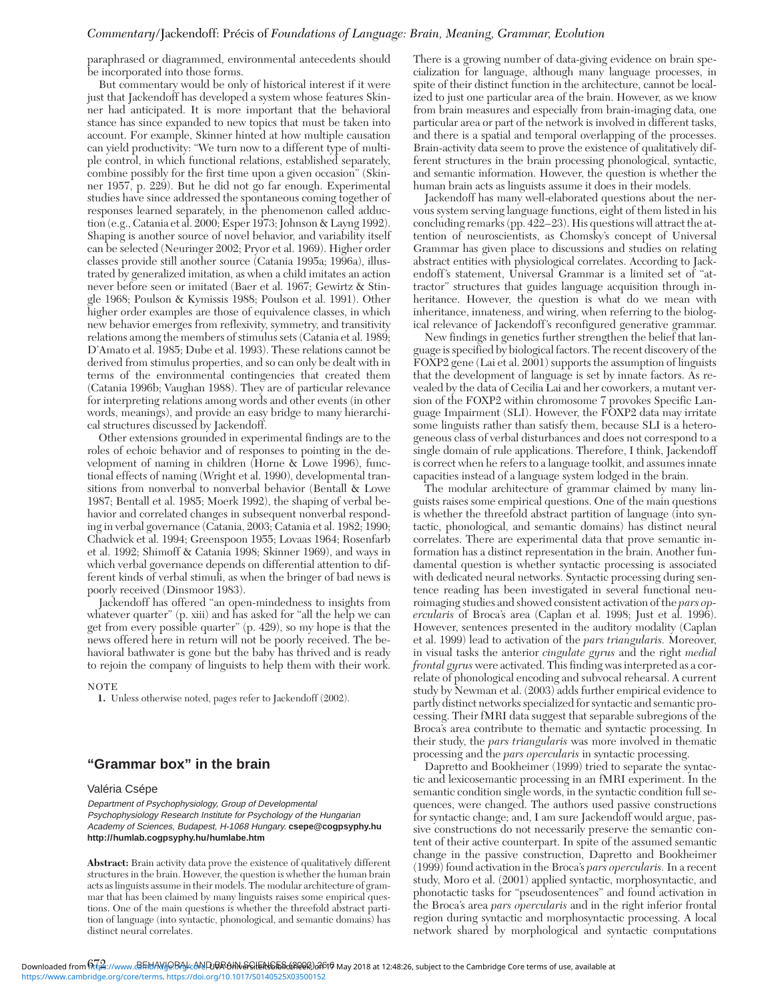paraphrased or diagrammed, environmental antecedents should be incorporated into those forms.

But commentary would be only of historical interest if it were just that Jackendoff has developed a system whose features Skinner had anticipated. It is more important that the behavioral stance has since expanded to new topics that must be taken into account. For example, Skinner hinted at how multiple causation can yield productivity: "We turn now to a different type of multiple control, in which functional relations, established separately, combine possibly for the first time upon a given occasion" (Skinner 1957, p. 229). But he did not go far enough. Experimental studies have since addressed the spontaneous coming together of responses learned separately, in the phenomenon called adduction (e.g., Catania et al. 2000; Esper 1973; Johnson & Layng 1992). Shaping is another source of novel behavior, and variability itself can be selected (Neuringer 2002; Pryor et al. 1969). Higher order classes provide still another source (Catania 1995a; 1996a), illustrated by generalized imitation, as when a child imitates an action never before seen or imitated (Baer et al. 1967; Gewirtz & Stingle 1968; Poulson & Kymissis 1988; Poulson et al. 1991). Other higher order examples are those of equivalence classes, in which new behavior emerges from reflexivity, symmetry, and transitivity relations among the members of stimulus sets (Catania et al. 1989; D'Amato et al. 1985; Dube et al. 1993). These relations cannot be derived from stimulus properties, and so can only be dealt with in terms of the environmental contingencies that created them (Catania 1996b; Vaughan 1988). They are of particular relevance for interpreting relations among words and other events (in other words, meanings), and provide an easy bridge to many hierarchical structures discussed by Jackendoff.

Other extensions grounded in experimental findings are to the roles of echoic behavior and of responses to pointing in the development of naming in children (Horne & Lowe 1996), functional effects of naming (Wright et al. 1990), developmental transitions from nonverbal to nonverbal behavior (Bentall & Lowe 1987; Bentall et al. 1985; Moerk 1992), the shaping of verbal behavior and correlated changes in subsequent nonverbal responding in verbal governance (Catania, 2003; Catania et al. 1982; 1990; Chadwick et al. 1994; Greenspoon 1955; Lovaas 1964; Rosenfarb et al. 1992; Shimoff & Catania 1998; Skinner 1969), and ways in which verbal governance depends on differential attention to different kinds of verbal stimuli, as when the bringer of bad news is poorly received (Dinsmoor 1983).

Jackendoff has offered "an open-mindedness to insights from whatever quarter" (p. xiii) and has asked for "all the help we can get from every possible quarter" (p. 429), so my hope is that the news offered here in return will not be poorly received. The behavioral bathwater is gone but the baby has thrived and is ready to rejoin the company of linguists to help them with their work.

#### **NOTE**

**1.** Unless otherwise noted, pages refer to Jackendoff (2002).

## **"Grammar box" in the brain**

#### Valéria Csépe

Department of Psychophysiology, Group of Developmental Psychophysiology Research Institute for Psychology of the Hungarian Academy of Sciences, Budapest, H-1068 Hungary. **csepe@cogpsyphy.hu http://humlab.cogpsyphy.hu/humlabe.htm**

**Abstract:** Brain activity data prove the existence of qualitatively different structures in the brain. However, the question is whether the human brain acts as linguists assume in their models. The modular architecture of grammar that has been claimed by many linguists raises some empirical questions. One of the main questions is whether the threefold abstract partition of language (into syntactic, phonological, and semantic domains) has distinct neural correlates.

There is a growing number of data-giving evidence on brain specialization for language, although many language processes, in spite of their distinct function in the architecture, cannot be localized to just one particular area of the brain. However, as we know from brain measures and especially from brain-imaging data, one particular area or part of the network is involved in different tasks, and there is a spatial and temporal overlapping of the processes. Brain-activity data seem to prove the existence of qualitatively different structures in the brain processing phonological, syntactic, and semantic information. However, the question is whether the human brain acts as linguists assume it does in their models.

Jackendoff has many well-elaborated questions about the nervous system serving language functions, eight of them listed in his concluding remarks (pp. 422–23). His questions will attract the attention of neuroscientists, as Chomsky's concept of Universal Grammar has given place to discussions and studies on relating abstract entities with physiological correlates. According to Jackendoff's statement, Universal Grammar is a limited set of "attractor" structures that guides language acquisition through inheritance. However, the question is what do we mean with inheritance, innateness, and wiring, when referring to the biological relevance of Jackendoff's reconfigured generative grammar.

New findings in genetics further strengthen the belief that language is specified by biological factors. The recent discovery of the FOXP2 gene (Lai et al. 2001) supports the assumption of linguists that the development of language is set by innate factors. As revealed by the data of Cecilia Lai and her coworkers, a mutant version of the FOXP2 within chromosome 7 provokes Specific Language Impairment (SLI). However, the FOXP2 data may irritate some linguists rather than satisfy them, because SLI is a heterogeneous class of verbal disturbances and does not correspond to a single domain of rule applications. Therefore, I think, Jackendoff is correct when he refers to a language toolkit, and assumes innate capacities instead of a language system lodged in the brain.

The modular architecture of grammar claimed by many linguists raises some empirical questions. One of the main questions is whether the threefold abstract partition of language (into syntactic, phonological, and semantic domains) has distinct neural correlates. There are experimental data that prove semantic information has a distinct representation in the brain. Another fundamental question is whether syntactic processing is associated with dedicated neural networks. Syntactic processing during sentence reading has been investigated in several functional neuroimaging studies and showed consistent activation of the *pars opercularis* of Broca's area (Caplan et al. 1998; Just et al. 1996). However, sentences presented in the auditory modality (Caplan et al. 1999) lead to activation of the *pars triangularis.* Moreover, in visual tasks the anterior *cingulate gyrus* and the right *medial frontal gyrus* were activated. This finding was interpreted as a correlate of phonological encoding and subvocal rehearsal. A current study by Newman et al. (2003) adds further empirical evidence to partly distinct networks specialized for syntactic and semantic processing. Their fMRI data suggest that separable subregions of the Broca's area contribute to thematic and syntactic processing. In their study, the *pars triangularis* was more involved in thematic processing and the *pars opercularis* in syntactic processing.

Dapretto and Bookheimer (1999) tried to separate the syntactic and lexicosemantic processing in an fMRI experiment. In the semantic condition single words, in the syntactic condition full sequences, were changed. The authors used passive constructions for syntactic change; and, I am sure Jackendoff would argue, passive constructions do not necessarily preserve the semantic content of their active counterpart. In spite of the assumed semantic change in the passive construction, Dapretto and Bookheimer (1999) found activation in the Broca's *pars opercularis.*In a recent study, Moro et al. (2001) applied syntactic, morphosyntactic, and phonotactic tasks for "pseudosentences" and found activation in the Broca's area *pars opercularis* and in the right inferior frontal region during syntactic and morphosyntactic processing. A local network shared by morphological and syntactic computations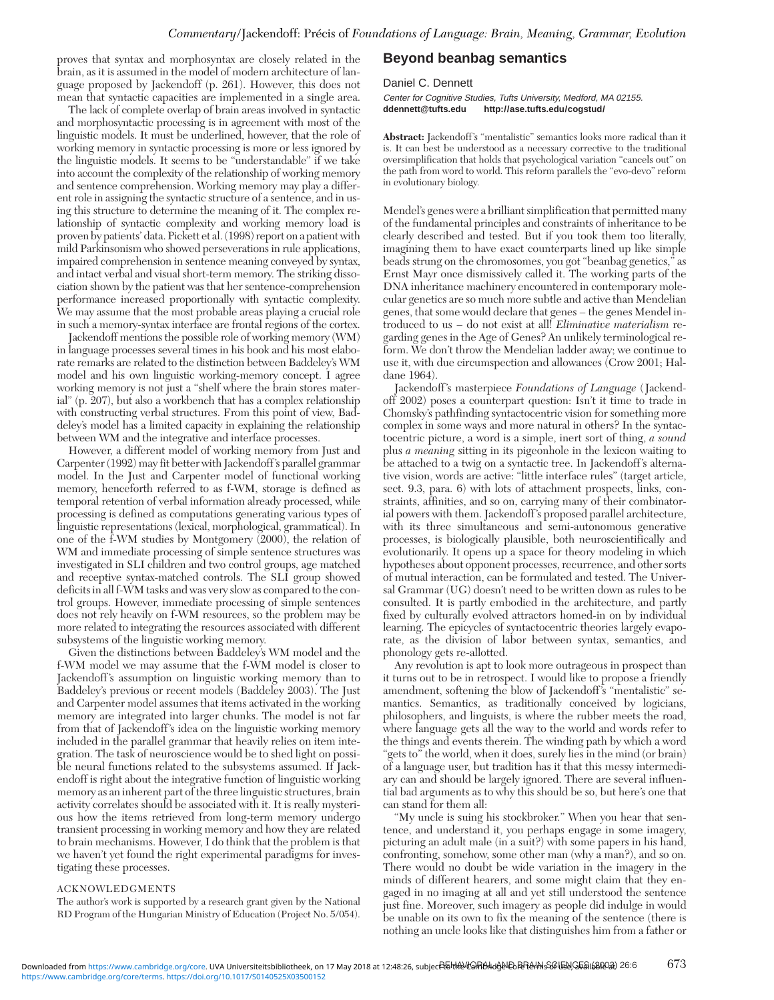proves that syntax and morphosyntax are closely related in the brain, as it is assumed in the model of modern architecture of language proposed by Jackendoff (p. 261). However, this does not mean that syntactic capacities are implemented in a single area.

The lack of complete overlap of brain areas involved in syntactic and morphosyntactic processing is in agreement with most of the linguistic models. It must be underlined, however, that the role of working memory in syntactic processing is more or less ignored by the linguistic models. It seems to be "understandable" if we take into account the complexity of the relationship of working memory and sentence comprehension. Working memory may play a different role in assigning the syntactic structure of a sentence, and in using this structure to determine the meaning of it. The complex relationship of syntactic complexity and working memory load is proven by patients' data. Pickett et al. (1998) report on a patient with mild Parkinsonism who showed perseverations in rule applications, impaired comprehension in sentence meaning conveyed by syntax, and intact verbal and visual short-term memory. The striking dissociation shown by the patient was that her sentence-comprehension performance increased proportionally with syntactic complexity. We may assume that the most probable areas playing a crucial role in such a memory-syntax interface are frontal regions of the cortex.

Jackendoff mentions the possible role of working memory (WM) in language processes several times in his book and his most elaborate remarks are related to the distinction between Baddeley's WM model and his own linguistic working-memory concept. I agree working memory is not just a "shelf where the brain stores material" (p. 207), but also a workbench that has a complex relationship with constructing verbal structures. From this point of view, Baddeley's model has a limited capacity in explaining the relationship between WM and the integrative and interface processes.

However, a different model of working memory from Just and Carpenter (1992) may fit better with Jackendoff's parallel grammar model. In the Just and Carpenter model of functional working memory, henceforth referred to as f-WM, storage is defined as temporal retention of verbal information already processed, while processing is defined as computations generating various types of linguistic representations (lexical, morphological, grammatical). In one of the f-WM studies by Montgomery (2000), the relation of WM and immediate processing of simple sentence structures was investigated in SLI children and two control groups, age matched and receptive syntax-matched controls. The SLI group showed deficits in all f-WM tasks and was very slow as compared to the control groups. However, immediate processing of simple sentences does not rely heavily on f-WM resources, so the problem may be more related to integrating the resources associated with different subsystems of the linguistic working memory.

Given the distinctions between Baddeley's WM model and the f-WM model we may assume that the f-WM model is closer to Jackendoff's assumption on linguistic working memory than to Baddeley's previous or recent models (Baddeley 2003). The Just and Carpenter model assumes that items activated in the working memory are integrated into larger chunks. The model is not far from that of Jackendoff's idea on the linguistic working memory included in the parallel grammar that heavily relies on item integration. The task of neuroscience would be to shed light on possible neural functions related to the subsystems assumed. If Jackendoff is right about the integrative function of linguistic working memory as an inherent part of the three linguistic structures, brain activity correlates should be associated with it. It is really mysterious how the items retrieved from long-term memory undergo transient processing in working memory and how they are related to brain mechanisms. However, I do think that the problem is that we haven't yet found the right experimental paradigms for investigating these processes.

#### ACKNOWLEDGMENTS

The author's work is supported by a research grant given by the National RD Program of the Hungarian Ministry of Education (Project No. 5/054).

## **Beyond beanbag semantics**

Daniel C. Dennett

Center for Cognitive Studies, Tufts University, Medford, MA 02155. **ddennett@tufts.edu http://ase.tufts.edu/cogstud/**

**Abstract:** Jackendoff's "mentalistic" semantics looks more radical than it is. It can best be understood as a necessary corrective to the traditional oversimplification that holds that psychological variation "cancels out" on the path from word to world. This reform parallels the "evo-devo" reform in evolutionary biology.

Mendel's genes were a brilliant simplification that permitted many of the fundamental principles and constraints of inheritance to be clearly described and tested. But if you took them too literally, imagining them to have exact counterparts lined up like simple beads strung on the chromosomes, you got "beanbag genetics," as Ernst Mayr once dismissively called it. The working parts of the DNA inheritance machinery encountered in contemporary molecular genetics are so much more subtle and active than Mendelian genes, that some would declare that genes – the genes Mendel introduced to us – do not exist at all! *Eliminative materialism* regarding genes in the Age of Genes? An unlikely terminological reform. We don't throw the Mendelian ladder away; we continue to use it, with due circumspection and allowances (Crow 2001; Haldane 1964).

Jackendoff's masterpiece *Foundations of Language* (Jackendoff 2002) poses a counterpart question: Isn't it time to trade in Chomsky's pathfinding syntactocentric vision for something more complex in some ways and more natural in others? In the syntactocentric picture, a word is a simple, inert sort of thing, *a sound* plus *a meaning* sitting in its pigeonhole in the lexicon waiting to be attached to a twig on a syntactic tree. In Jackendoff's alternative vision, words are active: "little interface rules" (target article, sect. 9.3, para. 6) with lots of attachment prospects, links, constraints, affinities, and so on, carrying many of their combinatorial powers with them. Jackendoff's proposed parallel architecture, with its three simultaneous and semi-autonomous generative processes, is biologically plausible, both neuroscientifically and evolutionarily. It opens up a space for theory modeling in which hypotheses about opponent processes, recurrence, and other sorts of mutual interaction, can be formulated and tested. The Universal Grammar (UG) doesn't need to be written down as rules to be consulted. It is partly embodied in the architecture, and partly fixed by culturally evolved attractors homed-in on by individual learning. The epicycles of syntactocentric theories largely evaporate, as the division of labor between syntax, semantics, and phonology gets re-allotted.

Any revolution is apt to look more outrageous in prospect than it turns out to be in retrospect. I would like to propose a friendly amendment, softening the blow of Jackendoff's "mentalistic" semantics. Semantics, as traditionally conceived by logicians, philosophers, and linguists, is where the rubber meets the road, where language gets all the way to the world and words refer to the things and events therein. The winding path by which a word "gets to" the world, when it does, surely lies in the mind (or brain) of a language user, but tradition has it that this messy intermediary can and should be largely ignored. There are several influential bad arguments as to why this should be so, but here's one that can stand for them all:

"My uncle is suing his stockbroker." When you hear that sentence, and understand it, you perhaps engage in some imagery, picturing an adult male (in a suit?) with some papers in his hand, confronting, somehow, some other man (why a man?), and so on. There would no doubt be wide variation in the imagery in the minds of different hearers, and some might claim that they engaged in no imaging at all and yet still understood the sentence just fine. Moreover, such imagery as people did indulge in would be unable on its own to fix the meaning of the sentence (there is nothing an uncle looks like that distinguishes him from a father or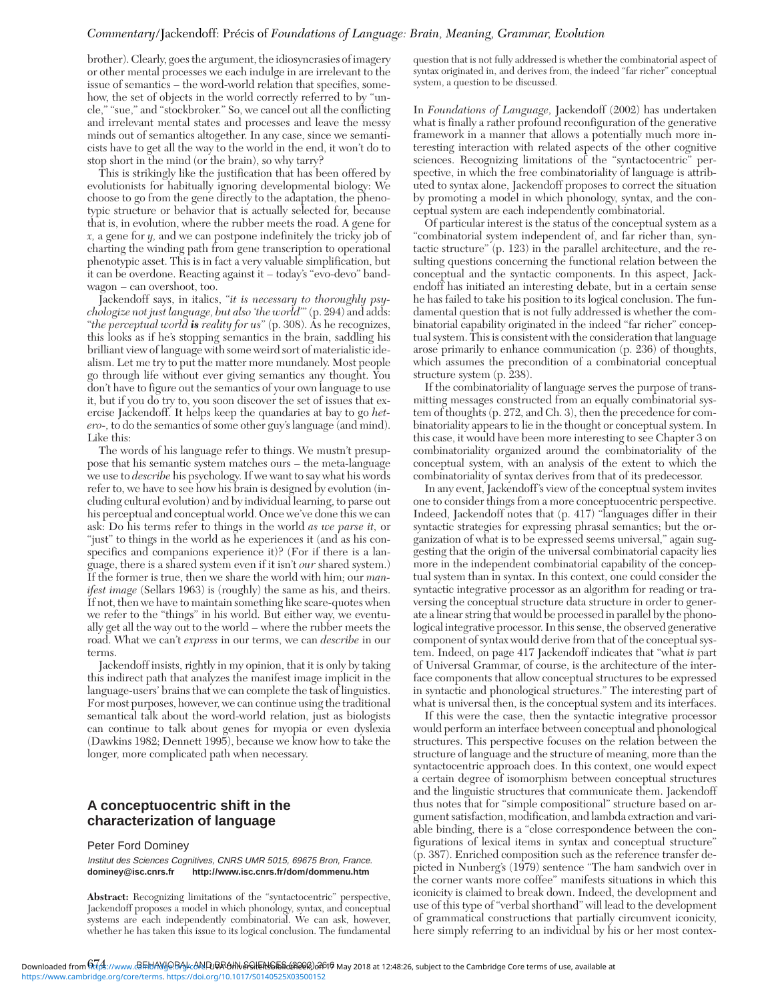brother). Clearly, goes the argument, the idiosyncrasies of imagery or other mental processes we each indulge in are irrelevant to the issue of semantics – the word-world relation that specifies, somehow, the set of objects in the world correctly referred to by "uncle," "sue," and "stockbroker." So, we cancel out all the conflicting and irrelevant mental states and processes and leave the messy minds out of semantics altogether. In any case, since we semanticists have to get all the way to the world in the end, it won't do to stop short in the mind (or the brain), so why tarry?

This is strikingly like the justification that has been offered by evolutionists for habitually ignoring developmental biology: We choose to go from the gene directly to the adaptation, the phenotypic structure or behavior that is actually selected for, because that is, in evolution, where the rubber meets the road. A gene for  $x$ , a gene for  $y$ , and we can postpone indefinitely the tricky job of charting the winding path from gene transcription to operational phenotypic asset. This is in fact a very valuable simplification, but it can be overdone. Reacting against it – today's "evo-devo" bandwagon – can overshoot, too.

Jackendoff says, in italics, "*it is necessary to thoroughly psychologize not just language, but also 'the world'*" (p. 294) and adds: "*the perceptual world is reality for us*" (p. 308). As he recognizes, this looks as if he's stopping semantics in the brain, saddling his brilliant view of language with some weird sort of materialistic idealism. Let me try to put the matter more mundanely. Most people go through life without ever giving semantics any thought. You don't have to figure out the semantics of your own language to use it, but if you do try to, you soon discover the set of issues that exercise Jackendoff. It helps keep the quandaries at bay to go *hetero-,* to do the semantics of some other guy's language (and mind). Like this:

The words of his language refer to things. We mustn't presuppose that his semantic system matches ours – the meta-language we use to *describe* his psychology. If we want to say what his words refer to, we have to see how his brain is designed by evolution (including cultural evolution) and by individual learning, to parse out his perceptual and conceptual world. Once we've done this we can ask: Do his terms refer to things in the world *as we parse it,* or "just" to things in the world as he experiences it (and as his conspecifics and companions experience it)? (For if there is a language, there is a shared system even if it isn't *our* shared system.) If the former is true, then we share the world with him; our *manifest image* (Sellars 1963) is (roughly) the same as his, and theirs. If not, then we have to maintain something like scare-quotes when we refer to the "things" in his world. But either way, we eventually get all the way out to the world – where the rubber meets the road. What we can't *express* in our terms, we can *describe* in our terms.

Jackendoff insists, rightly in my opinion, that it is only by taking this indirect path that analyzes the manifest image implicit in the language-users' brains that we can complete the task of linguistics. For most purposes, however, we can continue using the traditional semantical talk about the word-world relation, just as biologists can continue to talk about genes for myopia or even dyslexia (Dawkins 1982; Dennett 1995), because we know how to take the longer, more complicated path when necessary.

## **A conceptuocentric shift in the characterization of language**

#### Peter Ford Dominey

Institut des Sciences Cognitives, CNRS UMR 5015, 69675 Bron, France. **dominey@isc.cnrs.fr http://www.isc.cnrs.fr/dom/dommenu.htm**

**Abstract:** Recognizing limitations of the "syntactocentric" perspective, Jackendoff proposes a model in which phonology, syntax, and conceptual systems are each independently combinatorial. We can ask, however, whether he has taken this issue to its logical conclusion. The fundamental question that is not fully addressed is whether the combinatorial aspect of syntax originated in, and derives from, the indeed "far richer" conceptual system, a question to be discussed.

In *Foundations of Language,* Jackendoff (2002) has undertaken what is finally a rather profound reconfiguration of the generative framework in a manner that allows a potentially much more interesting interaction with related aspects of the other cognitive sciences. Recognizing limitations of the "syntactocentric" perspective, in which the free combinatoriality of language is attributed to syntax alone, Jackendoff proposes to correct the situation by promoting a model in which phonology, syntax, and the conceptual system are each independently combinatorial.

Of particular interest is the status of the conceptual system as a "combinatorial system independent of, and far richer than, syntactic structure" (p. 123) in the parallel architecture, and the resulting questions concerning the functional relation between the conceptual and the syntactic components. In this aspect, Jackendoff has initiated an interesting debate, but in a certain sense he has failed to take his position to its logical conclusion. The fundamental question that is not fully addressed is whether the combinatorial capability originated in the indeed "far richer" conceptual system. This is consistent with the consideration that language arose primarily to enhance communication (p. 236) of thoughts, which assumes the precondition of a combinatorial conceptual structure system (p. 238).

If the combinatoriality of language serves the purpose of transmitting messages constructed from an equally combinatorial system of thoughts (p. 272, and Ch. 3), then the precedence for combinatoriality appears to lie in the thought or conceptual system. In this case, it would have been more interesting to see Chapter 3 on combinatoriality organized around the combinatoriality of the conceptual system, with an analysis of the extent to which the combinatoriality of syntax derives from that of its predecessor.

In any event, Jackendoff's view of the conceptual system invites one to consider things from a more conceptuocentric perspective. Indeed, Jackendoff notes that (p. 417) "languages differ in their syntactic strategies for expressing phrasal semantics; but the organization of what is to be expressed seems universal," again suggesting that the origin of the universal combinatorial capacity lies more in the independent combinatorial capability of the conceptual system than in syntax. In this context, one could consider the syntactic integrative processor as an algorithm for reading or traversing the conceptual structure data structure in order to generate a linear string that would be processed in parallel by the phonological integrative processor. In this sense, the observed generative component of syntax would derive from that of the conceptual system. Indeed, on page 417 Jackendoff indicates that "what *is* part of Universal Grammar, of course, is the architecture of the interface components that allow conceptual structures to be expressed in syntactic and phonological structures." The interesting part of what is universal then, is the conceptual system and its interfaces.

If this were the case, then the syntactic integrative processor would perform an interface between conceptual and phonological structures. This perspective focuses on the relation between the structure of language and the structure of meaning, more than the syntactocentric approach does. In this context, one would expect a certain degree of isomorphism between conceptual structures and the linguistic structures that communicate them. Jackendoff thus notes that for "simple compositional" structure based on argument satisfaction, modification, and lambda extraction and variable binding, there is a "close correspondence between the configurations of lexical items in syntax and conceptual structure" (p. 387). Enriched composition such as the reference transfer depicted in Nunberg's (1979) sentence "The ham sandwich over in the corner wants more coffee" manifests situations in which this iconicity is claimed to break down. Indeed, the development and use of this type of "verbal shorthand" will lead to the development of grammatical constructions that partially circumvent iconicity, here simply referring to an individual by his or her most contex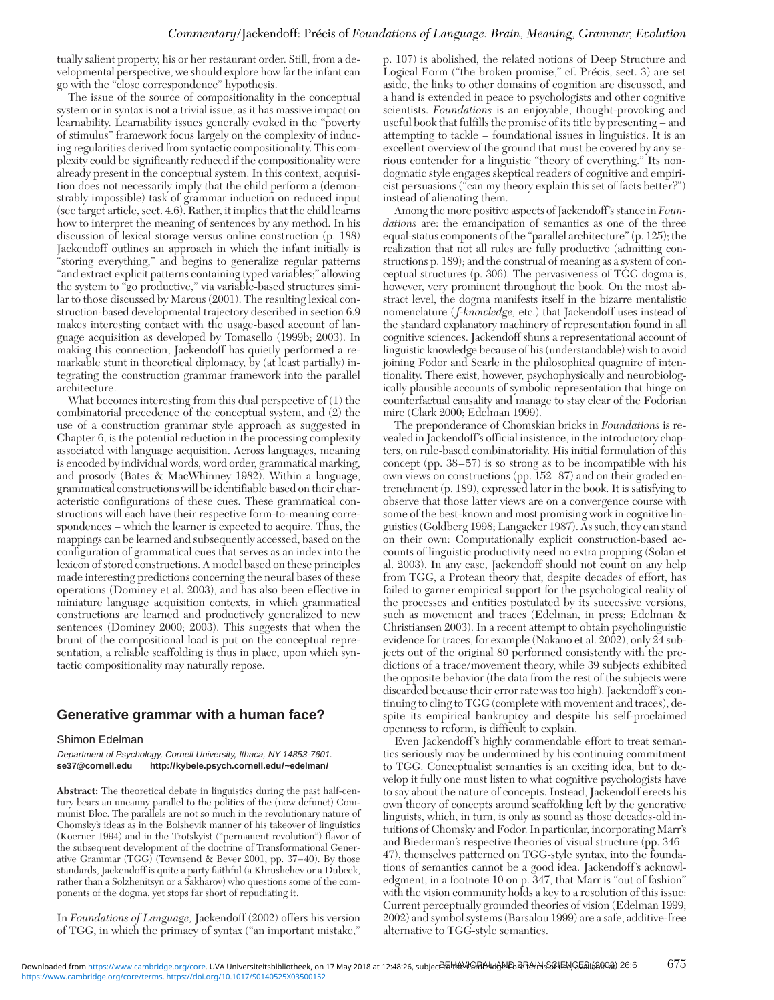tually salient property, his or her restaurant order. Still, from a developmental perspective, we should explore how far the infant can go with the "close correspondence" hypothesis.

The issue of the source of compositionality in the conceptual system or in syntax is not a trivial issue, as it has massive impact on learnability. Learnability issues generally evoked in the "poverty of stimulus" framework focus largely on the complexity of inducing regularities derived from syntactic compositionality. This complexity could be significantly reduced if the compositionality were already present in the conceptual system. In this context, acquisition does not necessarily imply that the child perform a (demonstrably impossible) task of grammar induction on reduced input (see target article, sect. 4.6). Rather, it implies that the child learns how to interpret the meaning of sentences by any method. In his discussion of lexical storage versus online construction (p. 188) Jackendoff outlines an approach in which the infant initially is "storing everything," and begins to generalize regular patterns "and extract explicit patterns containing typed variables;" allowing the system to "go productive," via variable-based structures similar to those discussed by Marcus (2001). The resulting lexical construction-based developmental trajectory described in section 6.9 makes interesting contact with the usage-based account of language acquisition as developed by Tomasello (1999b; 2003). In making this connection, Jackendoff has quietly performed a remarkable stunt in theoretical diplomacy, by (at least partially) integrating the construction grammar framework into the parallel architecture.

What becomes interesting from this dual perspective of (1) the combinatorial precedence of the conceptual system, and (2) the use of a construction grammar style approach as suggested in Chapter 6, is the potential reduction in the processing complexity associated with language acquisition. Across languages, meaning is encoded by individual words, word order, grammatical marking, and prosody (Bates & MacWhinney 1982). Within a language, grammatical constructions will be identifiable based on their characteristic configurations of these cues. These grammatical constructions will each have their respective form-to-meaning correspondences – which the learner is expected to acquire. Thus, the mappings can be learned and subsequently accessed, based on the configuration of grammatical cues that serves as an index into the lexicon of stored constructions. A model based on these principles made interesting predictions concerning the neural bases of these operations (Dominey et al. 2003), and has also been effective in miniature language acquisition contexts, in which grammatical constructions are learned and productively generalized to new sentences (Dominey 2000; 2003). This suggests that when the brunt of the compositional load is put on the conceptual representation, a reliable scaffolding is thus in place, upon which syntactic compositionality may naturally repose.

## **Generative grammar with a human face?**

#### Shimon Edelman

Department of Psychology, Cornell University, Ithaca, NY 14853-7601. **se37@cornell.edu http://kybele.psych.cornell.edu/~edelman/**

**Abstract:** The theoretical debate in linguistics during the past half-century bears an uncanny parallel to the politics of the (now defunct) Communist Bloc. The parallels are not so much in the revolutionary nature of Chomsky's ideas as in the Bolshevik manner of his takeover of linguistics (Koerner 1994) and in the Trotskyist ("permanent revolution") flavor of the subsequent development of the doctrine of Transformational Generative Grammar (TGG) (Townsend & Bever 2001, pp. 37–40). By those standards, Jackendoff is quite a party faithful (a Khrushchev or a Dubcek, rather than a Solzhenitsyn or a Sakharov) who questions some of the components of the dogma, yet stops far short of repudiating it.

In *Foundations of Language,* Jackendoff (2002) offers his version of TGG, in which the primacy of syntax ("an important mistake,"

p. 107) is abolished, the related notions of Deep Structure and Logical Form ("the broken promise," cf. Précis, sect. 3) are set aside, the links to other domains of cognition are discussed, and a hand is extended in peace to psychologists and other cognitive scientists. *Foundations* is an enjoyable, thought-provoking and useful book that fulfills the promise of its title by presenting – and attempting to tackle – foundational issues in linguistics. It is an excellent overview of the ground that must be covered by any serious contender for a linguistic "theory of everything." Its nondogmatic style engages skeptical readers of cognitive and empiricist persuasions ("can my theory explain this set of facts better?") instead of alienating them.

Among the more positive aspects of Jackendoff's stance in *Foundations* are: the emancipation of semantics as one of the three equal-status components of the "parallel architecture" (p. 125); the realization that not all rules are fully productive (admitting constructions p. 189); and the construal of meaning as a system of conceptual structures (p. 306). The pervasiveness of TGG dogma is, however, very prominent throughout the book. On the most abstract level, the dogma manifests itself in the bizarre mentalistic nomenclature (*f-knowledge*, etc.) that Jackendoff uses instead of the standard explanatory machinery of representation found in all cognitive sciences. Jackendoff shuns a representational account of linguistic knowledge because of his (understandable) wish to avoid joining Fodor and Searle in the philosophical quagmire of intentionality. There exist, however, psychophysically and neurobiologically plausible accounts of symbolic representation that hinge on counterfactual causality and manage to stay clear of the Fodorian mire (Clark 2000; Edelman 1999).

The preponderance of Chomskian bricks in *Foundations* is revealed in Jackendoff's official insistence, in the introductory chapters, on rule-based combinatoriality. His initial formulation of this concept (pp. 38–57) is so strong as to be incompatible with his own views on constructions (pp. 152–87) and on their graded entrenchment (p. 189), expressed later in the book. It is satisfying to observe that those latter views are on a convergence course with some of the best-known and most promising work in cognitive linguistics (Goldberg 1998; Langacker 1987). As such, they can stand on their own: Computationally explicit construction-based accounts of linguistic productivity need no extra propping (Solan et al. 2003). In any case, Jackendoff should not count on any help from TGG, a Protean theory that, despite decades of effort, has failed to garner empirical support for the psychological reality of the processes and entities postulated by its successive versions, such as movement and traces (Edelman, in press; Edelman & Christiansen 2003). In a recent attempt to obtain psycholinguistic evidence for traces, for example (Nakano et al. 2002), only 24 subjects out of the original 80 performed consistently with the predictions of a trace/movement theory, while 39 subjects exhibited the opposite behavior (the data from the rest of the subjects were discarded because their error rate was too high). Jackendoff's continuing to cling to TGG (complete with movement and traces), despite its empirical bankruptcy and despite his self-proclaimed openness to reform, is difficult to explain.

Even Jackendoff's highly commendable effort to treat semantics seriously may be undermined by his continuing commitment to TGG. Conceptualist semantics is an exciting idea, but to develop it fully one must listen to what cognitive psychologists have to say about the nature of concepts. Instead, Jackendoff erects his own theory of concepts around scaffolding left by the generative linguists, which, in turn, is only as sound as those decades-old intuitions of Chomsky and Fodor. In particular, incorporating Marr's and Biederman's respective theories of visual structure (pp. 346– 47), themselves patterned on TGG-style syntax, into the foundations of semantics cannot be a good idea. Jackendoff's acknowledgment, in a footnote 10 on p. 347, that Marr is "out of fashion" with the vision community holds a key to a resolution of this issue: Current perceptually grounded theories of vision (Edelman 1999; 2002) and symbol systems (Barsalou 1999) are a safe, additive-free alternative to TGG-style semantics.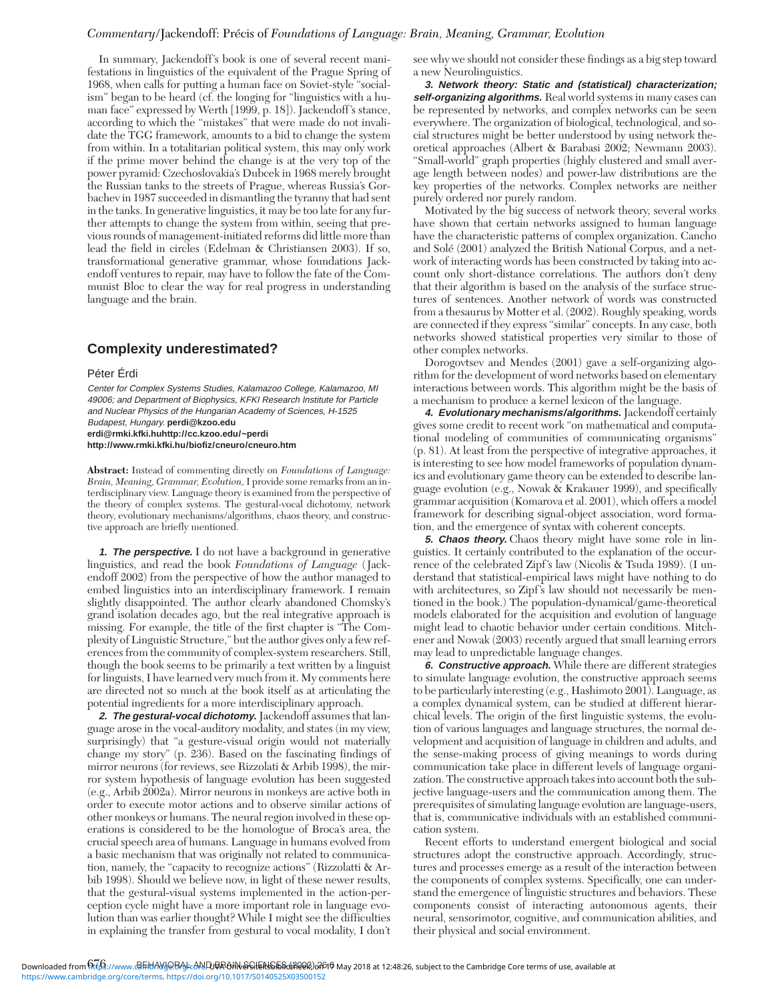In summary, Jackendoff's book is one of several recent manifestations in linguistics of the equivalent of the Prague Spring of 1968, when calls for putting a human face on Soviet-style "socialism" began to be heard (cf. the longing for "linguistics with a human face" expressed by Werth [1999, p. 18]). Jackendoff's stance, according to which the "mistakes" that were made do not invalidate the TGG framework, amounts to a bid to change the system from within. In a totalitarian political system, this may only work if the prime mover behind the change is at the very top of the power pyramid: Czechoslovakia's Dubcek in 1968 merely brought the Russian tanks to the streets of Prague, whereas Russia's Gorbachev in 1987 succeeded in dismantling the tyranny that had sent in the tanks. In generative linguistics, it may be too late for any further attempts to change the system from within, seeing that previous rounds of management-initiated reforms did little more than lead the field in circles (Edelman & Christiansen 2003). If so, transformational generative grammar, whose foundations Jackendoff ventures to repair, may have to follow the fate of the Communist Bloc to clear the way for real progress in understanding language and the brain.

## **Complexity underestimated?**

#### Péter Érdi

Center for Complex Systems Studies, Kalamazoo College, Kalamazoo, MI 49006; and Department of Biophysics, KFKI Research Institute for Particle and Nuclear Physics of the Hungarian Academy of Sciences, H-1525 Budapest, Hungary. **perdi@kzoo.edu erdi@rmki.kfki.huhttp://cc.kzoo.edu/~perdi http://www.rmki.kfki.hu/biofiz/cneuro/cneuro.htm**

**Abstract:** Instead of commenting directly on *Foundations of Language: Brain, Meaning, Grammar, Evolution,*I provide some remarks from an interdisciplinary view. Language theory is examined from the perspective of the theory of complex systems. The gestural-vocal dichotomy, network theory, evolutionary mechanisms/algorithms, chaos theory, and constructive approach are briefly mentioned.

**1. The perspective.** I do not have a background in generative linguistics, and read the book *Foundations of Language* (Jackendoff 2002) from the perspective of how the author managed to embed linguistics into an interdisciplinary framework. I remain slightly disappointed. The author clearly abandoned Chomsky's grand isolation decades ago, but the real integrative approach is missing. For example, the title of the first chapter is "The Complexity of Linguistic Structure," but the author gives only a few references from the community of complex-system researchers. Still, though the book seems to be primarily a text written by a linguist for linguists, I have learned very much from it. My comments here are directed not so much at the book itself as at articulating the potential ingredients for a more interdisciplinary approach.

**2. The gestural-vocal dichotomy.** Jackendoff assumes that language arose in the vocal-auditory modality, and states (in my view, surprisingly) that "a gesture-visual origin would not materially change my story" (p. 236). Based on the fascinating findings of mirror neurons (for reviews, see Rizzolati & Arbib 1998), the mirror system hypothesis of language evolution has been suggested (e.g., Arbib 2002a). Mirror neurons in monkeys are active both in order to execute motor actions and to observe similar actions of other monkeys or humans. The neural region involved in these operations is considered to be the homologue of Broca's area, the crucial speech area of humans. Language in humans evolved from a basic mechanism that was originally not related to communication, namely, the "capacity to recognize actions" (Rizzolatti & Arbib 1998). Should we believe now, in light of these newer results, that the gestural-visual systems implemented in the action-perception cycle might have a more important role in language evolution than was earlier thought? While I might see the difficulties in explaining the transfer from gestural to vocal modality, I don't see why we should not consider these findings as a big step toward a new Neurolinguistics.

**3. Network theory: Static and (statistical) characterization; self-organizing algorithms.** Real world systems in many cases can be represented by networks, and complex networks can be seen everywhere. The organization of biological, technological, and social structures might be better understood by using network theoretical approaches (Albert & Barabasi 2002; Newmann 2003). "Small-world" graph properties (highly clustered and small average length between nodes) and power-law distributions are the key properties of the networks. Complex networks are neither purely ordered nor purely random.

Motivated by the big success of network theory, several works have shown that certain networks assigned to human language have the characteristic patterns of complex organization. Cancho and Solé (2001) analyzed the British National Corpus, and a network of interacting words has been constructed by taking into account only short-distance correlations. The authors don't deny that their algorithm is based on the analysis of the surface structures of sentences. Another network of words was constructed from a thesaurus by Motter et al. (2002). Roughly speaking, words are connected if they express "similar" concepts. In any case, both networks showed statistical properties very similar to those of other complex networks.

Dorogovtsev and Mendes (2001) gave a self-organizing algorithm for the development of word networks based on elementary interactions between words. This algorithm might be the basis of a mechanism to produce a kernel lexicon of the language.

**4. Evolutionary mechanisms/algorithms.** Jackendoff certainly gives some credit to recent work "on mathematical and computational modeling of communities of communicating organisms" (p. 81). At least from the perspective of integrative approaches, it is interesting to see how model frameworks of population dynamics and evolutionary game theory can be extended to describe language evolution (e.g., Nowak & Krakauer 1999), and specifically grammar acquisition (Komarova et al. 2001), which offers a model framework for describing signal-object association, word formation, and the emergence of syntax with coherent concepts.

**5. Chaos theory.** Chaos theory might have some role in linguistics. It certainly contributed to the explanation of the occurrence of the celebrated Zipf's law (Nicolis & Tsuda 1989). (I understand that statistical-empirical laws might have nothing to do with architectures, so Zipf's law should not necessarily be mentioned in the book.) The population-dynamical/game-theoretical models elaborated for the acquisition and evolution of language might lead to chaotic behavior under certain conditions. Mitchener and Nowak (2003) recently argued that small learning errors may lead to unpredictable language changes.

**6. Constructive approach.** While there are different strategies to simulate language evolution, the constructive approach seems to be particularly interesting (e.g., Hashimoto 2001). Language, as a complex dynamical system, can be studied at different hierarchical levels. The origin of the first linguistic systems, the evolution of various languages and language structures, the normal development and acquisition of language in children and adults, and the sense-making process of giving meanings to words during communication take place in different levels of language organization. The constructive approach takes into account both the subjective language-users and the communication among them. The prerequisites of simulating language evolution are language-users, that is, communicative individuals with an established communication system.

Recent efforts to understand emergent biological and social structures adopt the constructive approach. Accordingly, structures and processes emerge as a result of the interaction between the components of complex systems. Specifically, one can understand the emergence of linguistic structures and behaviors. These components consist of interacting autonomous agents, their neural, sensorimotor, cognitive, and communication abilities, and their physical and social environment.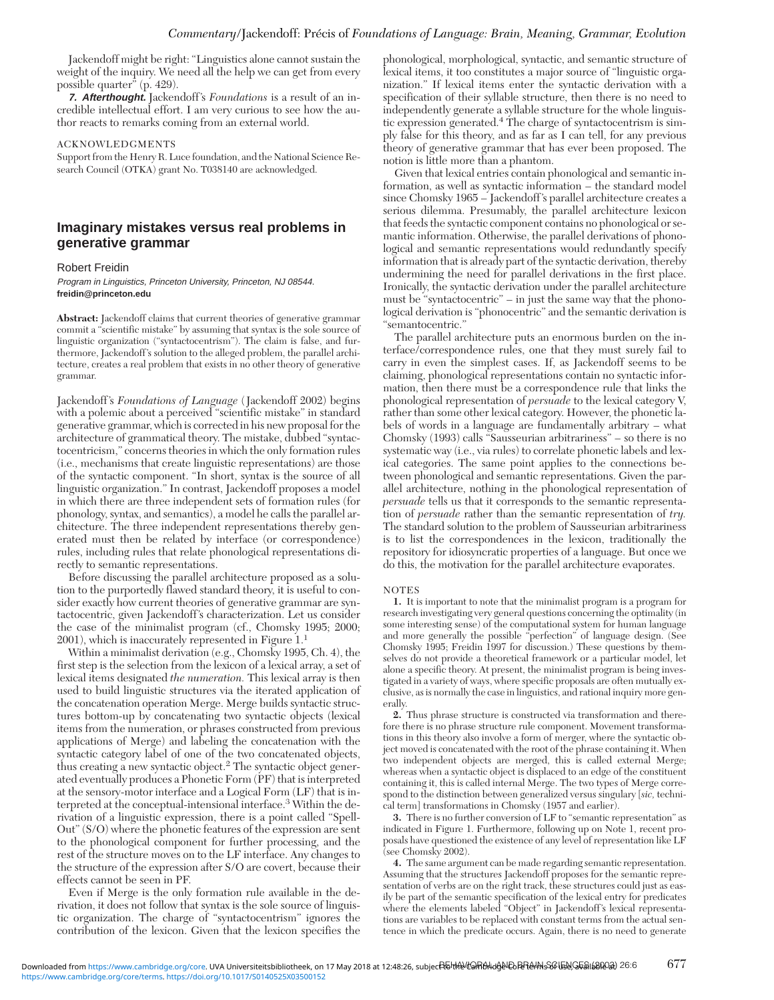Jackendoff might be right: "Linguistics alone cannot sustain the weight of the inquiry. We need all the help we can get from every possible quarter" (p. 429).

**7. Afterthought.** Jackendoff's *Foundations* is a result of an incredible intellectual effort. I am very curious to see how the author reacts to remarks coming from an external world.

#### ACKNOWLEDGMENTS

Support from the Henry R. Luce foundation, and the National Science Research Council (OTKA) grant No. T038140 are acknowledged.

## **Imaginary mistakes versus real problems in generative grammar**

#### Robert Freidin

Program in Linguistics, Princeton University, Princeton, NJ 08544. **freidin@princeton.edu**

**Abstract:** Jackendoff claims that current theories of generative grammar commit a "scientific mistake" by assuming that syntax is the sole source of linguistic organization ("syntactocentrism"). The claim is false, and furthermore, Jackendoff's solution to the alleged problem, the parallel architecture, creates a real problem that exists in no other theory of generative grammar.

Jackendoff's *Foundations of Language* (Jackendoff 2002) begins with a polemic about a perceived "scientific mistake" in standard generative grammar, which is corrected in his new proposal for the architecture of grammatical theory. The mistake, dubbed "syntactocentricism," concerns theories in which the only formation rules (i.e., mechanisms that create linguistic representations) are those of the syntactic component. "In short, syntax is the source of all linguistic organization." In contrast, Jackendoff proposes a model in which there are three independent sets of formation rules (for phonology, syntax, and semantics), a model he calls the parallel architecture. The three independent representations thereby generated must then be related by interface (or correspondence) rules, including rules that relate phonological representations directly to semantic representations.

Before discussing the parallel architecture proposed as a solution to the purportedly flawed standard theory, it is useful to consider exactly how current theories of generative grammar are syntactocentric, given Jackendoff's characterization. Let us consider the case of the minimalist program (cf., Chomsky 1995; 2000; 2001), which is inaccurately represented in Figure 1.1

Within a minimalist derivation (e.g., Chomsky 1995, Ch. 4), the first step is the selection from the lexicon of a lexical array, a set of lexical items designated *the numeration.* This lexical array is then used to build linguistic structures via the iterated application of the concatenation operation Merge. Merge builds syntactic structures bottom-up by concatenating two syntactic objects (lexical items from the numeration, or phrases constructed from previous applications of Merge) and labeling the concatenation with the syntactic category label of one of the two concatenated objects, thus creating a new syntactic object.<sup>2</sup> The syntactic object generated eventually produces a Phonetic Form (PF) that is interpreted at the sensory-motor interface and a Logical Form (LF) that is interpreted at the conceptual-intensional interface.3 Within the derivation of a linguistic expression, there is a point called "Spell-Out" (S/O) where the phonetic features of the expression are sent to the phonological component for further processing, and the rest of the structure moves on to the LF interface. Any changes to the structure of the expression after S/O are covert, because their effects cannot be seen in PF.

Even if Merge is the only formation rule available in the derivation, it does not follow that syntax is the sole source of linguistic organization. The charge of "syntactocentrism" ignores the contribution of the lexicon. Given that the lexicon specifies the

phonological, morphological, syntactic, and semantic structure of lexical items, it too constitutes a major source of "linguistic organization." If lexical items enter the syntactic derivation with a specification of their syllable structure, then there is no need to independently generate a syllable structure for the whole linguistic expression generated.4 The charge of syntactocentrism is simply false for this theory, and as far as I can tell, for any previous theory of generative grammar that has ever been proposed. The notion is little more than a phantom.

Given that lexical entries contain phonological and semantic information, as well as syntactic information – the standard model since Chomsky 1965 – Jackendoff's parallel architecture creates a serious dilemma. Presumably, the parallel architecture lexicon that feeds the syntactic component contains no phonological or semantic information. Otherwise, the parallel derivations of phonological and semantic representations would redundantly specify information that is already part of the syntactic derivation, thereby undermining the need for parallel derivations in the first place. Ironically, the syntactic derivation under the parallel architecture must be "syntactocentric" – in just the same way that the phonological derivation is "phonocentric" and the semantic derivation is "semantocentric."

The parallel architecture puts an enormous burden on the interface/correspondence rules, one that they must surely fail to carry in even the simplest cases. If, as Jackendoff seems to be claiming, phonological representations contain no syntactic information, then there must be a correspondence rule that links the phonological representation of *persuade* to the lexical category V, rather than some other lexical category. However, the phonetic labels of words in a language are fundamentally arbitrary – what Chomsky (1993) calls "Sausseurian arbitrariness" – so there is no systematic way (i.e., via rules) to correlate phonetic labels and lexical categories. The same point applies to the connections between phonological and semantic representations. Given the parallel architecture, nothing in the phonological representation of *persuade* tells us that it corresponds to the semantic representation of *persuade* rather than the semantic representation of *try.* The standard solution to the problem of Sausseurian arbitrariness is to list the correspondences in the lexicon, traditionally the repository for idiosyncratic properties of a language. But once we do this, the motivation for the parallel architecture evaporates.

#### NOTES

**1.** It is important to note that the minimalist program is a program for research investigating very general questions concerning the optimality (in some interesting sense) of the computational system for human language and more generally the possible "perfection" of language design. (See Chomsky 1995; Freidin 1997 for discussion.) These questions by themselves do not provide a theoretical framework or a particular model, let alone a specific theory. At present, the minimalist program is being investigated in a variety of ways, where specific proposals are often mutually exclusive, as is normally the case in linguistics, and rational inquiry more generally.

**2.** Thus phrase structure is constructed via transformation and therefore there is no phrase structure rule component. Movement transformations in this theory also involve a form of merger, where the syntactic object moved is concatenated with the root of the phrase containing it. When two independent objects are merged, this is called external Merge; whereas when a syntactic object is displaced to an edge of the constituent containing it, this is called internal Merge. The two types of Merge correspond to the distinction between generalized versus singulary [*sic,* technical term] transformations in Chomsky (1957 and earlier).

**3.** There is no further conversion of LF to "semantic representation" as indicated in Figure 1. Furthermore, following up on Note 1, recent proposals have questioned the existence of any level of representation like LF (see Chomsky 2002).

**4.** The same argument can be made regarding semantic representation. Assuming that the structures Jackendoff proposes for the semantic representation of verbs are on the right track, these structures could just as easily be part of the semantic specification of the lexical entry for predicates where the elements labeled "Object" in Jackendoff's lexical representations are variables to be replaced with constant terms from the actual sentence in which the predicate occurs. Again, there is no need to generate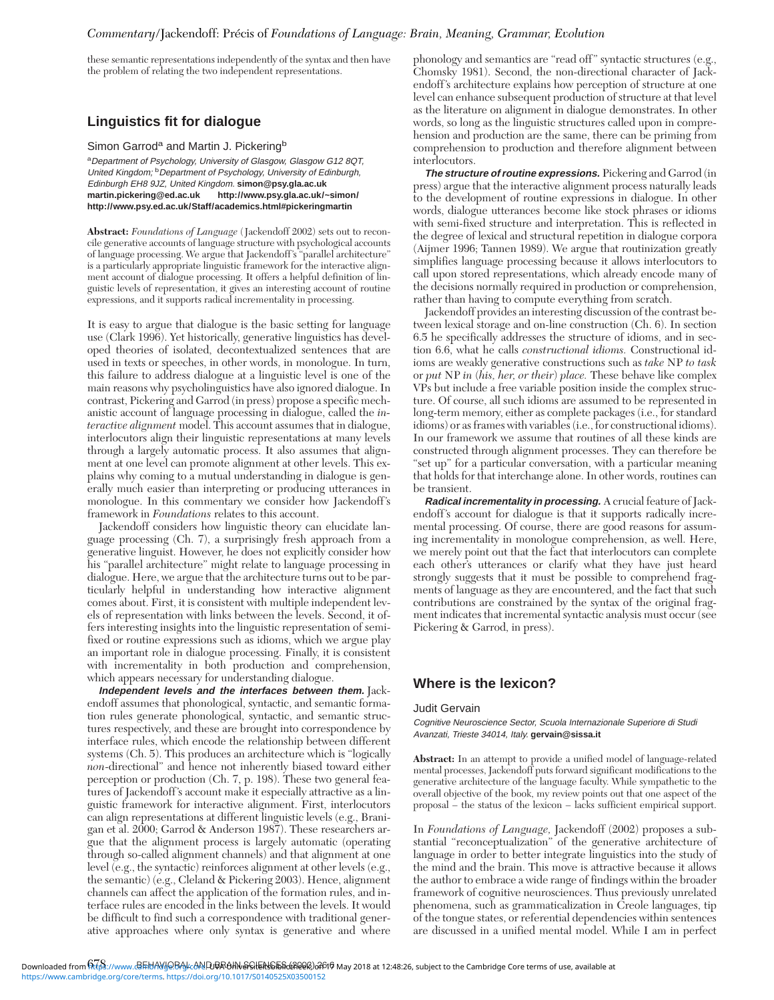these semantic representations independently of the syntax and then have the problem of relating the two independent representations.

## **Linguistics fit for dialogue**

Simon Garrod<sup>a</sup> and Martin J. Pickering<sup>b</sup> aDepartment of Psychology, University of Glasgow, Glasgow G12 8QT, United Kingdom; <sup>b</sup>Department of Psychology, University of Edinburgh, Edinburgh EH8 9JZ, United Kingdom. **simon@psy.gla.ac.uk martin.pickering@ed.ac.uk http://www.psy.gla.ac.uk/~simon/ http://www.psy.ed.ac.uk/Staff/academics.html#pickeringmartin**

**Abstract:** *Foundations of Language* (Jackendoff 2002) sets out to reconcile generative accounts of language structure with psychological accounts of language processing. We argue that Jackendoff's "parallel architecture" is a particularly appropriate linguistic framework for the interactive alignment account of dialogue processing. It offers a helpful definition of linguistic levels of representation, it gives an interesting account of routine expressions, and it supports radical incrementality in processing.

It is easy to argue that dialogue is the basic setting for language use (Clark 1996). Yet historically, generative linguistics has developed theories of isolated, decontextualized sentences that are used in texts or speeches, in other words, in monologue. In turn, this failure to address dialogue at a linguistic level is one of the main reasons why psycholinguistics have also ignored dialogue. In contrast, Pickering and Garrod (in press) propose a specific mechanistic account of language processing in dialogue, called the *interactive alignment* model. This account assumes that in dialogue, interlocutors align their linguistic representations at many levels through a largely automatic process. It also assumes that alignment at one level can promote alignment at other levels. This explains why coming to a mutual understanding in dialogue is generally much easier than interpreting or producing utterances in monologue. In this commentary we consider how Jackendoff's framework in *Foundations* relates to this account.

Jackendoff considers how linguistic theory can elucidate language processing (Ch. 7), a surprisingly fresh approach from a generative linguist. However, he does not explicitly consider how his "parallel architecture" might relate to language processing in dialogue. Here, we argue that the architecture turns out to be particularly helpful in understanding how interactive alignment comes about. First, it is consistent with multiple independent levels of representation with links between the levels. Second, it offers interesting insights into the linguistic representation of semifixed or routine expressions such as idioms, which we argue play an important role in dialogue processing. Finally, it is consistent with incrementality in both production and comprehension, which appears necessary for understanding dialogue.

**Independent levels and the interfaces between them.** Jackendoff assumes that phonological, syntactic, and semantic formation rules generate phonological, syntactic, and semantic structures respectively, and these are brought into correspondence by interface rules, which encode the relationship between different systems (Ch. 5). This produces an architecture which is "logically *non*-directional" and hence not inherently biased toward either perception or production (Ch. 7, p. 198). These two general features of Jackendoff's account make it especially attractive as a linguistic framework for interactive alignment. First, interlocutors can align representations at different linguistic levels (e.g., Branigan et al. 2000; Garrod & Anderson 1987). These researchers argue that the alignment process is largely automatic (operating through so-called alignment channels) and that alignment at one level (e.g., the syntactic) reinforces alignment at other levels (e.g., the semantic) (e.g., Cleland & Pickering 2003). Hence, alignment channels can affect the application of the formation rules, and interface rules are encoded in the links between the levels. It would be difficult to find such a correspondence with traditional generative approaches where only syntax is generative and where

phonology and semantics are "read off" syntactic structures (e.g., Chomsky 1981). Second, the non-directional character of Jackendoff's architecture explains how perception of structure at one level can enhance subsequent production of structure at that level as the literature on alignment in dialogue demonstrates. In other words, so long as the linguistic structures called upon in comprehension and production are the same, there can be priming from comprehension to production and therefore alignment between interlocutors.

**The structure of routine expressions.** Pickering and Garrod (in press) argue that the interactive alignment process naturally leads to the development of routine expressions in dialogue. In other words, dialogue utterances become like stock phrases or idioms with semi-fixed structure and interpretation. This is reflected in the degree of lexical and structural repetition in dialogue corpora (Aijmer 1996; Tannen 1989). We argue that routinization greatly simplifies language processing because it allows interlocutors to call upon stored representations, which already encode many of the decisions normally required in production or comprehension, rather than having to compute everything from scratch.

Jackendoff provides an interesting discussion of the contrast between lexical storage and on-line construction (Ch. 6). In section 6.5 he specifically addresses the structure of idioms, and in section 6.6, what he calls *constructional idioms.* Constructional idioms are weakly generative constructions such as *take* NP *to task* or *put* NP *in* (*his, her, or their*) *place.* These behave like complex VPs but include a free variable position inside the complex structure. Of course, all such idioms are assumed to be represented in long-term memory, either as complete packages (i.e., for standard idioms) or as frames with variables (i.e., for constructional idioms). In our framework we assume that routines of all these kinds are constructed through alignment processes. They can therefore be "set up" for a particular conversation, with a particular meaning that holds for that interchange alone. In other words, routines can be transient.

**Radical incrementality in processing.** A crucial feature of Jackendoff's account for dialogue is that it supports radically incremental processing. Of course, there are good reasons for assuming incrementality in monologue comprehension, as well. Here, we merely point out that the fact that interlocutors can complete each other's utterances or clarify what they have just heard strongly suggests that it must be possible to comprehend fragments of language as they are encountered, and the fact that such contributions are constrained by the syntax of the original fragment indicates that incremental syntactic analysis must occur (see Pickering & Garrod, in press).

## **Where is the lexicon?**

#### Judit Gervain

Cognitive Neuroscience Sector, Scuola Internazionale Superiore di Studi Avanzati, Trieste 34014, Italy. **gervain@sissa.it**

**Abstract:** In an attempt to provide a unified model of language-related mental processes, Jackendoff puts forward significant modifications to the generative architecture of the language faculty. While sympathetic to the overall objective of the book, my review points out that one aspect of the proposal – the status of the lexicon – lacks sufficient empirical support.

In *Foundations of Language,* Jackendoff (2002) proposes a substantial "reconceptualization" of the generative architecture of language in order to better integrate linguistics into the study of the mind and the brain. This move is attractive because it allows the author to embrace a wide range of findings within the broader framework of cognitive neurosciences. Thus previously unrelated phenomena, such as grammaticalization in Creole languages, tip of the tongue states, or referential dependencies within sentences are discussed in a unified mental model. While I am in perfect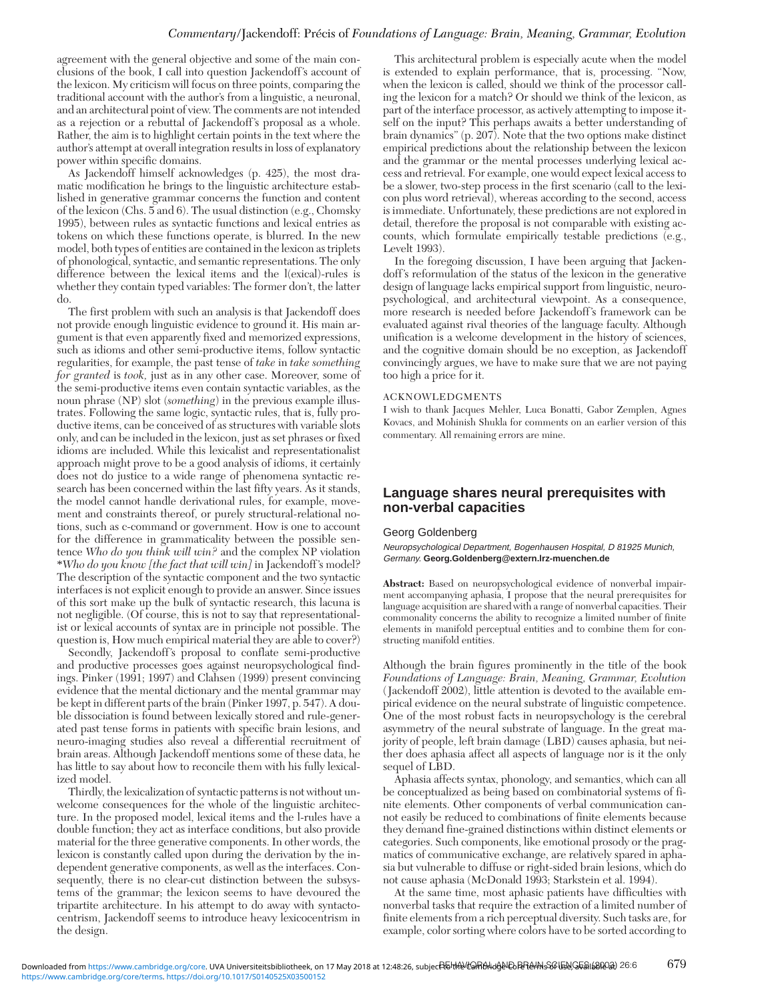agreement with the general objective and some of the main conclusions of the book, I call into question Jackendoff's account of the lexicon. My criticism will focus on three points, comparing the traditional account with the author's from a linguistic, a neuronal, and an architectural point of view. The comments are not intended as a rejection or a rebuttal of Jackendoff's proposal as a whole. Rather, the aim is to highlight certain points in the text where the author's attempt at overall integration results in loss of explanatory power within specific domains.

As Jackendoff himself acknowledges (p. 425), the most dramatic modification he brings to the linguistic architecture established in generative grammar concerns the function and content of the lexicon (Chs. 5 and 6). The usual distinction (e.g., Chomsky 1995), between rules as syntactic functions and lexical entries as tokens on which these functions operate, is blurred. In the new model, both types of entities are contained in the lexicon as triplets of phonological, syntactic, and semantic representations. The only difference between the lexical items and the l(exical)-rules is whether they contain typed variables: The former don't, the latter do.

The first problem with such an analysis is that Jackendoff does not provide enough linguistic evidence to ground it. His main argument is that even apparently fixed and memorized expressions, such as idioms and other semi-productive items, follow syntactic regularities, for example, the past tense of *take* in *take something for granted* is *took,* just as in any other case. Moreover, some of the semi-productive items even contain syntactic variables, as the noun phrase (NP) slot (*something*) in the previous example illustrates. Following the same logic, syntactic rules, that is, fully productive items, can be conceived of as structures with variable slots only, and can be included in the lexicon, just as set phrases or fixed idioms are included. While this lexicalist and representationalist approach might prove to be a good analysis of idioms, it certainly does not do justice to a wide range of phenomena syntactic research has been concerned within the last fifty years. As it stands, the model cannot handle derivational rules, for example, movement and constraints thereof, or purely structural-relational notions, such as c-command or government. How is one to account for the difference in grammaticality between the possible sentence *Who do you think will win?* and the complex NP violation \**Who do you know [the fact that will win]* in Jackendoff's model? The description of the syntactic component and the two syntactic interfaces is not explicit enough to provide an answer. Since issues of this sort make up the bulk of syntactic research, this lacuna is not negligible. (Of course, this is not to say that representationalist or lexical accounts of syntax are in principle not possible. The question is, How much empirical material they are able to cover?)

Secondly, Jackendoff's proposal to conflate semi-productive and productive processes goes against neuropsychological findings. Pinker (1991; 1997) and Clahsen (1999) present convincing evidence that the mental dictionary and the mental grammar may be kept in different parts of the brain (Pinker 1997, p. 547). A double dissociation is found between lexically stored and rule-generated past tense forms in patients with specific brain lesions, and neuro-imaging studies also reveal a differential recruitment of brain areas. Although Jackendoff mentions some of these data, he has little to say about how to reconcile them with his fully lexicalized model.

Thirdly, the lexicalization of syntactic patterns is not without unwelcome consequences for the whole of the linguistic architecture. In the proposed model, lexical items and the l-rules have a double function; they act as interface conditions, but also provide material for the three generative components. In other words, the lexicon is constantly called upon during the derivation by the independent generative components, as well as the interfaces. Consequently, there is no clear-cut distinction between the subsystems of the grammar; the lexicon seems to have devoured the tripartite architecture. In his attempt to do away with syntactocentrism, Jackendoff seems to introduce heavy lexicocentrism in the design.

This architectural problem is especially acute when the model is extended to explain performance, that is, processing. "Now, when the lexicon is called, should we think of the processor calling the lexicon for a match? Or should we think of the lexicon, as part of the interface processor, as actively attempting to impose itself on the input? This perhaps awaits a better understanding of brain dynamics" (p. 207). Note that the two options make distinct empirical predictions about the relationship between the lexicon and the grammar or the mental processes underlying lexical access and retrieval. For example, one would expect lexical access to be a slower, two-step process in the first scenario (call to the lexicon plus word retrieval), whereas according to the second, access is immediate. Unfortunately, these predictions are not explored in detail, therefore the proposal is not comparable with existing accounts, which formulate empirically testable predictions (e.g., Levelt 1993).

In the foregoing discussion, I have been arguing that Jackendoff's reformulation of the status of the lexicon in the generative design of language lacks empirical support from linguistic, neuropsychological, and architectural viewpoint. As a consequence, more research is needed before Jackendoff's framework can be evaluated against rival theories of the language faculty. Although unification is a welcome development in the history of sciences, and the cognitive domain should be no exception, as Jackendoff convincingly argues, we have to make sure that we are not paying too high a price for it.

#### ACKNOWLEDGMENTS

I wish to thank Jacques Mehler, Luca Bonatti, Gabor Zemplen, Agnes Kovacs, and Mohinish Shukla for comments on an earlier version of this commentary. All remaining errors are mine.

## **Language shares neural prerequisites with non-verbal capacities**

#### Georg Goldenberg

Neuropsychological Department, Bogenhausen Hospital, D 81925 Munich, Germany. **Georg.Goldenberg@extern.lrz-muenchen.de**

**Abstract:** Based on neuropsychological evidence of nonverbal impairment accompanying aphasia, I propose that the neural prerequisites for language acquisition are shared with a range of nonverbal capacities. Their commonality concerns the ability to recognize a limited number of finite elements in manifold perceptual entities and to combine them for constructing manifold entities.

Although the brain figures prominently in the title of the book *Foundations of Language: Brain, Meaning, Grammar, Evolution* (Jackendoff 2002), little attention is devoted to the available empirical evidence on the neural substrate of linguistic competence. One of the most robust facts in neuropsychology is the cerebral asymmetry of the neural substrate of language. In the great majority of people, left brain damage (LBD) causes aphasia, but neither does aphasia affect all aspects of language nor is it the only sequel of LBD.

Aphasia affects syntax, phonology, and semantics, which can all be conceptualized as being based on combinatorial systems of finite elements. Other components of verbal communication cannot easily be reduced to combinations of finite elements because they demand fine-grained distinctions within distinct elements or categories. Such components, like emotional prosody or the pragmatics of communicative exchange, are relatively spared in aphasia but vulnerable to diffuse or right-sided brain lesions, which do not cause aphasia (McDonald 1993; Starkstein et al. 1994).

At the same time, most aphasic patients have difficulties with nonverbal tasks that require the extraction of a limited number of finite elements from a rich perceptual diversity. Such tasks are, for example, color sorting where colors have to be sorted according to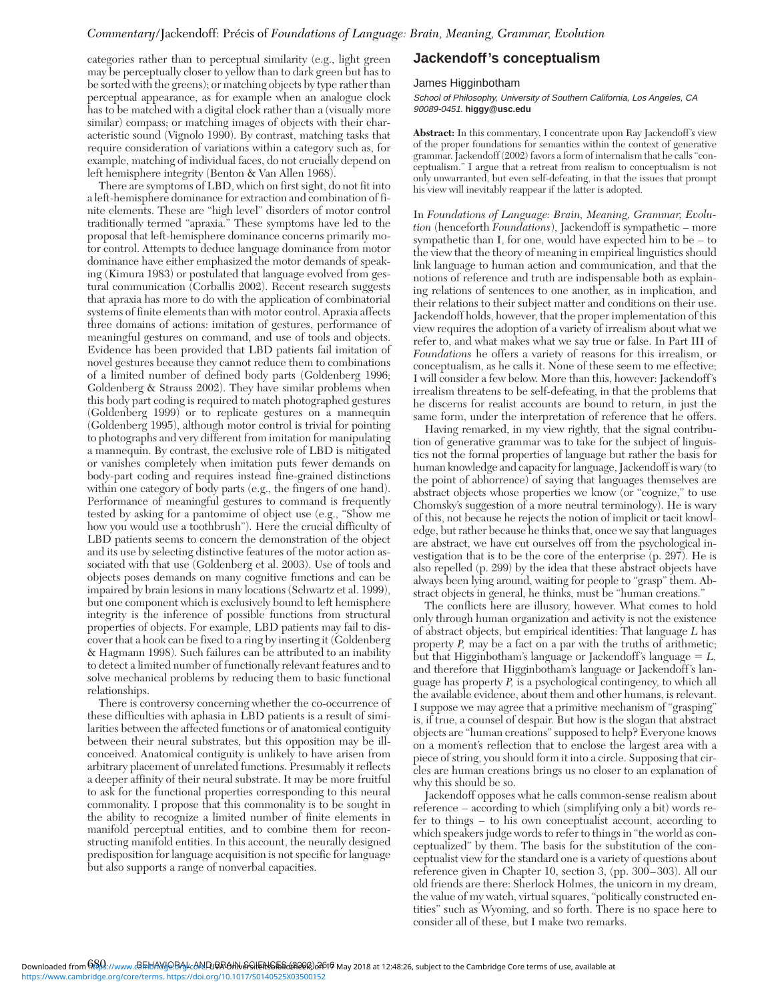categories rather than to perceptual similarity (e.g., light green may be perceptually closer to yellow than to dark green but has to be sorted with the greens); or matching objects by type rather than perceptual appearance, as for example when an analogue clock has to be matched with a digital clock rather than a (visually more similar) compass; or matching images of objects with their characteristic sound (Vignolo 1990). By contrast, matching tasks that require consideration of variations within a category such as, for example, matching of individual faces, do not crucially depend on left hemisphere integrity (Benton & Van Allen 1968).

There are symptoms of LBD, which on first sight, do not fit into a left-hemisphere dominance for extraction and combination of finite elements. These are "high level" disorders of motor control traditionally termed "apraxia." These symptoms have led to the proposal that left-hemisphere dominance concerns primarily motor control. Attempts to deduce language dominance from motor dominance have either emphasized the motor demands of speaking (Kimura 1983) or postulated that language evolved from gestural communication (Corballis 2002). Recent research suggests that apraxia has more to do with the application of combinatorial systems of finite elements than with motor control. Apraxia affects three domains of actions: imitation of gestures, performance of meaningful gestures on command, and use of tools and objects. Evidence has been provided that LBD patients fail imitation of novel gestures because they cannot reduce them to combinations of a limited number of defined body parts (Goldenberg 1996; Goldenberg & Strauss 2002). They have similar problems when this body part coding is required to match photographed gestures (Goldenberg 1999) or to replicate gestures on a mannequin (Goldenberg 1995), although motor control is trivial for pointing to photographs and very different from imitation for manipulating a mannequin. By contrast, the exclusive role of LBD is mitigated or vanishes completely when imitation puts fewer demands on body-part coding and requires instead fine-grained distinctions within one category of body parts (e.g., the fingers of one hand). Performance of meaningful gestures to command is frequently tested by asking for a pantomime of object use (e.g., "Show me how you would use a toothbrush"). Here the crucial difficulty of LBD patients seems to concern the demonstration of the object and its use by selecting distinctive features of the motor action associated with that use (Goldenberg et al. 2003). Use of tools and objects poses demands on many cognitive functions and can be impaired by brain lesions in many locations (Schwartz et al. 1999), but one component which is exclusively bound to left hemisphere integrity is the inference of possible functions from structural properties of objects. For example, LBD patients may fail to discover that a hook can be fixed to a ring by inserting it (Goldenberg & Hagmann 1998). Such failures can be attributed to an inability to detect a limited number of functionally relevant features and to solve mechanical problems by reducing them to basic functional relationships.

There is controversy concerning whether the co-occurrence of these difficulties with aphasia in LBD patients is a result of similarities between the affected functions or of anatomical contiguity between their neural substrates, but this opposition may be illconceived. Anatomical contiguity is unlikely to have arisen from arbitrary placement of unrelated functions. Presumably it reflects a deeper affinity of their neural substrate. It may be more fruitful to ask for the functional properties corresponding to this neural commonality. I propose that this commonality is to be sought in the ability to recognize a limited number of finite elements in manifold perceptual entities, and to combine them for reconstructing manifold entities. In this account, the neurally designed predisposition for language acquisition is not specific for language but also supports a range of nonverbal capacities.

## **Jackendoff's conceptualism**

#### James Higginbotham

School of Philosophy, University of Southern California, Los Angeles, CA 90089-0451. **higgy@usc.edu**

**Abstract:** In this commentary, I concentrate upon Ray Jackendoff's view of the proper foundations for semantics within the context of generative grammar. Jackendoff (2002) favors a form of internalism that he calls "conceptualism." I argue that a retreat from realism to conceptualism is not only unwarranted, but even self-defeating, in that the issues that prompt his view will inevitably reappear if the latter is adopted.

In *Foundations of Language: Brain, Meaning, Grammar, Evolution* (henceforth *Foundations*), Jackendoff is sympathetic – more sympathetic than I, for one, would have expected him to be – to the view that the theory of meaning in empirical linguistics should link language to human action and communication, and that the notions of reference and truth are indispensable both as explaining relations of sentences to one another, as in implication, and their relations to their subject matter and conditions on their use. Jackendoff holds, however, that the proper implementation of this view requires the adoption of a variety of irrealism about what we refer to, and what makes what we say true or false. In Part III of *Foundations* he offers a variety of reasons for this irrealism, or conceptualism, as he calls it. None of these seem to me effective; I will consider a few below. More than this, however: Jackendoff's irrealism threatens to be self-defeating, in that the problems that he discerns for realist accounts are bound to return, in just the same form, under the interpretation of reference that he offers.

Having remarked, in my view rightly, that the signal contribution of generative grammar was to take for the subject of linguistics not the formal properties of language but rather the basis for human knowledge and capacity for language, Jackendoff is wary (to the point of abhorrence) of saying that languages themselves are abstract objects whose properties we know (or "cognize," to use Chomsky's suggestion of a more neutral terminology). He is wary of this, not because he rejects the notion of implicit or tacit knowledge, but rather because he thinks that, once we say that languages are abstract, we have cut ourselves off from the psychological investigation that is to be the core of the enterprise (p. 297). He is also repelled (p. 299) by the idea that these abstract objects have always been lying around, waiting for people to "grasp" them. Abstract objects in general, he thinks, must be "human creations."

The conflicts here are illusory, however. What comes to hold only through human organization and activity is not the existence of abstract objects, but empirical identities: That language *L* has property *P,* may be a fact on a par with the truths of arithmetic; but that Higginbotham's language or Jackendoff's language  $= L$ , and therefore that Higginbotham's language or Jackendoff's language has property *P,* is a psychological contingency, to which all the available evidence, about them and other humans, is relevant. I suppose we may agree that a primitive mechanism of "grasping" is, if true, a counsel of despair. But how is the slogan that abstract objects are "human creations" supposed to help? Everyone knows on a moment's reflection that to enclose the largest area with a piece of string, you should form it into a circle. Supposing that circles are human creations brings us no closer to an explanation of why this should be so.

Jackendoff opposes what he calls common-sense realism about reference – according to which (simplifying only a bit) words refer to things – to his own conceptualist account, according to which speakers judge words to refer to things in "the world as conceptualized" by them. The basis for the substitution of the conceptualist view for the standard one is a variety of questions about reference given in Chapter 10, section 3, (pp. 300–303). All our old friends are there: Sherlock Holmes, the unicorn in my dream, the value of my watch, virtual squares, "politically constructed entities" such as Wyoming, and so forth. There is no space here to consider all of these, but I make two remarks.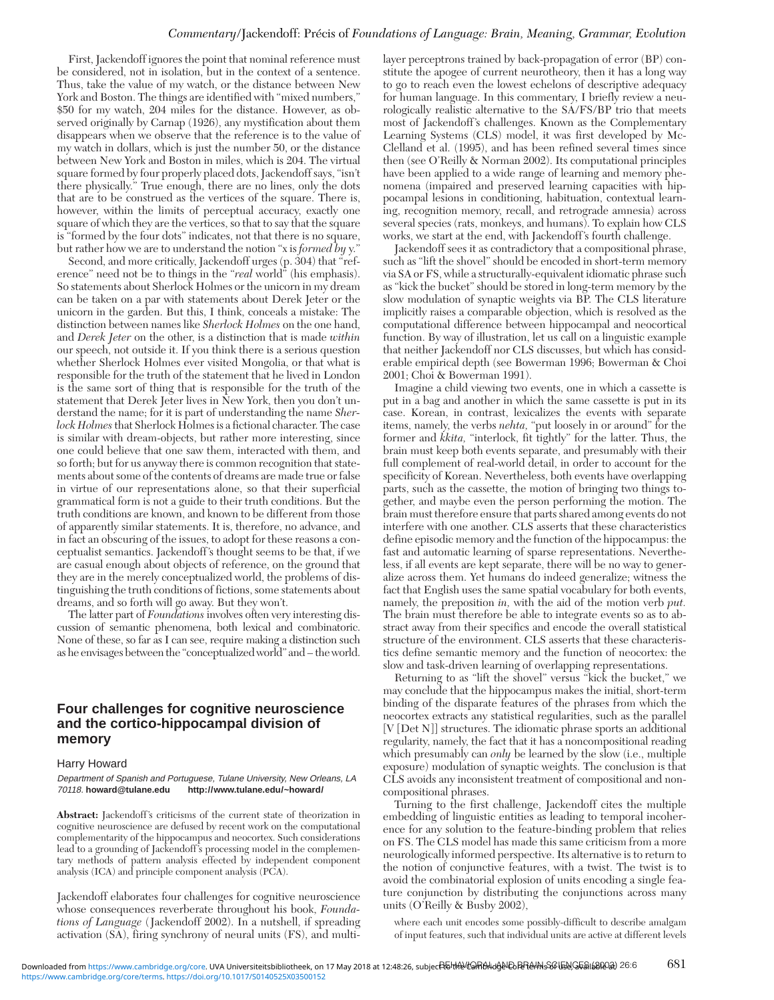First, Jackendoff ignores the point that nominal reference must be considered, not in isolation, but in the context of a sentence. Thus, take the value of my watch, or the distance between New York and Boston. The things are identified with "mixed numbers," \$50 for my watch, 204 miles for the distance. However, as observed originally by Carnap (1926), any mystification about them disappears when we observe that the reference is to the value of my watch in dollars, which is just the number 50, or the distance between New York and Boston in miles, which is 204. The virtual square formed by four properly placed dots, Jackendoff says, "isn't there physically." True enough, there are no lines, only the dots that are to be construed as the vertices of the square. There is, however, within the limits of perceptual accuracy, exactly one square of which they are the vertices, so that to say that the square is "formed by the four dots" indicates, not that there is no square, but rather how we are to understand the notion "x is *formed by* y."

Second, and more critically, Jackendoff urges (p. 304) that "reference" need not be to things in the "*real* world" (his emphasis). So statements about Sherlock Holmes or the unicorn in my dream can be taken on a par with statements about Derek Jeter or the unicorn in the garden. But this, I think, conceals a mistake: The distinction between names like *Sherlock Holmes* on the one hand, and *Derek Jeter* on the other, is a distinction that is made *within* our speech, not outside it. If you think there is a serious question whether Sherlock Holmes ever visited Mongolia, or that what is responsible for the truth of the statement that he lived in London is the same sort of thing that is responsible for the truth of the statement that Derek Jeter lives in New York, then you don't understand the name; for it is part of understanding the name *Sherlock Holmes*that Sherlock Holmes is a fictional character. The case is similar with dream-objects, but rather more interesting, since one could believe that one saw them, interacted with them, and so forth; but for us anyway there is common recognition that statements about some of the contents of dreams are made true or false in virtue of our representations alone, so that their superficial grammatical form is not a guide to their truth conditions. But the truth conditions are known, and known to be different from those of apparently similar statements. It is, therefore, no advance, and in fact an obscuring of the issues, to adopt for these reasons a conceptualist semantics. Jackendoff's thought seems to be that, if we are casual enough about objects of reference, on the ground that they are in the merely conceptualized world, the problems of distinguishing the truth conditions of fictions, some statements about dreams, and so forth will go away. But they won't.

The latter part of *Foundations* involves often very interesting discussion of semantic phenomena, both lexical and combinatoric. None of these, so far as I can see, require making a distinction such as he envisages between the "conceptualized world" and – the world.

## **Four challenges for cognitive neuroscience and the cortico-hippocampal division of memory**

Harry Howard

Department of Spanish and Portuguese, Tulane University, New Orleans, LA<br>70118. howard@tulane.edu http://www.tulane.edu/~howard/ http://www.tulane.edu/~howard/

**Abstract:** Jackendoff's criticisms of the current state of theorization in cognitive neuroscience are defused by recent work on the computational complementarity of the hippocampus and neocortex. Such considerations lead to a grounding of Jackendoff's processing model in the complementary methods of pattern analysis effected by independent component analysis (ICA) and principle component analysis (PCA).

Jackendoff elaborates four challenges for cognitive neuroscience whose consequences reverberate throughout his book, *Foundations of Language* (Jackendoff 2002). In a nutshell, if spreading activation (SA), firing synchrony of neural units (FS), and multi-

layer perceptrons trained by back-propagation of error (BP) constitute the apogee of current neurotheory, then it has a long way to go to reach even the lowest echelons of descriptive adequacy for human language. In this commentary, I briefly review a neurologically realistic alternative to the SA/FS/BP trio that meets most of Jackendoff's challenges. Known as the Complementary Learning Systems (CLS) model, it was first developed by Mc-Clelland et al. (1995), and has been refined several times since then (see O'Reilly & Norman 2002). Its computational principles have been applied to a wide range of learning and memory phenomena (impaired and preserved learning capacities with hippocampal lesions in conditioning, habituation, contextual learning, recognition memory, recall, and retrograde amnesia) across several species (rats, monkeys, and humans). To explain how CLS works, we start at the end, with Jackendoff's fourth challenge.

Jackendoff sees it as contradictory that a compositional phrase, such as "lift the shovel" should be encoded in short-term memory via SA or FS, while a structurally-equivalent idiomatic phrase such as "kick the bucket" should be stored in long-term memory by the slow modulation of synaptic weights via BP. The CLS literature implicitly raises a comparable objection, which is resolved as the computational difference between hippocampal and neocortical function. By way of illustration, let us call on a linguistic example that neither Jackendoff nor CLS discusses, but which has considerable empirical depth (see Bowerman 1996; Bowerman & Choi 2001; Choi & Bowerman 1991).

Imagine a child viewing two events, one in which a cassette is put in a bag and another in which the same cassette is put in its case. Korean, in contrast, lexicalizes the events with separate items, namely, the verbs *nehta,* "put loosely in or around" for the former and *kkita,* "interlock, fit tightly" for the latter. Thus, the brain must keep both events separate, and presumably with their full complement of real-world detail, in order to account for the specificity of Korean. Nevertheless, both events have overlapping parts, such as the cassette, the motion of bringing two things together, and maybe even the person performing the motion. The brain must therefore ensure that parts shared among events do not interfere with one another. CLS asserts that these characteristics define episodic memory and the function of the hippocampus: the fast and automatic learning of sparse representations. Nevertheless, if all events are kept separate, there will be no way to generalize across them. Yet humans do indeed generalize; witness the fact that English uses the same spatial vocabulary for both events, namely, the preposition *in,* with the aid of the motion verb *put.* The brain must therefore be able to integrate events so as to abstract away from their specifics and encode the overall statistical structure of the environment. CLS asserts that these characteristics define semantic memory and the function of neocortex: the slow and task-driven learning of overlapping representations.

Returning to as "lift the shovel" versus "kick the bucket," we may conclude that the hippocampus makes the initial, short-term binding of the disparate features of the phrases from which the neocortex extracts any statistical regularities, such as the parallel [V [Det N]] structures. The idiomatic phrase sports an additional regularity, namely, the fact that it has a noncompositional reading which presumably can *only* be learned by the slow (i.e., multiple exposure) modulation of synaptic weights. The conclusion is that CLS avoids any inconsistent treatment of compositional and noncompositional phrases.

Turning to the first challenge, Jackendoff cites the multiple embedding of linguistic entities as leading to temporal incoherence for any solution to the feature-binding problem that relies on FS. The CLS model has made this same criticism from a more neurologically informed perspective. Its alternative is to return to the notion of conjunctive features, with a twist. The twist is to avoid the combinatorial explosion of units encoding a single feature conjunction by distributing the conjunctions across many units (O'Reilly & Busby 2002),

where each unit encodes some possibly-difficult to describe amalgam of input features, such that individual units are active at different levels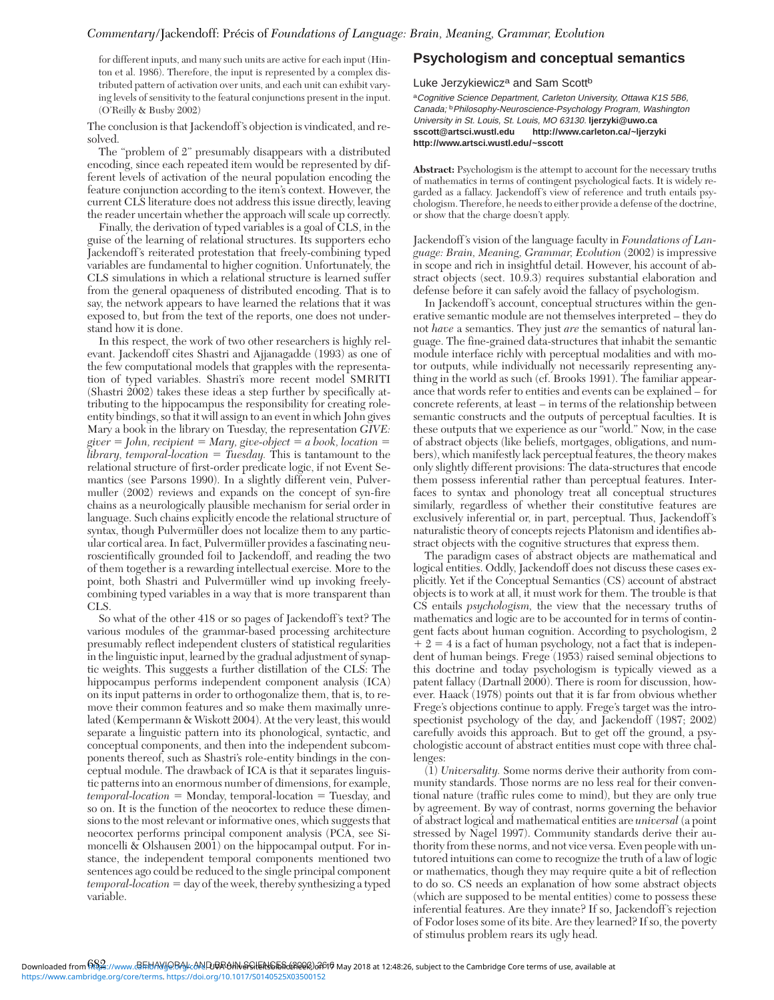for different inputs, and many such units are active for each input (Hinton et al. 1986). Therefore, the input is represented by a complex distributed pattern of activation over units, and each unit can exhibit varying levels of sensitivity to the featural conjunctions present in the input. (O'Reilly & Busby 2002)

The conclusion is that Jackendoff's objection is vindicated, and resolved.

The "problem of 2" presumably disappears with a distributed encoding, since each repeated item would be represented by different levels of activation of the neural population encoding the feature conjunction according to the item's context. However, the current CLS literature does not address this issue directly, leaving the reader uncertain whether the approach will scale up correctly.

Finally, the derivation of typed variables is a goal of CLS, in the guise of the learning of relational structures. Its supporters echo Jackendoff's reiterated protestation that freely-combining typed variables are fundamental to higher cognition. Unfortunately, the CLS simulations in which a relational structure is learned suffer from the general opaqueness of distributed encoding. That is to say, the network appears to have learned the relations that it was exposed to, but from the text of the reports, one does not understand how it is done.

In this respect, the work of two other researchers is highly relevant. Jackendoff cites Shastri and Ajjanagadde (1993) as one of the few computational models that grapples with the representation of typed variables. Shastri's more recent model SMRITI (Shastri 2002) takes these ideas a step further by specifically attributing to the hippocampus the responsibility for creating roleentity bindings, so that it will assign to an event in which John gives Mary a book in the library on Tuesday, the representation *GIVE:*  $given = John$ ,  $recipient = Mary$ ,  $give-object = a book$ ,  $location =$ *library, temporal-location* = *Tuesday*. This is tantamount to the relational structure of first-order predicate logic, if not Event Semantics (see Parsons 1990). In a slightly different vein, Pulvermuller (2002) reviews and expands on the concept of syn-fire chains as a neurologically plausible mechanism for serial order in language. Such chains explicitly encode the relational structure of syntax, though Pulvermüller does not localize them to any particular cortical area. In fact, Pulvermüller provides a fascinating neuroscientifically grounded foil to Jackendoff, and reading the two of them together is a rewarding intellectual exercise. More to the point, both Shastri and Pulvermüller wind up invoking freelycombining typed variables in a way that is more transparent than CLS.

So what of the other 418 or so pages of Jackendoff's text? The various modules of the grammar-based processing architecture presumably reflect independent clusters of statistical regularities in the linguistic input, learned by the gradual adjustment of synaptic weights. This suggests a further distillation of the CLS: The hippocampus performs independent component analysis (ICA) on its input patterns in order to orthogonalize them, that is, to remove their common features and so make them maximally unrelated (Kempermann & Wiskott 2004). At the very least, this would separate a linguistic pattern into its phonological, syntactic, and conceptual components, and then into the independent subcomponents thereof, such as Shastri's role-entity bindings in the conceptual module. The drawback of ICA is that it separates linguistic patterns into an enormous number of dimensions, for example, *temporal-location* = Monday, temporal-location = Tuesday, and so on. It is the function of the neocortex to reduce these dimensions to the most relevant or informative ones, which suggests that neocortex performs principal component analysis (PCA, see Simoncelli & Olshausen 2001) on the hippocampal output. For instance, the independent temporal components mentioned two sentences ago could be reduced to the single principal component  $temporal-location = day of the week, thereby synthesizing a typed$ variable.

## **Psychologism and conceptual semantics**

#### Luke Jerzykiewicz<sup>a</sup> and Sam Scott<sup>b</sup>

aCognitive Science Department, Carleton University, Ottawa K1S 5B6, Canada; <sup>b</sup>Philosophy-Neuroscience-Psychology Program, Washington University in St. Louis, St. Louis, MO 63130. **ljerzyki@uwo.ca sscott@artsci.wustl.edu http://www.carleton.ca/~ljerzyki http://www.artsci.wustl.edu/~sscott**

**Abstract:** Psychologism is the attempt to account for the necessary truths of mathematics in terms of contingent psychological facts. It is widely regarded as a fallacy. Jackendoff's view of reference and truth entails psychologism. Therefore, he needs to either provide a defense of the doctrine, or show that the charge doesn't apply.

Jackendoff's vision of the language faculty in *Foundations of Language: Brain, Meaning, Grammar, Evolution* (2002) is impressive in scope and rich in insightful detail. However, his account of abstract objects (sect. 10.9.3) requires substantial elaboration and defense before it can safely avoid the fallacy of psychologism.

In Jackendoff's account, conceptual structures within the generative semantic module are not themselves interpreted – they do not *have* a semantics. They just *are* the semantics of natural language. The fine-grained data-structures that inhabit the semantic module interface richly with perceptual modalities and with motor outputs, while individually not necessarily representing anything in the world as such (cf. Brooks 1991). The familiar appearance that words refer to entities and events can be explained – for concrete referents, at least – in terms of the relationship between semantic constructs and the outputs of perceptual faculties. It is these outputs that we experience as our "world." Now, in the case of abstract objects (like beliefs, mortgages, obligations, and numbers), which manifestly lack perceptual features, the theory makes only slightly different provisions: The data-structures that encode them possess inferential rather than perceptual features. Interfaces to syntax and phonology treat all conceptual structures similarly, regardless of whether their constitutive features are exclusively inferential or, in part, perceptual. Thus, Jackendoff's naturalistic theory of concepts rejects Platonism and identifies abstract objects with the cognitive structures that express them.

The paradigm cases of abstract objects are mathematical and logical entities. Oddly, Jackendoff does not discuss these cases explicitly. Yet if the Conceptual Semantics (CS) account of abstract objects is to work at all, it must work for them. The trouble is that CS entails *psychologism,* the view that the necessary truths of mathematics and logic are to be accounted for in terms of contingent facts about human cognition. According to psychologism, 2  $+ 2 = 4$  is a fact of human psychology, not a fact that is independent of human beings. Frege (1953) raised seminal objections to this doctrine and today psychologism is typically viewed as a patent fallacy (Dartnall 2000). There is room for discussion, however. Haack (1978) points out that it is far from obvious whether Frege's objections continue to apply. Frege's target was the introspectionist psychology of the day, and Jackendoff (1987; 2002) carefully avoids this approach. But to get off the ground, a psychologistic account of abstract entities must cope with three challenges:

(1) *Universality.* Some norms derive their authority from community standards. Those norms are no less real for their conventional nature (traffic rules come to mind), but they are only true by agreement. By way of contrast, norms governing the behavior of abstract logical and mathematical entities are *universal* (a point stressed by Nagel 1997). Community standards derive their authority from these norms, and not vice versa. Even people with untutored intuitions can come to recognize the truth of a law of logic or mathematics, though they may require quite a bit of reflection to do so. CS needs an explanation of how some abstract objects (which are supposed to be mental entities) come to possess these inferential features. Are they innate? If so, Jackendoff's rejection of Fodor loses some of its bite. Are they learned? If so, the poverty of stimulus problem rears its ugly head.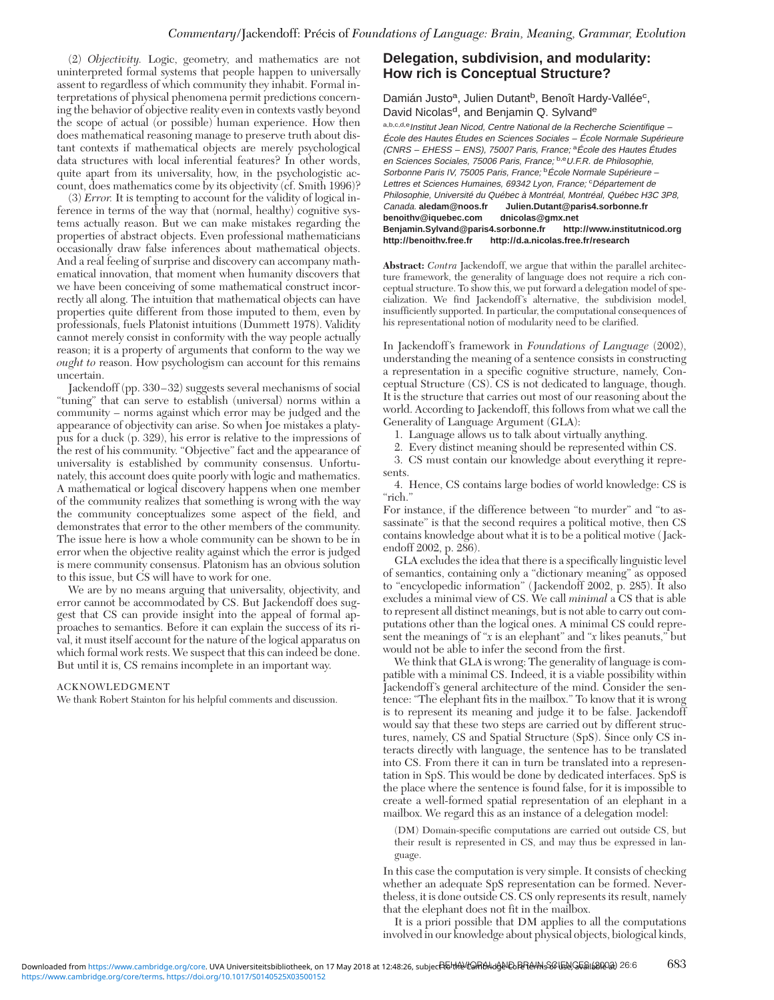(2) *Objectivity.* Logic, geometry, and mathematics are not uninterpreted formal systems that people happen to universally assent to regardless of which community they inhabit. Formal interpretations of physical phenomena permit predictions concerning the behavior of objective reality even in contexts vastly beyond the scope of actual (or possible) human experience. How then does mathematical reasoning manage to preserve truth about distant contexts if mathematical objects are merely psychological data structures with local inferential features? In other words, quite apart from its universality, how, in the psychologistic account, does mathematics come by its objectivity (cf. Smith 1996)?

(3) *Error.* It is tempting to account for the validity of logical inference in terms of the way that (normal, healthy) cognitive systems actually reason. But we can make mistakes regarding the properties of abstract objects. Even professional mathematicians occasionally draw false inferences about mathematical objects. And a real feeling of surprise and discovery can accompany mathematical innovation, that moment when humanity discovers that we have been conceiving of some mathematical construct incorrectly all along. The intuition that mathematical objects can have properties quite different from those imputed to them, even by professionals, fuels Platonist intuitions (Dummett 1978). Validity cannot merely consist in conformity with the way people actually reason; it is a property of arguments that conform to the way we *ought to* reason. How psychologism can account for this remains uncertain.

Jackendoff (pp. 330–32) suggests several mechanisms of social "tuning" that can serve to establish (universal) norms within a community – norms against which error may be judged and the appearance of objectivity can arise. So when Joe mistakes a platypus for a duck (p. 329), his error is relative to the impressions of the rest of his community. "Objective" fact and the appearance of universality is established by community consensus. Unfortunately, this account does quite poorly with logic and mathematics. A mathematical or logical discovery happens when one member of the community realizes that something is wrong with the way the community conceptualizes some aspect of the field, and demonstrates that error to the other members of the community. The issue here is how a whole community can be shown to be in error when the objective reality against which the error is judged is mere community consensus. Platonism has an obvious solution to this issue, but CS will have to work for one.

We are by no means arguing that universality, objectivity, and error cannot be accommodated by CS. But Jackendoff does suggest that CS can provide insight into the appeal of formal approaches to semantics. Before it can explain the success of its rival, it must itself account for the nature of the logical apparatus on which formal work rests. We suspect that this can indeed be done. But until it is, CS remains incomplete in an important way.

#### ACKNOWLEDGMENT

We thank Robert Stainton for his helpful comments and discussion.

## **Delegation, subdivision, and modularity: How rich is Conceptual Structure?**

Damián Justo<sup>a</sup>, Julien Dutant<sup>b</sup>, Benoît Hardy-Vallée<sup>c</sup>, David Nicolas<sup>d</sup>, and Benjamin Q. Sylvand<sup>e</sup>

a,b,c,d,e Institut Jean Nicod, Centre National de la Recherche Scientifique -École des Hautes Études en Sciences Sociales – École Normale Supérieure (CNRS – EHESS – ENS), 75007 Paris, France; aÉcole des Hautes Études en Sciences Sociales, 75006 Paris, France; b,eU.F.R. de Philosophie, Sorbonne Paris IV, 75005 Paris, France; bÉcole Normale Supérieure – Lettres et Sciences Humaines, 69342 Lyon, France; <sup>c</sup>Département de Philosophie, Université du Québec à Montréal, Montréal, Québec H3C 3P8, Canada. **aledam@noos.fr Julien.Dutant@paris4.sorbonne.fr benoithv@iquebec.com dnicolas@gmx.net Benjamin.Sylvand@paris4.sorbonne.fr http://www.institutnicod.org http://benoithv.free.fr http://d.a.nicolas.free.fr/research**

**Abstract:** *Contra* Jackendoff, we argue that within the parallel architecture framework, the generality of language does not require a rich conceptual structure. To show this, we put forward a delegation model of specialization. We find Jackendoff's alternative, the subdivision model, insufficiently supported. In particular, the computational consequences of his representational notion of modularity need to be clarified.

In Jackendoff's framework in *Foundations of Language* (2002), understanding the meaning of a sentence consists in constructing a representation in a specific cognitive structure, namely, Conceptual Structure (CS). CS is not dedicated to language, though. It is the structure that carries out most of our reasoning about the world. According to Jackendoff, this follows from what we call the Generality of Language Argument (GLA):

1. Language allows us to talk about virtually anything.

2. Every distinct meaning should be represented within CS.

3. CS must contain our knowledge about everything it represents.

4. Hence, CS contains large bodies of world knowledge: CS is "rich."

For instance, if the difference between "to murder" and "to assassinate" is that the second requires a political motive, then CS contains knowledge about what it is to be a political motive (Jackendoff 2002, p. 286).

GLA excludes the idea that there is a specifically linguistic level of semantics, containing only a "dictionary meaning" as opposed to "encyclopedic information" (Jackendoff 2002, p. 285). It also excludes a minimal view of CS. We call *minimal* a CS that is able to represent all distinct meanings, but is not able to carry out computations other than the logical ones. A minimal CS could represent the meanings of "*x* is an elephant" and "*x* likes peanuts," but would not be able to infer the second from the first.

We think that GLA is wrong: The generality of language is compatible with a minimal CS. Indeed, it is a viable possibility within Jackendoff's general architecture of the mind. Consider the sentence: "The elephant fits in the mailbox." To know that it is wrong is to represent its meaning and judge it to be false. Jackendoff would say that these two steps are carried out by different structures, namely, CS and Spatial Structure (SpS). Since only CS interacts directly with language, the sentence has to be translated into CS. From there it can in turn be translated into a representation in SpS. This would be done by dedicated interfaces. SpS is the place where the sentence is found false, for it is impossible to create a well-formed spatial representation of an elephant in a mailbox. We regard this as an instance of a delegation model:

(DM) Domain-specific computations are carried out outside CS, but their result is represented in CS, and may thus be expressed in language.

In this case the computation is very simple. It consists of checking whether an adequate SpS representation can be formed. Nevertheless, it is done outside CS. CS only represents its result, namely that the elephant does not fit in the mailbox.

It is a priori possible that DM applies to all the computations involved in our knowledge about physical objects, biological kinds,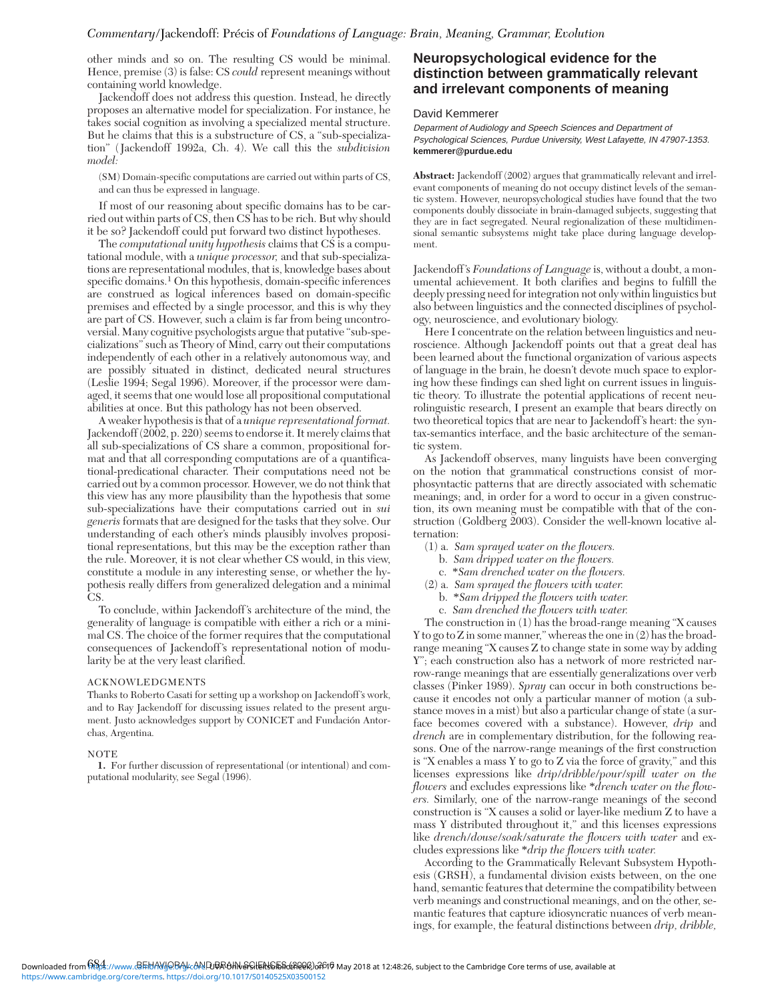other minds and so on. The resulting CS would be minimal. Hence, premise (3) is false: CS *could* represent meanings without containing world knowledge.

Jackendoff does not address this question. Instead, he directly proposes an alternative model for specialization. For instance, he takes social cognition as involving a specialized mental structure. But he claims that this is a substructure of CS, a "sub-specialization" (Jackendoff 1992a, Ch. 4). We call this the *subdivision model:*

(SM) Domain-specific computations are carried out within parts of CS, and can thus be expressed in language.

If most of our reasoning about specific domains has to be carried out within parts of CS, then CS has to be rich. But why should it be so? Jackendoff could put forward two distinct hypotheses.

The *computational unity hypothesis* claims that CS is a computational module, with a *unique processor,* and that sub-specializations are representational modules, that is, knowledge bases about specific domains.1 On this hypothesis, domain-specific inferences are construed as logical inferences based on domain-specific premises and effected by a single processor, and this is why they are part of CS. However, such a claim is far from being uncontroversial. Many cognitive psychologists argue that putative "sub-specializations" such as Theory of Mind, carry out their computations independently of each other in a relatively autonomous way, and are possibly situated in distinct, dedicated neural structures (Leslie 1994; Segal 1996). Moreover, if the processor were damaged, it seems that one would lose all propositional computational abilities at once. But this pathology has not been observed.

A weaker hypothesis is that of a *unique representational format.* Jackendoff (2002, p. 220) seems to endorse it. It merely claims that all sub-specializations of CS share a common, propositional format and that all corresponding computations are of a quantificational-predicational character. Their computations need not be carried out by a common processor. However, we do not think that this view has any more plausibility than the hypothesis that some sub-specializations have their computations carried out in *sui generis* formats that are designed for the tasks that they solve. Our understanding of each other's minds plausibly involves propositional representations, but this may be the exception rather than the rule. Moreover, it is not clear whether CS would, in this view, constitute a module in any interesting sense, or whether the hypothesis really differs from generalized delegation and a minimal CS.

To conclude, within Jackendoff's architecture of the mind, the generality of language is compatible with either a rich or a minimal CS. The choice of the former requires that the computational consequences of Jackendoff's representational notion of modularity be at the very least clarified.

#### ACKNOWLEDGMENTS

Thanks to Roberto Casati for setting up a workshop on Jackendoff's work, and to Ray Jackendoff for discussing issues related to the present argument. Justo acknowledges support by CONICET and Fundación Antorchas, Argentina.

#### **NOTE**

**1.** For further discussion of representational (or intentional) and computational modularity, see Segal (1996).

## **Neuropsychological evidence for the distinction between grammatically relevant and irrelevant components of meaning**

#### David Kemmerer

Deparment of Audiology and Speech Sciences and Department of Psychological Sciences, Purdue University, West Lafayette, IN 47907-1353. **kemmerer@purdue.edu**

**Abstract:** Jackendoff (2002) argues that grammatically relevant and irrelevant components of meaning do not occupy distinct levels of the semantic system. However, neuropsychological studies have found that the two components doubly dissociate in brain-damaged subjects, suggesting that they are in fact segregated. Neural regionalization of these multidimensional semantic subsystems might take place during language development.

Jackendoff's *Foundations of Language* is, without a doubt, a monumental achievement. It both clarifies and begins to fulfill the deeply pressing need for integration not only within linguistics but also between linguistics and the connected disciplines of psychology, neuroscience, and evolutionary biology.

Here I concentrate on the relation between linguistics and neuroscience. Although Jackendoff points out that a great deal has been learned about the functional organization of various aspects of language in the brain, he doesn't devote much space to exploring how these findings can shed light on current issues in linguistic theory. To illustrate the potential applications of recent neurolinguistic research, I present an example that bears directly on two theoretical topics that are near to Jackendoff's heart: the syntax-semantics interface, and the basic architecture of the semantic system.

As Jackendoff observes, many linguists have been converging on the notion that grammatical constructions consist of morphosyntactic patterns that are directly associated with schematic meanings; and, in order for a word to occur in a given construction, its own meaning must be compatible with that of the construction (Goldberg 2003). Consider the well-known locative alternation:

- (1) a. *Sam sprayed water on the flowers.*
	- b. *Sam dripped water on the flowers.*
	- c. \**Sam drenched water on the flowers.*
- (2) a. *Sam sprayed the flowers with water.* b. \**Sam dripped the flowers with water.*
	- c. *Sam drenched the flowers with water.*

The construction in (1) has the broad-range meaning "X causes Y to go to Z in some manner," whereas the one in (2) has the broadrange meaning "X causes Z to change state in some way by adding Y"; each construction also has a network of more restricted narrow-range meanings that are essentially generalizations over verb classes (Pinker 1989). *Spray* can occur in both constructions because it encodes not only a particular manner of motion (a substance moves in a mist) but also a particular change of state (a surface becomes covered with a substance). However, *drip* and *drench* are in complementary distribution, for the following reasons. One of the narrow-range meanings of the first construction is "X enables a mass Y to go to Z via the force of gravity," and this licenses expressions like *drip/dribble/pour/spill water on the flowers* and excludes expressions like \**drench water on the flowers.* Similarly, one of the narrow-range meanings of the second construction is "X causes a solid or layer-like medium Z to have a mass Y distributed throughout it," and this licenses expressions like *drench/douse/soak/saturate the flowers with water* and excludes expressions like \**drip the flowers with water.*

According to the Grammatically Relevant Subsystem Hypothesis (GRSH), a fundamental division exists between, on the one hand, semantic features that determine the compatibility between verb meanings and constructional meanings, and on the other, semantic features that capture idiosyncratic nuances of verb meanings, for example, the featural distinctions between *drip, dribble,*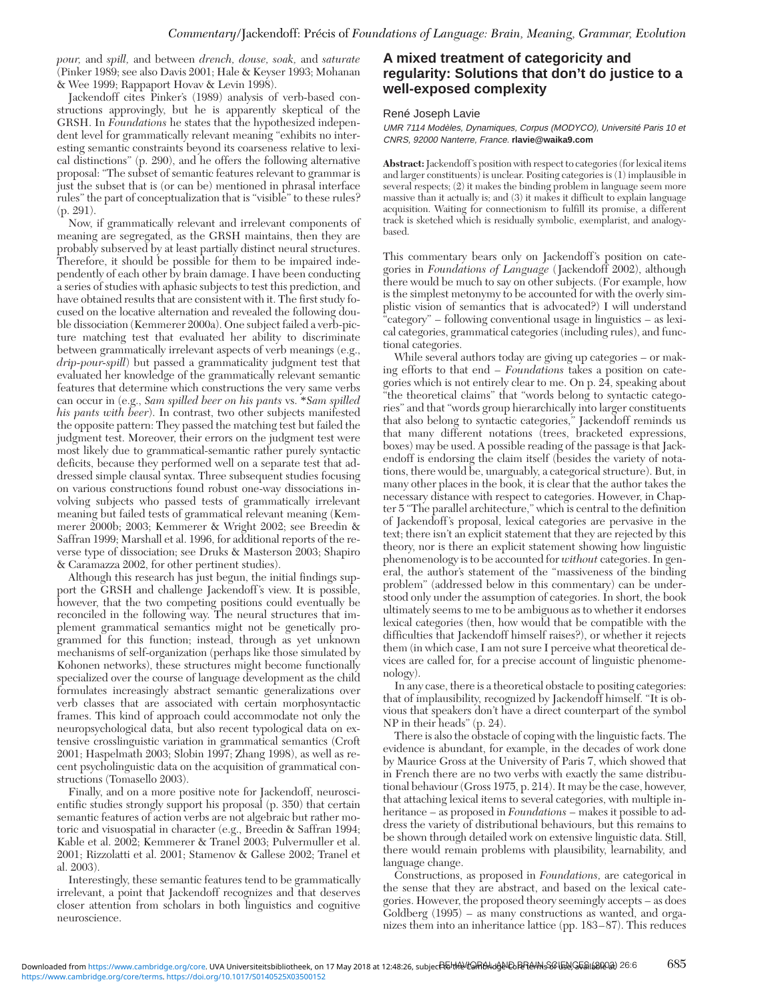*pour,* and *spill,* and between *drench, douse, soak,* and *saturate* (Pinker 1989; see also Davis 2001; Hale & Keyser 1993; Mohanan & Wee 1999; Rappaport Hovav & Levin 1998).

Jackendoff cites Pinker's (1989) analysis of verb-based constructions approvingly, but he is apparently skeptical of the GRSH. In *Foundations* he states that the hypothesized independent level for grammatically relevant meaning "exhibits no interesting semantic constraints beyond its coarseness relative to lexical distinctions" (p. 290), and he offers the following alternative proposal: "The subset of semantic features relevant to grammar is just the subset that is (or can be) mentioned in phrasal interface rules" the part of conceptualization that is "visible" to these rules? (p. 291).

Now, if grammatically relevant and irrelevant components of meaning are segregated, as the GRSH maintains, then they are probably subserved by at least partially distinct neural structures. Therefore, it should be possible for them to be impaired independently of each other by brain damage. I have been conducting a series of studies with aphasic subjects to test this prediction, and have obtained results that are consistent with it. The first study focused on the locative alternation and revealed the following double dissociation (Kemmerer 2000a). One subject failed a verb-picture matching test that evaluated her ability to discriminate between grammatically irrelevant aspects of verb meanings (e.g., *drip-pour-spill*) but passed a grammaticality judgment test that evaluated her knowledge of the grammatically relevant semantic features that determine which constructions the very same verbs can occur in (e.g., *Sam spilled beer on his pants* vs. \**Sam spilled his pants with beer*). In contrast, two other subjects manifested the opposite pattern: They passed the matching test but failed the judgment test. Moreover, their errors on the judgment test were most likely due to grammatical-semantic rather purely syntactic deficits, because they performed well on a separate test that addressed simple clausal syntax. Three subsequent studies focusing on various constructions found robust one-way dissociations involving subjects who passed tests of grammatically irrelevant meaning but failed tests of grammatical relevant meaning (Kemmerer 2000b; 2003; Kemmerer & Wright 2002; see Breedin & Saffran 1999; Marshall et al. 1996, for additional reports of the reverse type of dissociation; see Druks & Masterson 2003; Shapiro & Caramazza 2002, for other pertinent studies).

Although this research has just begun, the initial findings support the GRSH and challenge Jackendoff's view. It is possible, however, that the two competing positions could eventually be reconciled in the following way. The neural structures that implement grammatical semantics might not be genetically programmed for this function; instead, through as yet unknown mechanisms of self-organization (perhaps like those simulated by Kohonen networks), these structures might become functionally specialized over the course of language development as the child formulates increasingly abstract semantic generalizations over verb classes that are associated with certain morphosyntactic frames. This kind of approach could accommodate not only the neuropsychological data, but also recent typological data on extensive crosslinguistic variation in grammatical semantics (Croft 2001; Haspelmath 2003; Slobin 1997; Zhang 1998), as well as recent psycholinguistic data on the acquisition of grammatical constructions (Tomasello 2003).

Finally, and on a more positive note for Jackendoff, neuroscientific studies strongly support his proposal (p. 350) that certain semantic features of action verbs are not algebraic but rather motoric and visuospatial in character (e.g., Breedin & Saffran 1994; Kable et al. 2002; Kemmerer & Tranel 2003; Pulvermuller et al. 2001; Rizzolatti et al. 2001; Stamenov & Gallese 2002; Tranel et al. 2003).

Interestingly, these semantic features tend to be grammatically irrelevant, a point that Jackendoff recognizes and that deserves closer attention from scholars in both linguistics and cognitive neuroscience.

## **A mixed treatment of categoricity and regularity: Solutions that don't do justice to a well-exposed complexity**

#### René Joseph Lavie

UMR 7114 Modèles, Dynamiques, Corpus (MODYCO), Université Paris 10 et CNRS, 92000 Nanterre, France. **rlavie@waika9.com**

Abstract: Jackendoff's position with respect to categories (for lexical items and larger constituents) is unclear. Positing categories is (1) implausible in several respects; (2) it makes the binding problem in language seem more massive than it actually is; and (3) it makes it difficult to explain language acquisition. Waiting for connectionism to fulfill its promise, a different track is sketched which is residually symbolic, exemplarist, and analogybased.

This commentary bears only on Jackendoff's position on categories in *Foundations of Language* (Jackendoff 2002), although there would be much to say on other subjects. (For example, how is the simplest metonymy to be accounted for with the overly simplistic vision of semantics that is advocated?) I will understand "category" – following conventional usage in linguistics – as lexical categories, grammatical categories (including rules), and functional categories.

While several authors today are giving up categories – or making efforts to that end – *Foundations* takes a position on categories which is not entirely clear to me. On p.  $2\overline{4}$ , speaking about "the theoretical claims" that "words belong to syntactic categories" and that "words group hierarchically into larger constituents that also belong to syntactic categories," Jackendoff reminds us that many different notations (trees, bracketed expressions, boxes) may be used. A possible reading of the passage is that Jackendoff is endorsing the claim itself (besides the variety of notations, there would be, unarguably, a categorical structure). But, in many other places in the book, it is clear that the author takes the necessary distance with respect to categories. However, in Chapter 5 "The parallel architecture," which is central to the definition of Jackendoff's proposal, lexical categories are pervasive in the text; there isn't an explicit statement that they are rejected by this theory, nor is there an explicit statement showing how linguistic phenomenology is to be accounted for *without* categories. In general, the author's statement of the "massiveness of the binding problem" (addressed below in this commentary) can be understood only under the assumption of categories. In short, the book ultimately seems to me to be ambiguous as to whether it endorses lexical categories (then, how would that be compatible with the difficulties that Jackendoff himself raises?), or whether it rejects them (in which case, I am not sure I perceive what theoretical devices are called for, for a precise account of linguistic phenomenology).

In any case, there is a theoretical obstacle to positing categories: that of implausibility, recognized by Jackendoff himself. "It is obvious that speakers don't have a direct counterpart of the symbol NP in their heads" (p. 24).

There is also the obstacle of coping with the linguistic facts. The evidence is abundant, for example, in the decades of work done by Maurice Gross at the University of Paris 7, which showed that in French there are no two verbs with exactly the same distributional behaviour (Gross 1975, p. 214). It may be the case, however, that attaching lexical items to several categories, with multiple inheritance – as proposed in *Foundations* – makes it possible to address the variety of distributional behaviours, but this remains to be shown through detailed work on extensive linguistic data. Still, there would remain problems with plausibility, learnability, and language change.

Constructions, as proposed in *Foundations,* are categorical in the sense that they are abstract, and based on the lexical categories. However, the proposed theory seemingly accepts – as does Goldberg (1995) – as many constructions as wanted, and organizes them into an inheritance lattice (pp. 183–87). This reduces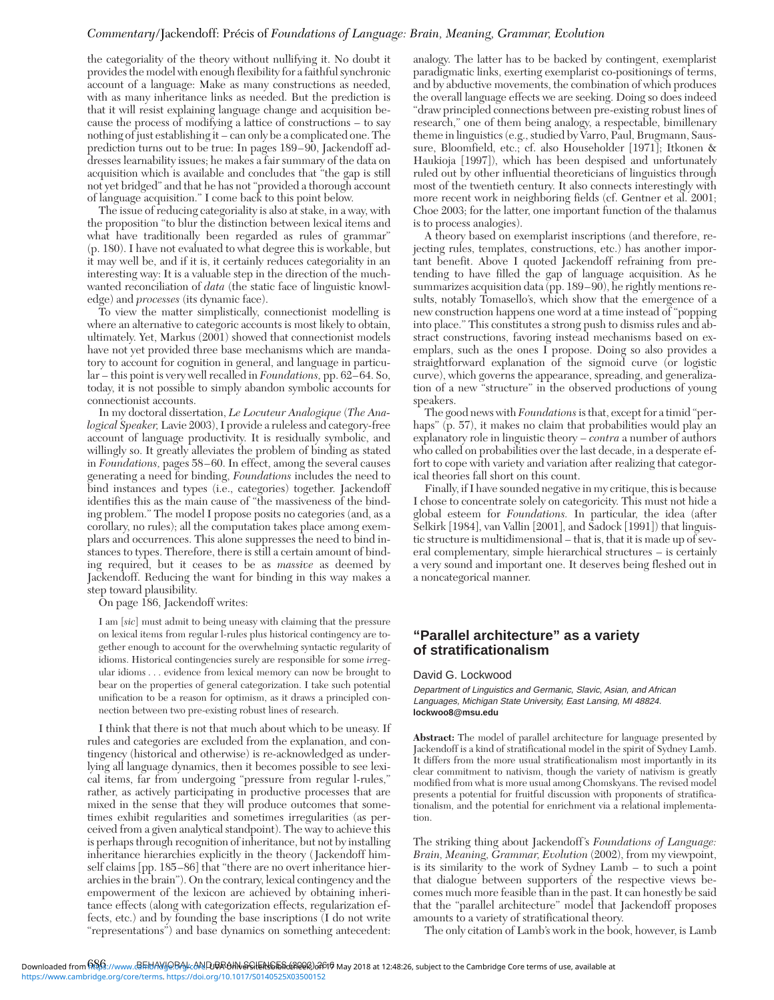the categoriality of the theory without nullifying it. No doubt it provides the model with enough flexibility for a faithful synchronic account of a language: Make as many constructions as needed, with as many inheritance links as needed. But the prediction is that it will resist explaining language change and acquisition because the process of modifying a lattice of constructions – to say nothing of just establishing it – can only be a complicated one. The prediction turns out to be true: In pages 189–90, Jackendoff addresses learnability issues; he makes a fair summary of the data on acquisition which is available and concludes that "the gap is still not yet bridged" and that he has not "provided a thorough account of language acquisition." I come back to this point below.

The issue of reducing categoriality is also at stake, in a way, with the proposition "to blur the distinction between lexical items and what have traditionally been regarded as rules of grammar" (p. 180). I have not evaluated to what degree this is workable, but it may well be, and if it is, it certainly reduces categoriality in an interesting way: It is a valuable step in the direction of the muchwanted reconciliation of *data* (the static face of linguistic knowledge) and *processes* (its dynamic face).

To view the matter simplistically, connectionist modelling is where an alternative to categoric accounts is most likely to obtain, ultimately. Yet, Markus (2001) showed that connectionist models have not yet provided three base mechanisms which are mandatory to account for cognition in general, and language in particular – this point is very well recalled in *Foundations,* pp. 62–64. So, today, it is not possible to simply abandon symbolic accounts for connectionist accounts.

In my doctoral dissertation, *Le Locuteur Analogique* (*The Analogical Speaker,* Lavie 2003), I provide a ruleless and category-free account of language productivity. It is residually symbolic, and willingly so. It greatly alleviates the problem of binding as stated in *Foundations,* pages 58–60. In effect, among the several causes generating a need for binding, *Foundations* includes the need to bind instances and types (i.e., categories) together. Jackendoff identifies this as the main cause of "the massiveness of the binding problem." The model I propose posits no categories (and, as a corollary, no rules); all the computation takes place among exemplars and occurrences. This alone suppresses the need to bind instances to types. Therefore, there is still a certain amount of binding required, but it ceases to be as *massive* as deemed by Jackendoff. Reducing the want for binding in this way makes a step toward plausibility.

On page 186, Jackendoff writes:

I am [*sic*] must admit to being uneasy with claiming that the pressure on lexical items from regular l-rules plus historical contingency are together enough to account for the overwhelming syntactic regularity of idioms. Historical contingencies surely are responsible for some *ir*regular idioms . . . evidence from lexical memory can now be brought to bear on the properties of general categorization. I take such potential unification to be a reason for optimism, as it draws a principled connection between two pre-existing robust lines of research.

I think that there is not that much about which to be uneasy. If rules and categories are excluded from the explanation, and contingency (historical and otherwise) is re-acknowledged as underlying all language dynamics, then it becomes possible to see lexical items, far from undergoing "pressure from regular l-rules," rather, as actively participating in productive processes that are mixed in the sense that they will produce outcomes that sometimes exhibit regularities and sometimes irregularities (as perceived from a given analytical standpoint). The way to achieve this is perhaps through recognition of inheritance, but not by installing inheritance hierarchies explicitly in the theory (Jackendoff himself claims [pp. 185–86] that "there are no overt inheritance hierarchies in the brain"). On the contrary, lexical contingency and the empowerment of the lexicon are achieved by obtaining inheritance effects (along with categorization effects, regularization effects, etc.) and by founding the base inscriptions  $\bar{I}$  do not write "representations") and base dynamics on something antecedent: analogy. The latter has to be backed by contingent, exemplarist paradigmatic links, exerting exemplarist co-positionings of terms, and by abductive movements, the combination of which produces the overall language effects we are seeking. Doing so does indeed "draw principled connections between pre-existing robust lines of research," one of them being analogy, a respectable, bimillenary theme in linguistics (e.g., studied by Varro, Paul, Brugmann, Saussure, Bloomfield, etc.; cf. also Householder [1971]; Itkonen & Haukioja [1997]), which has been despised and unfortunately ruled out by other influential theoreticians of linguistics through most of the twentieth century. It also connects interestingly with more recent work in neighboring fields (cf. Gentner et al. 2001; Choe 2003; for the latter, one important function of the thalamus is to process analogies).

A theory based on exemplarist inscriptions (and therefore, rejecting rules, templates, constructions, etc.) has another important benefit. Above I quoted Jackendoff refraining from pretending to have filled the gap of language acquisition. As he summarizes acquisition data (pp. 189-90), he rightly mentions results, notably Tomasello's, which show that the emergence of a new construction happens one word at a time instead of "popping into place." This constitutes a strong push to dismiss rules and abstract constructions, favoring instead mechanisms based on exemplars, such as the ones I propose. Doing so also provides a straightforward explanation of the sigmoid curve (or logistic curve), which governs the appearance, spreading, and generalization of a new "structure" in the observed productions of young speakers.

The good news with *Foundations*is that, except for a timid "perhaps" (p. 57), it makes no claim that probabilities would play an explanatory role in linguistic theory – *contra* a number of authors who called on probabilities over the last decade, in a desperate effort to cope with variety and variation after realizing that categorical theories fall short on this count.

Finally, if I have sounded negative in my critique, this is because I chose to concentrate solely on categoricity. This must not hide a global esteem for *Foundations.* In particular, the idea (after Selkirk [1984], van Vallin [2001], and Sadock [1991]) that linguistic structure is multidimensional – that is, that it is made up of several complementary, simple hierarchical structures – is certainly a very sound and important one. It deserves being fleshed out in a noncategorical manner.

## **"Parallel architecture" as a variety of stratificationalism**

#### David G. Lockwood

Department of Linguistics and Germanic, Slavic, Asian, and African Languages, Michigan State University, East Lansing, MI 48824. **lockwoo8@msu.edu**

**Abstract:** The model of parallel architecture for language presented by Jackendoff is a kind of stratificational model in the spirit of Sydney Lamb. It differs from the more usual stratificationalism most importantly in its clear commitment to nativism, though the variety of nativism is greatly modified from what is more usual among Chomskyans. The revised model presents a potential for fruitful discussion with proponents of stratificationalism, and the potential for enrichment via a relational implementation.

The striking thing about Jackendoff's *Foundations of Language: Brain, Meaning, Grammar, Evolution* (2002), from my viewpoint, is its similarity to the work of Sydney Lamb – to such a point that dialogue between supporters of the respective views becomes much more feasible than in the past. It can honestly be said that the "parallel architecture" model that Jackendoff proposes amounts to a variety of stratificational theory.

The only citation of Lamb's work in the book, however, is Lamb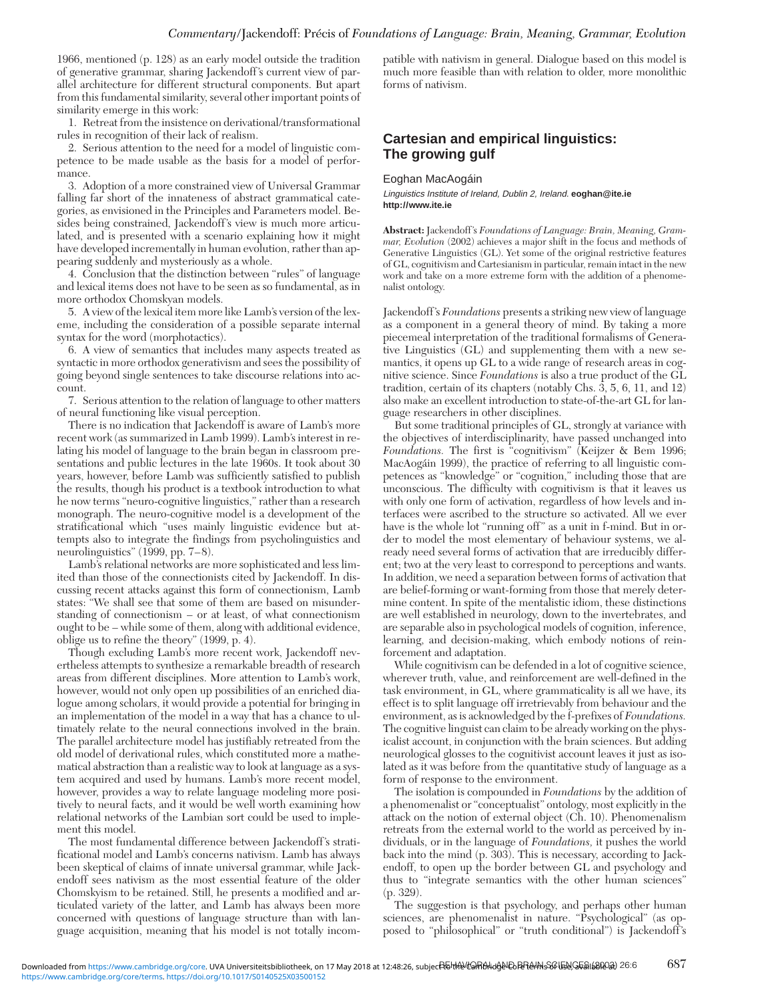1966, mentioned (p. 128) as an early model outside the tradition of generative grammar, sharing Jackendoff's current view of parallel architecture for different structural components. But apart from this fundamental similarity, several other important points of similarity emerge in this work:

1. Retreat from the insistence on derivational/transformational rules in recognition of their lack of realism.

2. Serious attention to the need for a model of linguistic competence to be made usable as the basis for a model of performance.

3. Adoption of a more constrained view of Universal Grammar falling far short of the innateness of abstract grammatical categories, as envisioned in the Principles and Parameters model. Besides being constrained, Jackendoff's view is much more articulated, and is presented with a scenario explaining how it might have developed incrementally in human evolution, rather than appearing suddenly and mysteriously as a whole.

4. Conclusion that the distinction between "rules" of language and lexical items does not have to be seen as so fundamental, as in more orthodox Chomskyan models.

5. A view of the lexical item more like Lamb's version of the lexeme, including the consideration of a possible separate internal syntax for the word (morphotactics).

6. A view of semantics that includes many aspects treated as syntactic in more orthodox generativism and sees the possibility of going beyond single sentences to take discourse relations into account.

7. Serious attention to the relation of language to other matters of neural functioning like visual perception.

There is no indication that Jackendoff is aware of Lamb's more recent work (as summarized in Lamb 1999). Lamb's interest in relating his model of language to the brain began in classroom presentations and public lectures in the late 1960s. It took about 30 years, however, before Lamb was sufficiently satisfied to publish the results, though his product is a textbook introduction to what he now terms "neuro-cognitive linguistics," rather than a research monograph. The neuro-cognitive model is a development of the stratificational which "uses mainly linguistic evidence but attempts also to integrate the findings from psycholinguistics and neurolinguistics" (1999, pp. 7–8).

Lamb's relational networks are more sophisticated and less limited than those of the connectionists cited by Jackendoff. In discussing recent attacks against this form of connectionism, Lamb states: "We shall see that some of them are based on misunderstanding of connectionism – or at least, of what connectionism ought to be – while some of them, along with additional evidence, oblige us to refine the theory" (1999, p. 4).

Though excluding Lamb's more recent work, Jackendoff nevertheless attempts to synthesize a remarkable breadth of research areas from different disciplines. More attention to Lamb's work, however, would not only open up possibilities of an enriched dialogue among scholars, it would provide a potential for bringing in an implementation of the model in a way that has a chance to ultimately relate to the neural connections involved in the brain. The parallel architecture model has justifiably retreated from the old model of derivational rules, which constituted more a mathematical abstraction than a realistic way to look at language as a system acquired and used by humans. Lamb's more recent model, however, provides a way to relate language modeling more positively to neural facts, and it would be well worth examining how relational networks of the Lambian sort could be used to implement this model.

The most fundamental difference between Jackendoff's stratificational model and Lamb's concerns nativism. Lamb has always been skeptical of claims of innate universal grammar, while Jackendoff sees nativism as the most essential feature of the older Chomskyism to be retained. Still, he presents a modified and articulated variety of the latter, and Lamb has always been more concerned with questions of language structure than with language acquisition, meaning that his model is not totally incompatible with nativism in general. Dialogue based on this model is much more feasible than with relation to older, more monolithic forms of nativism.

## **Cartesian and empirical linguistics: The growing gulf**

#### Eoghan MacAogáin

Linguistics Institute of Ireland, Dublin 2, Ireland. **eoghan@ite.ie http://www.ite.ie**

**Abstract:** Jackendoff's *Foundations of Language: Brain, Meaning, Grammar, Evolution* (2002) achieves a major shift in the focus and methods of Generative Linguistics (GL). Yet some of the original restrictive features of GL, cognitivism and Cartesianism in particular, remain intact in the new work and take on a more extreme form with the addition of a phenomenalist ontology.

Jackendoff's *Foundations* presents a striking new view of language as a component in a general theory of mind. By taking a more piecemeal interpretation of the traditional formalisms of Generative Linguistics (GL) and supplementing them with a new semantics, it opens up GL to a wide range of research areas in cognitive science. Since *Foundations* is also a true product of the GL tradition, certain of its chapters (notably Chs. 3, 5, 6, 11, and 12) also make an excellent introduction to state-of-the-art GL for language researchers in other disciplines.

But some traditional principles of GL, strongly at variance with the objectives of interdisciplinarity, have passed unchanged into *Foundations.* The first is "cognitivism" (Keijzer & Bem 1996; MacAogáin 1999), the practice of referring to all linguistic competences as "knowledge" or "cognition," including those that are unconscious. The difficulty with cognitivism is that it leaves us with only one form of activation, regardless of how levels and interfaces were ascribed to the structure so activated. All we ever have is the whole lot "running off" as a unit in f-mind. But in order to model the most elementary of behaviour systems, we already need several forms of activation that are irreducibly different; two at the very least to correspond to perceptions and wants. In addition, we need a separation between forms of activation that are belief-forming or want-forming from those that merely determine content. In spite of the mentalistic idiom, these distinctions are well established in neurology, down to the invertebrates, and are separable also in psychological models of cognition, inference, learning, and decision-making, which embody notions of reinforcement and adaptation.

While cognitivism can be defended in a lot of cognitive science, wherever truth, value, and reinforcement are well-defined in the task environment, in GL, where grammaticality is all we have, its effect is to split language off irretrievably from behaviour and the environment, as is acknowledged by the f-prefixes of *Foundations.* The cognitive linguist can claim to be already working on the physicalist account, in conjunction with the brain sciences. But adding neurological glosses to the cognitivist account leaves it just as isolated as it was before from the quantitative study of language as a form of response to the environment.

The isolation is compounded in *Foundations* by the addition of a phenomenalist or "conceptualist" ontology, most explicitly in the attack on the notion of external object (Ch. 10). Phenomenalism retreats from the external world to the world as perceived by individuals, or in the language of *Foundations,* it pushes the world back into the mind (p. 303). This is necessary, according to Jackendoff, to open up the border between GL and psychology and thus to "integrate semantics with the other human sciences" (p. 329).

The suggestion is that psychology, and perhaps other human sciences, are phenomenalist in nature. "Psychological" (as opposed to "philosophical" or "truth conditional") is Jackendoff's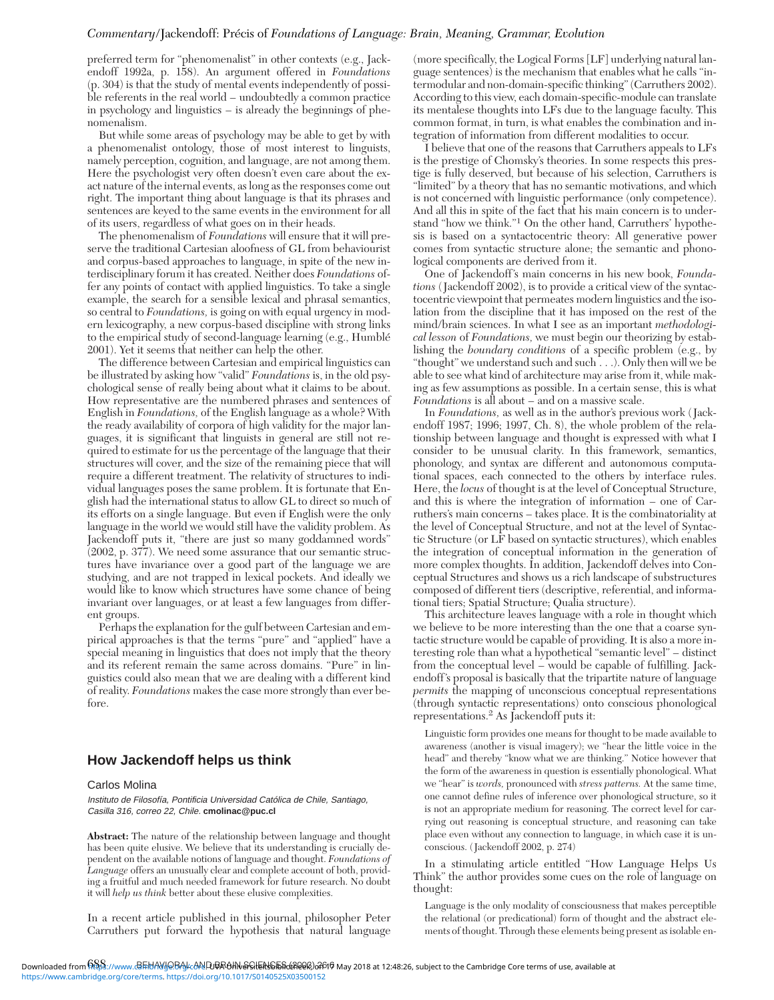preferred term for "phenomenalist" in other contexts (e.g., Jackendoff 1992a, p. 158). An argument offered in *Foundations* (p. 304) is that the study of mental events independently of possible referents in the real world – undoubtedly a common practice in psychology and linguistics – is already the beginnings of phenomenalism.

But while some areas of psychology may be able to get by with a phenomenalist ontology, those of most interest to linguists, namely perception, cognition, and language, are not among them. Here the psychologist very often doesn't even care about the exact nature of the internal events, as long as the responses come out right. The important thing about language is that its phrases and sentences are keyed to the same events in the environment for all of its users, regardless of what goes on in their heads.

The phenomenalism of *Foundations* will ensure that it will preserve the traditional Cartesian aloofness of GL from behaviourist and corpus-based approaches to language, in spite of the new interdisciplinary forum it has created. Neither does *Foundations* offer any points of contact with applied linguistics. To take a single example, the search for a sensible lexical and phrasal semantics, so central to *Foundations,* is going on with equal urgency in modern lexicography, a new corpus-based discipline with strong links to the empirical study of second-language learning (e.g., Humblé 2001). Yet it seems that neither can help the other.

The difference between Cartesian and empirical linguistics can be illustrated by asking how "valid" *Foundations* is, in the old psychological sense of really being about what it claims to be about. How representative are the numbered phrases and sentences of English in *Foundations,* of the English language as a whole? With the ready availability of corpora of high validity for the major languages, it is significant that linguists in general are still not required to estimate for us the percentage of the language that their structures will cover, and the size of the remaining piece that will require a different treatment. The relativity of structures to individual languages poses the same problem. It is fortunate that English had the international status to allow GL to direct so much of its efforts on a single language. But even if English were the only language in the world we would still have the validity problem. As Jackendoff puts it, "there are just so many goddamned words" (2002, p. 377). We need some assurance that our semantic structures have invariance over a good part of the language we are studying, and are not trapped in lexical pockets. And ideally we would like to know which structures have some chance of being invariant over languages, or at least a few languages from different groups.

Perhaps the explanation for the gulf between Cartesian and empirical approaches is that the terms "pure" and "applied" have a special meaning in linguistics that does not imply that the theory and its referent remain the same across domains. "Pure" in linguistics could also mean that we are dealing with a different kind of reality. *Foundations* makes the case more strongly than ever before.

## **How Jackendoff helps us think**

#### Carlos Molina

Instituto de Filosofía, Pontificia Universidad Católica de Chile, Santiago, Casilla 316, correo 22, Chile. **cmolinac@puc.cl**

**Abstract:** The nature of the relationship between language and thought has been quite elusive. We believe that its understanding is crucially dependent on the available notions of language and thought. *Foundations of Language* offers an unusually clear and complete account of both, providing a fruitful and much needed framework for future research. No doubt it will *help us think* better about these elusive complexities.

In a recent article published in this journal, philosopher Peter Carruthers put forward the hypothesis that natural language

(more specifically, the Logical Forms [LF] underlying natural language sentences) is the mechanism that enables what he calls "intermodular and non-domain-specific thinking" (Carruthers 2002). According to this view, each domain-specific-module can translate its mentalese thoughts into LFs due to the language faculty. This common format, in turn, is what enables the combination and integration of information from different modalities to occur.

I believe that one of the reasons that Carruthers appeals to LFs is the prestige of Chomsky's theories. In some respects this prestige is fully deserved, but because of his selection, Carruthers is "limited" by a theory that has no semantic motivations, and which is not concerned with linguistic performance (only competence). And all this in spite of the fact that his main concern is to understand "how we think."1 On the other hand, Carruthers' hypothesis is based on a syntactocentric theory: All generative power comes from syntactic structure alone; the semantic and phonological components are derived from it.

One of Jackendoff's main concerns in his new book, *Foundations* (Jackendoff 2002), is to provide a critical view of the syntactocentric viewpoint that permeates modern linguistics and the isolation from the discipline that it has imposed on the rest of the mind/brain sciences. In what I see as an important *methodological lesson* of *Foundations,* we must begin our theorizing by establishing the *boundary conditions* of a specific problem (e.g., by "thought" we understand such and such . . .). Only then will we be able to see what kind of architecture may arise from it, while making as few assumptions as possible. In a certain sense, this is what *Foundations* is all about – and on a massive scale.

In *Foundations,* as well as in the author's previous work (Jackendoff 1987; 1996; 1997, Ch. 8), the whole problem of the relationship between language and thought is expressed with what I consider to be unusual clarity. In this framework, semantics, phonology, and syntax are different and autonomous computational spaces, each connected to the others by interface rules. Here, the *locus* of thought is at the level of Conceptual Structure, and this is where the integration of information – one of Carruthers's main concerns – takes place. It is the combinatoriality at the level of Conceptual Structure, and not at the level of Syntactic Structure (or LF based on syntactic structures), which enables the integration of conceptual information in the generation of more complex thoughts. In addition, Jackendoff delves into Conceptual Structures and shows us a rich landscape of substructures composed of different tiers (descriptive, referential, and informational tiers; Spatial Structure; Qualia structure).

This architecture leaves language with a role in thought which we believe to be more interesting than the one that a coarse syntactic structure would be capable of providing. It is also a more interesting role than what a hypothetical "semantic level" – distinct from the conceptual level – would be capable of fulfilling. Jackendoff's proposal is basically that the tripartite nature of language *permits* the mapping of unconscious conceptual representations (through syntactic representations) onto conscious phonological representations.2 As Jackendoff puts it:

Linguistic form provides one means for thought to be made available to awareness (another is visual imagery); we "hear the little voice in the head" and thereby "know what we are thinking." Notice however that the form of the awareness in question is essentially phonological. What we "hear" is *words,* pronounced with *stress patterns.* At the same time, one cannot define rules of inference over phonological structure, so it is not an appropriate medium for reasoning. The correct level for carrying out reasoning is conceptual structure, and reasoning can take place even without any connection to language, in which case it is unconscious. (Jackendoff 2002, p. 274)

In a stimulating article entitled "How Language Helps Us Think" the author provides some cues on the role of language on thought:

Language is the only modality of consciousness that makes perceptible the relational (or predicational) form of thought and the abstract elements of thought. Through these elements being present as isolable en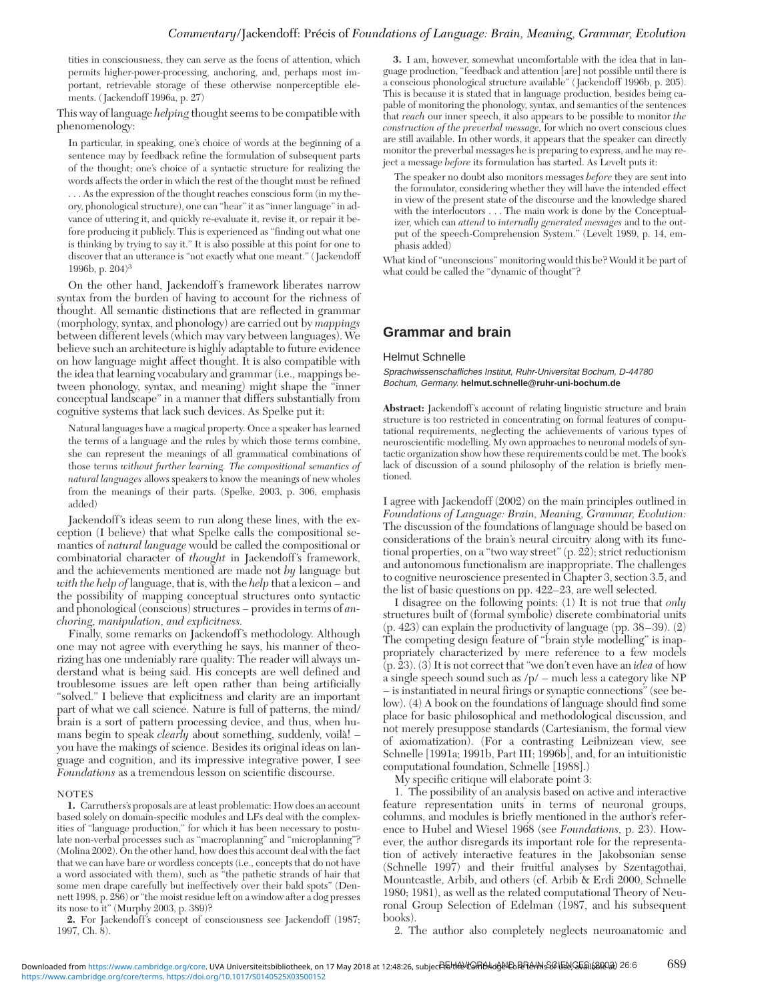tities in consciousness, they can serve as the focus of attention, which permits higher-power-processing, anchoring, and, perhaps most important, retrievable storage of these otherwise nonperceptible elements. (Jackendoff 1996a, p. 27)

This way of language *helping* thought seems to be compatible with phenomenology:

In particular, in speaking, one's choice of words at the beginning of a sentence may by feedback refine the formulation of subsequent parts of the thought; one's choice of a syntactic structure for realizing the words affects the order in which the rest of the thought must be refined . . . As the expression of the thought reaches conscious form (in my theory, phonological structure), one can "hear" it as "inner language" in advance of uttering it, and quickly re-evaluate it, revise it, or repair it before producing it publicly. This is experienced as "finding out what one is thinking by trying to say it." It is also possible at this point for one to discover that an utterance is "not exactly what one meant." (Jackendoff 1996b, p. 204)3

On the other hand, Jackendoff's framework liberates narrow syntax from the burden of having to account for the richness of thought. All semantic distinctions that are reflected in grammar (morphology, syntax, and phonology) are carried out by *mappings* between different levels (which may vary between languages). We believe such an architecture is highly adaptable to future evidence on how language might affect thought. It is also compatible with the idea that learning vocabulary and grammar (i.e., mappings between phonology, syntax, and meaning) might shape the "inner conceptual landscape" in a manner that differs substantially from cognitive systems that lack such devices. As Spelke put it:

Natural languages have a magical property. Once a speaker has learned the terms of a language and the rules by which those terms combine, she can represent the meanings of all grammatical combinations of those terms *without further learning. The compositional semantics of natural languages* allows speakers to know the meanings of new wholes from the meanings of their parts. (Spelke, 2003, p. 306, emphasis added)

Jackendoff's ideas seem to run along these lines, with the exception (I believe) that what Spelke calls the compositional semantics of *natural language* would be called the compositional or combinatorial character of *thought* in Jackendoff's framework, and the achievements mentioned are made not *by* language but *with the help of* language, that is, with the *help* that a lexicon – and the possibility of mapping conceptual structures onto syntactic and phonological (conscious) structures – provides in terms of *anchoring, manipulation, and explicitness.*

Finally, some remarks on Jackendoff's methodology. Although one may not agree with everything he says, his manner of theorizing has one undeniably rare quality: The reader will always understand what is being said. His concepts are well defined and troublesome issues are left open rather than being artificially "solved." I believe that explicitness and clarity are an important part of what we call science. Nature is full of patterns, the mind/ brain is a sort of pattern processing device, and thus, when humans begin to speak *clearly* about something, suddenly, voilà! – you have the makings of science. Besides its original ideas on language and cognition, and its impressive integrative power, I see *Foundations* as a tremendous lesson on scientific discourse.

#### NOTES

**1.** Carruthers's proposals are at least problematic: How does an account based solely on domain-specific modules and LFs deal with the complexities of "language production," for which it has been necessary to postulate non-verbal processes such as "macroplanning" and "microplanning"? (Molina 2002). On the other hand, how does this account deal with the fact that we can have bare or wordless concepts (i.e., concepts that do not have a word associated with them), such as "the pathetic strands of hair that some men drape carefully but ineffectively over their bald spots" (Dennett 1998, p. 286) or "the moist residue left on a window after a dog presses its nose to it" (Murphy 2003, p. 389)?

**2.** For Jackendoff's concept of consciousness see Jackendoff (1987; 1997, Ch. 8).

**3.** I am, however, somewhat uncomfortable with the idea that in language production, "feedback and attention [are] not possible until there is a conscious phonological structure available" (Jackendoff 1996b, p. 205). This is because it is stated that in language production, besides being capable of monitoring the phonology, syntax, and semantics of the sentences that *reach* our inner speech, it also appears to be possible to monitor *the construction of the preverbal message,* for which no overt conscious clues are still available. In other words, it appears that the speaker can directly monitor the preverbal messages he is preparing to express, and he may reject a message *before* its formulation has started. As Levelt puts it:

The speaker no doubt also monitors messages *before* they are sent into the formulator, considering whether they will have the intended effect in view of the present state of the discourse and the knowledge shared with the interlocutors . . . The main work is done by the Conceptualizer, which can *attend* to *internally generated messages* and to the output of the speech-Comprehension System." (Levelt 1989, p. 14, emphasis added)

What kind of "unconscious" monitoring would this be? Would it be part of what could be called the "dynamic of thought"?

## **Grammar and brain**

#### Helmut Schnelle

Sprachwissenschafliches Institut, Ruhr-Universitat Bochum, D-44780 Bochum, Germany. **helmut.schnelle@ruhr-uni-bochum.de**

**Abstract:** Jackendoff's account of relating linguistic structure and brain structure is too restricted in concentrating on formal features of computational requirements, neglecting the achievements of various types of neuroscientific modelling. My own approaches to neuronal models of syntactic organization show how these requirements could be met. The book's lack of discussion of a sound philosophy of the relation is briefly mentioned.

I agree with Jackendoff (2002) on the main principles outlined in *Foundations of Language: Brain, Meaning, Grammar, Evolution:* The discussion of the foundations of language should be based on considerations of the brain's neural circuitry along with its functional properties, on a "two way street" (p. 22); strict reductionism and autonomous functionalism are inappropriate. The challenges to cognitive neuroscience presented in Chapter 3, section 3.5, and the list of basic questions on pp. 422–23, are well selected.

I disagree on the following points: (1) It is not true that *only* structures built of (formal symbolic) discrete combinatorial units (p. 423) can explain the productivity of language (pp. 38–39). (2) The competing design feature of "brain style modelling" is inappropriately characterized by mere reference to a few models (p. 23). (3) It is not correct that "we don't even have an *idea* of how a single speech sound such as /p/ – much less a category like NP – is instantiated in neural firings or synaptic connections" (see below). (4) A book on the foundations of language should find some place for basic philosophical and methodological discussion, and not merely presuppose standards (Cartesianism, the formal view of axiomatization). (For a contrasting Leibnizean view, see Schnelle [1991a; 1991b, Part III; 1996b], and, for an intuitionistic computational foundation, Schnelle [1988].)

My specific critique will elaborate point 3:

1. The possibility of an analysis based on active and interactive feature representation units in terms of neuronal groups, columns, and modules is briefly mentioned in the author's reference to Hubel and Wiesel 1968 (see *Foundations,* p. 23). However, the author disregards its important role for the representation of actively interactive features in the Jakobsonian sense (Schnelle 1997) and their fruitful analyses by Szentagothai, Mountcastle, Arbib, and others (cf. Arbib & Erdi 2000, Schnelle 1980; 1981), as well as the related computational Theory of Neuronal Group Selection of Edelman (1987, and his subsequent books).

2. The author also completely neglects neuroanatomic and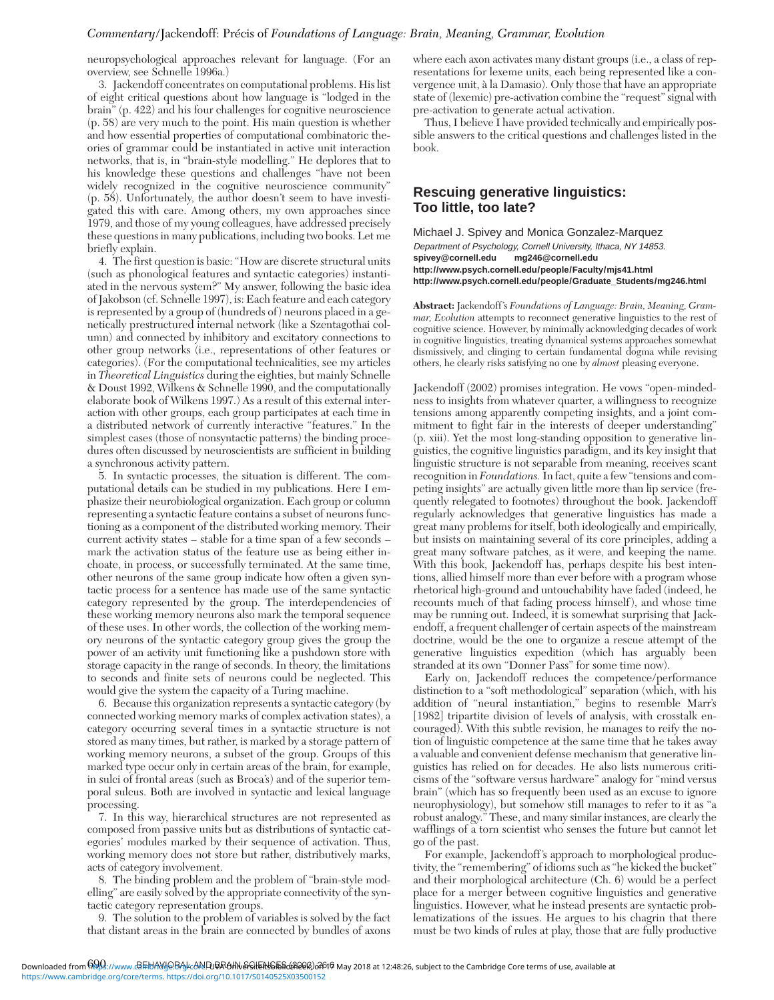neuropsychological approaches relevant for language. (For an overview, see Schnelle 1996a.)

3. Jackendoff concentrates on computational problems. His list of eight critical questions about how language is "lodged in the brain" (p. 422) and his four challenges for cognitive neuroscience (p. 58) are very much to the point. His main question is whether and how essential properties of computational combinatoric theories of grammar could be instantiated in active unit interaction networks, that is, in "brain-style modelling." He deplores that to his knowledge these questions and challenges "have not been widely recognized in the cognitive neuroscience community" (p. 58). Unfortunately, the author doesn't seem to have investigated this with care. Among others, my own approaches since 1979, and those of my young colleagues, have addressed precisely these questions in many publications, including two books. Let me briefly explain.

4. The first question is basic: "How are discrete structural units (such as phonological features and syntactic categories) instantiated in the nervous system?" My answer, following the basic idea of Jakobson (cf. Schnelle 1997), is: Each feature and each category is represented by a group of (hundreds of) neurons placed in a genetically prestructured internal network (like a Szentagothai column) and connected by inhibitory and excitatory connections to other group networks (i.e., representations of other features or categories). (For the computational technicalities, see my articles in *Theoretical Linguistics* during the eighties, but mainly Schnelle & Doust 1992, Wilkens & Schnelle 1990, and the computationally elaborate book of Wilkens 1997.) As a result of this external interaction with other groups, each group participates at each time in a distributed network of currently interactive "features." In the simplest cases (those of nonsyntactic patterns) the binding procedures often discussed by neuroscientists are sufficient in building a synchronous activity pattern.

5. In syntactic processes, the situation is different. The computational details can be studied in my publications. Here I emphasize their neurobiological organization. Each group or column representing a syntactic feature contains a subset of neurons functioning as a component of the distributed working memory. Their current activity states – stable for a time span of a few seconds – mark the activation status of the feature use as being either inchoate, in process, or successfully terminated. At the same time, other neurons of the same group indicate how often a given syntactic process for a sentence has made use of the same syntactic category represented by the group. The interdependencies of these working memory neurons also mark the temporal sequence of these uses. In other words, the collection of the working memory neurons of the syntactic category group gives the group the power of an activity unit functioning like a pushdown store with storage capacity in the range of seconds. In theory, the limitations to seconds and finite sets of neurons could be neglected. This would give the system the capacity of a Turing machine.

6. Because this organization represents a syntactic category (by connected working memory marks of complex activation states), a category occurring several times in a syntactic structure is not stored as many times, but rather, is marked by a storage pattern of working memory neurons, a subset of the group. Groups of this marked type occur only in certain areas of the brain, for example, in sulci of frontal areas (such as Broca's) and of the superior temporal sulcus. Both are involved in syntactic and lexical language processing.

7. In this way, hierarchical structures are not represented as composed from passive units but as distributions of syntactic categories' modules marked by their sequence of activation. Thus, working memory does not store but rather, distributively marks, acts of category involvement.

8. The binding problem and the problem of "brain-style modelling" are easily solved by the appropriate connectivity of the syntactic category representation groups.

9. The solution to the problem of variables is solved by the fact that distant areas in the brain are connected by bundles of axons where each axon activates many distant groups (i.e., a class of representations for lexeme units, each being represented like a convergence unit, à la Damasio). Only those that have an appropriate state of (lexemic) pre-activation combine the "request" signal with pre-activation to generate actual activation.

Thus, I believe I have provided technically and empirically possible answers to the critical questions and challenges listed in the book.

## **Rescuing generative linguistics: Too little, too late?**

Michael J. Spivey and Monica Gonzalez-Marquez Department of Psychology, Cornell University, Ithaca, NY 14853. **spivey@cornell.edu mg246@cornell.edu http://www.psych.cornell.edu/people/Faculty/mjs41.html http://www.psych.cornell.edu/people/Graduate\_Students/mg246.html**

**Abstract:** Jackendoff's *Foundations of Language: Brain, Meaning, Grammar, Evolution* attempts to reconnect generative linguistics to the rest of cognitive science. However, by minimally acknowledging decades of work in cognitive linguistics, treating dynamical systems approaches somewhat dismissively, and clinging to certain fundamental dogma while revising others, he clearly risks satisfying no one by *almost* pleasing everyone.

Jackendoff (2002) promises integration. He vows "open-mindedness to insights from whatever quarter, a willingness to recognize tensions among apparently competing insights, and a joint commitment to fight fair in the interests of deeper understanding" (p. xiii). Yet the most long-standing opposition to generative linguistics, the cognitive linguistics paradigm, and its key insight that linguistic structure is not separable from meaning, receives scant recognition in *Foundations.*In fact, quite a few "tensions and competing insights" are actually given little more than lip service (frequently relegated to footnotes) throughout the book. Jackendoff regularly acknowledges that generative linguistics has made a great many problems for itself, both ideologically and empirically, but insists on maintaining several of its core principles, adding a great many software patches, as it were, and keeping the name. With this book, Jackendoff has, perhaps despite his best intentions, allied himself more than ever before with a program whose rhetorical high-ground and untouchability have faded (indeed, he recounts much of that fading process himself), and whose time may be running out. Indeed, it is somewhat surprising that Jackendoff, a frequent challenger of certain aspects of the mainstream doctrine, would be the one to organize a rescue attempt of the generative linguistics expedition (which has arguably been stranded at its own "Donner Pass" for some time now).

Early on, Jackendoff reduces the competence/performance distinction to a "soft methodological" separation (which, with his addition of "neural instantiation," begins to resemble Marr's [1982] tripartite division of levels of analysis, with crosstalk encouraged). With this subtle revision, he manages to reify the notion of linguistic competence at the same time that he takes away a valuable and convenient defense mechanism that generative linguistics has relied on for decades. He also lists numerous criticisms of the "software versus hardware" analogy for "mind versus brain" (which has so frequently been used as an excuse to ignore neurophysiology), but somehow still manages to refer to it as "a robust analogy." These, and many similar instances, are clearly the wafflings of a torn scientist who senses the future but cannot let go of the past.

For example, Jackendoff's approach to morphological productivity, the "remembering" of idioms such as "he kicked the bucket" and their morphological architecture (Ch. 6) would be a perfect place for a merger between cognitive linguistics and generative linguistics. However, what he instead presents are syntactic problematizations of the issues. He argues to his chagrin that there must be two kinds of rules at play, those that are fully productive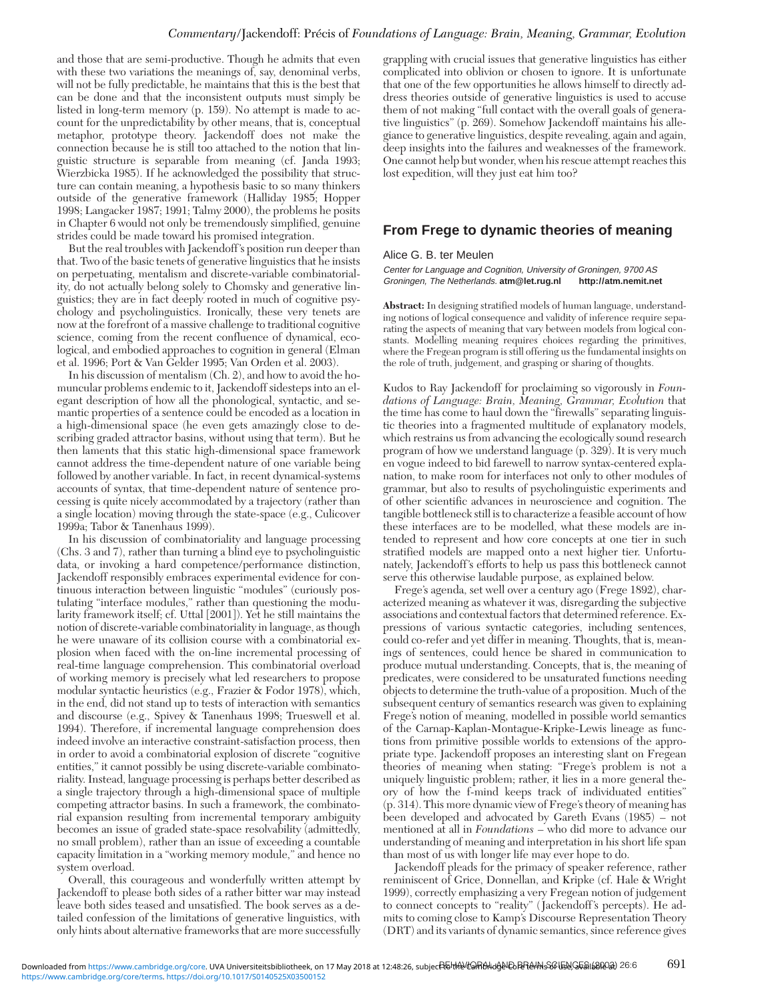and those that are semi-productive. Though he admits that even with these two variations the meanings of, say, denominal verbs, will not be fully predictable, he maintains that this is the best that can be done and that the inconsistent outputs must simply be listed in long-term memory (p. 159). No attempt is made to account for the unpredictability by other means, that is, conceptual metaphor, prototype theory. Jackendoff does not make the connection because he is still too attached to the notion that linguistic structure is separable from meaning (cf. Janda 1993; Wierzbicka 1985). If he acknowledged the possibility that structure can contain meaning, a hypothesis basic to so many thinkers outside of the generative framework (Halliday 1985; Hopper 1998; Langacker 1987; 1991; Talmy 2000), the problems he posits in Chapter 6 would not only be tremendously simplified, genuine strides could be made toward his promised integration.

But the real troubles with Jackendoff's position run deeper than that. Two of the basic tenets of generative linguistics that he insists on perpetuating, mentalism and discrete-variable combinatoriality, do not actually belong solely to Chomsky and generative linguistics; they are in fact deeply rooted in much of cognitive psychology and psycholinguistics. Ironically, these very tenets are now at the forefront of a massive challenge to traditional cognitive science, coming from the recent confluence of dynamical, ecological, and embodied approaches to cognition in general (Elman et al. 1996; Port & Van Gelder 1995; Van Orden et al. 2003).

In his discussion of mentalism (Ch. 2), and how to avoid the homuncular problems endemic to it, Jackendoff sidesteps into an elegant description of how all the phonological, syntactic, and semantic properties of a sentence could be encoded as a location in a high-dimensional space (he even gets amazingly close to describing graded attractor basins, without using that term). But he then laments that this static high-dimensional space framework cannot address the time-dependent nature of one variable being followed by another variable. In fact, in recent dynamical-systems accounts of syntax, that time-dependent nature of sentence processing is quite nicely accommodated by a trajectory (rather than a single location) moving through the state-space (e.g., Culicover 1999a; Tabor & Tanenhaus 1999).

In his discussion of combinatoriality and language processing (Chs. 3 and 7), rather than turning a blind eye to psycholinguistic data, or invoking a hard competence/performance distinction, Jackendoff responsibly embraces experimental evidence for continuous interaction between linguistic "modules" (curiously postulating "interface modules," rather than questioning the modularity framework itself; cf. Uttal [2001]). Yet he still maintains the notion of discrete-variable combinatoriality in language, as though he were unaware of its collision course with a combinatorial explosion when faced with the on-line incremental processing of real-time language comprehension. This combinatorial overload of working memory is precisely what led researchers to propose modular syntactic heuristics (e.g., Frazier & Fodor 1978), which, in the end, did not stand up to tests of interaction with semantics and discourse (e.g., Spivey & Tanenhaus 1998; Trueswell et al. 1994). Therefore, if incremental language comprehension does indeed involve an interactive constraint-satisfaction process, then in order to avoid a combinatorial explosion of discrete "cognitive entities," it cannot possibly be using discrete-variable combinatoriality. Instead, language processing is perhaps better described as a single trajectory through a high-dimensional space of multiple competing attractor basins. In such a framework, the combinatorial expansion resulting from incremental temporary ambiguity becomes an issue of graded state-space resolvability (admittedly, no small problem), rather than an issue of exceeding a countable capacity limitation in a "working memory module," and hence no system overload.

Overall, this courageous and wonderfully written attempt by Jackendoff to please both sides of a rather bitter war may instead leave both sides teased and unsatisfied. The book serves as a detailed confession of the limitations of generative linguistics, with only hints about alternative frameworks that are more successfully grappling with crucial issues that generative linguistics has either complicated into oblivion or chosen to ignore. It is unfortunate that one of the few opportunities he allows himself to directly address theories outside of generative linguistics is used to accuse them of not making "full contact with the overall goals of generative linguistics" (p. 269). Somehow Jackendoff maintains his allegiance to generative linguistics, despite revealing, again and again, deep insights into the failures and weaknesses of the framework. One cannot help but wonder, when his rescue attempt reaches this lost expedition, will they just eat him too?

## **From Frege to dynamic theories of meaning**

#### Alice G. B. ter Meulen

Center for Language and Cognition, University of Groningen, 9700 AS Groningen, The Netherlands. **atm@let.rug.nl http://atm.nemit.net**

**Abstract:** In designing stratified models of human language, understanding notions of logical consequence and validity of inference require separating the aspects of meaning that vary between models from logical constants. Modelling meaning requires choices regarding the primitives, where the Fregean program is still offering us the fundamental insights on the role of truth, judgement, and grasping or sharing of thoughts.

Kudos to Ray Jackendoff for proclaiming so vigorously in *Foundations of Language: Brain, Meaning, Grammar, Evolution* that the time has come to haul down the "firewalls" separating linguistic theories into a fragmented multitude of explanatory models, which restrains us from advancing the ecologically sound research program of how we understand language (p. 329). It is very much en vogue indeed to bid farewell to narrow syntax-centered explanation, to make room for interfaces not only to other modules of grammar, but also to results of psycholinguistic experiments and of other scientific advances in neuroscience and cognition. The tangible bottleneck still is to characterize a feasible account of how these interfaces are to be modelled, what these models are intended to represent and how core concepts at one tier in such stratified models are mapped onto a next higher tier. Unfortunately, Jackendoff's efforts to help us pass this bottleneck cannot serve this otherwise laudable purpose, as explained below.

Frege's agenda, set well over a century ago (Frege 1892), characterized meaning as whatever it was, disregarding the subjective associations and contextual factors that determined reference. Expressions of various syntactic categories, including sentences, could co-refer and yet differ in meaning. Thoughts, that is, meanings of sentences, could hence be shared in communication to produce mutual understanding. Concepts, that is, the meaning of predicates, were considered to be unsaturated functions needing objects to determine the truth-value of a proposition. Much of the subsequent century of semantics research was given to explaining Frege's notion of meaning, modelled in possible world semantics of the Carnap-Kaplan-Montague-Kripke-Lewis lineage as functions from primitive possible worlds to extensions of the appropriate type. Jackendoff proposes an interesting slant on Fregean theories of meaning when stating: "Frege's problem is not a uniquely linguistic problem; rather, it lies in a more general theory of how the f-mind keeps track of individuated entities" (p. 314). This more dynamic view of Frege's theory of meaning has been developed and advocated by Gareth Evans (1985) – not mentioned at all in *Foundations* – who did more to advance our understanding of meaning and interpretation in his short life span than most of us with longer life may ever hope to do.

Jackendoff pleads for the primacy of speaker reference, rather reminiscent of Grice, Donnellan, and Kripke (cf. Hale & Wright 1999), correctly emphasizing a very Fregean notion of judgement to connect concepts to "reality" (Jackendoff's percepts). He admits to coming close to Kamp's Discourse Representation Theory (DRT) and its variants of dynamic semantics, since reference gives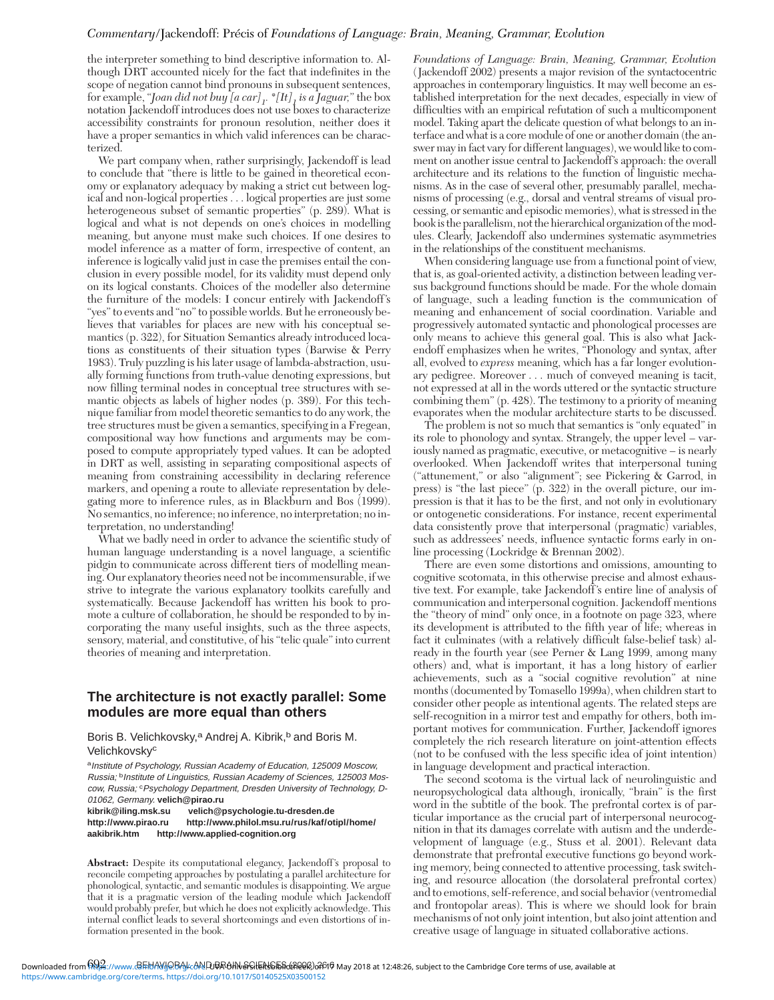the interpreter something to bind descriptive information to. Although DRT accounted nicely for the fact that indefinites in the scope of negation cannot bind pronouns in subsequent sentences, for example, "*Joan did not buy* [a car]<sub>1</sub>. \*[It]<sub>1</sub> is a Jaguar," the box notation Jackendoff introduces does not use boxes to characterize accessibility constraints for pronoun resolution, neither does it have a proper semantics in which valid inferences can be characterized.

We part company when, rather surprisingly, Jackendoff is lead to conclude that "there is little to be gained in theoretical economy or explanatory adequacy by making a strict cut between logical and non-logical properties . . . logical properties are just some heterogeneous subset of semantic properties" (p. 289). What is logical and what is not depends on one's choices in modelling meaning, but anyone must make such choices. If one desires to model inference as a matter of form, irrespective of content, an inference is logically valid just in case the premises entail the conclusion in every possible model, for its validity must depend only on its logical constants. Choices of the modeller also determine the furniture of the models: I concur entirely with Jackendoff's "yes" to events and "no" to possible worlds. But he erroneously believes that variables for places are new with his conceptual semantics (p. 322), for Situation Semantics already introduced locations as constituents of their situation types (Barwise & Perry 1983). Truly puzzling is his later usage of lambda-abstraction, usually forming functions from truth-value denoting expressions, but now filling terminal nodes in conceptual tree structures with semantic objects as labels of higher nodes (p. 389). For this technique familiar from model theoretic semantics to do any work, the tree structures must be given a semantics, specifying in a Fregean, compositional way how functions and arguments may be composed to compute appropriately typed values. It can be adopted in DRT as well, assisting in separating compositional aspects of meaning from constraining accessibility in declaring reference markers, and opening a route to alleviate representation by delegating more to inference rules, as in Blackburn and Bos (1999). No semantics, no inference; no inference, no interpretation; no interpretation, no understanding!

What we badly need in order to advance the scientific study of human language understanding is a novel language, a scientific pidgin to communicate across different tiers of modelling meaning. Our explanatory theories need not be incommensurable, if we strive to integrate the various explanatory toolkits carefully and systematically. Because Jackendoff has written his book to promote a culture of collaboration, he should be responded to by incorporating the many useful insights, such as the three aspects, sensory, material, and constitutive, of his "telic quale" into current theories of meaning and interpretation.

## **The architecture is not exactly parallel: Some modules are more equal than others**

Boris B. Velichkovsky,<sup>a</sup> Andrej A. Kibrik,<sup>b</sup> and Boris M. Velichkovskyc

aInstitute of Psychology, Russian Academy of Education, 125009 Moscow, Russia; bInstitute of Linguistics, Russian Academy of Sciences, 125003 Moscow, Russia; <sup>c</sup>Psychology Department, Dresden University of Technology, D-01062, Germany. **velich@pirao.ru**

**kibrik@iling.msk.su velich@psychologie.tu-dresden.de http://www.pirao.ru http://www.philol.msu.ru/rus/kaf/otipl/home/ aakibrik.htm http://www.applied-cognition.org**

**Abstract:** Despite its computational elegancy, Jackendoff's proposal to reconcile competing approaches by postulating a parallel architecture for phonological, syntactic, and semantic modules is disappointing. We argue that it is a pragmatic version of the leading module which Jackendoff would probably prefer, but which he does not explicitly acknowledge. This internal conflict leads to several shortcomings and even distortions of information presented in the book.

*Foundations of Language: Brain, Meaning, Grammar, Evolution* (Jackendoff 2002) presents a major revision of the syntactocentric approaches in contemporary linguistics. It may well become an established interpretation for the next decades, especially in view of difficulties with an empirical refutation of such a multicomponent model. Taking apart the delicate question of what belongs to an interface and what is a core module of one or another domain (the answer may in fact vary for different languages), we would like to comment on another issue central to Jackendoff's approach: the overall architecture and its relations to the function of linguistic mechanisms. As in the case of several other, presumably parallel, mechanisms of processing (e.g., dorsal and ventral streams of visual processing, or semantic and episodic memories), what is stressed in the book is the parallelism, not the hierarchical organization of the modules. Clearly, Jackendoff also undermines systematic asymmetries in the relationships of the constituent mechanisms.

When considering language use from a functional point of view, that is, as goal-oriented activity, a distinction between leading versus background functions should be made. For the whole domain of language, such a leading function is the communication of meaning and enhancement of social coordination. Variable and progressively automated syntactic and phonological processes are only means to achieve this general goal. This is also what Jackendoff emphasizes when he writes, "Phonology and syntax, after all, evolved to *express* meaning, which has a far longer evolutionary pedigree. Moreover . . . much of conveyed meaning is tacit, not expressed at all in the words uttered or the syntactic structure combining them" (p. 428). The testimony to a priority of meaning evaporates when the modular architecture starts to be discussed.

The problem is not so much that semantics is "only equated" in its role to phonology and syntax. Strangely, the upper level – variously named as pragmatic, executive, or metacognitive – is nearly overlooked. When Jackendoff writes that interpersonal tuning ("attunement," or also "alignment"; see Pickering & Garrod, in press) is "the last piece" (p. 322) in the overall picture, our impression is that it has to be the first, and not only in evolutionary or ontogenetic considerations. For instance, recent experimental data consistently prove that interpersonal (pragmatic) variables, such as addressees' needs, influence syntactic forms early in online processing (Lockridge & Brennan 2002).

There are even some distortions and omissions, amounting to cognitive scotomata, in this otherwise precise and almost exhaustive text. For example, take Jackendoff's entire line of analysis of communication and interpersonal cognition. Jackendoff mentions the "theory of mind" only once, in a footnote on page 323, where its development is attributed to the fifth year of life; whereas in fact it culminates (with a relatively difficult false-belief task) already in the fourth year (see Perner & Lang 1999, among many others) and, what is important, it has a long history of earlier achievements, such as a "social cognitive revolution" at nine months (documented by Tomasello 1999a), when children start to consider other people as intentional agents. The related steps are self-recognition in a mirror test and empathy for others, both important motives for communication. Further, Jackendoff ignores completely the rich research literature on joint-attention effects (not to be confused with the less specific idea of joint intention) in language development and practical interaction.

The second scotoma is the virtual lack of neurolinguistic and neuropsychological data although, ironically, "brain" is the first word in the subtitle of the book. The prefrontal cortex is of particular importance as the crucial part of interpersonal neurocognition in that its damages correlate with autism and the underdevelopment of language (e.g., Stuss et al. 2001). Relevant data demonstrate that prefrontal executive functions go beyond working memory, being connected to attentive processing, task switching, and resource allocation (the dorsolateral prefrontal cortex) and to emotions, self-reference, and social behavior (ventromedial and frontopolar areas). This is where we should look for brain mechanisms of not only joint intention, but also joint attention and creative usage of language in situated collaborative actions.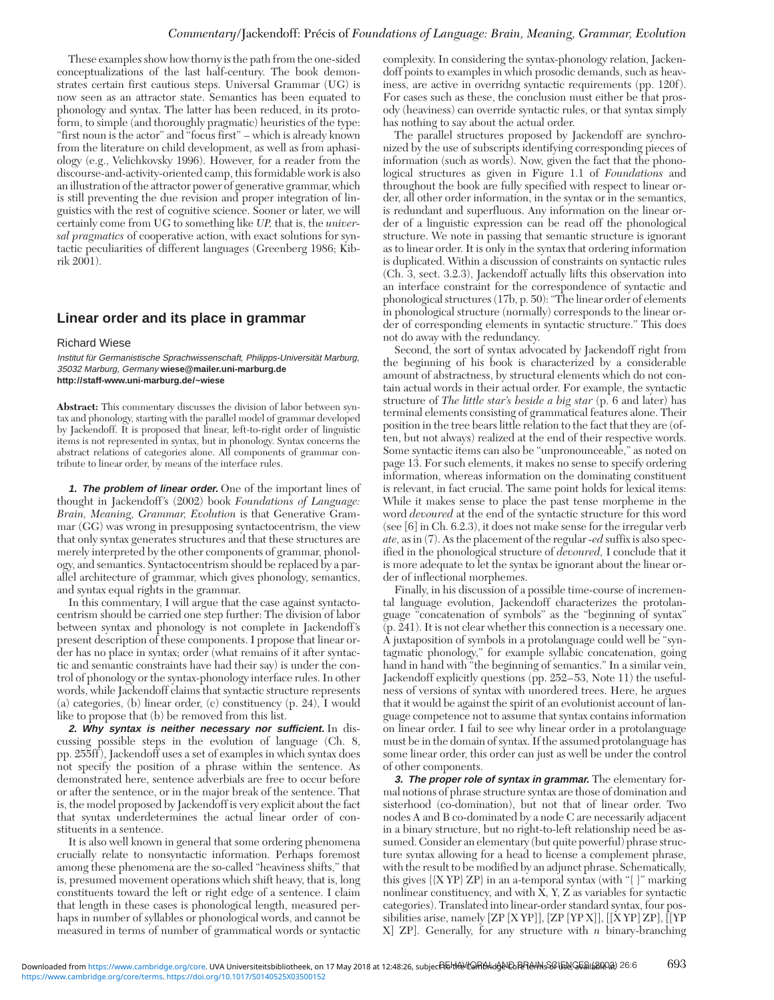These examples show how thorny is the path from the one-sided conceptualizations of the last half-century. The book demonstrates certain first cautious steps. Universal Grammar (UG) is now seen as an attractor state. Semantics has been equated to phonology and syntax. The latter has been reduced, in its protoform, to simple (and thoroughly pragmatic) heuristics of the type: "first noun is the actor" and "focus first" – which is already known from the literature on child development, as well as from aphasiology (e.g., Velichkovsky 1996). However, for a reader from the discourse-and-activity-oriented camp, this formidable work is also an illustration of the attractor power of generative grammar, which is still preventing the due revision and proper integration of linguistics with the rest of cognitive science. Sooner or later, we will certainly come from UG to something like *UP,* that is, the *universal pragmatics* of cooperative action, with exact solutions for syntactic peculiarities of different languages (Greenberg 1986; Kibrik 2001).

## **Linear order and its place in grammar**

#### Richard Wiese

Institut für Germanistische Sprachwissenschaft, Philipps-Universität Marburg, 35032 Marburg, Germany **wiese@mailer.uni-marburg.de http://staff-www.uni-marburg.de/~wiese**

**Abstract:** This commentary discusses the division of labor between syntax and phonology, starting with the parallel model of grammar developed by Jackendoff. It is proposed that linear, left-to-right order of linguistic items is not represented in syntax, but in phonology. Syntax concerns the abstract relations of categories alone. All components of grammar contribute to linear order, by means of the interface rules.

**1. The problem of linear order.** One of the important lines of thought in Jackendoff's (2002) book *Foundations of Language: Brain, Meaning, Grammar, Evolution* is that Generative Grammar (GG) was wrong in presupposing syntactocentrism, the view that only syntax generates structures and that these structures are merely interpreted by the other components of grammar, phonology, and semantics. Syntactocentrism should be replaced by a parallel architecture of grammar, which gives phonology, semantics, and syntax equal rights in the grammar.

In this commentary, I will argue that the case against syntactocentrism should be carried one step further: The division of labor between syntax and phonology is not complete in Jackendoff's present description of these components. I propose that linear order has no place in syntax; order (what remains of it after syntactic and semantic constraints have had their say) is under the control of phonology or the syntax-phonology interface rules. In other words, while Jackendoff claims that syntactic structure represents (a) categories, (b) linear order, (c) constituency (p. 24), I would like to propose that (b) be removed from this list.

**2. Why syntax is neither necessary nor sufficient.** In discussing possible steps in the evolution of language (Ch. 8, pp. 255ff), Jackendoff uses a set of examples in which syntax does not specify the position of a phrase within the sentence. As demonstrated here, sentence adverbials are free to occur before or after the sentence, or in the major break of the sentence. That is, the model proposed by Jackendoff is very explicit about the fact that syntax underdetermines the actual linear order of constituents in a sentence.

It is also well known in general that some ordering phenomena crucially relate to nonsyntactic information. Perhaps foremost among these phenomena are the so-called "heaviness shifts," that is, presumed movement operations which shift heavy, that is, long constituents toward the left or right edge of a sentence. I claim that length in these cases is phonological length, measured perhaps in number of syllables or phonological words, and cannot be measured in terms of number of grammatical words or syntactic

complexity. In considering the syntax-phonology relation, Jackendoff points to examples in which prosodic demands, such as heaviness, are active in overridng syntactic requirements (pp. 120f). For cases such as these, the conclusion must either be that prosody (heaviness) can override syntactic rules, or that syntax simply has nothing to say about the actual order.

The parallel structures proposed by Jackendoff are synchronized by the use of subscripts identifying corresponding pieces of information (such as words). Now, given the fact that the phonological structures as given in Figure 1.1 of *Foundations* and throughout the book are fully specified with respect to linear order, all other order information, in the syntax or in the semantics, is redundant and superfluous. Any information on the linear order of a linguistic expression can be read off the phonological structure. We note in passing that semantic structure is ignorant as to linear order. It is only in the syntax that ordering information is duplicated. Within a discussion of constraints on syntactic rules (Ch. 3, sect. 3.2.3), Jackendoff actually lifts this observation into an interface constraint for the correspondence of syntactic and phonological structures (17b, p. 50): "The linear order of elements in phonological structure (normally) corresponds to the linear order of corresponding elements in syntactic structure." This does not do away with the redundancy.

Second, the sort of syntax advocated by Jackendoff right from the beginning of his book is characterized by a considerable amount of abstractness, by structural elements which do not contain actual words in their actual order. For example, the syntactic structure of *The little star's beside a big star* (p. 6 and later) has terminal elements consisting of grammatical features alone. Their position in the tree bears little relation to the fact that they are (often, but not always) realized at the end of their respective words. Some syntactic items can also be "unpronounceable," as noted on page 13. For such elements, it makes no sense to specify ordering information, whereas information on the dominating constituent is relevant, in fact crucial. The same point holds for lexical items: While it makes sense to place the past tense morpheme in the word *devoured* at the end of the syntactic structure for this word (see [6] in Ch. 6.2.3), it does not make sense for the irregular verb *ate,* as in (7). As the placement of the regular *-ed* suffix is also specified in the phonological structure of *devoured,* I conclude that it is more adequate to let the syntax be ignorant about the linear order of inflectional morphemes.

Finally, in his discussion of a possible time-course of incremental language evolution, Jackendoff characterizes the protolanguage "concatenation of symbols" as the "beginning of syntax" (p. 241). It is not clear whether this connection is a necessary one. A juxtaposition of symbols in a protolanguage could well be "syntagmatic phonology," for example syllabic concatenation, going hand in hand with "the beginning of semantics." In a similar vein, Jackendoff explicitly questions (pp. 252–53, Note 11) the usefulness of versions of syntax with unordered trees. Here, he argues that it would be against the spirit of an evolutionist account of language competence not to assume that syntax contains information on linear order. I fail to see why linear order in a protolanguage must be in the domain of syntax. If the assumed protolanguage has some linear order, this order can just as well be under the control of other components.

**3. The proper role of syntax in grammar.** The elementary formal notions of phrase structure syntax are those of domination and sisterhood (co-domination), but not that of linear order. Two nodes A and B co-dominated by a node C are necessarily adjacent in a binary structure, but no right-to-left relationship need be assumed. Consider an elementary (but quite powerful) phrase structure syntax allowing for a head to license a complement phrase, with the result to be modified by an adjunct phrase. Schematically, this gives {{X YP} ZP} in an a-temporal syntax (with "{ }" marking nonlinear constituency, and with  $\bar{X}$ , Y, Z as variables for syntactic categories). Translated into linear-order standard syntax, four possibilities arise, namely [ZP [X YP]], [ZP [YP X]], [[X YP] ZP], [[YP X] ZP]. Generally, for any structure with *n* binary-branching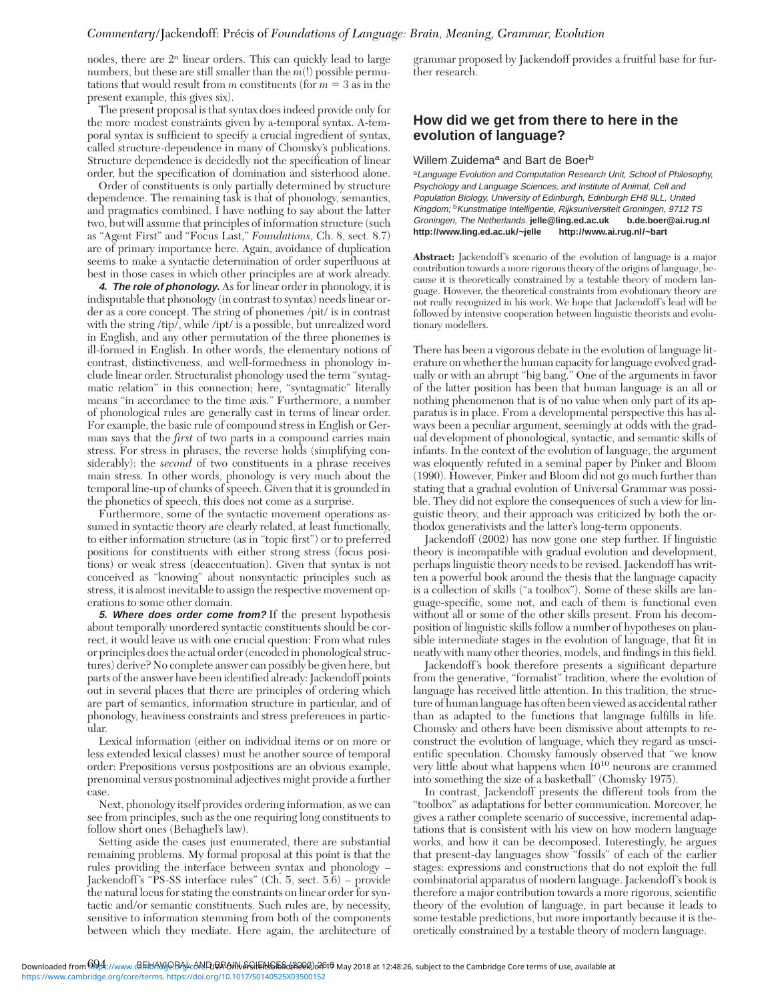nodes, there are 2*<sup>n</sup>* linear orders. This can quickly lead to large numbers, but these are still smaller than the *m*(!) possible permutations that would result from  $m$  constituents (for  $m = 3$  as in the present example, this gives six).

The present proposal is that syntax does indeed provide only for the more modest constraints given by a-temporal syntax. A-temporal syntax is sufficient to specify a crucial ingredient of syntax, called structure-dependence in many of Chomsky's publications. Structure dependence is decidedly not the specification of linear order, but the specification of domination and sisterhood alone.

Order of constituents is only partially determined by structure dependence. The remaining task is that of phonology, semantics, and pragmatics combined. I have nothing to say about the latter two, but will assume that principles of information structure (such as "Agent First" and "Focus Last," *Foundations,* Ch. 8, sect. 8.7) are of primary importance here. Again, avoidance of duplication seems to make a syntactic determination of order superfluous at best in those cases in which other principles are at work already.

**4. The role of phonology.** As for linear order in phonology, it is indisputable that phonology (in contrast to syntax) needs linear order as a core concept. The string of phonemes /pit/ is in contrast with the string /tip/, while /ipt/ is a possible, but unrealized word in English, and any other permutation of the three phonemes is ill-formed in English. In other words, the elementary notions of contrast, distinctiveness, and well-formedness in phonology include linear order. Structuralist phonology used the term "syntagmatic relation" in this connection; here, "syntagmatic" literally means "in accordance to the time axis." Furthermore, a number of phonological rules are generally cast in terms of linear order. For example, the basic rule of compound stress in English or German says that the *first* of two parts in a compound carries main stress. For stress in phrases, the reverse holds (simplifying considerably): the *second* of two constituents in a phrase receives main stress. In other words, phonology is very much about the temporal line-up of chunks of speech. Given that it is grounded in the phonetics of speech, this does not come as a surprise.

Furthermore, some of the syntactic movement operations assumed in syntactic theory are clearly related, at least functionally, to either information structure (as in "topic first") or to preferred positions for constituents with either strong stress (focus positions) or weak stress (deaccentuation). Given that syntax is not conceived as "knowing" about nonsyntactic principles such as stress, it is almost inevitable to assign the respective movement operations to some other domain.

**5. Where does order come from?** If the present hypothesis about temporally unordered syntactic constituents should be correct, it would leave us with one crucial question: From what rules or principles does the actual order (encoded in phonological structures) derive? No complete answer can possibly be given here, but parts of the answer have been identified already: Jackendoff points out in several places that there are principles of ordering which are part of semantics, information structure in particular, and of phonology, heaviness constraints and stress preferences in particular.

Lexical information (either on individual items or on more or less extended lexical classes) must be another source of temporal order: Prepositions versus postpositions are an obvious example, prenominal versus postnominal adjectives might provide a further case.

Next, phonology itself provides ordering information, as we can see from principles, such as the one requiring long constituents to follow short ones (Behaghel's law).

Setting aside the cases just enumerated, there are substantial remaining problems. My formal proposal at this point is that the rules providing the interface between syntax and phonology – Jackendoff's "PS-SS interface rules" (Ch. 5, sect. 5.6) – provide the natural locus for stating the constraints on linear order for syntactic and/or semantic constituents. Such rules are, by necessity, sensitive to information stemming from both of the components between which they mediate. Here again, the architecture of grammar proposed by Jackendoff provides a fruitful base for further research.

## **How did we get from there to here in the evolution of language?**

#### Willem Zuidema<sup>a</sup> and Bart de Boer<sup>b</sup>

aLanguage Evolution and Computation Research Unit, School of Philosophy, Psychology and Language Sciences, and Institute of Animal, Cell and Population Biology, University of Edinburgh, Edinburgh EH8 9LL, United Kingdom; <sup>b</sup>Kunstmatige Intelligentie, Rijksuniversiteit Groningen, 9712 TS<br>Groningen, The Netherlands. jelle@ling.ed.ac.uk b.de.boer@ai.rug.nl Groningen, The Netherlands. jelle@ling.ed.ac.uk **http://www.ling.ed.ac.uk/~jelle http://www.ai.rug.nl/~bart**

**Abstract:** Jackendoff's scenario of the evolution of language is a major contribution towards a more rigorous theory of the origins of language, because it is theoretically constrained by a testable theory of modern language. However, the theoretical constraints from evolutionary theory are not really recognized in his work. We hope that Jackendoff's lead will be followed by intensive cooperation between linguistic theorists and evolutionary modellers.

There has been a vigorous debate in the evolution of language literature on whether the human capacity for language evolved gradually or with an abrupt "big bang." One of the arguments in favor of the latter position has been that human language is an all or nothing phenomenon that is of no value when only part of its apparatus is in place. From a developmental perspective this has always been a peculiar argument, seemingly at odds with the gradual development of phonological, syntactic, and semantic skills of infants. In the context of the evolution of language, the argument was eloquently refuted in a seminal paper by Pinker and Bloom (1990). However, Pinker and Bloom did not go much further than stating that a gradual evolution of Universal Grammar was possible. They did not explore the consequences of such a view for linguistic theory, and their approach was criticized by both the orthodox generativists and the latter's long-term opponents.

Jackendoff (2002) has now gone one step further. If linguistic theory is incompatible with gradual evolution and development, perhaps linguistic theory needs to be revised. Jackendoff has written a powerful book around the thesis that the language capacity is a collection of skills ("a toolbox"). Some of these skills are language-specific, some not, and each of them is functional even without all or some of the other skills present. From his decomposition of linguistic skills follow a number of hypotheses on plausible intermediate stages in the evolution of language, that fit in neatly with many other theories, models, and findings in this field.

Jackendoff's book therefore presents a significant departure from the generative, "formalist" tradition, where the evolution of language has received little attention. In this tradition, the structure of human language has often been viewed as accidental rather than as adapted to the functions that language fulfills in life. Chomsky and others have been dismissive about attempts to reconstruct the evolution of language, which they regard as unscientific speculation. Chomsky famously observed that "we know very little about what happens when 1010 neurons are crammed into something the size of a basketball" (Chomsky 1975).

In contrast, Jackendoff presents the different tools from the "toolbox" as adaptations for better communication. Moreover, he gives a rather complete scenario of successive, incremental adaptations that is consistent with his view on how modern language works, and how it can be decomposed. Interestingly, he argues that present-day languages show "fossils" of each of the earlier stages: expressions and constructions that do not exploit the full combinatorial apparatus of modern language. Jackendoff's book is therefore a major contribution towards a more rigorous, scientific theory of the evolution of language, in part because it leads to some testable predictions, but more importantly because it is theoretically constrained by a testable theory of modern language.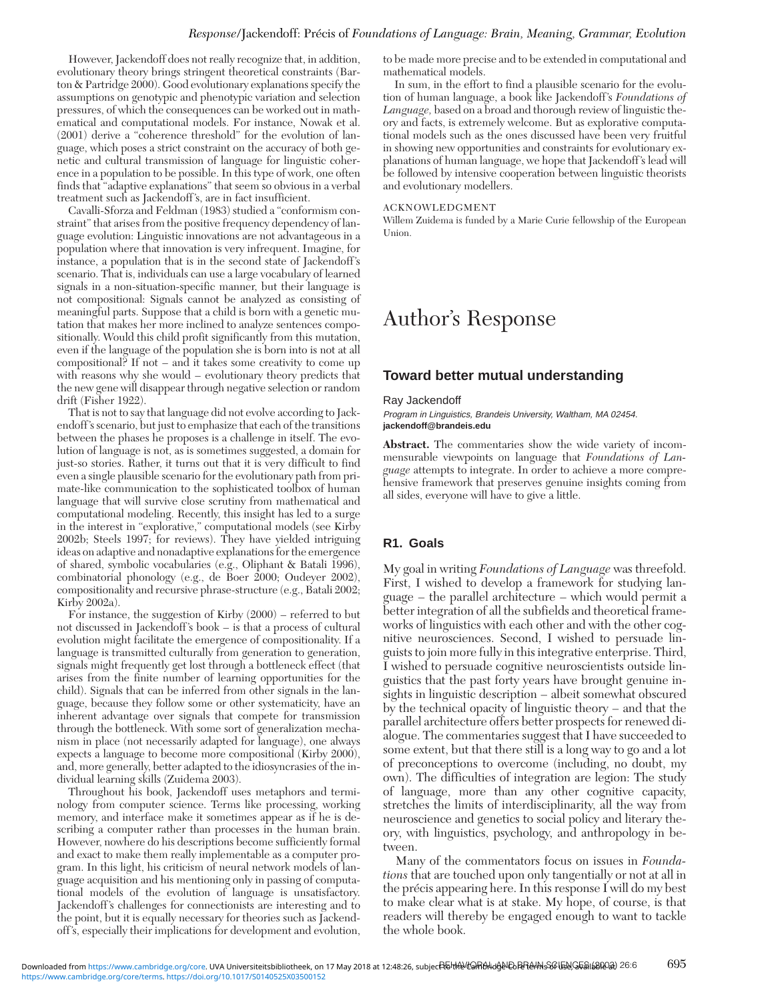However, Jackendoff does not really recognize that, in addition, evolutionary theory brings stringent theoretical constraints (Barton & Partridge 2000). Good evolutionary explanations specify the assumptions on genotypic and phenotypic variation and selection pressures, of which the consequences can be worked out in mathematical and computational models. For instance, Nowak et al. (2001) derive a "coherence threshold" for the evolution of language, which poses a strict constraint on the accuracy of both genetic and cultural transmission of language for linguistic coherence in a population to be possible. In this type of work, one often finds that "adaptive explanations" that seem so obvious in a verbal treatment such as Jackendoff's, are in fact insufficient.

Cavalli-Sforza and Feldman (1983) studied a "conformism constraint" that arises from the positive frequency dependency of language evolution: Linguistic innovations are not advantageous in a population where that innovation is very infrequent. Imagine, for instance, a population that is in the second state of Jackendoff's scenario. That is, individuals can use a large vocabulary of learned signals in a non-situation-specific manner, but their language is not compositional: Signals cannot be analyzed as consisting of meaningful parts. Suppose that a child is born with a genetic mutation that makes her more inclined to analyze sentences compositionally. Would this child profit significantly from this mutation, even if the language of the population she is born into is not at all compositional? If not – and it takes some creativity to come up with reasons why she would – evolutionary theory predicts that the new gene will disappear through negative selection or random drift (Fisher 1922).

That is not to say that language did not evolve according to Jackendoff's scenario, but just to emphasize that each of the transitions between the phases he proposes is a challenge in itself. The evolution of language is not, as is sometimes suggested, a domain for just-so stories. Rather, it turns out that it is very difficult to find even a single plausible scenario for the evolutionary path from primate-like communication to the sophisticated toolbox of human language that will survive close scrutiny from mathematical and computational modeling. Recently, this insight has led to a surge in the interest in "explorative," computational models (see Kirby 2002b; Steels 1997; for reviews). They have yielded intriguing ideas on adaptive and nonadaptive explanations for the emergence of shared, symbolic vocabularies (e.g., Oliphant & Batali 1996), combinatorial phonology (e.g., de Boer 2000; Oudeyer 2002), compositionality and recursive phrase-structure (e.g., Batali 2002; Kirby 2002a).

For instance, the suggestion of Kirby (2000) – referred to but not discussed in Jackendoff's book – is that a process of cultural evolution might facilitate the emergence of compositionality. If a language is transmitted culturally from generation to generation, signals might frequently get lost through a bottleneck effect (that arises from the finite number of learning opportunities for the child). Signals that can be inferred from other signals in the language, because they follow some or other systematicity, have an inherent advantage over signals that compete for transmission through the bottleneck. With some sort of generalization mechanism in place (not necessarily adapted for language), one always expects a language to become more compositional (Kirby 2000), and, more generally, better adapted to the idiosyncrasies of the individual learning skills (Zuidema 2003).

Throughout his book, Jackendoff uses metaphors and terminology from computer science. Terms like processing, working memory, and interface make it sometimes appear as if he is describing a computer rather than processes in the human brain. However, nowhere do his descriptions become sufficiently formal and exact to make them really implementable as a computer program. In this light, his criticism of neural network models of language acquisition and his mentioning only in passing of computational models of the evolution of language is unsatisfactory. Jackendoff's challenges for connectionists are interesting and to the point, but it is equally necessary for theories such as Jackendoff's, especially their implications for development and evolution, to be made more precise and to be extended in computational and mathematical models.

In sum, in the effort to find a plausible scenario for the evolution of human language, a book like Jackendoff's *Foundations of Language,* based on a broad and thorough review of linguistic theory and facts, is extremely welcome. But as explorative computational models such as the ones discussed have been very fruitful in showing new opportunities and constraints for evolutionary explanations of human language, we hope that Jackendoff's lead will be followed by intensive cooperation between linguistic theorists and evolutionary modellers.

#### ACKNOWLEDGMENT

Willem Zuidema is funded by a Marie Curie fellowship of the European Union.

## Author's Response

## **Toward better mutual understanding**

#### Ray Jackendoff

Program in Linguistics, Brandeis University, Waltham, MA 02454. **jackendoff@brandeis.edu**

**Abstract.** The commentaries show the wide variety of incommensurable viewpoints on language that *Foundations of Language* attempts to integrate. In order to achieve a more comprehensive framework that preserves genuine insights coming from all sides, everyone will have to give a little.

#### **R1. Goals**

My goal in writing *Foundations of Language* was threefold. First, I wished to develop a framework for studying language – the parallel architecture – which would permit a better integration of all the subfields and theoretical frameworks of linguistics with each other and with the other cognitive neurosciences. Second, I wished to persuade linguists to join more fully in this integrative enterprise. Third, I wished to persuade cognitive neuroscientists outside linguistics that the past forty years have brought genuine insights in linguistic description – albeit somewhat obscured by the technical opacity of linguistic theory – and that the parallel architecture offers better prospects for renewed dialogue. The commentaries suggest that I have succeeded to some extent, but that there still is a long way to go and a lot of preconceptions to overcome (including, no doubt, my own). The difficulties of integration are legion: The study of language, more than any other cognitive capacity, stretches the limits of interdisciplinarity, all the way from neuroscience and genetics to social policy and literary theory, with linguistics, psychology, and anthropology in between.

Many of the commentators focus on issues in *Foundations* that are touched upon only tangentially or not at all in the précis appearing here. In this response I will do my best to make clear what is at stake. My hope, of course, is that readers will thereby be engaged enough to want to tackle the whole book.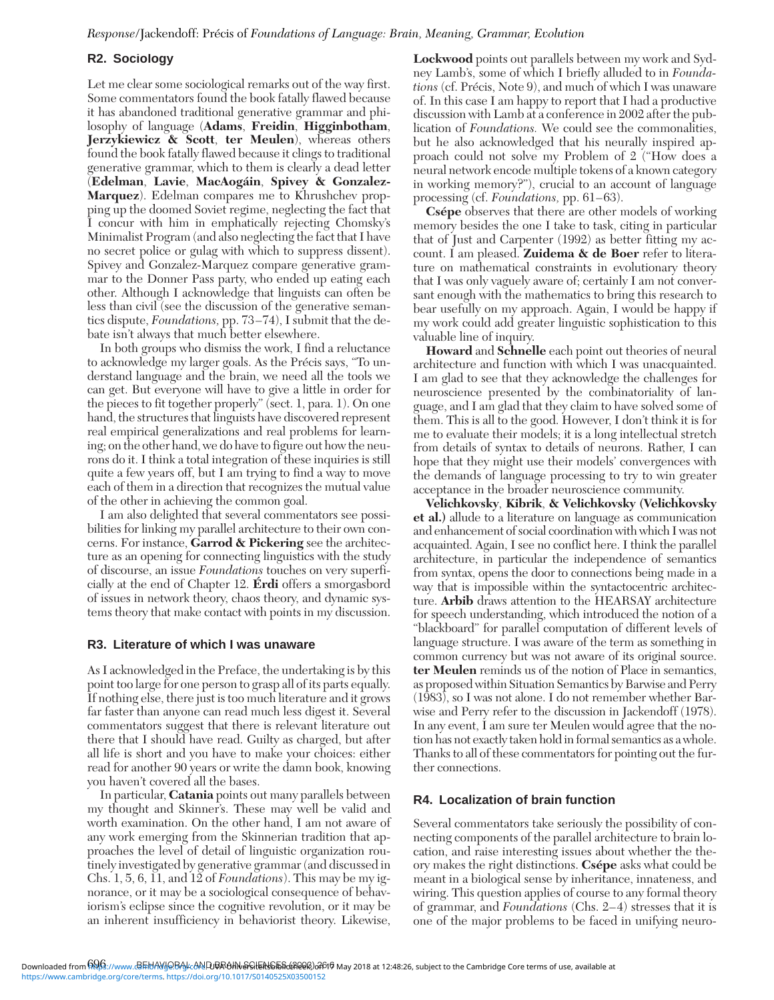## **R2. Sociology**

Let me clear some sociological remarks out of the way first. Some commentators found the book fatally flawed because it has abandoned traditional generative grammar and philosophy of language (**Adams**, **Freidin**, **Higginbotham**, **Jerzykiewicz & Scott**, **ter Meulen**), whereas others found the book fatally flawed because it clings to traditional generative grammar, which to them is clearly a dead letter (**Edelman**, **Lavie**, **MacAogáin**, **Spivey & Gonzalez-Marquez**). Edelman compares me to Khrushchev propping up the doomed Soviet regime, neglecting the fact that I concur with him in emphatically rejecting Chomsky's Minimalist Program (and also neglecting the fact that I have no secret police or gulag with which to suppress dissent). Spivey and Gonzalez-Marquez compare generative grammar to the Donner Pass party, who ended up eating each other. Although I acknowledge that linguists can often be less than civil (see the discussion of the generative semantics dispute, *Foundations,* pp. 73–74), I submit that the debate isn't always that much better elsewhere.

In both groups who dismiss the work, I find a reluctance to acknowledge my larger goals. As the Précis says, "To understand language and the brain, we need all the tools we can get. But everyone will have to give a little in order for the pieces to fit together properly" (sect. 1, para. 1). On one hand, the structures that linguists have discovered represent real empirical generalizations and real problems for learning; on the other hand, we do have to figure out how the neurons do it. I think a total integration of these inquiries is still quite a few years off, but I am trying to find a way to move each of them in a direction that recognizes the mutual value of the other in achieving the common goal.

I am also delighted that several commentators see possibilities for linking my parallel architecture to their own concerns. For instance, **Garrod & Pickering** see the architecture as an opening for connecting linguistics with the study of discourse, an issue *Foundations* touches on very superficially at the end of Chapter 12. **Érdi** offers a smorgasbord of issues in network theory, chaos theory, and dynamic systems theory that make contact with points in my discussion.

## **R3. Literature of which I was unaware**

As I acknowledged in the Preface, the undertaking is by this point too large for one person to grasp all of its parts equally. If nothing else, there just is too much literature and it grows far faster than anyone can read much less digest it. Several commentators suggest that there is relevant literature out there that I should have read. Guilty as charged, but after all life is short and you have to make your choices: either read for another 90 years or write the damn book, knowing you haven't covered all the bases.

In particular, **Catania** points out many parallels between my thought and Skinner's. These may well be valid and worth examination. On the other hand, I am not aware of any work emerging from the Skinnerian tradition that approaches the level of detail of linguistic organization routinely investigated by generative grammar (and discussed in Chs. 1, 5, 6, 11, and 12 of *Foundations*). This may be my ignorance, or it may be a sociological consequence of behaviorism's eclipse since the cognitive revolution, or it may be an inherent insufficiency in behaviorist theory. Likewise,

**Lockwood** points out parallels between my work and Sydney Lamb's, some of which I briefly alluded to in *Foundations* (cf. Précis, Note 9), and much of which I was unaware of. In this case I am happy to report that I had a productive discussion with Lamb at a conference in 2002 after the publication of *Foundations.* We could see the commonalities, but he also acknowledged that his neurally inspired approach could not solve my Problem of 2 ("How does a neural network encode multiple tokens of a known category in working memory?"), crucial to an account of language processing (cf. *Foundations,* pp. 61–63).

**Csépe** observes that there are other models of working memory besides the one I take to task, citing in particular that of Just and Carpenter (1992) as better fitting my account. I am pleased. **Zuidema & de Boer** refer to literature on mathematical constraints in evolutionary theory that I was only vaguely aware of; certainly I am not conversant enough with the mathematics to bring this research to bear usefully on my approach. Again, I would be happy if my work could add greater linguistic sophistication to this valuable line of inquiry.

**Howard** and **Schnelle** each point out theories of neural architecture and function with which I was unacquainted. I am glad to see that they acknowledge the challenges for neuroscience presented by the combinatoriality of language, and I am glad that they claim to have solved some of them. This is all to the good. However, I don't think it is for me to evaluate their models; it is a long intellectual stretch from details of syntax to details of neurons. Rather, I can hope that they might use their models' convergences with the demands of language processing to try to win greater acceptance in the broader neuroscience community.

**Velichkovsky**, **Kibrik**, **& Velichkovsky (Velichkovsky et al.)** allude to a literature on language as communication and enhancement of social coordination with which I was not acquainted. Again, I see no conflict here. I think the parallel architecture, in particular the independence of semantics from syntax, opens the door to connections being made in a way that is impossible within the syntactocentric architecture. **Arbib** draws attention to the HEARSAY architecture for speech understanding, which introduced the notion of a "blackboard" for parallel computation of different levels of language structure. I was aware of the term as something in common currency but was not aware of its original source. **ter Meulen** reminds us of the notion of Place in semantics, as proposed within Situation Semantics by Barwise and Perry  $(1983)$ , so I was not alone. I do not remember whether Barwise and Perry refer to the discussion in Jackendoff (1978). In any event, I am sure ter Meulen would agree that the notion has not exactly taken hold in formal semantics as a whole. Thanks to all of these commentators for pointing out the further connections.

## **R4. Localization of brain function**

Several commentators take seriously the possibility of connecting components of the parallel architecture to brain location, and raise interesting issues about whether the theory makes the right distinctions. **Csépe** asks what could be meant in a biological sense by inheritance, innateness, and wiring. This question applies of course to any formal theory of grammar, and *Foundations* (Chs. 2–4) stresses that it is one of the major problems to be faced in unifying neuro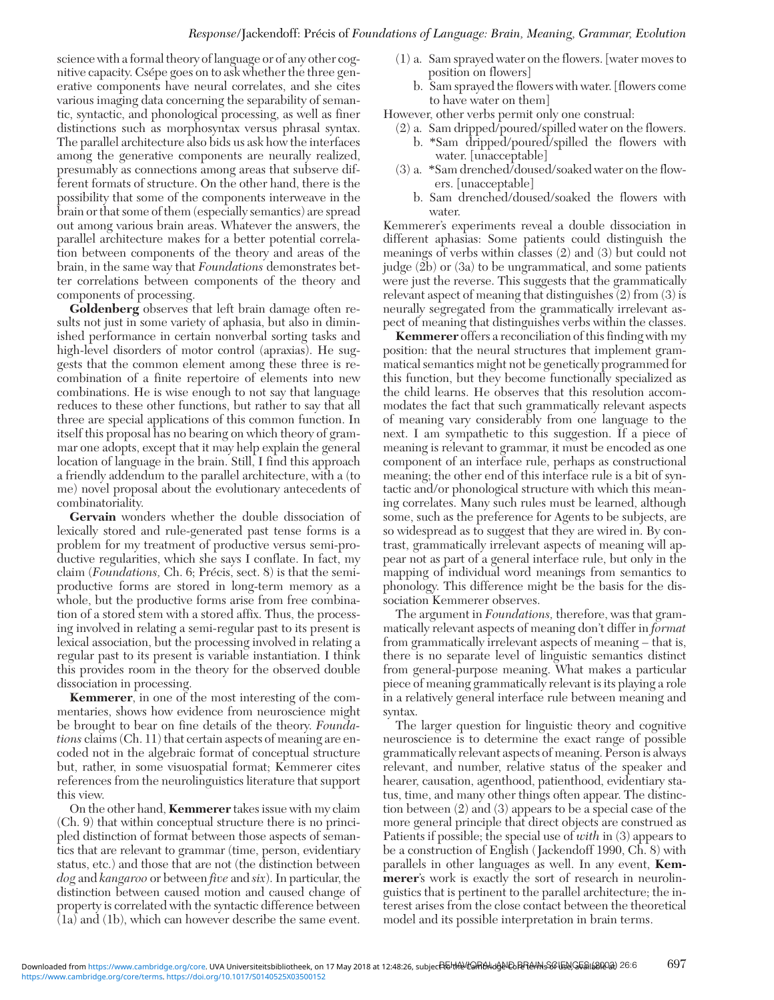science with a formal theory of language or of any other cognitive capacity. Csépe goes on to ask whether the three generative components have neural correlates, and she cites various imaging data concerning the separability of semantic, syntactic, and phonological processing, as well as finer distinctions such as morphosyntax versus phrasal syntax. The parallel architecture also bids us ask how the interfaces among the generative components are neurally realized, presumably as connections among areas that subserve different formats of structure. On the other hand, there is the possibility that some of the components interweave in the brain or that some of them (especially semantics) are spread out among various brain areas. Whatever the answers, the parallel architecture makes for a better potential correlation between components of the theory and areas of the brain, in the same way that *Foundations* demonstrates better correlations between components of the theory and components of processing.

**Goldenberg** observes that left brain damage often results not just in some variety of aphasia, but also in diminished performance in certain nonverbal sorting tasks and high-level disorders of motor control (apraxias). He suggests that the common element among these three is recombination of a finite repertoire of elements into new combinations. He is wise enough to not say that language reduces to these other functions, but rather to say that all three are special applications of this common function. In itself this proposal has no bearing on which theory of grammar one adopts, except that it may help explain the general location of language in the brain. Still, I find this approach a friendly addendum to the parallel architecture, with a (to me) novel proposal about the evolutionary antecedents of combinatoriality.

**Gervain** wonders whether the double dissociation of lexically stored and rule-generated past tense forms is a problem for my treatment of productive versus semi-productive regularities, which she says I conflate. In fact, my claim (*Foundations,* Ch. 6; Précis, sect. 8) is that the semiproductive forms are stored in long-term memory as a whole, but the productive forms arise from free combination of a stored stem with a stored affix. Thus, the processing involved in relating a semi-regular past to its present is lexical association, but the processing involved in relating a regular past to its present is variable instantiation. I think this provides room in the theory for the observed double dissociation in processing.

**Kemmerer**, in one of the most interesting of the commentaries, shows how evidence from neuroscience might be brought to bear on fine details of the theory. *Foundations* claims (Ch. 11) that certain aspects of meaning are encoded not in the algebraic format of conceptual structure but, rather, in some visuospatial format; Kemmerer cites references from the neurolinguistics literature that support this view.

On the other hand, **Kemmerer** takes issue with my claim (Ch. 9) that within conceptual structure there is no principled distinction of format between those aspects of semantics that are relevant to grammar (time, person, evidentiary status, etc.) and those that are not (the distinction between *dog* and *kangaroo* or between *five* and *six*). In particular, the distinction between caused motion and caused change of property is correlated with the syntactic difference between (1a) and (1b), which can however describe the same event.

- (1) a. Sam sprayed water on the flowers. [water moves to position on flowers]
	- b. Sam sprayed the flowers with water. [flowers come to have water on them]

However, other verbs permit only one construal:

- (2) a. Sam dripped/poured/spilled water on the flowers.
	- b. \*Sam dripped/poured/spilled the flowers with water. [unacceptable]
- (3) a. \*Sam drenched/doused/soaked water on the flowers. [unacceptable]
	- b. Sam drenched/doused/soaked the flowers with water.

Kemmerer's experiments reveal a double dissociation in different aphasias: Some patients could distinguish the meanings of verbs within classes (2) and (3) but could not judge (2b) or (3a) to be ungrammatical, and some patients were just the reverse. This suggests that the grammatically relevant aspect of meaning that distinguishes (2) from (3) is neurally segregated from the grammatically irrelevant aspect of meaning that distinguishes verbs within the classes.

**Kemmerer** offers a reconciliation of this finding with my position: that the neural structures that implement grammatical semantics might not be genetically programmed for this function, but they become functionally specialized as the child learns. He observes that this resolution accommodates the fact that such grammatically relevant aspects of meaning vary considerably from one language to the next. I am sympathetic to this suggestion. If a piece of meaning is relevant to grammar, it must be encoded as one component of an interface rule, perhaps as constructional meaning; the other end of this interface rule is a bit of syntactic and/or phonological structure with which this meaning correlates. Many such rules must be learned, although some, such as the preference for Agents to be subjects, are so widespread as to suggest that they are wired in. By contrast, grammatically irrelevant aspects of meaning will appear not as part of a general interface rule, but only in the mapping of individual word meanings from semantics to phonology. This difference might be the basis for the dissociation Kemmerer observes.

The argument in *Foundations,* therefore, was that grammatically relevant aspects of meaning don't differ in *format* from grammatically irrelevant aspects of meaning – that is, there is no separate level of linguistic semantics distinct from general-purpose meaning. What makes a particular piece of meaning grammatically relevant is its playing a role in a relatively general interface rule between meaning and syntax.

The larger question for linguistic theory and cognitive neuroscience is to determine the exact range of possible grammatically relevant aspects of meaning. Person is always relevant, and number, relative status of the speaker and hearer, causation, agenthood, patienthood, evidentiary status, time, and many other things often appear. The distinction between (2) and (3) appears to be a special case of the more general principle that direct objects are construed as Patients if possible; the special use of *with* in (3) appears to be a construction of English (Jackendoff 1990, Ch. 8) with parallels in other languages as well. In any event, **Kemmerer**'s work is exactly the sort of research in neurolinguistics that is pertinent to the parallel architecture; the interest arises from the close contact between the theoretical model and its possible interpretation in brain terms.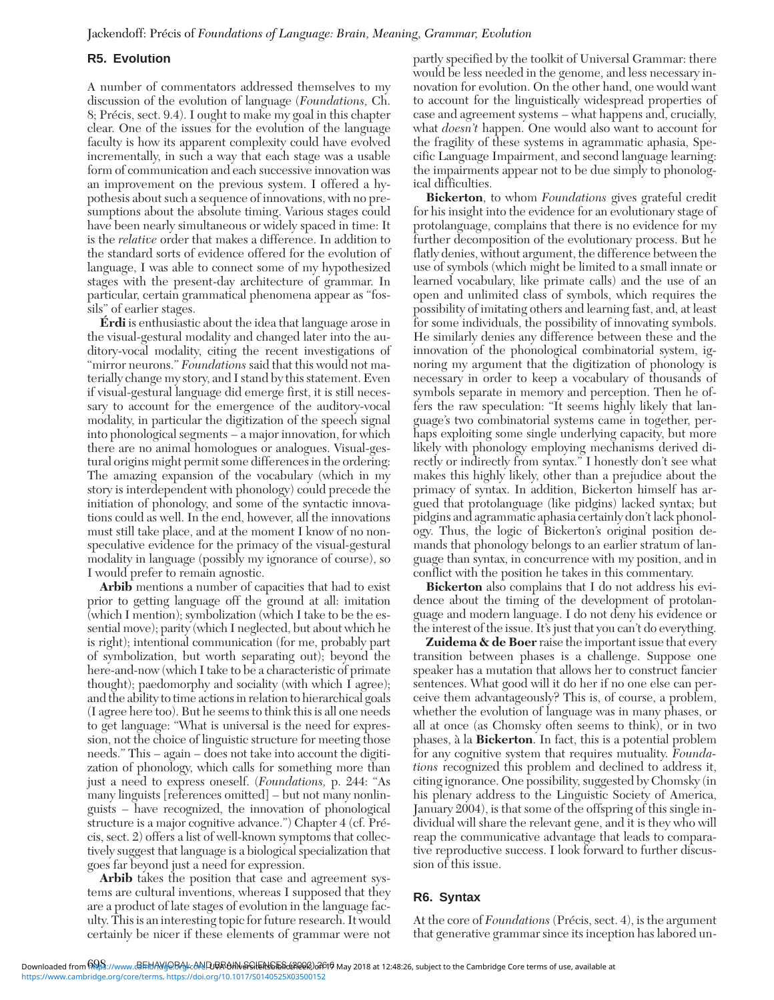## **R5. Evolution**

A number of commentators addressed themselves to my discussion of the evolution of language (*Foundations,* Ch. 8; Précis, sect. 9.4). I ought to make my goal in this chapter clear. One of the issues for the evolution of the language faculty is how its apparent complexity could have evolved incrementally, in such a way that each stage was a usable form of communication and each successive innovation was an improvement on the previous system. I offered a hypothesis about such a sequence of innovations, with no presumptions about the absolute timing. Various stages could have been nearly simultaneous or widely spaced in time: It is the *relative* order that makes a difference. In addition to the standard sorts of evidence offered for the evolution of language, I was able to connect some of my hypothesized stages with the present-day architecture of grammar. In particular, certain grammatical phenomena appear as "fossils" of earlier stages.

**Érdi** is enthusiastic about the idea that language arose in the visual-gestural modality and changed later into the auditory-vocal modality, citing the recent investigations of "mirror neurons." *Foundations* said that this would not materially change my story, and I stand by this statement. Even if visual-gestural language did emerge first, it is still necessary to account for the emergence of the auditory-vocal modality, in particular the digitization of the speech signal into phonological segments – a major innovation, for which there are no animal homologues or analogues. Visual-gestural origins might permit some differences in the ordering: The amazing expansion of the vocabulary (which in my story is interdependent with phonology) could precede the initiation of phonology, and some of the syntactic innovations could as well. In the end, however, all the innovations must still take place, and at the moment I know of no nonspeculative evidence for the primacy of the visual-gestural modality in language (possibly my ignorance of course), so I would prefer to remain agnostic.

**Arbib** mentions a number of capacities that had to exist prior to getting language off the ground at all: imitation (which I mention); symbolization (which I take to be the essential move); parity (which I neglected, but about which he is right); intentional communication (for me, probably part of symbolization, but worth separating out); beyond the here-and-now (which I take to be a characteristic of primate thought); paedomorphy and sociality (with which I agree); and the ability to time actions in relation to hierarchical goals (I agree here too). But he seems to think this is all one needs to get language: "What is universal is the need for expression, not the choice of linguistic structure for meeting those needs." This – again – does not take into account the digitization of phonology, which calls for something more than just a need to express oneself. (*Foundations,* p. 244: "As many linguists [references omitted] – but not many nonlinguists – have recognized, the innovation of phonological structure is a major cognitive advance.") Chapter 4 (cf. Précis, sect. 2) offers a list of well-known symptoms that collectively suggest that language is a biological specialization that goes far beyond just a need for expression.

**Arbib** takes the position that case and agreement systems are cultural inventions, whereas I supposed that they are a product of late stages of evolution in the language faculty. This is an interesting topic for future research. It would certainly be nicer if these elements of grammar were not partly specified by the toolkit of Universal Grammar: there would be less needed in the genome, and less necessary innovation for evolution. On the other hand, one would want to account for the linguistically widespread properties of case and agreement systems – what happens and, crucially, what *doesn't* happen. One would also want to account for the fragility of these systems in agrammatic aphasia, Specific Language Impairment, and second language learning: the impairments appear not to be due simply to phonological difficulties.

**Bickerton**, to whom *Foundations* gives grateful credit for his insight into the evidence for an evolutionary stage of protolanguage, complains that there is no evidence for my further decomposition of the evolutionary process. But he flatly denies, without argument, the difference between the use of symbols (which might be limited to a small innate or learned vocabulary, like primate calls) and the use of an open and unlimited class of symbols, which requires the possibility of imitating others and learning fast, and, at least for some individuals, the possibility of innovating symbols. He similarly denies any difference between these and the innovation of the phonological combinatorial system, ignoring my argument that the digitization of phonology is necessary in order to keep a vocabulary of thousands of symbols separate in memory and perception. Then he offers the raw speculation: "It seems highly likely that language's two combinatorial systems came in together, perhaps exploiting some single underlying capacity, but more likely with phonology employing mechanisms derived directly or indirectly from syntax." I honestly don't see what makes this highly likely, other than a prejudice about the primacy of syntax. In addition, Bickerton himself has argued that protolanguage (like pidgins) lacked syntax; but pidgins and agrammatic aphasia certainly don't lack phonology. Thus, the logic of Bickerton's original position demands that phonology belongs to an earlier stratum of language than syntax, in concurrence with my position, and in conflict with the position he takes in this commentary.

**Bickerton** also complains that I do not address his evidence about the timing of the development of protolanguage and modern language. I do not deny his evidence or the interest of the issue. It's just that you can't do everything.

**Zuidema & de Boer** raise the important issue that every transition between phases is a challenge. Suppose one speaker has a mutation that allows her to construct fancier sentences. What good will it do her if no one else can perceive them advantageously? This is, of course, a problem, whether the evolution of language was in many phases, or all at once (as Chomsky often seems to think), or in two phases, à la **Bickerton**. In fact, this is a potential problem for any cognitive system that requires mutuality. *Foundations* recognized this problem and declined to address it, citing ignorance. One possibility, suggested by Chomsky (in his plenary address to the Linguistic Society of America, January 2004), is that some of the offspring of this single individual will share the relevant gene, and it is they who will reap the communicative advantage that leads to comparative reproductive success. I look forward to further discussion of this issue.

## **R6. Syntax**

At the core of *Foundations* (Précis, sect. 4), is the argument that generative grammar since its inception has labored un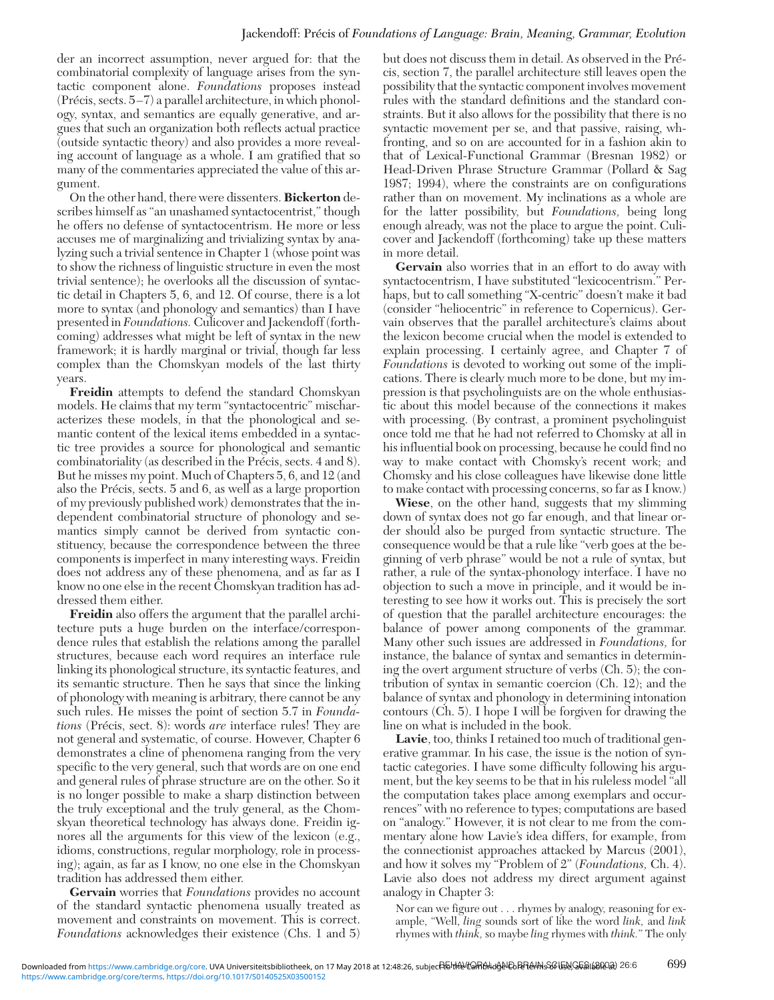der an incorrect assumption, never argued for: that the combinatorial complexity of language arises from the syntactic component alone. *Foundations* proposes instead (Précis, sects. 5–7) a parallel architecture, in which phonology, syntax, and semantics are equally generative, and argues that such an organization both reflects actual practice (outside syntactic theory) and also provides a more revealing account of language as a whole. I am gratified that so many of the commentaries appreciated the value of this argument.

On the other hand, there were dissenters. **Bickerton** describes himself as "an unashamed syntactocentrist," though he offers no defense of syntactocentrism. He more or less accuses me of marginalizing and trivializing syntax by analyzing such a trivial sentence in Chapter 1 (whose point was to show the richness of linguistic structure in even the most trivial sentence); he overlooks all the discussion of syntactic detail in Chapters 5, 6, and 12. Of course, there is a lot more to syntax (and phonology and semantics) than I have presented in *Foundations.* Culicover and Jackendoff (forthcoming) addresses what might be left of syntax in the new framework; it is hardly marginal or trivial, though far less complex than the Chomskyan models of the last thirty years.

**Freidin** attempts to defend the standard Chomskyan models. He claims that my term "syntactocentric" mischaracterizes these models, in that the phonological and semantic content of the lexical items embedded in a syntactic tree provides a source for phonological and semantic combinatoriality (as described in the Précis, sects. 4 and 8). But he misses my point. Much of Chapters 5, 6, and 12 (and also the Précis, sects. 5 and 6, as well as a large proportion of my previously published work) demonstrates that the independent combinatorial structure of phonology and semantics simply cannot be derived from syntactic constituency, because the correspondence between the three components is imperfect in many interesting ways. Freidin does not address any of these phenomena, and as far as I know no one else in the recent Chomskyan tradition has addressed them either.

**Freidin** also offers the argument that the parallel architecture puts a huge burden on the interface/correspondence rules that establish the relations among the parallel structures, because each word requires an interface rule linking its phonological structure, its syntactic features, and its semantic structure. Then he says that since the linking of phonology with meaning is arbitrary, there cannot be any such rules. He misses the point of section 5.7 in *Foundations* (Précis, sect. 8): words *are* interface rules! They are not general and systematic, of course. However, Chapter 6 demonstrates a cline of phenomena ranging from the very specific to the very general, such that words are on one end and general rules of phrase structure are on the other. So it is no longer possible to make a sharp distinction between the truly exceptional and the truly general, as the Chomskyan theoretical technology has always done. Freidin ignores all the arguments for this view of the lexicon (e.g., idioms, constructions, regular morphology, role in processing); again, as far as I know, no one else in the Chomskyan tradition has addressed them either.

**Gervain** worries that *Foundations* provides no account of the standard syntactic phenomena usually treated as movement and constraints on movement. This is correct. *Foundations* acknowledges their existence (Chs. 1 and 5)

but does not discuss them in detail. As observed in the Précis, section 7, the parallel architecture still leaves open the possibility that the syntactic component involves movement rules with the standard definitions and the standard constraints. But it also allows for the possibility that there is no syntactic movement per se, and that passive, raising, whfronting, and so on are accounted for in a fashion akin to that of Lexical-Functional Grammar (Bresnan 1982) or Head-Driven Phrase Structure Grammar (Pollard & Sag 1987; 1994), where the constraints are on configurations rather than on movement. My inclinations as a whole are for the latter possibility, but *Foundations,* being long enough already, was not the place to argue the point. Culicover and Jackendoff (forthcoming) take up these matters in more detail.

**Gervain** also worries that in an effort to do away with syntactocentrism, I have substituted "lexicocentrism." Perhaps, but to call something "X-centric" doesn't make it bad (consider "heliocentric" in reference to Copernicus). Gervain observes that the parallel architecture's claims about the lexicon become crucial when the model is extended to explain processing. I certainly agree, and Chapter 7 of *Foundations* is devoted to working out some of the implications. There is clearly much more to be done, but my impression is that psycholinguists are on the whole enthusiastic about this model because of the connections it makes with processing. (By contrast, a prominent psycholinguist once told me that he had not referred to Chomsky at all in his influential book on processing, because he could find no way to make contact with Chomsky's recent work; and Chomsky and his close colleagues have likewise done little to make contact with processing concerns, so far as I know.)

**Wiese**, on the other hand, suggests that my slimming down of syntax does not go far enough, and that linear order should also be purged from syntactic structure. The consequence would be that a rule like "verb goes at the beginning of verb phrase" would be not a rule of syntax, but rather, a rule of the syntax-phonology interface. I have no objection to such a move in principle, and it would be interesting to see how it works out. This is precisely the sort of question that the parallel architecture encourages: the balance of power among components of the grammar. Many other such issues are addressed in *Foundations,* for instance, the balance of syntax and semantics in determining the overt argument structure of verbs (Ch. 5); the contribution of syntax in semantic coercion (Ch. 12); and the balance of syntax and phonology in determining intonation contours (Ch. 5). I hope I will be forgiven for drawing the line on what is included in the book.

**Lavie**, too, thinks I retained too much of traditional generative grammar. In his case, the issue is the notion of syntactic categories. I have some difficulty following his argument, but the key seems to be that in his ruleless model "all the computation takes place among exemplars and occurrences" with no reference to types; computations are based on "analogy." However, it is not clear to me from the commentary alone how Lavie's idea differs, for example, from the connectionist approaches attacked by Marcus (2001), and how it solves my "Problem of 2" (*Foundations,* Ch. 4). Lavie also does not address my direct argument against analogy in Chapter 3:

Nor can we figure out . . . rhymes by analogy, reasoning for example, "Well, *ling* sounds sort of like the word *link,* and *link* rhymes with *think,* so maybe *ling* rhymes with *think.*" The only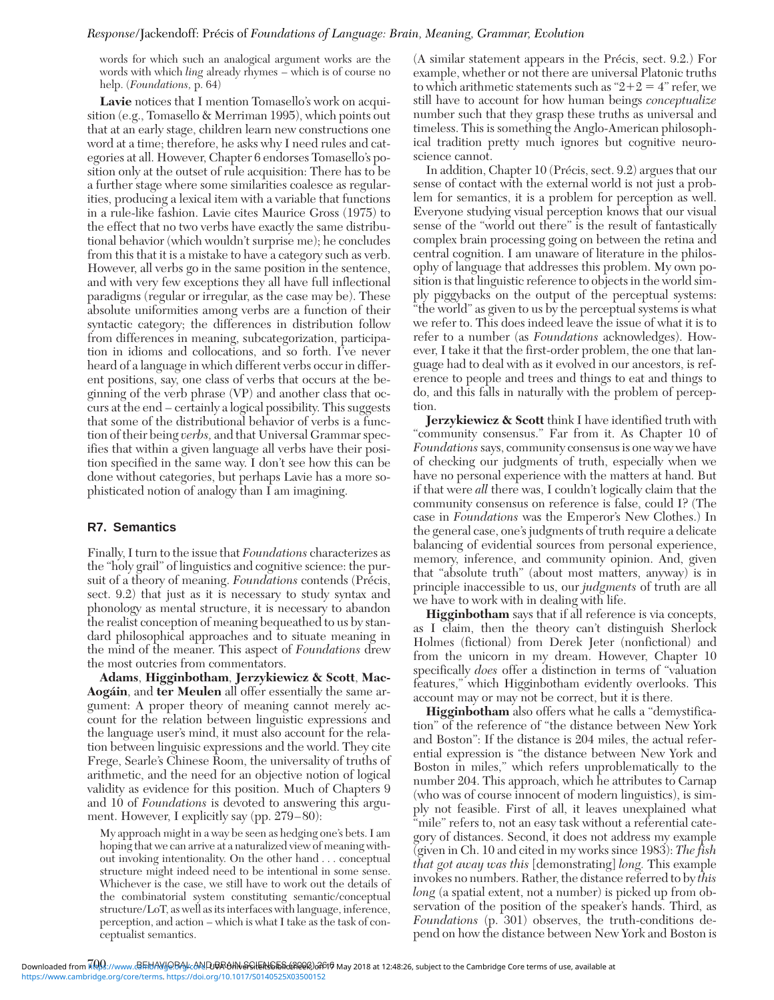words for which such an analogical argument works are the words with which *ling* already rhymes – which is of course no help. (*Foundations,* p. 64)

Lavie notices that I mention Tomasello's work on acquisition (e.g., Tomasello & Merriman 1995), which points out that at an early stage, children learn new constructions one word at a time; therefore, he asks why I need rules and categories at all. However, Chapter 6 endorses Tomasello's position only at the outset of rule acquisition: There has to be a further stage where some similarities coalesce as regularities, producing a lexical item with a variable that functions in a rule-like fashion. Lavie cites Maurice Gross (1975) to the effect that no two verbs have exactly the same distributional behavior (which wouldn't surprise me); he concludes from this that it is a mistake to have a category such as verb. However, all verbs go in the same position in the sentence, and with very few exceptions they all have full inflectional paradigms (regular or irregular, as the case may be). These absolute uniformities among verbs are a function of their syntactic category; the differences in distribution follow from differences in meaning, subcategorization, participation in idioms and collocations, and so forth. I've never heard of a language in which different verbs occur in different positions, say, one class of verbs that occurs at the beginning of the verb phrase (VP) and another class that occurs at the end – certainly a logical possibility. This suggests that some of the distributional behavior of verbs is a function of their being *verbs,* and that Universal Grammar specifies that within a given language all verbs have their position specified in the same way. I don't see how this can be done without categories, but perhaps Lavie has a more sophisticated notion of analogy than I am imagining.

## **R7. Semantics**

Finally, I turn to the issue that *Foundations* characterizes as the "holy grail" of linguistics and cognitive science: the pursuit of a theory of meaning. *Foundations* contends (Précis, sect. 9.2) that just as it is necessary to study syntax and phonology as mental structure, it is necessary to abandon the realist conception of meaning bequeathed to us by standard philosophical approaches and to situate meaning in the mind of the meaner. This aspect of *Foundations* drew the most outcries from commentators.

**Adams**, **Higginbotham**, **Jerzykiewicz & Scott**, **Mac-Aogáin**, and **ter Meulen** all offer essentially the same argument: A proper theory of meaning cannot merely account for the relation between linguistic expressions and the language user's mind, it must also account for the relation between linguisic expressions and the world. They cite Frege, Searle's Chinese Room, the universality of truths of arithmetic, and the need for an objective notion of logical validity as evidence for this position. Much of Chapters 9 and 10 of *Foundations* is devoted to answering this argument. However, I explicitly say (pp. 279–80):

My approach might in a way be seen as hedging one's bets. I am hoping that we can arrive at a naturalized view of meaning without invoking intentionality. On the other hand . . . conceptual structure might indeed need to be intentional in some sense. Whichever is the case, we still have to work out the details of the combinatorial system constituting semantic/conceptual structure/LoT, as well as its interfaces with language, inference, perception, and action – which is what I take as the task of conceptualist semantics.

(A similar statement appears in the Précis, sect. 9.2.) For example, whether or not there are universal Platonic truths to which arithmetic statements such as " $2+2 = 4$ " refer, we still have to account for how human beings *conceptualize* number such that they grasp these truths as universal and timeless. This is something the Anglo-American philosophical tradition pretty much ignores but cognitive neuroscience cannot.

In addition, Chapter 10 (Précis, sect. 9.2) argues that our sense of contact with the external world is not just a problem for semantics, it is a problem for perception as well. Everyone studying visual perception knows that our visual sense of the "world out there" is the result of fantastically complex brain processing going on between the retina and central cognition. I am unaware of literature in the philosophy of language that addresses this problem. My own position is that linguistic reference to objects in the world simply piggybacks on the output of the perceptual systems: "the world" as given to us by the perceptual systems is what we refer to. This does indeed leave the issue of what it is to refer to a number (as *Foundations* acknowledges). However, I take it that the first-order problem, the one that language had to deal with as it evolved in our ancestors, is reference to people and trees and things to eat and things to do, and this falls in naturally with the problem of perception.

**Jerzykiewicz & Scott** think I have identified truth with "community consensus." Far from it. As Chapter 10 of *Foundations*says, community consensus is one way we have of checking our judgments of truth, especially when we have no personal experience with the matters at hand. But if that were *all* there was, I couldn't logically claim that the community consensus on reference is false, could I? (The case in *Foundations* was the Emperor's New Clothes.) In the general case, one's judgments of truth require a delicate balancing of evidential sources from personal experience, memory, inference, and community opinion. And, given that "absolute truth" (about most matters, anyway) is in principle inaccessible to us, our *judgments* of truth are all we have to work with in dealing with life.

**Higginbotham** says that if all reference is via concepts, as I claim, then the theory can't distinguish Sherlock Holmes (fictional) from Derek Jeter (nonfictional) and from the unicorn in my dream. However, Chapter 10 specifically *does* offer a distinction in terms of "valuation features," which Higginbotham evidently overlooks. This account may or may not be correct, but it is there.

**Higginbotham** also offers what he calls a "demystification" of the reference of "the distance between New York and Boston": If the distance is 204 miles, the actual referential expression is "the distance between New York and Boston in miles," which refers unproblematically to the number 204. This approach, which he attributes to Carnap (who was of course innocent of modern linguistics), is simply not feasible. First of all, it leaves unexplained what "mile" refers to, not an easy task without a referential category of distances. Second, it does not address my example (given in Ch. 10 and cited in my works since 1983): *The fish that got away was this* [demonstrating] *long.* This example invokes no numbers. Rather, the distance referred to by *this long* (a spatial extent, not a number) is picked up from observation of the position of the speaker's hands. Third, as *Foundations* (p. 301) observes, the truth-conditions depend on how the distance between New York and Boston is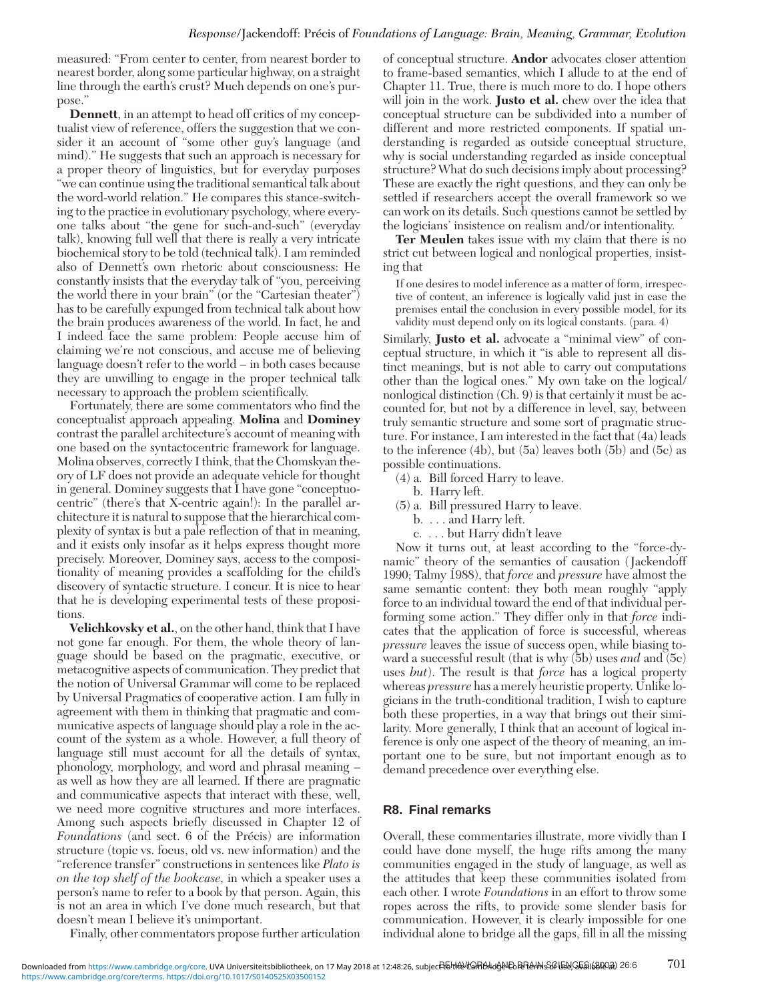measured: "From center to center, from nearest border to nearest border, along some particular highway, on a straight line through the earth's crust? Much depends on one's purpose."

**Dennett**, in an attempt to head off critics of my conceptualist view of reference, offers the suggestion that we consider it an account of "some other guy's language (and mind)." He suggests that such an approach is necessary for a proper theory of linguistics, but for everyday purposes "we can continue using the traditional semantical talk about the word-world relation." He compares this stance-switching to the practice in evolutionary psychology, where everyone talks about "the gene for such-and-such" (everyday talk), knowing full well that there is really a very intricate biochemical story to be told (technical talk). I am reminded also of Dennett's own rhetoric about consciousness: He constantly insists that the everyday talk of "you, perceiving the world there in your brain" (or the "Cartesian theater") has to be carefully expunged from technical talk about how the brain produces awareness of the world. In fact, he and I indeed face the same problem: People accuse him of claiming we're not conscious, and accuse me of believing language doesn't refer to the world – in both cases because they are unwilling to engage in the proper technical talk necessary to approach the problem scientifically.

Fortunately, there are some commentators who find the conceptualist approach appealing. **Molina** and **Dominey** contrast the parallel architecture's account of meaning with one based on the syntactocentric framework for language. Molina observes, correctly I think, that the Chomskyan theory of LF does not provide an adequate vehicle for thought in general. Dominey suggests that I have gone "conceptuocentric" (there's that X-centric again!): In the parallel architecture it is natural to suppose that the hierarchical complexity of syntax is but a pale reflection of that in meaning, and it exists only insofar as it helps express thought more precisely. Moreover, Dominey says, access to the compositionality of meaning provides a scaffolding for the child's discovery of syntactic structure. I concur. It is nice to hear that he is developing experimental tests of these propositions.

**Velichkovsky et al.**, on the other hand, think that I have not gone far enough. For them, the whole theory of language should be based on the pragmatic, executive, or metacognitive aspects of communication. They predict that the notion of Universal Grammar will come to be replaced by Universal Pragmatics of cooperative action. I am fully in agreement with them in thinking that pragmatic and communicative aspects of language should play a role in the account of the system as a whole. However, a full theory of language still must account for all the details of syntax, phonology, morphology, and word and phrasal meaning – as well as how they are all learned. If there are pragmatic and communicative aspects that interact with these, well, we need more cognitive structures and more interfaces. Among such aspects briefly discussed in Chapter 12 of *Foundations* (and sect. 6 of the Précis) are information structure (topic vs. focus, old vs. new information) and the "reference transfer" constructions in sentences like *Plato is on the top shelf of the bookcase,* in which a speaker uses a person's name to refer to a book by that person. Again, this is not an area in which I've done much research, but that doesn't mean I believe it's unimportant.

of conceptual structure. **Andor** advocates closer attention to frame-based semantics, which I allude to at the end of Chapter 11. True, there is much more to do. I hope others will join in the work. **Justo et al.** chew over the idea that conceptual structure can be subdivided into a number of different and more restricted components. If spatial understanding is regarded as outside conceptual structure, why is social understanding regarded as inside conceptual structure? What do such decisions imply about processing? These are exactly the right questions, and they can only be settled if researchers accept the overall framework so we can work on its details. Such questions cannot be settled by the logicians' insistence on realism and/or intentionality.

**Ter Meulen** takes issue with my claim that there is no strict cut between logical and nonlogical properties, insisting that

If one desires to model inference as a matter of form, irrespective of content, an inference is logically valid just in case the premises entail the conclusion in every possible model, for its validity must depend only on its logical constants. (para. 4)

Similarly, **Justo et al.** advocate a "minimal view" of conceptual structure, in which it "is able to represent all distinct meanings, but is not able to carry out computations other than the logical ones." My own take on the logical/ nonlogical distinction (Ch. 9) is that certainly it must be accounted for, but not by a difference in level, say, between truly semantic structure and some sort of pragmatic structure. For instance, I am interested in the fact that (4a) leads to the inference (4b), but (5a) leaves both (5b) and (5c) as possible continuations.

- (4) a. Bill forced Harry to leave.
	- b. Harry left.
- (5) a. Bill pressured Harry to leave.
	- b. . . . and Harry left.
	- c. . . . but Harry didn't leave

Now it turns out, at least according to the "force-dynamic" theory of the semantics of causation (Jackendoff 1990; Talmy 1988), that *force* and *pressure* have almost the same semantic content: they both mean roughly "apply force to an individual toward the end of that individual performing some action." They differ only in that *force* indicates that the application of force is successful, whereas *pressure* leaves the issue of success open, while biasing toward a successful result (that is why (5b) uses *and* and (5c) uses *but*). The result is that *force* has a logical property whereas *pressure* has a merely heuristic property. Unlike logicians in the truth-conditional tradition, I wish to capture both these properties, in a way that brings out their similarity. More generally, I think that an account of logical inference is only one aspect of the theory of meaning, an important one to be sure, but not important enough as to demand precedence over everything else.

## **R8. Final remarks**

Overall, these commentaries illustrate, more vividly than I could have done myself, the huge rifts among the many communities engaged in the study of language, as well as the attitudes that keep these communities isolated from each other. I wrote *Foundations* in an effort to throw some ropes across the rifts, to provide some slender basis for communication. However, it is clearly impossible for one individual alone to bridge all the gaps, fill in all the missing

Finally, other commentators propose further articulation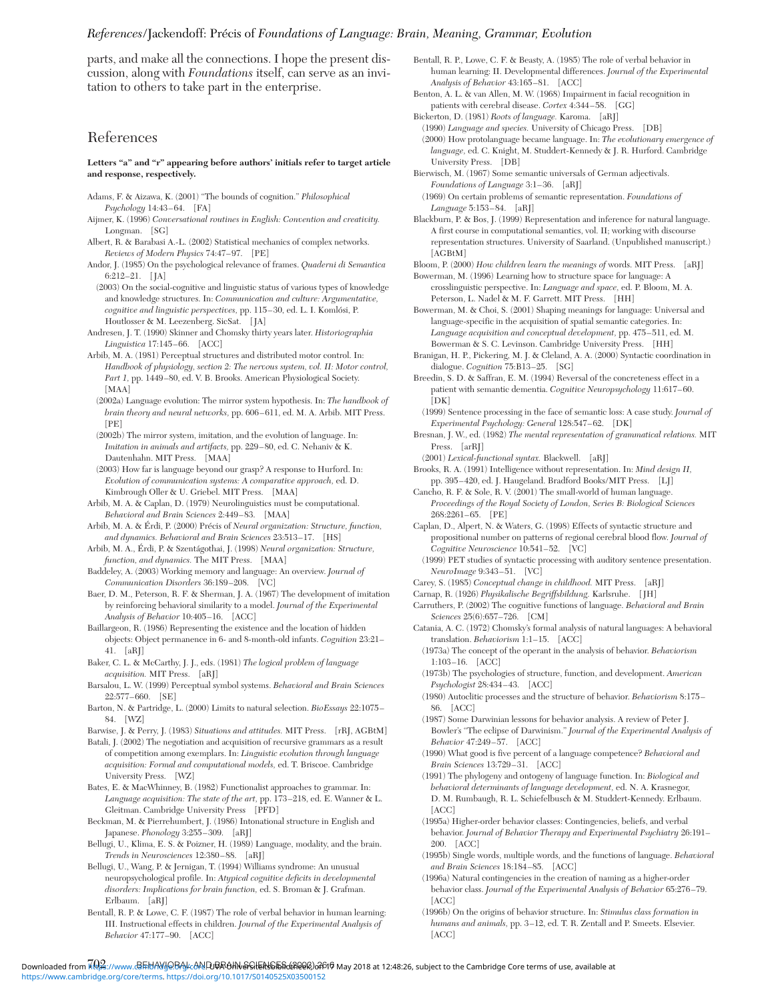parts, and make all the connections. I hope the present discussion, along with *Foundations* itself, can serve as an invitation to others to take part in the enterprise.

## References

#### **Letters "a" and "r" appearing before authors' initials refer to target article and response, respectively.**

- Adams, F. & Aizawa, K. (2001) "The bounds of cognition." *Philosophical Psychology* 14:43–64. [FA]
- Aijmer, K. (1996) *Conversational routines in English: Convention and creativity.* Longman. [SG]
- Albert, R. & Barabasi A.-L. (2002) Statistical mechanics of complex networks. *Reviews of Modern Physics* 74:47–97. [PE]
- Andor, J. (1985) On the psychological relevance of frames. *Quaderni di Semantica* 6:212–21. [JA]

(2003) On the social-cognitive and linguistic status of various types of knowledge and knowledge structures. In: *Communication and culture: Argumentative, cognitive and linguistic perspectives,* pp. 115–30, ed. L. I. Komlósi, P. Houtlosser & M. Leezenberg. SicSat. [JA]

- Andresen, J. T. (1990) Skinner and Chomsky thirty years later. *Historiographia Linguistica* 17:145–66. [ACC]
- Arbib, M. A. (1981) Perceptual structures and distributed motor control. In: *Handbook of physiology, section 2: The nervous system, vol. II: Motor control, Part 1,* pp. 1449–80, ed. V. B. Brooks. American Physiological Society. [MAA]
- (2002a) Language evolution: The mirror system hypothesis. In: *The handbook of brain theory and neural networks,* pp. 606–611, ed. M. A. Arbib. MIT Press. [PE]
- (2002b) The mirror system, imitation, and the evolution of language. In: *Imitation in animals and artifacts,* pp. 229–80, ed. C. Nehaniv & K. Dautenhahn. MIT Press. [MAA]
- (2003) How far is language beyond our grasp? A response to Hurford. In: *Evolution of communication systems: A comparative approach,* ed. D. Kimbrough Oller & U. Griebel. MIT Press. [MAA]
- Arbib, M. A. & Caplan, D. (1979) Neurolinguistics must be computational. *Behavioral and Brain Sciences* 2:449–83. [MAA]
- Arbib, M. A. & Érdi, P. (2000) Précis of *Neural organization: Structure, function, and dynamics. Behavioral and Brain Sciences* 23:513–17. [HS]
- Arbib, M. A., Érdi, P. & Szentágothai, J. (1998) *Neural organization: Structure, function, and dynamics.* The MIT Press. [MAA]
- Baddeley, A. (2003) Working memory and language: An overview. *Journal of Communication Disorders* 36:189–208. [VC]
- Baer, D. M., Peterson, R. F. & Sherman, J. A. (1967) The development of imitation by reinforcing behavioral similarity to a model. *Journal of the Experimental Analysis of Behavior* 10:405–16. [ACC]
- Baillargeon, R. (1986) Representing the existence and the location of hidden objects: Object permanence in 6- and 8-month-old infants. *Cognition* 23:21– 41. [aRJ]
- Baker, C. L. & McCarthy, J. J., eds. (1981) *The logical problem of language acquisition.* MIT Press. [aRJ]
- Barsalou, L. W. (1999) Perceptual symbol systems. *Behavioral and Brain Sciences* 22:577–660. [SE]
- Barton, N. & Partridge, L. (2000) Limits to natural selection. *BioEssays* 22:1075– 84. [WZ]
- Barwise, J. & Perry, J. (1983) *Situations and attitudes.* MIT Press. [rRJ, AGBtM]
- Batali, J. (2002) The negotiation and acquisition of recursive grammars as a result of competition among exemplars. In: *Linguistic evolution through language acquisition: Formal and computational models,* ed. T. Briscoe. Cambridge University Press. [WZ]
- Bates, E. & MacWhinney, B. (1982) Functionalist approaches to grammar. In: *Language acquisition: The state of the art,* pp. 173–218, ed. E. Wanner & L. Gleitman. Cambridge University Press [PFD]
- Beckman, M. & Pierrehumbert, J. (1986) Intonational structure in English and Japanese. *Phonology* 3:255–309. [aRJ]
- Bellugi, U., Klima, E. S. & Poizner, H. (1989) Language, modality, and the brain. *Trends in Neurosciences* 12:380–88. [aRJ]
- Bellugi, U., Wang, P. & Jernigan, T. (1994) Williams syndrome: An unusual neuropsychological profile. In: *Atypical cognitive deficits in developmental disorders: Implications for brain function,* ed. S. Broman & J. Grafman. Erlbaum. [aRJ]
- Bentall, R. P. & Lowe, C. F. (1987) The role of verbal behavior in human learning: III. Instructional effects in children. *Journal of the Experimental Analysis of Behavior* 47:177–90. [ACC]
- Bentall, R. P., Lowe, C. F. & Beasty, A. (1985) The role of verbal behavior in human learning: II. Developmental differences. *Journal of the Experimental Analysis of Behavior* 43:165–81. [ACC]
- Benton, A. L. & van Allen, M. W. (1968) Impairment in facial recognition in patients with cerebral disease. *Cortex* 4:344–58. [GG]
- Bickerton, D. (1981) *Roots of language.* Karoma. [aRJ] (1990) *Language and species.* University of Chicago Press. [DB]
- (2000) How protolanguage became language. In: *The evolutionary emergence of language,* ed. C. Knight, M. Studdert-Kennedy & J. R. Hurford. Cambridge University Press. [DB]
- Bierwisch, M. (1967) Some semantic universals of German adjectivals. *Foundations of Language* 3:1–36. [aRJ]
- (1969) On certain problems of semantic representation. *Foundations of Language* 5:153–84. [aRJ]
- Blackburn, P. & Bos, J. (1999) Representation and inference for natural language. A first course in computational semantics, vol. II; working with discourse representation structures. University of Saarland. (Unpublished manuscript.) [AGBtM]
- Bloom, P. (2000) *How children learn the meanings of* words. MIT Press. [aRJ]
- Bowerman, M. (1996) Learning how to structure space for language: A crosslinguistic perspective. In: *Language and space,* ed. P. Bloom, M. A. Peterson, L. Nadel & M. F. Garrett. MIT Press. [HH]
- Bowerman, M. & Choi, S. (2001) Shaping meanings for language: Universal and language-specific in the acquisition of spatial semantic categories. In: *Language acquisition and conceptual development,* pp. 475–511, ed. M. Bowerman & S. C. Levinson. Cambridge University Press. [HH]
- Branigan, H. P., Pickering, M. J. & Cleland, A. A. (2000) Syntactic coordination in dialogue. *Cognition* 75:B13–25. [SG]
- Breedin, S. D. & Saffran, E. M. (1994) Reversal of the concreteness effect in a patient with semantic dementia. *Cognitive Neuropsychology* 11:617–60.  $[DK]$
- (1999) Sentence processing in the face of semantic loss: A case study. *Journal of Experimental Psychology: General* 128:547–62. [DK]
- Bresnan, J. W., ed. (1982) *The mental representation of grammatical relations.* MIT Press. [arRJ]
- (2001) *Lexical-functional syntax.* Blackwell. [aRJ]
- Brooks, R. A. (1991) Intelligence without representation. In: *Mind design II,* pp. 395–420, ed. J. Haugeland. Bradford Books/MIT Press. [LJ]
- Cancho, R. F. & Sole, R. V. (2001) The small-world of human language. *Proceedings of the Royal Society of London, Series B: Biological Sciences* 268:2261–65. [PE]
- Caplan, D., Alpert, N. & Waters, G. (1998) Effects of syntactic structure and propositional number on patterns of regional cerebral blood flow. *Journal of Cognitive Neuroscience* 10:541–52. [VC]
- (1999) PET studies of syntactic processing with auditory sentence presentation. *NeuroImage* 9:343–51. [VC]
- Carey, S. (1985) *Conceptual change in childhood.* MIT Press. [aRJ]
- Carnap, R. (1926) *Physikalische Begriffsbildung.* Karlsruhe. [JH]
- Carruthers, P. (2002) The cognitive functions of language. *Behavioral and Brain Sciences* 25(6):657–726. [CM]
- Catania, A. C. (1972) Chomsky's formal analysis of natural languages: A behavioral translation. *Behaviorism* 1:1–15. [ACC]
	- (1973a) The concept of the operant in the analysis of behavior. *Behaviorism* 1:103–16. [ACC]
	- (1973b) The psychologies of structure, function, and development. *American Psychologist* 28:434–43. [ACC]
	- (1980) Autoclitic processes and the structure of behavior. *Behaviorism* 8:175– 86. [ACC]
	- (1987) Some Darwinian lessons for behavior analysis. A review of Peter J. Bowler's "The eclipse of Darwinism." *Journal of the Experimental Analysis of Behavior* 47:249–57. [ACC]
	- (1990) What good is five percent of a language competence? *Behavioral and Brain Sciences* 13:729–31. [ACC]
	- (1991) The phylogeny and ontogeny of language function. In: *Biological and behavioral determinants of language development,* ed. N. A. Krasnegor, D. M. Rumbaugh, R. L. Schiefelbusch & M. Studdert-Kennedy. Erlbaum. [ACC]
	- (1995a) Higher-order behavior classes: Contingencies, beliefs, and verbal behavior. *Journal of Behavior Therapy and Experimental Psychiatry* 26:191– 200. [ACC]
	- (1995b) Single words, multiple words, and the functions of language. *Behavioral and Brain Sciences* 18:184–85. [ACC]
- (1996a) Natural contingencies in the creation of naming as a higher-order behavior class. *Journal of the Experimental Analysis of Behavior* 65:276–79. [ACC]
- (1996b) On the origins of behavior structure. In: *Stimulus class formation in humans and animals,* pp. 3–12, ed. T. R. Zentall and P. Smeets. Elsevier. [ACC]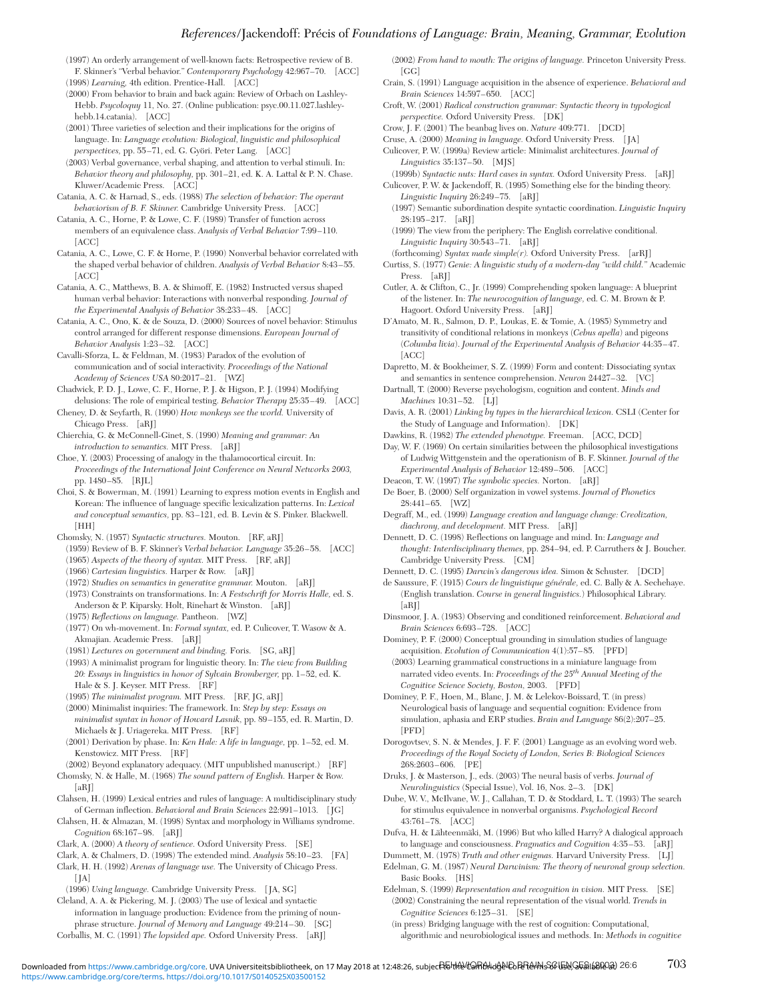- (1997) An orderly arrangement of well-known facts: Retrospective review of B. F. Skinner's "Verbal behavior." *Contemporary Psychology* 42:967–70. [ACC] (1998) *Learning,* 4th edition. Prentice-Hall. [ACC]
- (2000) From behavior to brain and back again: Review of Orbach on Lashley-Hebb. *Psycoloquy* 11, No. 27. (Online publication: psyc.00.11.027.lashleyhebb.14.catania). [ACC]
- (2001) Three varieties of selection and their implications for the origins of language. In: *Language evolution: Biological, linguistic and philosophical perspectives,* pp. 55–71, ed. G. Györi. Peter Lang. [ACC]
- (2003) Verbal governance, verbal shaping, and attention to verbal stimuli. In: *Behavior theory and philosophy,* pp. 301–21, ed. K. A. Lattal & P. N. Chase. Kluwer/Academic Press. [ACC]
- Catania, A. C. & Harnad, S., eds. (1988) *The selection of behavior: The operant behaviorism of B. F. Skinner.* Cambridge University Press. [ACC]
- Catania, A. C., Horne, P. & Lowe, C. F. (1989) Transfer of function across members of an equivalence class. *Analysis of Verbal Behavior* 7:99–110. [ACC]
- Catania, A. C., Lowe, C. F. & Horne, P. (1990) Nonverbal behavior correlated with the shaped verbal behavior of children. *Analysis of Verbal Behavior* 8:43–55. [ACC]
- Catania, A. C., Matthews, B. A. & Shimoff, E. (1982) Instructed versus shaped human verbal behavior: Interactions with nonverbal responding. *Journal of the Experimental Analysis of Behavior* 38:233–48. [ACC]
- Catania, A. C., Ono, K. & de Souza, D. (2000) Sources of novel behavior: Stimulus control arranged for different response dimensions. *European Journal of Behavior Analysis* 1:23–32. [ACC]
- Cavalli-Sforza, L. & Feldman, M. (1983) Paradox of the evolution of communication and of social interactivity. *Proceedings of the National Academy of Sciences USA* 80:2017–21. [WZ]
- Chadwick, P. D. J., Lowe, C. F., Horne, P. J. & Higson, P. J. (1994) Modifying delusions: The role of empirical testing. *Behavior Therapy* 25:35–49. [ACC]
- Cheney, D. & Seyfarth, R. (1990) *How monkeys see the world.* University of Chicago Press. [aRJ]
- Chierchia, G. & McConnell-Ginet, S. (1990) *Meaning and grammar: An introduction to semantics.* MIT Press. [aRJ]
- Choe, Y. (2003) Processing of analogy in the thalamocortical circuit. In: *Proceedings of the International Joint Conference on Neural Networks 2003,* pp. 1480–85. [RJL]
- Choi, S. & Bowerman, M. (1991) Learning to express motion events in English and Korean: The influence of language specific lexicalization patterns. In: *Lexical and conceptual semantics,* pp. 83–121, ed. B. Levin & S. Pinker. Blackwell. [HH]
- Chomsky, N. (1957) *Syntactic structures.* Mouton. [RF, aRJ]
- (1959) Review of B. F. Skinner's *Verbal behavior. Language* 35:26–58. [ACC] (1965) *Aspects of the theory of syntax.* MIT Press. [RF, aRJ]
- (1966) *Cartesian linguistics.* Harper & Row. [aRJ]
- (1972) *Studies on semantics in generative grammar.* Mouton. [aRJ] (1973) Constraints on transformations. In: *A Festschrift for Morris Halle,* ed. S. Anderson & P. Kiparsky. Holt, Rinehart & Winston. [aRJ]
- (1975) *Reflections on language.* Pantheon. [WZ]
- (1977) On wh-movement. In: *Formal syntax,* ed. P. Culicover, T. Wasow & A. Akmajian. Academic Press. [aRJ]
- (1981) *Lectures on government and binding.* Foris. [SG, aRJ]
- (1993) A minimalist program for linguistic theory. In: *The view from Building 20: Essays in linguistics in honor of Sylvain Bromberger,* pp. 1–52, ed. K. Hale & S. J. Keyser. MIT Press. [RF]
- (1995) *The minimalist program.* MIT Press. [RF, JG, aRJ]
- (2000) Minimalist inquiries: The framework. In: *Step by step: Essays on minimalist syntax in honor of Howard Lasnik,* pp. 89–155, ed. R. Martin, D. Michaels & J. Uriagereka. MIT Press. [RF]
- (2001) Derivation by phase. In: *Ken Hale: A life in language,* pp. 1–52, ed. M. Kenstowicz. MIT Press. [RF]
- (2002) Beyond explanatory adequacy. (MIT unpublished manuscript.) [RF] Chomsky, N. & Halle, M. (1968) *The sound pattern of English.* Harper & Row.
- [aRJ]
- Clahsen, H. (1999) Lexical entries and rules of language: A multidisciplinary study of German inflection. *Behavioral and Brain Sciences* 22:991–1013. [JG]
- Clahsen, H. & Almazan, M. (1998) Syntax and morphology in Williams syndrome. *Cognition* 68:167–98. [aRJ]
- Clark, A. (2000) *A theory of sentience.* Oxford University Press. [SE]
- Clark, A. & Chalmers, D. (1998) The extended mind. *Analysis* 58:10–23. [FA] Clark, H. H. (1992) *Arenas of language use.* The University of Chicago Press.
	- $[$ [ $A$ ]
- (1996) *Using language.* Cambridge University Press. [JA, SG]
- Cleland, A. A. & Pickering, M. J. (2003) The use of lexical and syntactic information in language production: Evidence from the priming of nounphrase structure. *Journal of Memory and Language* 49:214–30. [SG] Corballis, M. C. (1991) *The lopsided ape.* Oxford University Press. [aRJ]
- (2002) *From hand to mouth: The origins of language.* Princeton University Press. [GG]
- Crain, S. (1991) Language acquisition in the absence of experience. *Behavioral and Brain Sciences* 14:597–650. [ACC]
- Croft, W. (2001) *Radical construction grammar: Syntactic theory in typological perspective.* Oxford University Press. [DK]
- Crow, J. F. (2001) The beanbag lives on. *Nature* 409:771. [DCD]
- Cruse, A. (2000) *Meaning in language.* Oxford University Press. [JA]
- Culicover, P. W. (1999a) Review article: Minimalist architectures. *Journal of Linguistics* 35:137–50. [MJS]
- (1999b) *Syntactic nuts: Hard cases in syntax.* Oxford University Press. [aRJ] Culicover, P. W. & Jackendoff, R. (1995) Something else for the binding theory. *Linguistic Inquiry* 26:249–75. [aRJ]
	- (1997) Semantic subordination despite syntactic coordination. *Linguistic Inquiry* 28:195–217. [aRJ]
- (1999) The view from the periphery: The English correlative conditional. *Linguistic Inquiry* 30:543–71. [aRJ]
- (forthcoming) *Syntax made simple(r).* Oxford University Press. [arRJ] Curtiss, S. (1977) *Genie: A linguistic study of a modern-day "wild child."* Academic
- Press. [aRJ]
- Cutler, A. & Clifton, C., Jr. (1999) Comprehending spoken language: A blueprint of the listener. In: *The neurocognition of language,* ed. C. M. Brown & P. Hagoort. Oxford University Press. [aRJ]
- D'Amato, M. R., Salmon, D. P., Loukas, E. & Tomie, A. (1985) Symmetry and transitivity of conditional relations in monkeys (*Cebus apella*) and pigeons (*Columba livia*). *Journal of the Experimental Analysis of Behavior* 44:35–47. [ACC]
- Dapretto, M. & Bookheimer, S. Z. (1999) Form and content: Dissociating syntax and semantics in sentence comprehension. *Neuron* 24427–32. [VC]
- Dartnall, T. (2000) Reverse psychologism, cognition and content. *Minds and Machines* 10:31–52. [LJ]
- Davis, A. R. (2001) *Linking by types in the hierarchical lexicon.* CSLI (Center for the Study of Language and Information). [DK]
- Dawkins, R. (1982) *The extended phenotype.* Freeman. [ACC, DCD]
- Day, W. F. (1969) On certain similarities between the philosophical investigations of Ludwig Wittgenstein and the operationism of B. F. Skinner. *Journal of the Experimental Analysis of Behavior* 12:489–506. [ACC]
- Deacon, T. W. (1997) *The symbolic species.* Norton. [aRJ]
- De Boer, B. (2000) Self organization in vowel systems. *Journal of Phonetics* 28:441–65. [WZ]
- Degraff, M., ed. (1999) *Language creation and language change: Creolization, diachrony, and development.* MIT Press. [aRJ]
- Dennett, D. C. (1998) Reflections on language and mind. In: *Language and thought: Interdisciplinary themes,* pp. 284–94, ed. P. Carruthers & J. Boucher. Cambridge University Press. [CM]
- Dennett, D. C. (1995) *Darwin's dangerous idea.* Simon & Schuster. [DCD]
- de Saussure, F. (1915) *Cours de linguistique générale,* ed. C. Bally & A. Sechehaye. (English translation. *Course in general linguistics.*) Philosophical Library.  $[aR]$
- Dinsmoor, J. A. (1983) Observing and conditioned reinforcement. *Behavioral and Brain Sciences* 6:693–728. [ACC]
- Dominey, P. F. (2000) Conceptual grounding in simulation studies of language acquisition. *Evolution of Communication* 4(1):57–85. [PFD]
- (2003) Learning grammatical constructions in a miniature language from narrated video events. In: *Proceedings of the 25th Annual Meeting of the Cognitive Science Society, Boston,* 2003. [PFD]
- Dominey, P. F., Hoen, M., Blanc, J. M. & Lelekov-Boissard, T. (in press) Neurological basis of language and sequential cognition: Evidence from simulation, aphasia and ERP studies. *Brain and Language* 86(2):207–25. [PFD]
- Dorogovtsev, S. N. & Mendes, J. F. F. (2001) Language as an evolving word web. *Proceedings of the Royal Society of London, Series B: Biological Sciences* 268:2603–606. [PE]
- Druks, J. & Masterson, J., eds. (2003) The neural basis of verbs. *Journal of Neurolinguistics* (Special Issue), Vol. 16, Nos. 2–3. [DK]
- Dube, W. V., McIlvane, W. J., Callahan, T. D. & Stoddard, L. T. (1993) The search for stimulus equivalence in nonverbal organisms. *Psychological Record* 43:761–78. [ACC]
- Dufva, H. & Lähteenmäki, M. (1996) But who killed Harry? A dialogical approach to language and consciousness. *Pragmatics and Cognition* 4:35–53. [aRJ]
- Dummett, M. (1978) *Truth and other enigmas.* Harvard University Press. [LJ]
- Edelman, G. M. (1987) *Neural Darwinism: The theory of neuronal group selection.* Basic Books. [HS]
- Edelman, S. (1999) *Representation and recognition in vision.* MIT Press. [SE] (2002) Constraining the neural representation of the visual world. *Trends in Cognitive Sciences* 6:125–31. [SE]

(in press) Bridging language with the rest of cognition: Computational, algorithmic and neurobiological issues and methods. In: *Methods in cognitive*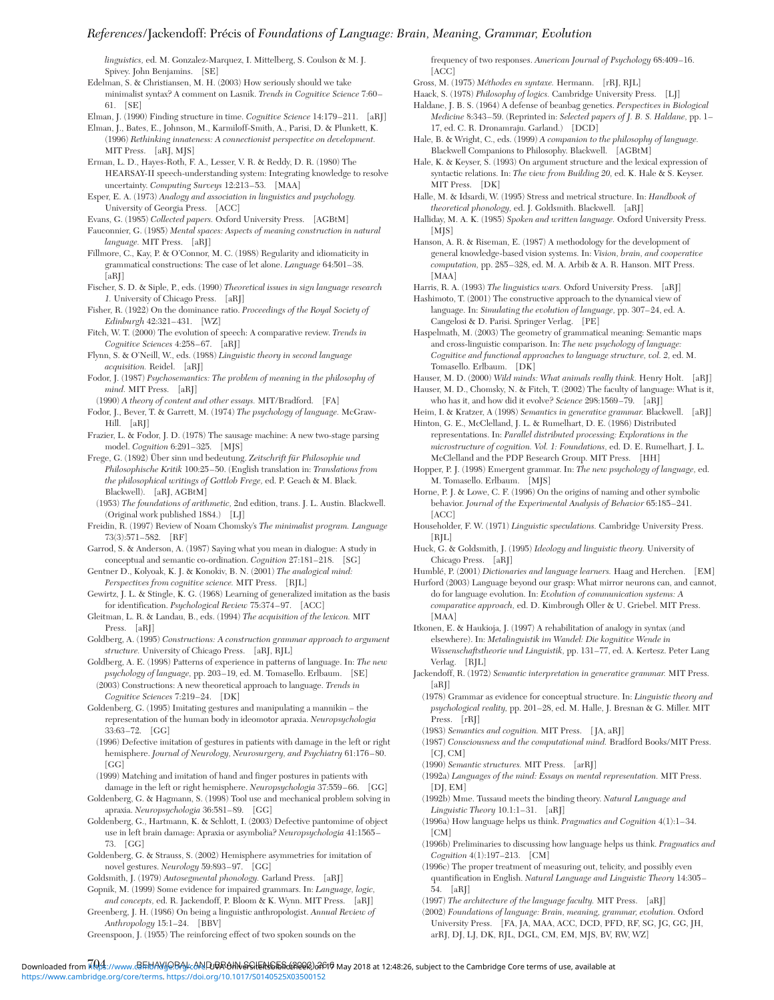*linguistics,* ed. M. Gonzalez-Marquez, I. Mittelberg, S. Coulson & M. J. Spivey. John Benjamins. [SE]

Edelman, S. & Christiansen, M. H. (2003) How seriously should we take minimalist syntax? A comment on Lasnik. *Trends in Cognitive Science* 7:60– 61. [SE]

Elman, J. (1990) Finding structure in time. *Cognitive Science* 14:179–211. [aRJ] Elman, J., Bates, E., Johnson, M., Karmiloff-Smith, A., Parisi, D. & Plunkett, K.

- (1996) *Rethinking innateness: A connectionist perspective on development.* MIT Press. [aRJ, MJS]
- Erman, L. D., Hayes-Roth, F. A., Lesser, V. R. & Reddy, D. R. (1980) The HEARSAY-II speech-understanding system: Integrating knowledge to resolve uncertainty. *Computing Surveys* 12:213–53. [MAA]
- Esper, E. A. (1973) *Analogy and association in linguistics and psychology.* University of Georgia Press. [ACC]
- Evans, G. (1985) *Collected papers.* Oxford University Press. [AGBtM]
- Fauconnier, G. (1985) *Mental spaces: Aspects of meaning construction in natural language.* MIT Press. [aRJ]
- Fillmore, C., Kay, P. & O'Connor, M. C. (1988) Regularity and idiomaticity in grammatical constructions: The case of let alone. *Language* 64:501–38.  $[aRI]$
- Fischer, S. D. & Siple, P., eds. (1990) *Theoretical issues in sign language research 1.* University of Chicago Press. [aRJ]
- Fisher, R. (1922) On the dominance ratio. *Proceedings of the Royal Society of Edinburgh* 42:321–431. [WZ]
- Fitch, W. T. (2000) The evolution of speech: A comparative review. *Trends in Cognitive Sciences* 4:258–67. [aRJ]
- Flynn, S. & O'Neill, W., eds. (1988) *Linguistic theory in second language acquisition.* Reidel. [aRJ]
- Fodor, J. (1987) *Psychosemantics: The problem of meaning in the philosophy of mind.* MIT Press. [aRJ]
- (1990) *A theory of content and other essays.* MIT/Bradford. [FA]
- Fodor, J., Bever, T. & Garrett, M. (1974) *The psychology of language.* McGraw-Hill. [aRJ]

Frazier, L. & Fodor, J. D. (1978) The sausage machine: A new two-stage parsing model. *Cognition* 6:291–325. [MJS]

- Frege, G. (1892) Über sinn und bedeutung. *Zeitschrift für Philosophie und Philosophische Kritik* 100:25–50. (English translation in: *Translations from the philosophical writings of Gottlob Frege,* ed. P. Geach & M. Black. Blackwell). [aRJ, AGBtM]
- (1953) *The foundations of arithmetic,* 2nd edition, trans. J. L. Austin. Blackwell. (Original work published 1884.) [LJ]
- Freidin, R. (1997) Review of Noam Chomsky's *The minimalist program. Language* 73(3):571–582. [RF]
- Garrod, S. & Anderson, A. (1987) Saying what you mean in dialogue: A study in conceptual and semantic co-ordination. *Cognition* 27:181–218. [SG]
- Gentner D., Kolyoak, K. J. & Konokiv, B. N. (2001) *The analogical mind: Perspectives from cognitive science.* MIT Press. [RJL]
- Gewirtz, J. L. & Stingle, K. G. (1968) Learning of generalized imitation as the basis for identification. *Psychological Review* 75:374–97. [ACC]
- Gleitman, L. R. & Landau, B., eds. (1994) *The acquisition of the lexicon.* MIT Press. [aRJ]
- Goldberg, A. (1995) *Constructions: A construction grammar approach to argument structure.* University of Chicago Press. [aRJ, RJL]
- Goldberg, A. E. (1998) Patterns of experience in patterns of language. In: *The new psychology of language,* pp. 203–19, ed. M. Tomasello. Erlbaum. [SE] (2003) Constructions: A new theoretical approach to language. *Trends in Cognitive Sciences* 7:219–24. [DK]
- Goldenberg, G. (1995) Imitating gestures and manipulating a mannikin the representation of the human body in ideomotor apraxia. *Neuropsychologia* 33:63–72. [GG]
- (1996) Defective imitation of gestures in patients with damage in the left or right hemisphere. *Journal of Neurology, Neurosurgery, and Psychiatry* 61:176–80. [GG]
- (1999) Matching and imitation of hand and finger postures in patients with damage in the left or right hemisphere. *Neuropsychologia* 37:559–66. [GG]
- Goldenberg, G. & Hagmann, S. (1998) Tool use and mechanical problem solving in apraxia. *Neuropsychologia* 36:581–89. [GG]
- Goldenberg, G., Hartmann, K. & Schlott, I. (2003) Defective pantomime of object use in left brain damage: Apraxia or asymbolia? *Neuropsychologia* 41:1565– 73. [GG]
- Goldenberg, G. & Strauss, S. (2002) Hemisphere asymmetries for imitation of novel gestures. *Neurology* 59:893–97. [GG]
- Goldsmith, J. (1979) *Autosegmental phonology.* Garland Press. [aRJ]
- Gopnik, M. (1999) Some evidence for impaired grammars. In: *Language, logic, and concepts,* ed. R. Jackendoff, P. Bloom & K. Wynn. MIT Press. [aRJ]
- Greenberg, J. H. (1986) On being a linguistic anthropologist. *Annual Review of Anthropology* 15:1–24. [BBV]
- Greenspoon, J. (1955) The reinforcing effect of two spoken sounds on the

frequency of two responses. *American Journal of Psychology* 68:409–16. [ACC]

- Gross, M. (1975) *Méthodes en syntaxe.* Hermann. [rRJ, RJL]
- Haack, S. (1978) *Philosophy of logics.* Cambridge University Press. [LJ]
- Haldane, J. B. S. (1964) A defense of beanbag genetics. *Perspectives in Biological Medicine* 8:343–59. (Reprinted in: *Selected papers of J. B. S. Haldane,* pp. 1– 17, ed. C. R. Dronamraju. Garland.) [DCD]
- Hale, B. & Wright, C., eds. (1999) *A companion to the philosophy of language.* Blackwell Companions to Philosophy. Blackwell. [AGBtM]
- Hale, K. & Keyser, S. (1993) On argument structure and the lexical expression of syntactic relations. In: *The view from Building 20,* ed. K. Hale & S. Keyser. MIT Press. [DK]
- Halle, M. & Idsardi, W. (1995) Stress and metrical structure. In: *Handbook of theoretical phonology,* ed. J. Goldsmith. Blackwell. [aRJ]
- Halliday, M. A. K. (1985) *Spoken and written language.* Oxford University Press.  $|M[S]|$
- Hanson, A. R. & Riseman, E. (1987) A methodology for the development of general knowledge-based vision systems. In: *Vision, brain, and cooperative computation,* pp. 285–328, ed. M. A. Arbib & A. R. Hanson. MIT Press. [MAA]
- Harris, R. A. (1993) *The linguistics wars.* Oxford University Press. [aRJ]

Hashimoto, T. (2001) The constructive approach to the dynamical view of language. In: *Simulating the evolution of language,* pp. 307–24, ed. A. Cangelosi & D. Parisi. Springer Verlag. [PE]

- Haspelmath, M. (2003) The geometry of grammatical meaning: Semantic maps and cross-linguistic comparison. In: *The new psychology of language: Cognitive and functional approaches to language structure, vol. 2,* ed. M. Tomasello. Erlbaum. [DK]
- Hauser, M. D. (2000) *Wild minds: What animals really think.* Henry Holt. [aRJ] Hauser, M. D., Chomsky, N. & Fitch, T. (2002) The faculty of language: What is it, who has it, and how did it evolve? *Science* 298:1569–79. [aRJ]
- Heim, I. & Kratzer, A (1998) *Semantics in generative grammar.* Blackwell. [aRJ]

Hinton, G. E., McClelland, J. L. & Rumelhart, D. E. (1986) Distributed representations. In: *Parallel distributed processing: Explorations in the microstructure of cognition. Vol. 1: Foundations,* ed. D. E. Rumelhart, J. L. McClelland and the PDP Research Group. MIT Press. [HH]

- Hopper, P. J. (1998) Emergent grammar. In: *The new psychology of language,* ed. M. Tomasello. Erlbaum. [MJS]
- Horne, P. J. & Lowe, C. F. (1996) On the origins of naming and other symbolic behavior. *Journal of the Experimental Analysis of Behavior* 65:185–241. [ACC]
- Householder, F. W. (1971) *Linguistic speculations.* Cambridge University Press. [RJL]
- Huck, G. & Goldsmith, J. (1995) *Ideology and linguistic theory.* University of Chicago Press. [aRJ]
- Humblé, P. (2001) *Dictionaries and language learners.* Haag and Herchen. [EM] Hurford (2003) Language beyond our grasp: What mirror neurons can, and cannot,
- do for language evolution. In: *Evolution of communication systems: A comparative approach,* ed. D. Kimbrough Oller & U. Griebel. MIT Press. [MAA]
- Itkonen, E. & Haukioja, J. (1997) A rehabilitation of analogy in syntax (and elsewhere). In: *Metalinguistik im Wandel: Die kognitive Wende in Wissenschaftstheorie und Linguistik,* pp. 131–77, ed. A. Kertesz. Peter Lang Verlag. [RJL]
- Jackendoff, R. (1972) *Semantic interpretation in generative grammar.* MIT Press. [aRJ]
	- (1978) Grammar as evidence for conceptual structure. In: *Linguistic theory and psychological reality,* pp. 201–28, ed. M. Halle, J. Bresnan & G. Miller. MIT Press. [rRJ]
- (1983) *Semantics and cognition.* MIT Press. [JA, aRJ]
- (1987) *Consciousness and the computational mind.* Bradford Books/MIT Press.  $[CI, CM]$
- (1990) *Semantic structures.* MIT Press. [arRJ]
- (1992a) *Languages of the mind: Essays on mental representation.* MIT Press.  $[D]$ , EM $]$
- (1992b) Mme. Tussaud meets the binding theory. *Natural Language and Linguistic Theory* 10.1:1–31. [aRJ]
- (1996a) How language helps us think. *Pragmatics and Cognition* 4(1):1–34.  $[CM]$
- (1996b) Preliminaries to discussing how language helps us think. *Pragmatics and Cognition* 4(1):197–213. [CM]
- (1996c) The proper treatment of measuring out, telicity, and possibly even quantification in English. *Natural Language and Linguistic Theory* 14:305– 54. [aRJ]
- (1997) *The architecture of the language faculty.* MIT Press. [aRJ]
- (2002) *Foundations of language: Brain, meaning, grammar, evolution.* Oxford University Press. [FA, JA, MAA, ACC, DCD, PFD, RF, SG, JG, GG, JH, arRJ, DJ, LJ, DK, RJL, DGL, CM, EM, MJS, BV, RW, WZ]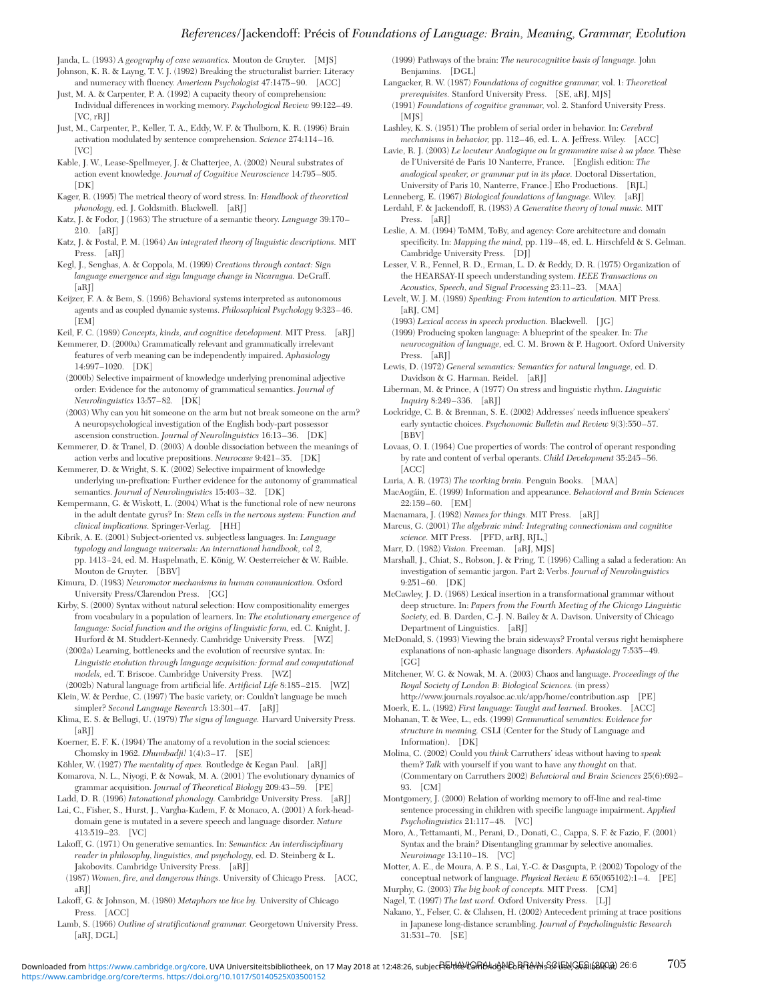- Janda, L. (1993) *A geography of case semantics.* Mouton de Gruyter. [MJS] Johnson, K. R. & Layng, T. V. J. (1992) Breaking the structuralist barrier: Literacy
- and numeracy with fluency. *American Psychologist* 47:1475–90. [ACC] Just, M. A. & Carpenter, P. A. (1992) A capacity theory of comprehension:
- Individual differences in working memory. *Psychological Review* 99:122–49.  $[VC, rRI]$

Just, M., Carpenter, P., Keller, T. A., Eddy, W. F. & Thulborn, K. R. (1996) Brain activation modulated by sentence comprehension. *Science* 274:114–16. [VC]

Kable, J. W., Lease-Spellmeyer, J. & Chatterjee, A. (2002) Neural substrates of action event knowledge. *Journal of Cognitive Neuroscience* 14:795–805.  $[DK]$ 

- Kager, R. (1995) The metrical theory of word stress. In: *Handbook of theoretical phonology,* ed. J. Goldsmith. Blackwell. [aRJ]
- Katz, J. & Fodor, J (1963) The structure of a semantic theory. *Language* 39:170– 210. [aRJ]
- Katz, J. & Postal, P. M. (1964) *An integrated theory of linguistic descriptions.* MIT Press. [aRJ]
- Kegl, J., Senghas, A. & Coppola, M. (1999) *Creations through contact: Sign language emergence and sign language change in Nicaragua.* DeGraff. [aRJ]
- Keijzer, F. A. & Bem, S. (1996) Behavioral systems interpreted as autonomous agents and as coupled dynamic systems. *Philosophical Psychology* 9:323–46. [EM]
- Keil, F. C. (1989) *Concepts, kinds, and cognitive development.* MIT Press. [aRJ]
- Kemmerer, D. (2000a) Grammatically relevant and grammatically irrelevant features of verb meaning can be independently impaired. *Aphasiology* 14:997–1020. [DK]
- (2000b) Selective impairment of knowledge underlying prenominal adjective order: Evidence for the autonomy of grammatical semantics. *Journal of Neurolinguistics* 13:57–82. [DK]
- (2003) Why can you hit someone on the arm but not break someone on the arm? A neuropsychological investigation of the English body-part possessor ascension construction. *Journal of Neurolinguistics* 16:13–36. [DK]
- Kemmerer, D. & Tranel, D. (2003) A double dissociation between the meanings of action verbs and locative prepositions. *Neurocase* 9:421–35. [DK]

Kemmerer, D. & Wright, S. K. (2002) Selective impairment of knowledge underlying un-prefixation: Further evidence for the autonomy of grammatical semantics. *Journal of Neurolinguistics* 15:403–32. [DK]

- Kempermann, G. & Wiskott, L. (2004) What is the functional role of new neurons in the adult dentate gyrus? In: *Stem cells in the nervous system: Function and clinical implications.* Springer-Verlag. [HH]
- Kibrik, A. E. (2001) Subject-oriented vs. subjectless languages. In: *Language typology and language universals: An international handbook, vol 2,* pp. 1413–24, ed. M. Haspelmath, E. König, W. Oesterreicher & W. Raible. Mouton de Gruyter. [BBV]
- Kimura, D. (1983) *Neuromotor mechanisms in human communication.* Oxford University Press/Clarendon Press. [GG]
- Kirby, S. (2000) Syntax without natural selection: How compositionality emerges from vocabulary in a population of learners. In: *The evolutionary emergence of language: Social function and the origins of linguistic form,* ed. C. Knight, J. Hurford & M. Studdert-Kennedy. Cambridge University Press. [WZ]
- (2002a) Learning, bottlenecks and the evolution of recursive syntax. In: *Linguistic evolution through language acquisition: formal and computational models,* ed. T. Briscoe. Cambridge University Press. [WZ]

(2002b) Natural language from artificial life. *Artificial Life* 8:185–215. [WZ] Klein, W. & Perdue, C. (1997) The basic variety, or: Couldn't language be much simpler? *Second Language Research* 13:301–47. [aRJ]

- Klima, E. S. & Bellugi, U. (1979) *The signs of language.* Harvard University Press. [aRJ]
- Koerner, E. F. K. (1994) The anatomy of a revolution in the social sciences: Chomsky in 1962. *Dhumbadji!* 1(4):3–17. [SE]

Köhler, W. (1927) *The mentality of apes.* Routledge & Kegan Paul. [aRJ]

Komarova, N. L., Niyogi, P. & Nowak, M. A. (2001) The evolutionary dynamics of grammar acquisition. *Journal of Theoretical Biology* 209:43–59. [PE]

- Ladd, D. R. (1996) *Intonational phonology.* Cambridge University Press. [aRJ] Lai, C., Fisher, S., Hurst, J., Vargha-Kadem, F. & Monaco, A. (2001) A fork-headdomain gene is mutated in a severe speech and language disorder. *Nature* 413:519–23. [VC]
- Lakoff, G. (1971) On generative semantics. In: *Semantics: An interdisciplinary reader in philosophy, linguistics, and psychology,* ed. D. Steinberg & L. Jakobovits. Cambridge University Press. [aRJ]
- (1987) *Women, fire, and dangerous things.* University of Chicago Press. [ACC, aRJ]
- Lakoff, G. & Johnson, M. (1980) *Metaphors we live by.* University of Chicago Press. [ACC]
- Lamb, S. (1966) *Outline of stratificational grammar.* Georgetown University Press. [aRJ, DGL]

(1999) Pathways of the brain: *The neurocognitive basis of language.* John Benjamins. [DGL]

- Langacker, R. W. (1987) *Foundations of cognitive grammar,* vol. 1: *Theoretical prerequisites.* Stanford University Press. [SE, aRJ, MJS] (1991) *Foundations of cognitive grammar,* vol. 2. Stanford University Press.
- $[M<sub>IS</sub>]$ Lashley, K. S. (1951) The problem of serial order in behavior. In: *Cerebral mechanisms in behavior,* pp. 112–46, ed. L. A. Jeffress. Wiley. [ACC]
- Lavie, R. J. (2003) *Le locuteur Analogique ou la grammaire mise à sa place.* Thèse de l'Université de Paris 10 Nanterre, France. [English edition: *The analogical speaker, or grammar put in its place.* Doctoral Dissertation, University of Paris 10, Nanterre, France.] Eho Productions. [RJL]
- Lenneberg, E. (1967) *Biological foundations of language.* Wiley. [aRJ]
- Lerdahl, F. & Jackendoff, R. (1983) *A Generative theory of tonal music.* MIT Press. [aRJ]
- Leslie, A. M. (1994) ToMM, ToBy, and agency: Core architecture and domain specificity. In: *Mapping the mind,* pp. 119–48, ed. L. Hirschfeld & S. Gelman. Cambridge University Press. [DJ]
- Lesser, V. R., Fennel, R. D., Erman, L. D. & Reddy, D. R. (1975) Organization of the HEARSAY-II speech understanding system. *IEEE Transactions on Acoustics, Speech, and Signal Processing* 23:11–23. [MAA]
- Levelt, W. J. M. (1989) *Speaking: From intention to articulation.* MIT Press. [aRJ, CM]

(1993) *Lexical access in speech production.* Blackwell. [JG]

(1999) Producing spoken language: A blueprint of the speaker. In: *The neurocognition of language,* ed. C. M. Brown & P. Hagoort. Oxford University Press. [aRJ]

Lewis, D. (1972) *General semantics: Semantics for natural language,* ed. D. Davidson & G. Harman. Reidel. [aRJ]

- Liberman, M. & Prince, A (1977) On stress and linguistic rhythm. *Linguistic Inquiry* 8:249–336. [aRJ]
- Lockridge, C. B. & Brennan, S. E. (2002) Addresses' needs influence speakers' early syntactic choices. *Psychonomic Bulletin and Review* 9(3):550–57. [BBV]
- Lovaas, O. I. (1964) Cue properties of words: The control of operant responding by rate and content of verbal operants. *Child Development* 35:245–56. [ACC]
- Luria, A. R. (1973) *The working brain.* Penguin Books. [MAA]
- MacAogáin, E. (1999) Information and appearance. *Behavioral and Brain Sciences* 22:159–60. [EM]

Macnamara, J. (1982) *Names for things.* MIT Press. [aRJ]

- Marcus, G. (2001) *The algebraic mind: Integrating connectionism and cognitive science.* MIT Press. [PFD, arRJ, RJL,]
- Marr, D. (1982) *Vision.* Freeman. [aRJ, MJS]
- Marshall, J., Chiat, S., Robson, J. & Pring, T. (1996) Calling a salad a federation: An investigation of semantic jargon. Part 2: Verbs. *Journal of Neurolinguistics* 9:251–60. [DK]
- McCawley, J. D. (1968) Lexical insertion in a transformational grammar without deep structure. In: *Papers from the Fourth Meeting of the Chicago Linguistic Societ*y, ed. B. Darden, C.-J. N. Bailey & A. Davison. University of Chicago Department of Linguistics. [aRJ]
- McDonald, S. (1993) Viewing the brain sideways? Frontal versus right hemisphere explanations of non-aphasic language disorders. *Aphasiology* 7:535–49. [GG]
- Mitchener, W. G. & Nowak, M. A. (2003) Chaos and language. *Proceedings of the Royal Society of London B: Biological Sciences.* (in press)
- http://www.journals.royalsoc.ac.uk/app/home/contribution.asp [PE] Moerk, E. L. (1992) *First language: Taught and learned.* Brookes. [ACC]
- Mohanan, T. & Wee, L., eds. (1999) *Grammatical semantics: Evidence for structure in meaning.* CSLI (Center for the Study of Language and Information). [DK]
- Molina, C. (2002) Could you *think* Carruthers' ideas without having to *speak* them? *Talk* with yourself if you want to have any *thought* on that. (Commentary on Carruthers 2002) *Behavioral and Brain Sciences* 25(6):692– 93. [CM]
- Montgomery, J. (2000) Relation of working memory to off-line and real-time sentence processing in children with specific language impairment. *Applied Psycholinguistics* 21:117–48. [VC]
- Moro, A., Tettamanti, M., Perani, D., Donati, C., Cappa, S. F. & Fazio, F. (2001) Syntax and the brain? Disentangling grammar by selective anomalies. *Neuroimage* 13:110–18. [VC]
- Motter, A. E., de Moura, A. P. S., Lai, Y.-C. & Dasgupta, P. (2002) Topology of the conceptual network of language. *Physical Review E* 65(065102):1–4. [PE]

Murphy, G. (2003) *The big book of concepts.* MIT Press. [CM]

Nagel, T. (1997) *The last word.* Oxford University Press. [LJ]

Nakano, Y., Felser, C. & Clahsen, H. (2002) Antecedent priming at trace positions in Japanese long-distance scrambling. *Journal of Psycholinguistic Research* 31:531–70. [SE]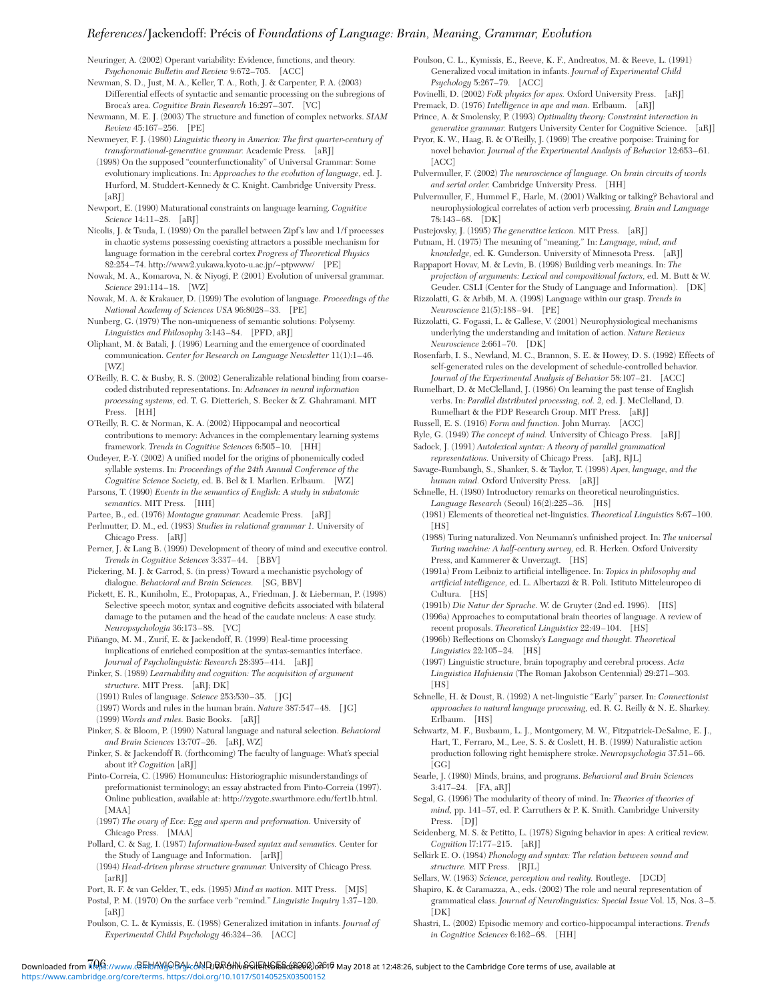Neuringer, A. (2002) Operant variability: Evidence, functions, and theory. *Psychonomic Bulletin and Review* 9:672–705. [ACC]

Newman, S. D., Just, M. A., Keller, T. A., Roth, J. & Carpenter, P. A. (2003) Differential effects of syntactic and semantic processing on the subregions of Broca's area. *Cognitive Brain Research* 16:297–307. [VC]

- Newmann, M. E. J. (2003) The structure and function of complex networks. *SIAM Review* 45:167–256. [PE]
- Newmeyer, F. J. (1980) *Linguistic theory in America: The first quarter-century of transformational-generative grammar.* Academic Press. [aRJ]

(1998) On the supposed "counterfunctionality" of Universal Grammar: Some evolutionary implications. In: *Approaches to the evolution of language,* ed. J. Hurford, M. Studdert-Kennedy & C. Knight. Cambridge University Press. [aRJ]

Newport, E. (1990) Maturational constraints on language learning. *Cognitive Science* 14:11–28. [aRJ]

Nicolis, J. & Tsuda, I. (1989) On the parallel between Zipf's law and 1/f processes in chaotic systems possessing coexisting attractors a possible mechanism for language formation in the cerebral cortex *Progress of Theoretical Physics* 82:254–74. http://www2.yukawa.kyoto-u.ac.jp/~ptpwww/ [PE]

Nowak, M. A., Komarova, N. & Niyogi, P. (2001) Evolution of universal grammar. *Science* 291:114–18. [WZ]

Nowak, M. A. & Krakauer, D. (1999) The evolution of language. *Proceedings of the National Academy of Sciences USA* 96:8028–33. [PE]

Nunberg, G. (1979) The non-uniqueness of semantic solutions: Polysemy. *Linguistics and Philosophy* 3:143–84. [PFD, aRJ]

Oliphant, M. & Batali, J. (1996) Learning and the emergence of coordinated communication. *Center for Research on Language Newsletter* 11(1):1–46.  $|WZ|$ 

O'Reilly, R. C. & Busby, R. S. (2002) Generalizable relational binding from coarsecoded distributed representations. In: *Advances in neural information processing systems,* ed. T. G. Dietterich, S. Becker & Z. Ghahramani. MIT Press. [HH]

O'Reilly, R. C. & Norman, K. A. (2002) Hippocampal and neocortical contributions to memory: Advances in the complementary learning systems framework. *Trends in Cognitive Sciences* 6:505–10. [HH]

Oudeyer, P.-Y. (2002) A unified model for the origins of phonemically coded syllable systems. In: *Proceedings of the 24th Annual Conference of the Cognitive Science Society,* ed. B. Bel & I. Marlien. Erlbaum. [WZ]

Parsons, T. (1990) *Events in the semantics of English: A study in subatomic semantics.* MIT Press. [HH]

Partee, B., ed. (1976) *Montague grammar.* Academic Press. [aRJ]

Perlmutter, D. M., ed. (1983) *Studies in relational grammar 1.* University of Chicago Press. [aRJ]

Perner, J. & Lang B. (1999) Development of theory of mind and executive control. *Trends in Cognitive Sciences* 3:337–44. [BBV]

Pickering, M. J. & Garrod, S. (in press) Toward a mechanistic psychology of dialogue. *Behavioral and Brain Sciences.* [SG, BBV]

Pickett, E. R., Kuniholm, E., Protopapas, A., Friedman, J. & Lieberman, P. (1998) Selective speech motor, syntax and cognitive deficits associated with bilateral damage to the putamen and the head of the caudate nucleus: A case study. *Neuropsychologia* 36:173–88. [VC]

Piñango, M. M., Zurif, E. & Jackendoff, R. (1999) Real-time processing implications of enriched composition at the syntax-semantics interface. *Journal of Psycholinguistic Research* 28:395–414. [aRJ]

Pinker, S. (1989) *Learnability and cognition: The acquisition of argument structure.* MIT Press. [aRJ; DK]

(1991) Rules of language. *Science* 253:530–35. [JG]

(1997) Words and rules in the human brain. *Nature* 387:547–48. [JG] (1999) *Words and rules.* Basic Books. [aRJ]

- Pinker, S. & Bloom, P. (1990) Natural language and natural selection. *Behavioral and Brain Sciences* 13:707–26. [aRJ, WZ]
- Pinker, S. & Jackendoff R. (forthcoming) The faculty of language: What's special about it? *Cognition* [aRJ]

Pinto-Correia, C. (1996) Homunculus: Historiographic misunderstandings of preformationist terminology; an essay abstracted from Pinto-Correia (1997). Online publication, available at: http://zygote.swarthmore.edu/fert1b.html. [MAA]

- (1997) *The ovary of Eve: Egg and sperm and preformation.* University of Chicago Press. [MAA]
- Pollard, C. & Sag, I. (1987) *Information-based syntax and semantics.* Center for the Study of Language and Information. [arRJ]
- (1994) *Head-driven phrase structure grammar.* University of Chicago Press. [arRJ]

Port, R. F. & van Gelder, T., eds. (1995) *Mind as motion.* MIT Press. [MJS]

Postal, P. M. (1970) On the surface verb "remind." *Linguistic Inquiry* 1:37–120. [aRJ]

Poulson, C. L. & Kymissis, E. (1988) Generalized imitation in infants. *Journal of Experimental Child Psychology* 46:324–36. [ACC]

- Poulson, C. L., Kymissis, E., Reeve, K. F., Andreatos, M. & Reeve, L. (1991) Generalized vocal imitation in infants. *Journal of Experimental Child Psychology* 5:267–79. [ACC]
- Povinelli, D. (2002) *Folk physics for apes.* Oxford University Press. [aRJ]
- Premack, D. (1976) *Intelligence in ape and man.* Erlbaum. [aRJ]
- Prince, A. & Smolensky, P. (1993) *Optimality theory: Constraint interaction in generative grammar.* Rutgers University Center for Cognitive Science. [aRJ]
- Pryor, K. W., Haag, R. & O'Reilly, J. (1969) The creative porpoise: Training for novel behavior. *Journal of the Experimental Analysis of Behavior* 12:653–61. [ACC]
- Pulvermuller, F. (2002) *The neuroscience of language. On brain circuits of words and serial order.* Cambridge University Press. [HH]

Pulvermuller, F., Hummel F., Harle, M. (2001) Walking or talking? Behavioral and neurophysiological correlates of action verb processing. *Brain and Language* 78:143–68. [DK]

- Pustejovsky, J. (1995) *The generative lexicon.* MIT Press. [aRJ]
- Putnam, H. (1975) The meaning of "meaning." In: *Language, mind, and knowledge,* ed. K. Gunderson. University of Minnesota Press. [aRJ]
- Rappaport Hovav, M. & Levin, B. (1998) Building verb meanings. In: *The projection of arguments: Lexical and compositional factors,* ed. M. Butt & W. Geuder. CSLI (Center for the Study of Language and Information). [DK]

Rizzolatti, G. & Arbib, M. A. (1998) Language within our grasp. *Trends in Neuroscience* 21(5):188–94. [PE]

- Rizzolatti, G. Fogassi, L. & Gallese, V. (2001) Neurophysiological mechanisms underlying the understanding and imitation of action. *Nature Reviews Neuroscience* 2:661–70. [DK]
- Rosenfarb, I. S., Newland, M. C., Brannon, S. E. & Howey, D. S. (1992) Effects of self-generated rules on the development of schedule-controlled behavior. *Journal of the Experimental Analysis of Behavior* 58:107–21. [ACC]

Rumelhart, D. & McClelland, J. (1986) On learning the past tense of English verbs. In: *Parallel distributed processing, vol. 2,* ed. J. McClelland, D. Rumelhart & the PDP Research Group. MIT Press. [aRJ]

- Russell, E. S. (1916) *Form and function.* John Murray. [ACC]
- Ryle, G. (1949) *The concept of mind.* University of Chicago Press. [aRJ] Sadock, J. (1991) *Autolexical syntax: A theory of parallel grammatical*

*representations.* University of Chicago Press. [aRJ, RJL]

Savage-Rumbaugh, S., Shanker, S. & Taylor, T. (1998) *Apes, language, and the human mind.* Oxford University Press. [aRJ]

Schnelle, H. (1980) Introductory remarks on theoretical neurolinguistics. *Language Research* (Seoul) 16(2):225–36. [HS]

- (1981) Elements of theoretical net-linguistics. *Theoretical Linguistics* 8:67–100. [HS]
- (1988) Turing naturalized. Von Neumann's unfinished project. In: *The universal Turing machine: A half-century survey,* ed. R. Herken. Oxford University Press, and Kammerer & Unverzagt. [HS]
- (1991a) From Leibniz to artificial intelligence. In: *Topics in philosophy and artificial intelligence,* ed. L. Albertazzi & R. Poli. Istituto Mitteleuropeo di Cultura. [HS]
- (1991b) *Die Natur der Sprache.* W. de Gruyter (2nd ed. 1996). [HS]
- (1996a) Approaches to computational brain theories of language. A review of recent proposals. *Theoretical Linguistics* 22:49–104. [HS]
- (1996b) Reflections on Chomsky's *Language and thought. Theoretical Linguistics* 22:105–24. [HS]

(1997) Linguistic structure, brain topography and cerebral process. *Acta Linguistica Hafniensia* (The Roman Jakobson Centennial) 29:271–303. [HS]

- Schnelle, H. & Doust, R. (1992) A net-linguistic "Early" parser. In: *Connectionist approaches to natural language processing,* ed. R. G. Reilly & N. E. Sharkey. Erlbaum. [HS]
- Schwartz, M. F., Buxbaum, L. J., Montgomery, M. W., Fitzpatrick-DeSalme, E. J., Hart, T., Ferraro, M., Lee, S. S. & Coslett, H. B. (1999) Naturalistic action production following right hemisphere stroke. *Neuropsychologia* 37:51–66. [GG]
- Searle, J. (1980) Minds, brains, and programs. *Behavioral and Brain Sciences* 3:417–24. [FA, aRJ]
- Segal, G. (1996) The modularity of theory of mind. In: *Theories of theories of mind,* pp. 141–57, ed. P. Carruthers & P. K. Smith. Cambridge University Press. [DJ]
- Seidenberg, M. S. & Petitto, L. (1978) Signing behavior in apes: A critical review. *Cognition* l7:177–215. [aRJ]
- Selkirk E. O. (1984) *Phonology and syntax: The relation between sound and structure.* MIT Press. [RJL]
- Sellars, W. (1963) *Science, perception and reality.* Routlege. [DCD]
- Shapiro, K. & Caramazza, A., eds. (2002) The role and neural representation of grammatical class. *Journal of Neurolinguistics: Special Issue* Vol. 15, Nos. 3–5. [DK]
- Shastri, L. (2002) Episodic memory and cortico-hippocampal interactions. *Trends in Cognitive Sciences* 6:162–68. [HH]